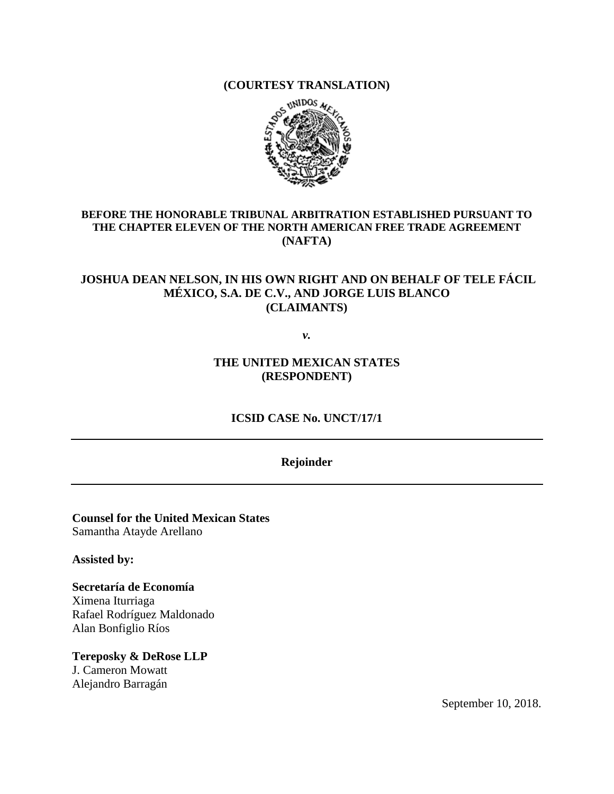**(COURTESY TRANSLATION)**



#### **BEFORE THE HONORABLE TRIBUNAL ARBITRATION ESTABLISHED PURSUANT TO THE CHAPTER ELEVEN OF THE NORTH AMERICAN FREE TRADE AGREEMENT (NAFTA)**

### **JOSHUA DEAN NELSON, IN HIS OWN RIGHT AND ON BEHALF OF TELE FÁCIL MÉXICO, S.A. DE C.V., AND JORGE LUIS BLANCO (CLAIMANTS)**

*v.*

**THE UNITED MEXICAN STATES (RESPONDENT)**

**ICSID CASE No. UNCT/17/1**

#### **Rejoinder**

**Counsel for the United Mexican States** Samantha Atayde Arellano

**Assisted by:**

**Secretaría de Economía** Ximena Iturriaga Rafael Rodríguez Maldonado Alan Bonfiglio Ríos

**Tereposky & DeRose LLP** J. Cameron Mowatt Alejandro Barragán

September 10, 2018.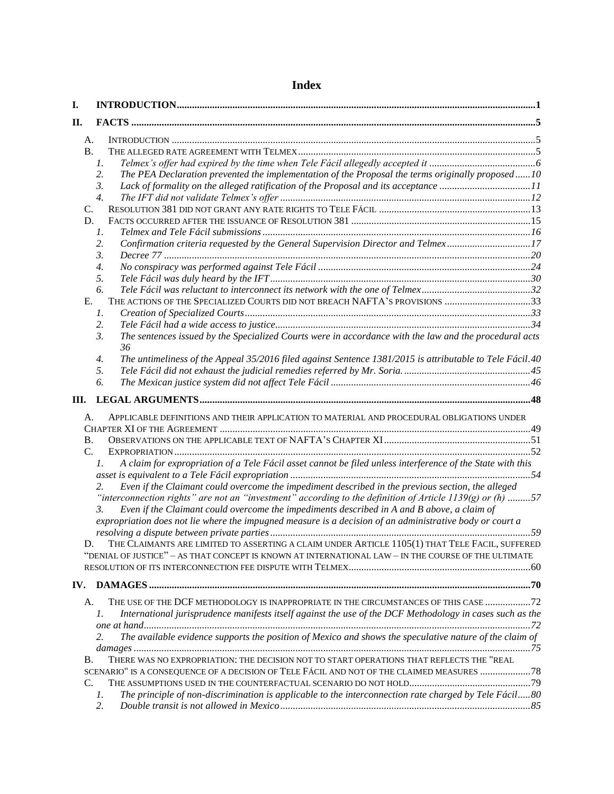| Ι.                    |                                                                                                                                                                                                                                                                                                                          |  |
|-----------------------|--------------------------------------------------------------------------------------------------------------------------------------------------------------------------------------------------------------------------------------------------------------------------------------------------------------------------|--|
| II.                   |                                                                                                                                                                                                                                                                                                                          |  |
| А.                    |                                                                                                                                                                                                                                                                                                                          |  |
| <b>B.</b>             |                                                                                                                                                                                                                                                                                                                          |  |
|                       | 1.                                                                                                                                                                                                                                                                                                                       |  |
|                       | The PEA Declaration prevented the implementation of the Proposal the terms originally proposed10<br>2.                                                                                                                                                                                                                   |  |
|                       | Lack of formality on the alleged ratification of the Proposal and its acceptance 11<br>3.                                                                                                                                                                                                                                |  |
|                       | $\overline{4}$ .                                                                                                                                                                                                                                                                                                         |  |
| C.                    |                                                                                                                                                                                                                                                                                                                          |  |
| D.                    |                                                                                                                                                                                                                                                                                                                          |  |
|                       | 1.                                                                                                                                                                                                                                                                                                                       |  |
|                       | Confirmation criteria requested by the General Supervision Director and Telmex17<br>2.                                                                                                                                                                                                                                   |  |
|                       | 3.                                                                                                                                                                                                                                                                                                                       |  |
|                       | $\overline{4}$ .                                                                                                                                                                                                                                                                                                         |  |
|                       | 5.                                                                                                                                                                                                                                                                                                                       |  |
|                       | 6.                                                                                                                                                                                                                                                                                                                       |  |
| Ε.                    | THE ACTIONS OF THE SPECIALIZED COURTS DID NOT BREACH NAFTA'S PROVISIONS 33                                                                                                                                                                                                                                               |  |
|                       | 1.                                                                                                                                                                                                                                                                                                                       |  |
|                       | 2.                                                                                                                                                                                                                                                                                                                       |  |
|                       | The sentences issued by the Specialized Courts were in accordance with the law and the procedural acts<br>3.<br>36                                                                                                                                                                                                       |  |
|                       | The untimeliness of the Appeal 35/2016 filed against Sentence 1381/2015 is attributable to Tele Fácil.40<br>4.                                                                                                                                                                                                           |  |
|                       | 5.                                                                                                                                                                                                                                                                                                                       |  |
|                       | 6.                                                                                                                                                                                                                                                                                                                       |  |
| Ш.                    |                                                                                                                                                                                                                                                                                                                          |  |
| А.<br><b>B.</b><br>C. | APPLICABLE DEFINITIONS AND THEIR APPLICATION TO MATERIAL AND PROCEDURAL OBLIGATIONS UNDER<br>A claim for expropriation of a Tele Fácil asset cannot be filed unless interference of the State with this<br>1.                                                                                                            |  |
|                       |                                                                                                                                                                                                                                                                                                                          |  |
|                       | Even if the Claimant could overcome the impediment described in the previous section, the alleged<br>2.<br>"interconnection rights" are not an "investment" according to the definition of Article 1139(g) or (h) 57<br>Even if the Claimant could overcome the impediments described in A and B above, a claim of<br>3. |  |
|                       | expropriation does not lie where the impugned measure is a decision of an administrative body or court a                                                                                                                                                                                                                 |  |
|                       | THE CLAIMANTS ARE LIMITED TO ASSERTING A CLAIM UNDER ARTICLE 1105(1) THAT TELE FACIL, SUFFERED                                                                                                                                                                                                                           |  |
|                       | "DENIAL OF JUSTICE" - AS THAT CONCEPT IS KNOWN AT INTERNATIONAL LAW - IN THE COURSE OF THE ULTIMATE                                                                                                                                                                                                                      |  |
|                       |                                                                                                                                                                                                                                                                                                                          |  |
| IV.                   |                                                                                                                                                                                                                                                                                                                          |  |
|                       |                                                                                                                                                                                                                                                                                                                          |  |
| А.                    | THE USE OF THE DCF METHODOLOGY IS INAPPROPRIATE IN THE CIRCUMSTANCES OF THIS CASE  72<br>International jurisprudence manifests itself against the use of the DCF Methodology in cases such as the<br>1.                                                                                                                  |  |
|                       | The available evidence supports the position of Mexico and shows the speculative nature of the claim of<br>2.                                                                                                                                                                                                            |  |
| В.                    | THERE WAS NO EXPROPRIATION: THE DECISION NOT TO START OPERATIONS THAT REFLECTS THE "REAL                                                                                                                                                                                                                                 |  |
|                       | SCENARIO" IS A CONSEQUENCE OF A DECISION OF TELE FÁCIL AND NOT OF THE CLAIMED MEASURES  78                                                                                                                                                                                                                               |  |
| C.                    |                                                                                                                                                                                                                                                                                                                          |  |
|                       | The principle of non-discrimination is applicable to the interconnection rate charged by Tele Fácil80<br>1.                                                                                                                                                                                                              |  |
|                       | 2.                                                                                                                                                                                                                                                                                                                       |  |

# **Index**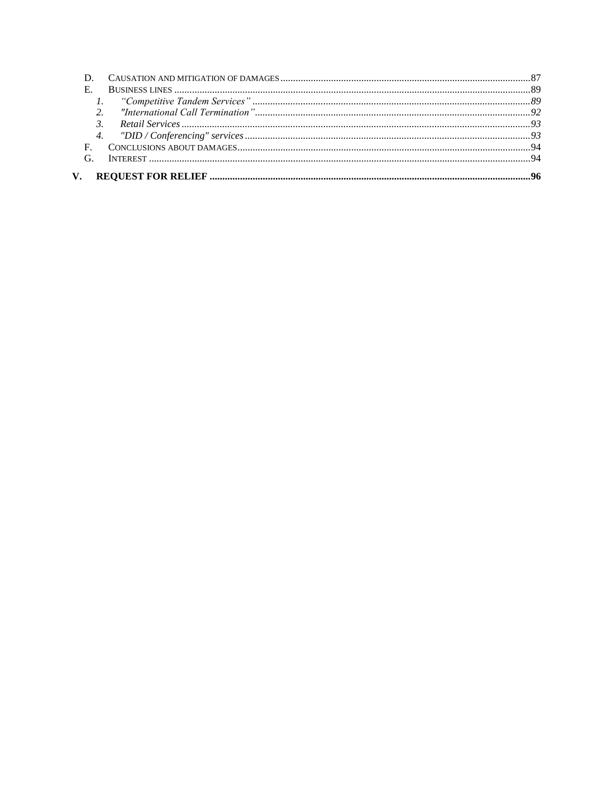| E.           |  |
|--------------|--|
|              |  |
|              |  |
|              |  |
|              |  |
| $\mathbf{E}$ |  |
|              |  |
|              |  |
|              |  |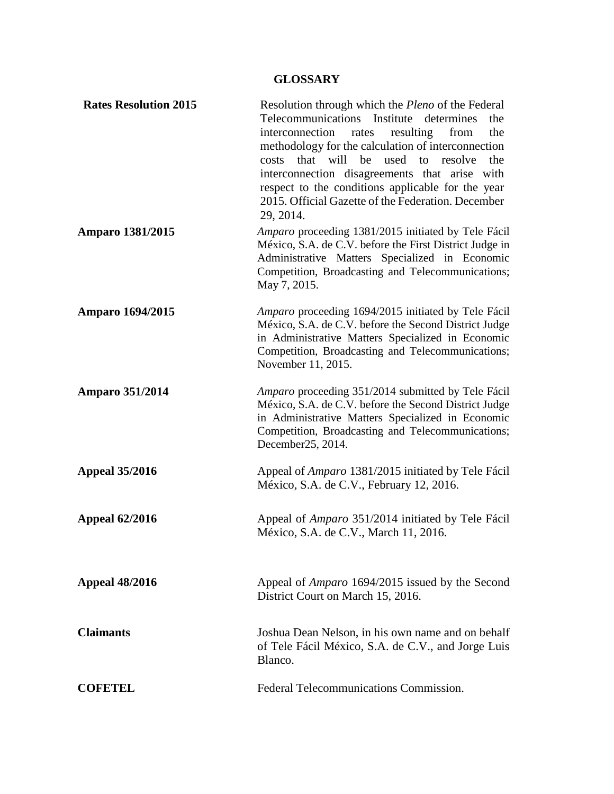# **GLOSSARY**

| <b>Rates Resolution 2015</b> | Resolution through which the <i>Pleno</i> of the Federal<br>Telecommunications Institute determines<br>the<br>interconnection<br>resulting<br>from<br>the<br>rates<br>methodology for the calculation of interconnection<br>will<br>that<br>be<br>used<br>to<br>resolve<br>the<br>costs<br>interconnection disagreements that arise with<br>respect to the conditions applicable for the year<br>2015. Official Gazette of the Federation. December<br>29, 2014. |
|------------------------------|------------------------------------------------------------------------------------------------------------------------------------------------------------------------------------------------------------------------------------------------------------------------------------------------------------------------------------------------------------------------------------------------------------------------------------------------------------------|
| <b>Amparo 1381/2015</b>      | Amparo proceeding 1381/2015 initiated by Tele Fácil<br>México, S.A. de C.V. before the First District Judge in<br>Administrative Matters Specialized in Economic<br>Competition, Broadcasting and Telecommunications;<br>May 7, 2015.                                                                                                                                                                                                                            |
| <b>Amparo 1694/2015</b>      | Amparo proceeding 1694/2015 initiated by Tele Fácil<br>México, S.A. de C.V. before the Second District Judge<br>in Administrative Matters Specialized in Economic<br>Competition, Broadcasting and Telecommunications;<br>November 11, 2015.                                                                                                                                                                                                                     |
| <b>Amparo 351/2014</b>       | Amparo proceeding 351/2014 submitted by Tele Fácil<br>México, S.A. de C.V. before the Second District Judge<br>in Administrative Matters Specialized in Economic<br>Competition, Broadcasting and Telecommunications;<br>December 25, 2014.                                                                                                                                                                                                                      |
| <b>Appeal 35/2016</b>        | Appeal of Amparo 1381/2015 initiated by Tele Fácil<br>México, S.A. de C.V., February 12, 2016.                                                                                                                                                                                                                                                                                                                                                                   |
| <b>Appeal 62/2016</b>        | Appeal of Amparo 351/2014 initiated by Tele Fácil<br>México, S.A. de C.V., March 11, 2016.                                                                                                                                                                                                                                                                                                                                                                       |
| <b>Appeal 48/2016</b>        | Appeal of <i>Amparo</i> 1694/2015 issued by the Second<br>District Court on March 15, 2016.                                                                                                                                                                                                                                                                                                                                                                      |
| <b>Claimants</b>             | Joshua Dean Nelson, in his own name and on behalf<br>of Tele Fácil México, S.A. de C.V., and Jorge Luis<br>Blanco.                                                                                                                                                                                                                                                                                                                                               |
| <b>COFETEL</b>               | Federal Telecommunications Commission.                                                                                                                                                                                                                                                                                                                                                                                                                           |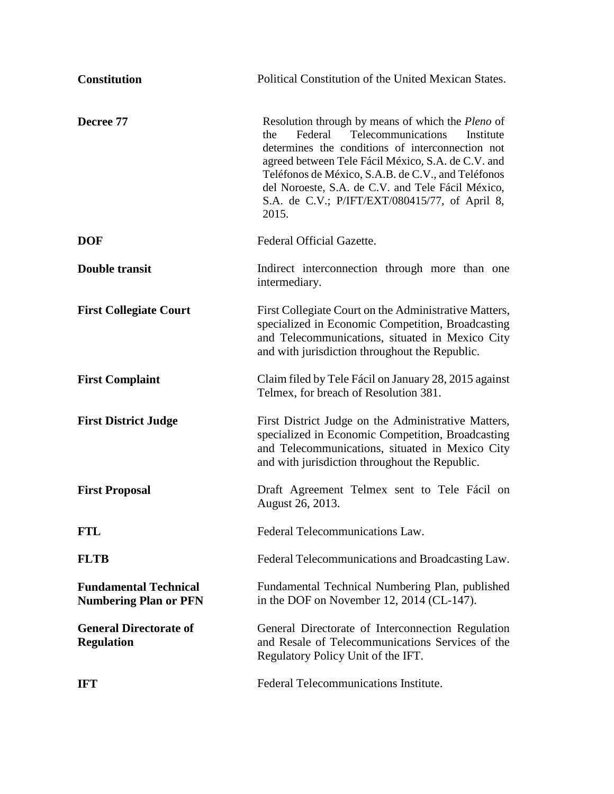| <b>Constitution</b>                                          | Political Constitution of the United Mexican States.                                                                                                                                                                                                                                                                                                                                          |
|--------------------------------------------------------------|-----------------------------------------------------------------------------------------------------------------------------------------------------------------------------------------------------------------------------------------------------------------------------------------------------------------------------------------------------------------------------------------------|
| Decree 77                                                    | Resolution through by means of which the <i>Pleno</i> of<br>Telecommunications<br>the<br>Federal<br>Institute<br>determines the conditions of interconnection not<br>agreed between Tele Fácil México, S.A. de C.V. and<br>Teléfonos de México, S.A.B. de C.V., and Teléfonos<br>del Noroeste, S.A. de C.V. and Tele Fácil México,<br>S.A. de C.V.; P/IFT/EXT/080415/77, of April 8,<br>2015. |
| <b>DOF</b>                                                   | Federal Official Gazette.                                                                                                                                                                                                                                                                                                                                                                     |
| <b>Double transit</b>                                        | Indirect interconnection through more than one<br>intermediary.                                                                                                                                                                                                                                                                                                                               |
| <b>First Collegiate Court</b>                                | First Collegiate Court on the Administrative Matters,<br>specialized in Economic Competition, Broadcasting<br>and Telecommunications, situated in Mexico City<br>and with jurisdiction throughout the Republic.                                                                                                                                                                               |
| <b>First Complaint</b>                                       | Claim filed by Tele Fácil on January 28, 2015 against<br>Telmex, for breach of Resolution 381.                                                                                                                                                                                                                                                                                                |
| <b>First District Judge</b>                                  | First District Judge on the Administrative Matters,<br>specialized in Economic Competition, Broadcasting<br>and Telecommunications, situated in Mexico City<br>and with jurisdiction throughout the Republic.                                                                                                                                                                                 |
| <b>First Proposal</b>                                        | Draft Agreement Telmex sent to Tele Fácil on<br>August 26, 2013.                                                                                                                                                                                                                                                                                                                              |
| <b>FTL</b>                                                   | Federal Telecommunications Law.                                                                                                                                                                                                                                                                                                                                                               |
| <b>FLTB</b>                                                  | Federal Telecommunications and Broadcasting Law.                                                                                                                                                                                                                                                                                                                                              |
| <b>Fundamental Technical</b><br><b>Numbering Plan or PFN</b> | Fundamental Technical Numbering Plan, published<br>in the DOF on November 12, 2014 (CL-147).                                                                                                                                                                                                                                                                                                  |
| <b>General Directorate of</b><br><b>Regulation</b>           | General Directorate of Interconnection Regulation<br>and Resale of Telecommunications Services of the<br>Regulatory Policy Unit of the IFT.                                                                                                                                                                                                                                                   |
| <b>IFT</b>                                                   | Federal Telecommunications Institute.                                                                                                                                                                                                                                                                                                                                                         |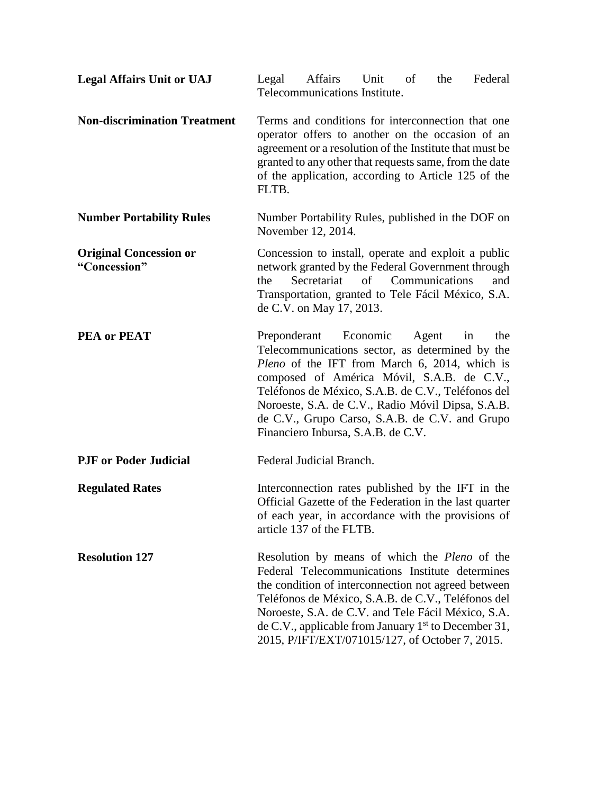| <b>Legal Affairs Unit or UAJ</b>              | Affairs<br>Federal<br>Legal<br>Unit<br><sub>of</sub><br>the<br>Telecommunications Institute.                                                                                                                                                                                                                                                                                                     |
|-----------------------------------------------|--------------------------------------------------------------------------------------------------------------------------------------------------------------------------------------------------------------------------------------------------------------------------------------------------------------------------------------------------------------------------------------------------|
| <b>Non-discrimination Treatment</b>           | Terms and conditions for interconnection that one<br>operator offers to another on the occasion of an<br>agreement or a resolution of the Institute that must be<br>granted to any other that requests same, from the date<br>of the application, according to Article 125 of the<br>FLTB.                                                                                                       |
| <b>Number Portability Rules</b>               | Number Portability Rules, published in the DOF on<br>November 12, 2014.                                                                                                                                                                                                                                                                                                                          |
| <b>Original Concession or</b><br>"Concession" | Concession to install, operate and exploit a public<br>network granted by the Federal Government through<br>Secretariat<br>of Communications<br>the<br>and<br>Transportation, granted to Tele Fácil México, S.A.<br>de C.V. on May 17, 2013.                                                                                                                                                     |
| <b>PEA or PEAT</b>                            | Preponderant Economic<br>Agent<br>the<br>in<br>Telecommunications sector, as determined by the<br>Pleno of the IFT from March 6, 2014, which is<br>composed of América Móvil, S.A.B. de C.V.,<br>Teléfonos de México, S.A.B. de C.V., Teléfonos del<br>Noroeste, S.A. de C.V., Radio Móvil Dipsa, S.A.B.<br>de C.V., Grupo Carso, S.A.B. de C.V. and Grupo<br>Financiero Inbursa, S.A.B. de C.V. |
| <b>PJF</b> or Poder Judicial                  | Federal Judicial Branch.                                                                                                                                                                                                                                                                                                                                                                         |
| <b>Regulated Rates</b>                        | Interconnection rates published by the IFT in the<br>Official Gazette of the Federation in the last quarter<br>of each year, in accordance with the provisions of<br>article 137 of the FLTB.                                                                                                                                                                                                    |
| <b>Resolution 127</b>                         | Resolution by means of which the <i>Pleno</i> of the<br>Federal Telecommunications Institute determines<br>the condition of interconnection not agreed between<br>Teléfonos de México, S.A.B. de C.V., Teléfonos del<br>Noroeste, S.A. de C.V. and Tele Fácil México, S.A.<br>de C.V., applicable from January $1st$ to December 31,<br>2015, P/IFT/EXT/071015/127, of October 7, 2015.          |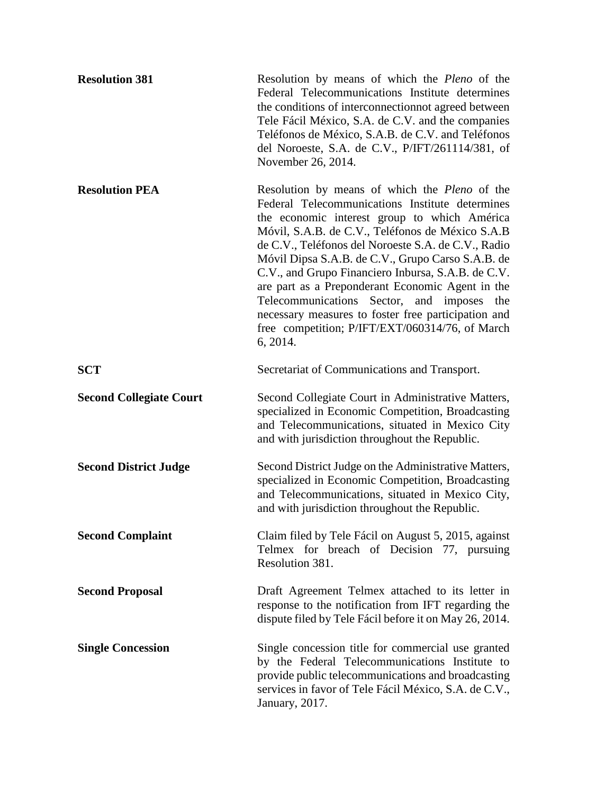| <b>Resolution 381</b>          | Resolution by means of which the Pleno of the<br>Federal Telecommunications Institute determines<br>the conditions of interconnection ot agreed between<br>Tele Fácil México, S.A. de C.V. and the companies<br>Teléfonos de México, S.A.B. de C.V. and Teléfonos<br>del Noroeste, S.A. de C.V., P/IFT/261114/381, of<br>November 26, 2014.                                                                                                                                                                                                                                                                    |
|--------------------------------|----------------------------------------------------------------------------------------------------------------------------------------------------------------------------------------------------------------------------------------------------------------------------------------------------------------------------------------------------------------------------------------------------------------------------------------------------------------------------------------------------------------------------------------------------------------------------------------------------------------|
| <b>Resolution PEA</b>          | Resolution by means of which the <i>Pleno</i> of the<br>Federal Telecommunications Institute determines<br>the economic interest group to which América<br>Móvil, S.A.B. de C.V., Teléfonos de México S.A.B<br>de C.V., Teléfonos del Noroeste S.A. de C.V., Radio<br>Móvil Dipsa S.A.B. de C.V., Grupo Carso S.A.B. de<br>C.V., and Grupo Financiero Inbursa, S.A.B. de C.V.<br>are part as a Preponderant Economic Agent in the<br>Telecommunications<br>Sector, and<br>imposes<br>the<br>necessary measures to foster free participation and<br>free competition; P/IFT/EXT/060314/76, of March<br>6, 2014. |
| <b>SCT</b>                     | Secretariat of Communications and Transport.                                                                                                                                                                                                                                                                                                                                                                                                                                                                                                                                                                   |
| <b>Second Collegiate Court</b> | Second Collegiate Court in Administrative Matters,<br>specialized in Economic Competition, Broadcasting<br>and Telecommunications, situated in Mexico City<br>and with jurisdiction throughout the Republic.                                                                                                                                                                                                                                                                                                                                                                                                   |
| <b>Second District Judge</b>   | Second District Judge on the Administrative Matters,<br>specialized in Economic Competition, Broadcasting<br>and Telecommunications, situated in Mexico City,<br>and with jurisdiction throughout the Republic.                                                                                                                                                                                                                                                                                                                                                                                                |
| <b>Second Complaint</b>        | Claim filed by Tele Fácil on August 5, 2015, against<br>Telmex for breach of Decision 77, pursuing<br>Resolution 381.                                                                                                                                                                                                                                                                                                                                                                                                                                                                                          |
| <b>Second Proposal</b>         | Draft Agreement Telmex attached to its letter in<br>response to the notification from IFT regarding the<br>dispute filed by Tele Fácil before it on May 26, 2014.                                                                                                                                                                                                                                                                                                                                                                                                                                              |
| <b>Single Concession</b>       | Single concession title for commercial use granted<br>by the Federal Telecommunications Institute to<br>provide public telecommunications and broadcasting<br>services in favor of Tele Fácil México, S.A. de C.V.,<br>January, 2017.                                                                                                                                                                                                                                                                                                                                                                          |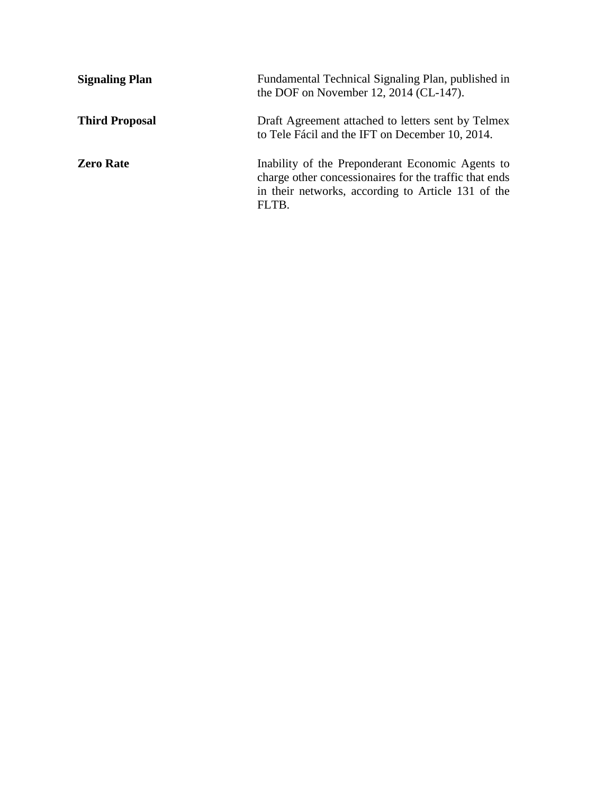| <b>Signaling Plan</b> | Fundamental Technical Signaling Plan, published in<br>the DOF on November 12, 2014 (CL-147).                                                                              |
|-----------------------|---------------------------------------------------------------------------------------------------------------------------------------------------------------------------|
| <b>Third Proposal</b> | Draft Agreement attached to letters sent by Telmex<br>to Tele Fácil and the IFT on December 10, 2014.                                                                     |
| <b>Zero Rate</b>      | Inability of the Preponderant Economic Agents to<br>charge other concessionaires for the traffic that ends<br>in their networks, according to Article 131 of the<br>FLTB. |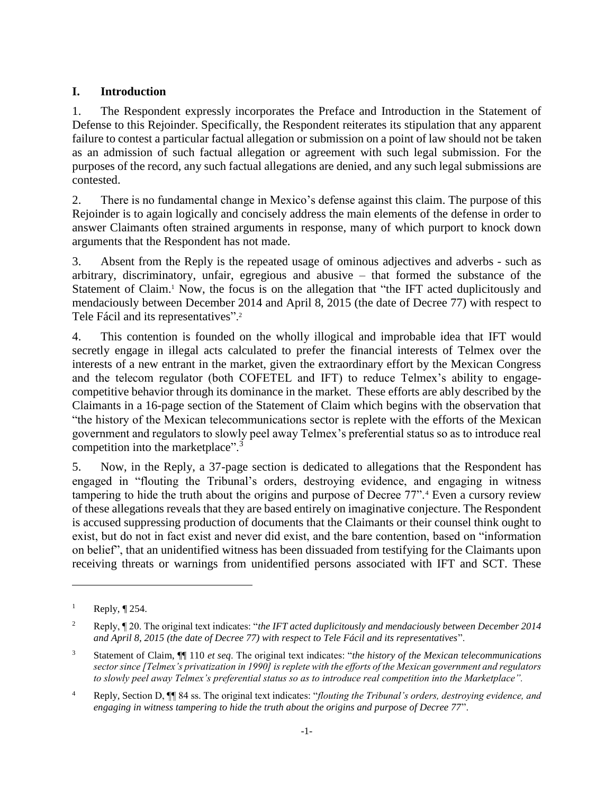### <span id="page-8-0"></span>**I. Introduction**

1. The Respondent expressly incorporates the Preface and Introduction in the Statement of Defense to this Rejoinder. Specifically, the Respondent reiterates its stipulation that any apparent failure to contest a particular factual allegation or submission on a point of law should not be taken as an admission of such factual allegation or agreement with such legal submission. For the purposes of the record, any such factual allegations are denied, and any such legal submissions are contested.

2. There is no fundamental change in Mexico's defense against this claim. The purpose of this Rejoinder is to again logically and concisely address the main elements of the defense in order to answer Claimants often strained arguments in response, many of which purport to knock down arguments that the Respondent has not made.

3. Absent from the Reply is the repeated usage of ominous adjectives and adverbs - such as arbitrary, discriminatory, unfair, egregious and abusive – that formed the substance of the Statement of Claim.<sup>1</sup> Now, the focus is on the allegation that "the IFT acted duplicitously and mendaciously between December 2014 and April 8, 2015 (the date of Decree 77) with respect to Tele Fácil and its representatives".<sup>2</sup>

4. This contention is founded on the wholly illogical and improbable idea that IFT would secretly engage in illegal acts calculated to prefer the financial interests of Telmex over the interests of a new entrant in the market, given the extraordinary effort by the Mexican Congress and the telecom regulator (both COFETEL and IFT) to reduce Telmex's ability to engagecompetitive behavior through its dominance in the market. These efforts are ably described by the Claimants in a 16-page section of the Statement of Claim which begins with the observation that "the history of the Mexican telecommunications sector is replete with the efforts of the Mexican government and regulators to slowly peel away Telmex's preferential status so as to introduce real competition into the marketplace".<sup>3</sup>

5. Now, in the Reply, a 37-page section is dedicated to allegations that the Respondent has engaged in "flouting the Tribunal's orders, destroying evidence, and engaging in witness tampering to hide the truth about the origins and purpose of Decree 77".<sup>4</sup> Even a cursory review of these allegations reveals that they are based entirely on imaginative conjecture. The Respondent is accused suppressing production of documents that the Claimants or their counsel think ought to exist, but do not in fact exist and never did exist, and the bare contention, based on "information on belief", that an unidentified witness has been dissuaded from testifying for the Claimants upon receiving threats or warnings from unidentified persons associated with IFT and SCT. These

<sup>&</sup>lt;sup>1</sup> Reply,  $\P$  254.

<sup>2</sup> Reply, ¶ 20. The original text indicates: "*the IFT acted duplicitously and mendaciously between December 2014 and April 8, 2015 (the date of Decree 77) with respect to Tele Fácil and its representatives*".

<sup>3</sup> Statement of Claim, ¶¶ 110 *et seq*. The original text indicates: "*the history of the Mexican telecommunications sector since [Telmex's privatization in 1990] is replete with the efforts of the Mexican government and regulators to slowly peel away Telmex's preferential status so as to introduce real competition into the Marketplace".*

<sup>4</sup> Reply, Section D, ¶¶ 84 ss. The original text indicates: "*flouting the Tribunal's orders, destroying evidence, and engaging in witness tampering to hide the truth about the origins and purpose of Decree 77*".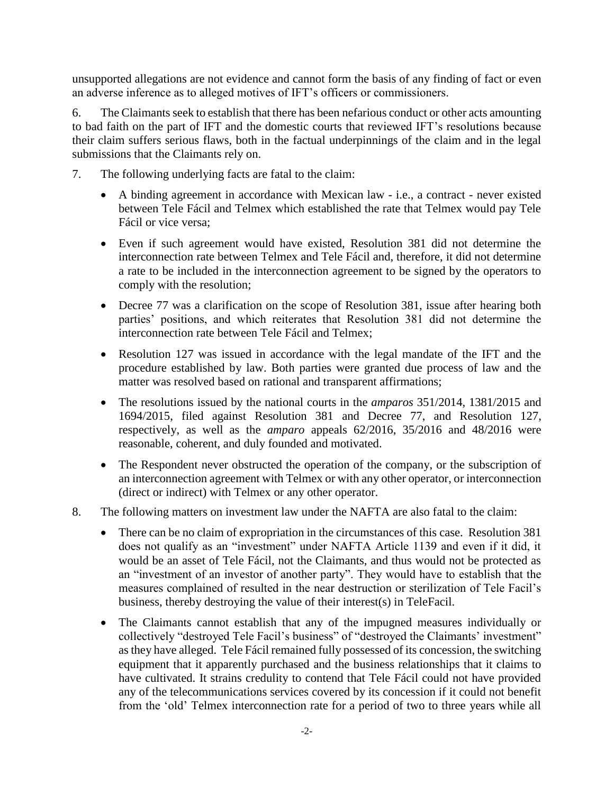unsupported allegations are not evidence and cannot form the basis of any finding of fact or even an adverse inference as to alleged motives of IFT's officers or commissioners.

6. The Claimants seek to establish that there has been nefarious conduct or other acts amounting to bad faith on the part of IFT and the domestic courts that reviewed IFT's resolutions because their claim suffers serious flaws, both in the factual underpinnings of the claim and in the legal submissions that the Claimants rely on.

- 7. The following underlying facts are fatal to the claim:
	- A binding agreement in accordance with Mexican law i.e., a contract never existed between Tele Fácil and Telmex which established the rate that Telmex would pay Tele Fácil or vice versa;
	- Even if such agreement would have existed, Resolution 381 did not determine the interconnection rate between Telmex and Tele Fácil and, therefore, it did not determine a rate to be included in the interconnection agreement to be signed by the operators to comply with the resolution;
	- Decree 77 was a clarification on the scope of Resolution 381, issue after hearing both parties' positions, and which reiterates that Resolution 381 did not determine the interconnection rate between Tele Fácil and Telmex;
	- Resolution 127 was issued in accordance with the legal mandate of the IFT and the procedure established by law. Both parties were granted due process of law and the matter was resolved based on rational and transparent affirmations;
	- The resolutions issued by the national courts in the *amparos* 351/2014, 1381/2015 and 1694/2015, filed against Resolution 381 and Decree 77, and Resolution 127, respectively, as well as the *amparo* appeals 62/2016, 35/2016 and 48/2016 were reasonable, coherent, and duly founded and motivated.
	- The Respondent never obstructed the operation of the company, or the subscription of an interconnection agreement with Telmex or with any other operator, or interconnection (direct or indirect) with Telmex or any other operator.
- 8. The following matters on investment law under the NAFTA are also fatal to the claim:
	- There can be no claim of expropriation in the circumstances of this case. Resolution 381 does not qualify as an "investment" under NAFTA Article 1139 and even if it did, it would be an asset of Tele Fácil, not the Claimants, and thus would not be protected as an "investment of an investor of another party". They would have to establish that the measures complained of resulted in the near destruction or sterilization of Tele Facil's business, thereby destroying the value of their interest(s) in TeleFacil.
	- The Claimants cannot establish that any of the impugned measures individually or collectively "destroyed Tele Facil's business" of "destroyed the Claimants' investment" as they have alleged. Tele Fácil remained fully possessed of its concession, the switching equipment that it apparently purchased and the business relationships that it claims to have cultivated. It strains credulity to contend that Tele Fácil could not have provided any of the telecommunications services covered by its concession if it could not benefit from the 'old' Telmex interconnection rate for a period of two to three years while all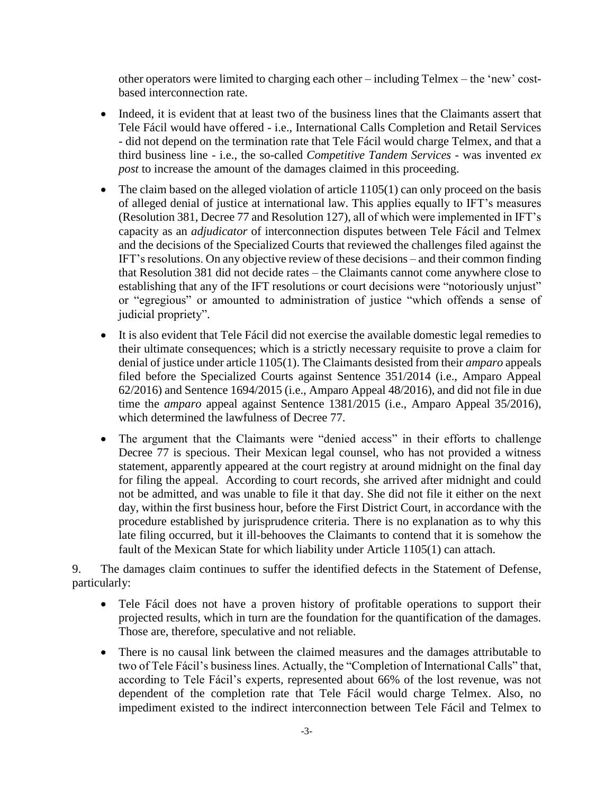other operators were limited to charging each other – including Telmex – the 'new' costbased interconnection rate.

- Indeed, it is evident that at least two of the business lines that the Claimants assert that Tele Fácil would have offered - i.e., International Calls Completion and Retail Services - did not depend on the termination rate that Tele Fácil would charge Telmex, and that a third business line - i.e., the so-called *Competitive Tandem Services* - was invented *ex post* to increase the amount of the damages claimed in this proceeding.
- $\bullet$  The claim based on the alleged violation of article 1105(1) can only proceed on the basis of alleged denial of justice at international law. This applies equally to IFT's measures (Resolution 381, Decree 77 and Resolution 127), all of which were implemented in IFT's capacity as an *adjudicator* of interconnection disputes between Tele Fácil and Telmex and the decisions of the Specialized Courts that reviewed the challenges filed against the IFT's resolutions. On any objective review of these decisions – and their common finding that Resolution 381 did not decide rates – the Claimants cannot come anywhere close to establishing that any of the IFT resolutions or court decisions were "notoriously unjust" or "egregious" or amounted to administration of justice "which offends a sense of judicial propriety".
- It is also evident that Tele Fácil did not exercise the available domestic legal remedies to their ultimate consequences; which is a strictly necessary requisite to prove a claim for denial of justice under article 1105(1). The Claimants desisted from their *amparo* appeals filed before the Specialized Courts against Sentence 351/2014 (i.e., Amparo Appeal 62/2016) and Sentence 1694/2015 (i.e., Amparo Appeal 48/2016), and did not file in due time the *amparo* appeal against Sentence 1381/2015 (i.e., Amparo Appeal 35/2016), which determined the lawfulness of Decree 77.
- The argument that the Claimants were "denied access" in their efforts to challenge Decree 77 is specious. Their Mexican legal counsel, who has not provided a witness statement, apparently appeared at the court registry at around midnight on the final day for filing the appeal. According to court records, she arrived after midnight and could not be admitted, and was unable to file it that day. She did not file it either on the next day, within the first business hour, before the First District Court, in accordance with the procedure established by jurisprudence criteria. There is no explanation as to why this late filing occurred, but it ill-behooves the Claimants to contend that it is somehow the fault of the Mexican State for which liability under Article 1105(1) can attach.

9. The damages claim continues to suffer the identified defects in the Statement of Defense, particularly:

- Tele Fácil does not have a proven history of profitable operations to support their projected results, which in turn are the foundation for the quantification of the damages. Those are, therefore, speculative and not reliable.
- There is no causal link between the claimed measures and the damages attributable to two of Tele Fácil's business lines. Actually, the "Completion of International Calls" that, according to Tele Fácil's experts, represented about 66% of the lost revenue, was not dependent of the completion rate that Tele Fácil would charge Telmex. Also, no impediment existed to the indirect interconnection between Tele Fácil and Telmex to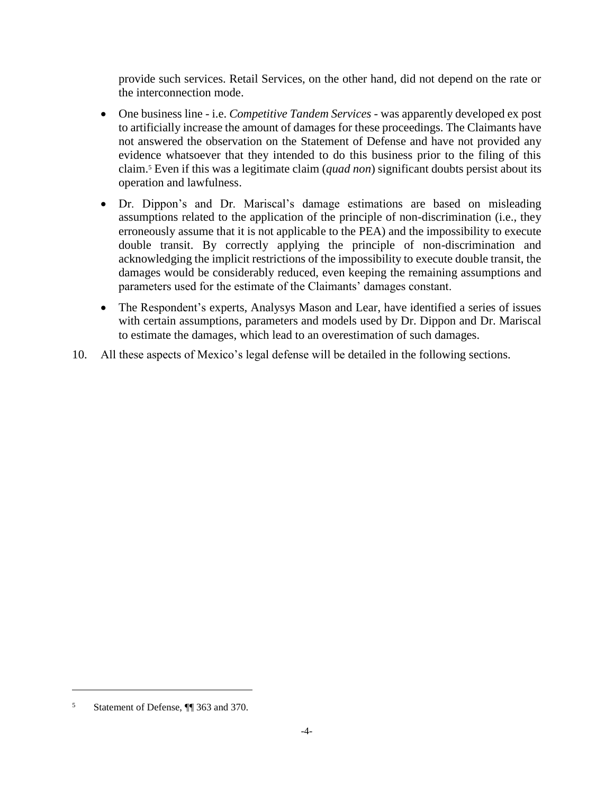provide such services. Retail Services, on the other hand, did not depend on the rate or the interconnection mode.

- One business line i.e. *Competitive Tandem Services* was apparently developed ex post to artificially increase the amount of damages for these proceedings. The Claimants have not answered the observation on the Statement of Defense and have not provided any evidence whatsoever that they intended to do this business prior to the filing of this claim.<sup>5</sup> Even if this was a legitimate claim (*quad non*) significant doubts persist about its operation and lawfulness.
- Dr. Dippon's and Dr. Mariscal's damage estimations are based on misleading assumptions related to the application of the principle of non-discrimination (i.e., they erroneously assume that it is not applicable to the PEA) and the impossibility to execute double transit. By correctly applying the principle of non-discrimination and acknowledging the implicit restrictions of the impossibility to execute double transit, the damages would be considerably reduced, even keeping the remaining assumptions and parameters used for the estimate of the Claimants' damages constant.
- The Respondent's experts, Analysys Mason and Lear, have identified a series of issues with certain assumptions, parameters and models used by Dr. Dippon and Dr. Mariscal to estimate the damages, which lead to an overestimation of such damages.
- 10. All these aspects of Mexico's legal defense will be detailed in the following sections.

<sup>5</sup> Statement of Defense, ¶¶ 363 and 370.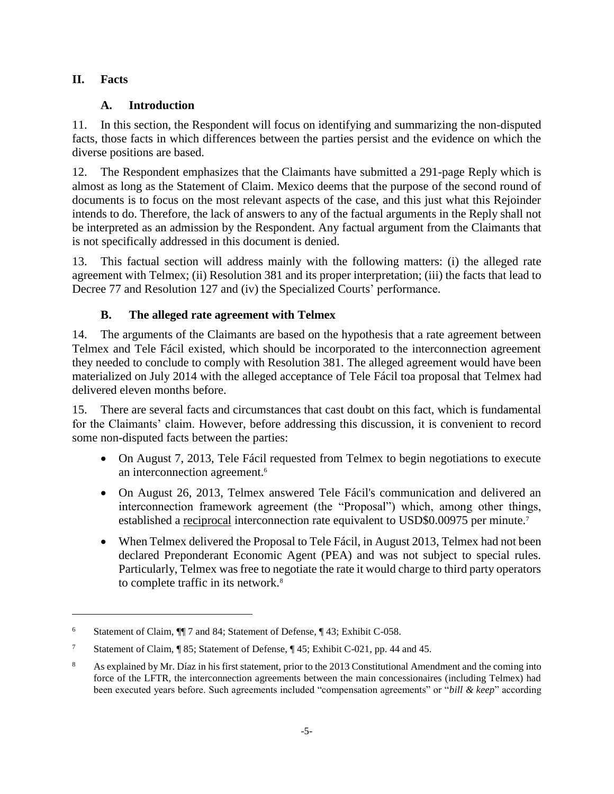### <span id="page-12-1"></span><span id="page-12-0"></span>**II. Facts**

 $\overline{a}$ 

### **A. Introduction**

11. In this section, the Respondent will focus on identifying and summarizing the non-disputed facts, those facts in which differences between the parties persist and the evidence on which the diverse positions are based.

12. The Respondent emphasizes that the Claimants have submitted a 291-page Reply which is almost as long as the Statement of Claim. Mexico deems that the purpose of the second round of documents is to focus on the most relevant aspects of the case, and this just what this Rejoinder intends to do. Therefore, the lack of answers to any of the factual arguments in the Reply shall not be interpreted as an admission by the Respondent. Any factual argument from the Claimants that is not specifically addressed in this document is denied.

13. This factual section will address mainly with the following matters: (i) the alleged rate agreement with Telmex; (ii) Resolution 381 and its proper interpretation; (iii) the facts that lead to Decree 77 and Resolution 127 and (iv) the Specialized Courts' performance.

## **B. The alleged rate agreement with Telmex**

<span id="page-12-2"></span>14. The arguments of the Claimants are based on the hypothesis that a rate agreement between Telmex and Tele Fácil existed, which should be incorporated to the interconnection agreement they needed to conclude to comply with Resolution 381. The alleged agreement would have been materialized on July 2014 with the alleged acceptance of Tele Fácil toa proposal that Telmex had delivered eleven months before.

15. There are several facts and circumstances that cast doubt on this fact, which is fundamental for the Claimants' claim. However, before addressing this discussion, it is convenient to record some non-disputed facts between the parties:

- On August 7, 2013, Tele Fácil requested from Telmex to begin negotiations to execute an interconnection agreement.<sup>6</sup>
- On August 26, 2013, Telmex answered Tele Fácil's communication and delivered an interconnection framework agreement (the "Proposal") which, among other things, established a reciprocal interconnection rate equivalent to USD\$0.00975 per minute.<sup>7</sup>
- When Telmex delivered the Proposal to Tele Fácil, in August 2013, Telmex had not been declared Preponderant Economic Agent (PEA) and was not subject to special rules. Particularly, Telmex was free to negotiate the rate it would charge to third party operators to complete traffic in its network.<sup>8</sup>

<sup>6</sup> Statement of Claim, ¶¶ 7 and 84; Statement of Defense, ¶ 43; Exhibit C-058.

<sup>7</sup> Statement of Claim, ¶ 85; Statement of Defense, ¶ 45; Exhibit C-021, pp. 44 and 45.

<sup>8</sup> As explained by Mr. Díaz in his first statement, prior to the 2013 Constitutional Amendment and the coming into force of the LFTR, the interconnection agreements between the main concessionaires (including Telmex) had been executed years before. Such agreements included "compensation agreements" or "*bill & keep*" according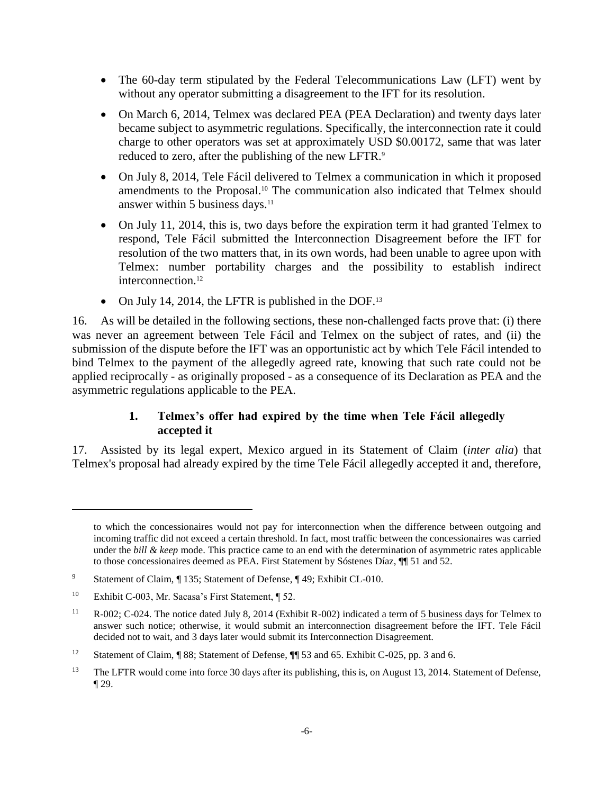- The 60-day term stipulated by the Federal Telecommunications Law (LFT) went by without any operator submitting a disagreement to the IFT for its resolution.
- On March 6, 2014, Telmex was declared PEA (PEA Declaration) and twenty days later became subject to asymmetric regulations. Specifically, the interconnection rate it could charge to other operators was set at approximately USD \$0.00172, same that was later reduced to zero, after the publishing of the new LFTR.<sup>9</sup>
- On July 8, 2014, Tele Fácil delivered to Telmex a communication in which it proposed amendments to the Proposal.<sup>10</sup> The communication also indicated that Telmex should answer within 5 business days.<sup>11</sup>
- On July 11, 2014, this is, two days before the expiration term it had granted Telmex to respond, Tele Fácil submitted the Interconnection Disagreement before the IFT for resolution of the two matters that, in its own words, had been unable to agree upon with Telmex: number portability charges and the possibility to establish indirect interconnection.<sup>12</sup>
- On July 14, 2014, the LFTR is published in the DOF.<sup>13</sup>

16. As will be detailed in the following sections, these non-challenged facts prove that: (i) there was never an agreement between Tele Fácil and Telmex on the subject of rates, and (ii) the submission of the dispute before the IFT was an opportunistic act by which Tele Fácil intended to bind Telmex to the payment of the allegedly agreed rate, knowing that such rate could not be applied reciprocally - as originally proposed - as a consequence of its Declaration as PEA and the asymmetric regulations applicable to the PEA.

### **1. Telmex's offer had expired by the time when Tele Fácil allegedly accepted it**

<span id="page-13-0"></span>17. Assisted by its legal expert, Mexico argued in its Statement of Claim (*inter alia*) that Telmex's proposal had already expired by the time Tele Fácil allegedly accepted it and, therefore,

to which the concessionaires would not pay for interconnection when the difference between outgoing and incoming traffic did not exceed a certain threshold. In fact, most traffic between the concessionaires was carried under the *bill & keep* mode. This practice came to an end with the determination of asymmetric rates applicable to those concessionaires deemed as PEA. First Statement by Sóstenes Díaz, ¶¶ 51 and 52.

<sup>9</sup> Statement of Claim, ¶ 135; Statement of Defense, ¶ 49; Exhibit CL-010.

<sup>10</sup> Exhibit C-003, Mr. Sacasa's First Statement, ¶ 52.

<sup>&</sup>lt;sup>11</sup> R-002; C-024. The notice dated July 8, 2014 (Exhibit R-002) indicated a term of 5 business days for Telmex to answer such notice; otherwise, it would submit an interconnection disagreement before the IFT. Tele Fácil decided not to wait, and 3 days later would submit its Interconnection Disagreement.

<sup>&</sup>lt;sup>12</sup> Statement of Claim, ¶ 88; Statement of Defense, ¶ 53 and 65. Exhibit C-025, pp. 3 and 6.

<sup>&</sup>lt;sup>13</sup> The LFTR would come into force 30 days after its publishing, this is, on August 13, 2014. Statement of Defense, ¶ 29.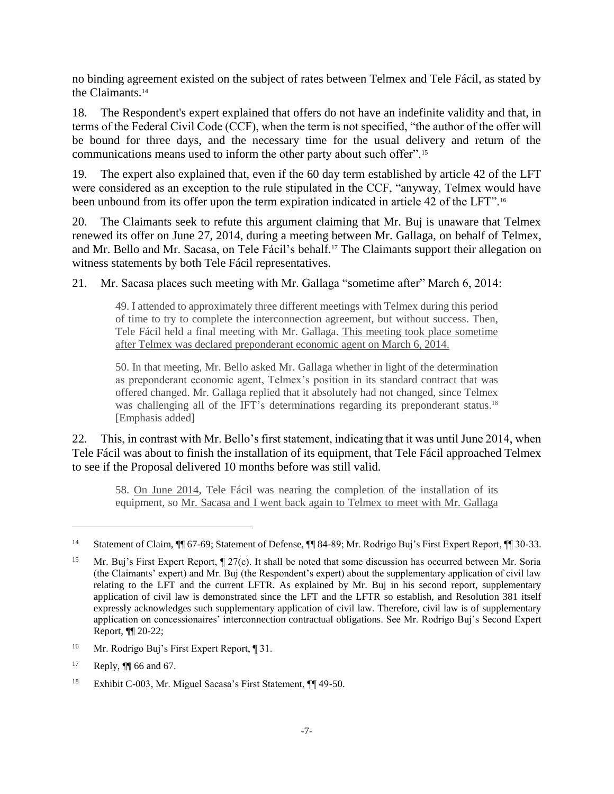no binding agreement existed on the subject of rates between Telmex and Tele Fácil, as stated by the Claimants.<sup>14</sup>

18. The Respondent's expert explained that offers do not have an indefinite validity and that, in terms of the Federal Civil Code (CCF), when the term is not specified, "the author of the offer will be bound for three days, and the necessary time for the usual delivery and return of the communications means used to inform the other party about such offer".<sup>15</sup>

19. The expert also explained that, even if the 60 day term established by article 42 of the LFT were considered as an exception to the rule stipulated in the CCF, "anyway, Telmex would have been unbound from its offer upon the term expiration indicated in article 42 of the LFT".<sup>16</sup>

20. The Claimants seek to refute this argument claiming that Mr. Buj is unaware that Telmex renewed its offer on June 27, 2014, during a meeting between Mr. Gallaga, on behalf of Telmex, and Mr. Bello and Mr. Sacasa, on Tele Fácil's behalf. <sup>17</sup> The Claimants support their allegation on witness statements by both Tele Fácil representatives.

21. Mr. Sacasa places such meeting with Mr. Gallaga "sometime after" March 6, 2014:

49. I attended to approximately three different meetings with Telmex during this period of time to try to complete the interconnection agreement, but without success. Then, Tele Fácil held a final meeting with Mr. Gallaga. This meeting took place sometime after Telmex was declared preponderant economic agent on March 6, 2014.

50. In that meeting, Mr. Bello asked Mr. Gallaga whether in light of the determination as preponderant economic agent, Telmex's position in its standard contract that was offered changed. Mr. Gallaga replied that it absolutely had not changed, since Telmex was challenging all of the IFT's determinations regarding its preponderant status.<sup>18</sup> [Emphasis added]

22. This, in contrast with Mr. Bello's first statement, indicating that it was until June 2014, when Tele Fácil was about to finish the installation of its equipment, that Tele Fácil approached Telmex to see if the Proposal delivered 10 months before was still valid.

58. On June 2014, Tele Fácil was nearing the completion of the installation of its equipment, so Mr. Sacasa and I went back again to Telmex to meet with Mr. Gallaga

<sup>14</sup> Statement of Claim, ¶¶ 67-69; Statement of Defense, ¶¶ 84-89; Mr. Rodrigo Buj's First Expert Report, ¶¶ 30-33.

<sup>&</sup>lt;sup>15</sup> Mr. Buj's First Expert Report,  $\P$  27(c). It shall be noted that some discussion has occurred between Mr. Soria (the Claimants' expert) and Mr. Buj (the Respondent's expert) about the supplementary application of civil law relating to the LFT and the current LFTR. As explained by Mr. Buj in his second report, supplementary application of civil law is demonstrated since the LFT and the LFTR so establish, and Resolution 381 itself expressly acknowledges such supplementary application of civil law. Therefore, civil law is of supplementary application on concessionaires' interconnection contractual obligations. See Mr. Rodrigo Buj's Second Expert Report, ¶¶ 20-22;

<sup>&</sup>lt;sup>16</sup> Mr. Rodrigo Buj's First Expert Report, ¶ 31.

 $17$  Reply,  $\P$  66 and 67.

<sup>18</sup> Exhibit C-003, Mr. Miguel Sacasa's First Statement, ¶¶ 49-50.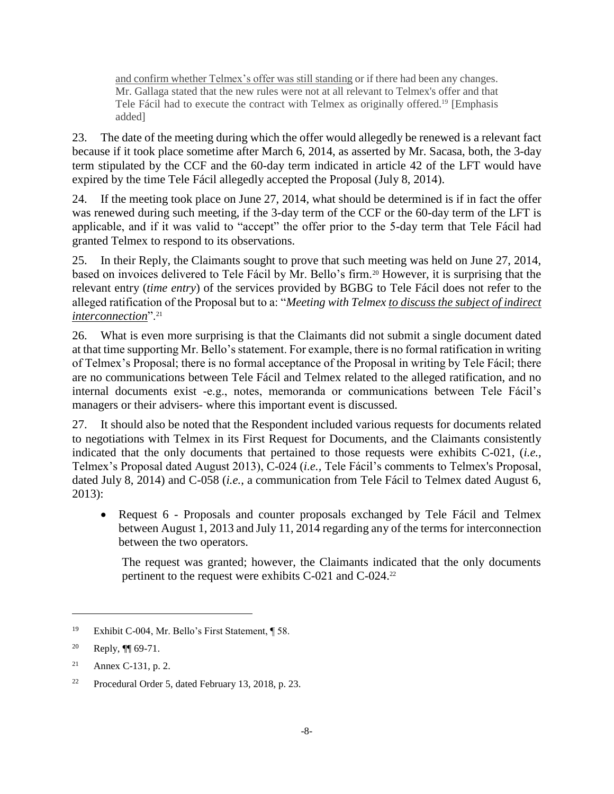and confirm whether Telmex's offer was still standing or if there had been any changes. Mr. Gallaga stated that the new rules were not at all relevant to Telmex's offer and that Tele Fácil had to execute the contract with Telmex as originally offered.<sup>19</sup> [Emphasis added]

23. The date of the meeting during which the offer would allegedly be renewed is a relevant fact because if it took place sometime after March 6, 2014, as asserted by Mr. Sacasa, both, the 3-day term stipulated by the CCF and the 60-day term indicated in article 42 of the LFT would have expired by the time Tele Fácil allegedly accepted the Proposal (July 8, 2014).

24. If the meeting took place on June 27, 2014, what should be determined is if in fact the offer was renewed during such meeting, if the 3-day term of the CCF or the 60-day term of the LFT is applicable, and if it was valid to "accept" the offer prior to the 5-day term that Tele Fácil had granted Telmex to respond to its observations.

25. In their Reply, the Claimants sought to prove that such meeting was held on June 27, 2014, based on invoices delivered to Tele Fácil by Mr. Bello's firm.<sup>20</sup> However, it is surprising that the relevant entry (*time entry*) of the services provided by BGBG to Tele Fácil does not refer to the alleged ratification of the Proposal but to a: "*Meeting with Telmex to discuss the subject of indirect interconnection*".<sup>21</sup>

26. What is even more surprising is that the Claimants did not submit a single document dated at that time supporting Mr. Bello's statement. For example, there is no formal ratification in writing of Telmex's Proposal; there is no formal acceptance of the Proposal in writing by Tele Fácil; there are no communications between Tele Fácil and Telmex related to the alleged ratification, and no internal documents exist -e.g., notes, memoranda or communications between Tele Fácil's managers or their advisers- where this important event is discussed.

27. It should also be noted that the Respondent included various requests for documents related to negotiations with Telmex in its First Request for Documents, and the Claimants consistently indicated that the only documents that pertained to those requests were exhibits C-021, (*i.e.,* Telmex's Proposal dated August 2013), C-024 (*i.e.,* Tele Fácil's comments to Telmex's Proposal, dated July 8, 2014) and C-058 (*i.e.*, a communication from Tele Fácil to Telmex dated August 6, 2013):

• Request 6 - Proposals and counter proposals exchanged by Tele Fácil and Telmex between August 1, 2013 and July 11, 2014 regarding any of the terms for interconnection between the two operators.

The request was granted; however, the Claimants indicated that the only documents pertinent to the request were exhibits C-021 and C-024.<sup>22</sup>

 $\overline{a}$ 

<sup>21</sup> Annex C-131, p. 2.

<sup>19</sup> Exhibit C-004, Mr. Bello's First Statement, ¶ 58.

<sup>&</sup>lt;sup>20</sup> Reply,  $\P$  69-71.

<sup>22</sup> Procedural Order 5, dated February 13, 2018, p. 23.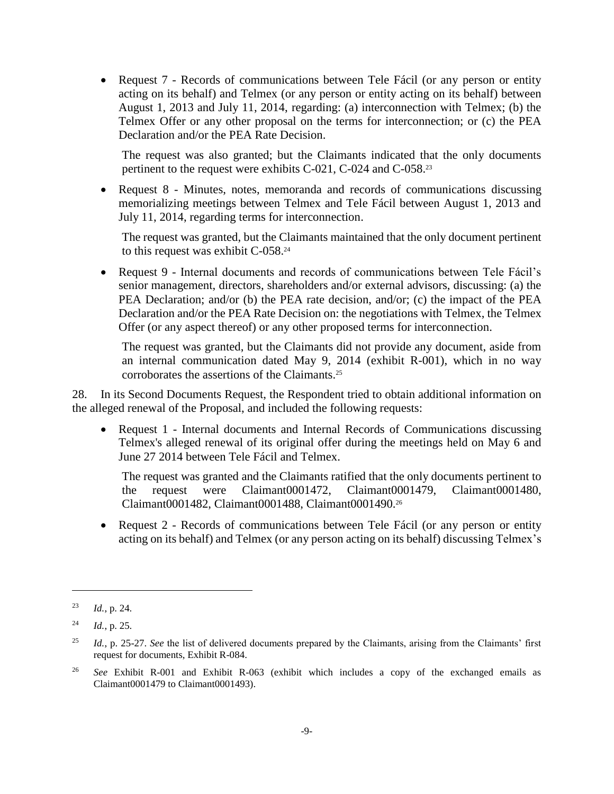• Request 7 - Records of communications between Tele Fácil (or any person or entity acting on its behalf) and Telmex (or any person or entity acting on its behalf) between August 1, 2013 and July 11, 2014, regarding: (a) interconnection with Telmex; (b) the Telmex Offer or any other proposal on the terms for interconnection; or (c) the PEA Declaration and/or the PEA Rate Decision.

The request was also granted; but the Claimants indicated that the only documents pertinent to the request were exhibits C-021, C-024 and C-058.<sup>23</sup>

• Request 8 - Minutes, notes, memoranda and records of communications discussing memorializing meetings between Telmex and Tele Fácil between August 1, 2013 and July 11, 2014, regarding terms for interconnection.

The request was granted, but the Claimants maintained that the only document pertinent to this request was exhibit C-058.<sup>24</sup>

• Request 9 - Internal documents and records of communications between Tele Fácil's senior management, directors, shareholders and/or external advisors, discussing: (a) the PEA Declaration; and/or (b) the PEA rate decision, and/or; (c) the impact of the PEA Declaration and/or the PEA Rate Decision on: the negotiations with Telmex, the Telmex Offer (or any aspect thereof) or any other proposed terms for interconnection.

The request was granted, but the Claimants did not provide any document, aside from an internal communication dated May 9, 2014 (exhibit R-001), which in no way corroborates the assertions of the Claimants.<sup>25</sup>

28. In its Second Documents Request, the Respondent tried to obtain additional information on the alleged renewal of the Proposal, and included the following requests:

• Request 1 - Internal documents and Internal Records of Communications discussing Telmex's alleged renewal of its original offer during the meetings held on May 6 and June 27 2014 between Tele Fácil and Telmex.

The request was granted and the Claimants ratified that the only documents pertinent to the request were Claimant0001472, Claimant0001479, Claimant0001480, Claimant0001482, Claimant0001488, Claimant0001490.<sup>26</sup>

• Request 2 - Records of communications between Tele Fácil (or any person or entity acting on its behalf) and Telmex (or any person acting on its behalf) discussing Telmex's

<sup>23</sup> *Id.*, p. 24.

<sup>24</sup> *Id.*, p. 25.

<sup>25</sup> *Id.*, p. 25-27. *See* the list of delivered documents prepared by the Claimants, arising from the Claimants' first request for documents, Exhibit R-084.

<sup>26</sup> *See* Exhibit R-001 and Exhibit R-063 (exhibit which includes a copy of the exchanged emails as Claimant0001479 to Claimant0001493).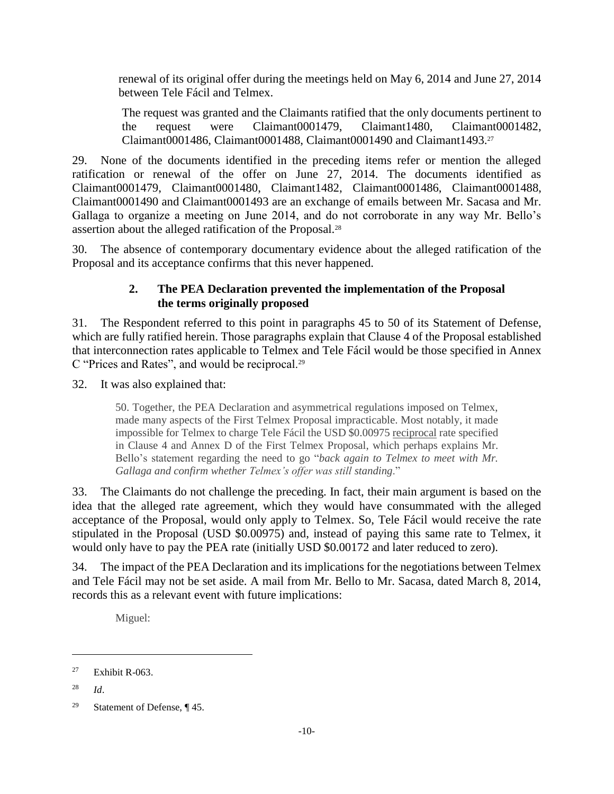renewal of its original offer during the meetings held on May 6, 2014 and June 27, 2014 between Tele Fácil and Telmex.

The request was granted and the Claimants ratified that the only documents pertinent to the request were Claimant0001479, Claimant1480, Claimant0001482, Claimant0001486, Claimant0001488, Claimant0001490 and Claimant1493.<sup>27</sup>

29. None of the documents identified in the preceding items refer or mention the alleged ratification or renewal of the offer on June 27, 2014. The documents identified as Claimant0001479, Claimant0001480, Claimant1482, Claimant0001486, Claimant0001488, Claimant0001490 and Claimant0001493 are an exchange of emails between Mr. Sacasa and Mr. Gallaga to organize a meeting on June 2014, and do not corroborate in any way Mr. Bello's assertion about the alleged ratification of the Proposal.<sup>28</sup>

<span id="page-17-0"></span>30. The absence of contemporary documentary evidence about the alleged ratification of the Proposal and its acceptance confirms that this never happened.

### **2. The PEA Declaration prevented the implementation of the Proposal the terms originally proposed**

31. The Respondent referred to this point in paragraphs 45 to 50 of its Statement of Defense, which are fully ratified herein. Those paragraphs explain that Clause 4 of the Proposal established that interconnection rates applicable to Telmex and Tele Fácil would be those specified in Annex C "Prices and Rates", and would be reciprocal.<sup>29</sup>

32. It was also explained that:

50. Together, the PEA Declaration and asymmetrical regulations imposed on Telmex, made many aspects of the First Telmex Proposal impracticable. Most notably, it made impossible for Telmex to charge Tele Fácil the USD \$0.00975 reciprocal rate specified in Clause 4 and Annex D of the First Telmex Proposal, which perhaps explains Mr. Bello's statement regarding the need to go "*back again to Telmex to meet with Mr. Gallaga and confirm whether Telmex's offer was still standing*."

33. The Claimants do not challenge the preceding. In fact, their main argument is based on the idea that the alleged rate agreement, which they would have consummated with the alleged acceptance of the Proposal, would only apply to Telmex. So, Tele Fácil would receive the rate stipulated in the Proposal (USD \$0.00975) and, instead of paying this same rate to Telmex, it would only have to pay the PEA rate (initially USD \$0.00172 and later reduced to zero).

34. The impact of the PEA Declaration and its implications for the negotiations between Telmex and Tele Fácil may not be set aside. A mail from Mr. Bello to Mr. Sacasa, dated March 8, 2014, records this as a relevant event with future implications:

Miguel:

<sup>28</sup> *Id*.

 $27$  Exhibit R-063.

<sup>&</sup>lt;sup>29</sup> Statement of Defense,  $\P$  45.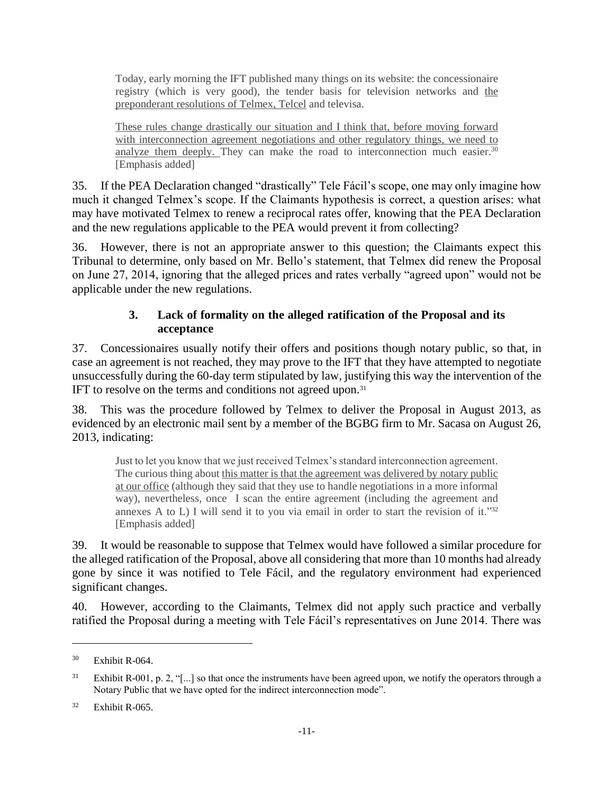Today, early morning the IFT published many things on its website: the concessionaire registry (which is very good), the tender basis for television networks and the preponderant resolutions of Telmex, Telcel and televisa.

These rules change drastically our situation and I think that, before moving forward with interconnection agreement negotiations and other regulatory things, we need to analyze them deeply. They can make the road to interconnection much easier.<sup>30</sup> [Emphasis added]

35. If the PEA Declaration changed "drastically" Tele Fácil's scope, one may only imagine how much it changed Telmex's scope. If the Claimants hypothesis is correct, a question arises: what may have motivated Telmex to renew a reciprocal rates offer, knowing that the PEA Declaration and the new regulations applicable to the PEA would prevent it from collecting?

36. However, there is not an appropriate answer to this question; the Claimants expect this Tribunal to determine, only based on Mr. Bello's statement, that Telmex did renew the Proposal on June 27, 2014, ignoring that the alleged prices and rates verbally "agreed upon" would not be applicable under the new regulations.

### **3. Lack of formality on the alleged ratification of the Proposal and its acceptance**

<span id="page-18-0"></span>37. Concessionaires usually notify their offers and positions though notary public, so that, in case an agreement is not reached, they may prove to the IFT that they have attempted to negotiate unsuccessfully during the 60-day term stipulated by law, justifying this way the intervention of the IFT to resolve on the terms and conditions not agreed upon.<sup>31</sup>

38. This was the procedure followed by Telmex to deliver the Proposal in August 2013, as evidenced by an electronic mail sent by a member of the BGBG firm to Mr. Sacasa on August 26, 2013, indicating:

Just to let you know that we just received Telmex's standard interconnection agreement. The curious thing about this matter is that the agreement was delivered by notary public at our office (although they said that they use to handle negotiations in a more informal way), nevertheless, once I scan the entire agreement (including the agreement and annexes A to L) I will send it to you via email in order to start the revision of it."32 [Emphasis added]

39. It would be reasonable to suppose that Telmex would have followed a similar procedure for the alleged ratification of the Proposal, above all considering that more than 10 months had already gone by since it was notified to Tele Fácil, and the regulatory environment had experienced significant changes.

40. However, according to the Claimants, Telmex did not apply such practice and verbally ratified the Proposal during a meeting with Tele Fácil's representatives on June 2014. There was

<sup>30</sup> Exhibit R-064.

<sup>&</sup>lt;sup>31</sup> Exhibit R-001, p. 2, "[...] so that once the instruments have been agreed upon, we notify the operators through a Notary Public that we have opted for the indirect interconnection mode".

 $32$  Exhibit R-065.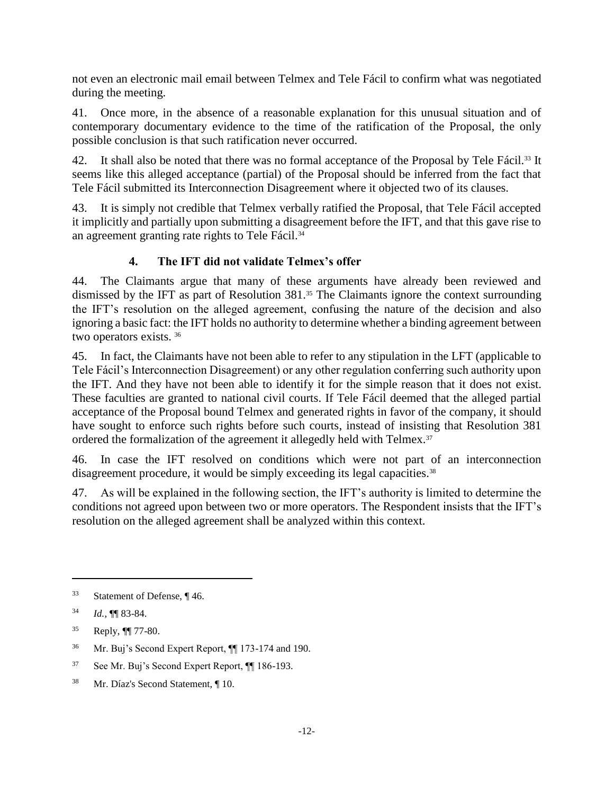not even an electronic mail email between Telmex and Tele Fácil to confirm what was negotiated during the meeting.

41. Once more, in the absence of a reasonable explanation for this unusual situation and of contemporary documentary evidence to the time of the ratification of the Proposal, the only possible conclusion is that such ratification never occurred.

42. It shall also be noted that there was no formal acceptance of the Proposal by Tele Fácil.<sup>33</sup> It seems like this alleged acceptance (partial) of the Proposal should be inferred from the fact that Tele Fácil submitted its Interconnection Disagreement where it objected two of its clauses.

43. It is simply not credible that Telmex verbally ratified the Proposal, that Tele Fácil accepted it implicitly and partially upon submitting a disagreement before the IFT, and that this gave rise to an agreement granting rate rights to Tele Fácil.<sup>34</sup>

# **4. The IFT did not validate Telmex's offer**

<span id="page-19-0"></span>44. The Claimants argue that many of these arguments have already been reviewed and dismissed by the IFT as part of Resolution 381.<sup>35</sup> The Claimants ignore the context surrounding the IFT's resolution on the alleged agreement, confusing the nature of the decision and also ignoring a basic fact: the IFT holds no authority to determine whether a binding agreement between two operators exists. <sup>36</sup>

45. In fact, the Claimants have not been able to refer to any stipulation in the LFT (applicable to Tele Fácil's Interconnection Disagreement) or any other regulation conferring such authority upon the IFT. And they have not been able to identify it for the simple reason that it does not exist. These faculties are granted to national civil courts. If Tele Fácil deemed that the alleged partial acceptance of the Proposal bound Telmex and generated rights in favor of the company, it should have sought to enforce such rights before such courts, instead of insisting that Resolution 381 ordered the formalization of the agreement it allegedly held with Telmex.<sup>37</sup>

46. In case the IFT resolved on conditions which were not part of an interconnection disagreement procedure, it would be simply exceeding its legal capacities.<sup>38</sup>

47. As will be explained in the following section, the IFT's authority is limited to determine the conditions not agreed upon between two or more operators. The Respondent insists that the IFT's resolution on the alleged agreement shall be analyzed within this context.

<sup>33</sup> Statement of Defense, ¶ 46.

<sup>34</sup> *Id.*, ¶¶ 83-84.

<sup>35</sup> Reply, ¶¶ 77-80.

<sup>36</sup> Mr. Buj's Second Expert Report, ¶¶ 173-174 and 190.

<sup>37</sup> See Mr. Buj's Second Expert Report, ¶¶ 186-193.

<sup>38</sup> Mr. Díaz's Second Statement, ¶ 10.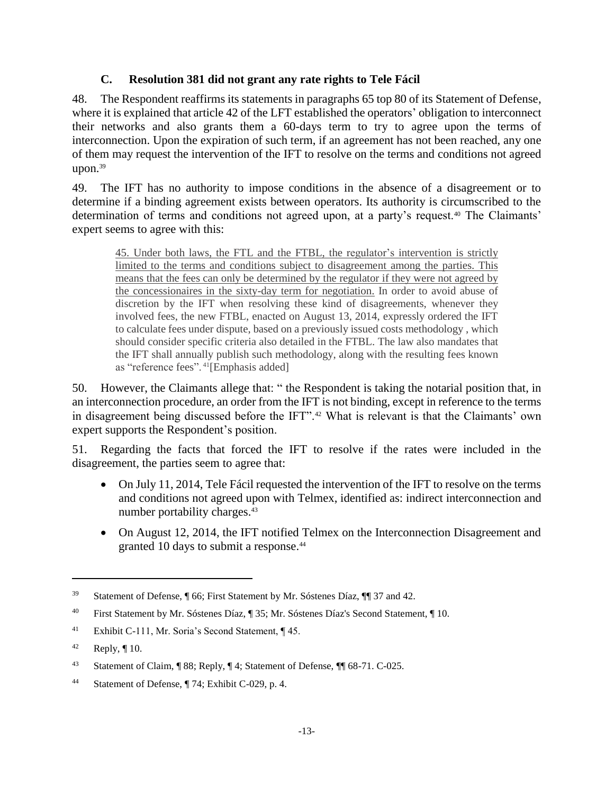### **C. Resolution 381 did not grant any rate rights to Tele Fácil**

<span id="page-20-0"></span>48. The Respondent reaffirms its statements in paragraphs 65 top 80 of its Statement of Defense, where it is explained that article 42 of the LFT established the operators' obligation to interconnect their networks and also grants them a 60-days term to try to agree upon the terms of interconnection. Upon the expiration of such term, if an agreement has not been reached, any one of them may request the intervention of the IFT to resolve on the terms and conditions not agreed upon.<sup>39</sup>

49. The IFT has no authority to impose conditions in the absence of a disagreement or to determine if a binding agreement exists between operators. Its authority is circumscribed to the determination of terms and conditions not agreed upon, at a party's request.<sup>40</sup> The Claimants' expert seems to agree with this:

45. Under both laws, the FTL and the FTBL, the regulator's intervention is strictly limited to the terms and conditions subject to disagreement among the parties. This means that the fees can only be determined by the regulator if they were not agreed by the concessionaires in the sixty-day term for negotiation. In order to avoid abuse of discretion by the IFT when resolving these kind of disagreements, whenever they involved fees, the new FTBL, enacted on August 13, 2014, expressly ordered the IFT to calculate fees under dispute, based on a previously issued costs methodology , which should consider specific criteria also detailed in the FTBL. The law also mandates that the IFT shall annually publish such methodology, along with the resulting fees known as "reference fees". <sup>41</sup>[Emphasis added]

50. However, the Claimants allege that: " the Respondent is taking the notarial position that, in an interconnection procedure, an order from the IFT is not binding, except in reference to the terms in disagreement being discussed before the IFT".<sup>42</sup> What is relevant is that the Claimants' own expert supports the Respondent's position.

51. Regarding the facts that forced the IFT to resolve if the rates were included in the disagreement, the parties seem to agree that:

- On July 11, 2014, Tele Fácil requested the intervention of the IFT to resolve on the terms and conditions not agreed upon with Telmex, identified as: indirect interconnection and number portability charges.<sup>43</sup>
- On August 12, 2014, the IFT notified Telmex on the Interconnection Disagreement and granted 10 days to submit a response.<sup>44</sup>

<sup>39</sup> Statement of Defense, ¶ 66; First Statement by Mr. Sóstenes Díaz, ¶¶ 37 and 42.

<sup>40</sup> First Statement by Mr. Sóstenes Díaz, ¶ 35; Mr. Sóstenes Díaz's Second Statement, ¶ 10.

<sup>41</sup> Exhibit C-111, Mr. Soria's Second Statement, ¶ 45.

 $42$  Reply,  $\P$  10.

<sup>43</sup> Statement of Claim, ¶ 88; Reply, ¶ 4; Statement of Defense, ¶¶ 68-71. C-025.

<sup>44</sup> Statement of Defense, ¶ 74; Exhibit C-029, p. 4.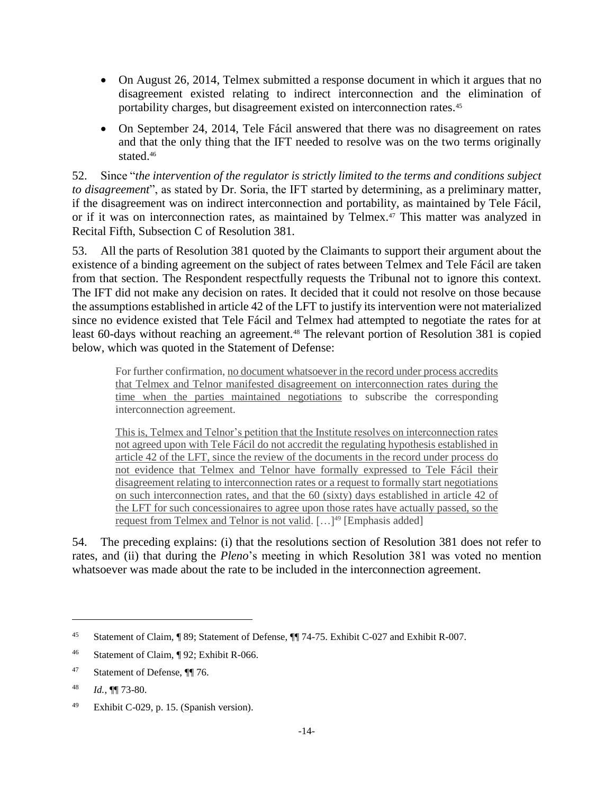- On August 26, 2014, Telmex submitted a response document in which it argues that no disagreement existed relating to indirect interconnection and the elimination of portability charges, but disagreement existed on interconnection rates.<sup>45</sup>
- On September 24, 2014, Tele Fácil answered that there was no disagreement on rates and that the only thing that the IFT needed to resolve was on the two terms originally stated.<sup>46</sup>

52. Since "*the intervention of the regulator is strictly limited to the terms and conditions subject to disagreement*", as stated by Dr. Soria, the IFT started by determining, as a preliminary matter, if the disagreement was on indirect interconnection and portability, as maintained by Tele Fácil, or if it was on interconnection rates, as maintained by Telmex.<sup>47</sup> This matter was analyzed in Recital Fifth, Subsection C of Resolution 381.

53. All the parts of Resolution 381 quoted by the Claimants to support their argument about the existence of a binding agreement on the subject of rates between Telmex and Tele Fácil are taken from that section. The Respondent respectfully requests the Tribunal not to ignore this context. The IFT did not make any decision on rates. It decided that it could not resolve on those because the assumptions established in article 42 of the LFT to justify its intervention were not materialized since no evidence existed that Tele Fácil and Telmex had attempted to negotiate the rates for at least 60-days without reaching an agreement.<sup>48</sup> The relevant portion of Resolution 381 is copied below, which was quoted in the Statement of Defense:

For further confirmation, no document whatsoever in the record under process accredits that Telmex and Telnor manifested disagreement on interconnection rates during the time when the parties maintained negotiations to subscribe the corresponding interconnection agreement.

This is, Telmex and Telnor's petition that the Institute resolves on interconnection rates not agreed upon with Tele Fácil do not accredit the regulating hypothesis established in article 42 of the LFT, since the review of the documents in the record under process do not evidence that Telmex and Telnor have formally expressed to Tele Fácil their disagreement relating to interconnection rates or a request to formally start negotiations on such interconnection rates, and that the 60 (sixty) days established in article 42 of the LFT for such concessionaires to agree upon those rates have actually passed, so the request from Telmex and Telnor is not valid.  $[\dots]^{49}$  [Emphasis added]

54. The preceding explains: (i) that the resolutions section of Resolution 381 does not refer to rates, and (ii) that during the *Pleno*'s meeting in which Resolution 381 was voted no mention whatsoever was made about the rate to be included in the interconnection agreement.

<sup>45</sup> Statement of Claim, ¶ 89; Statement of Defense, ¶¶ 74-75. Exhibit C-027 and Exhibit R-007.

<sup>46</sup> Statement of Claim, ¶ 92; Exhibit R-066.

<sup>47</sup> Statement of Defense, ¶¶ 76.

<sup>48</sup> *Id.*, ¶¶ 73-80.

<sup>49</sup> Exhibit C-029, p. 15. (Spanish version).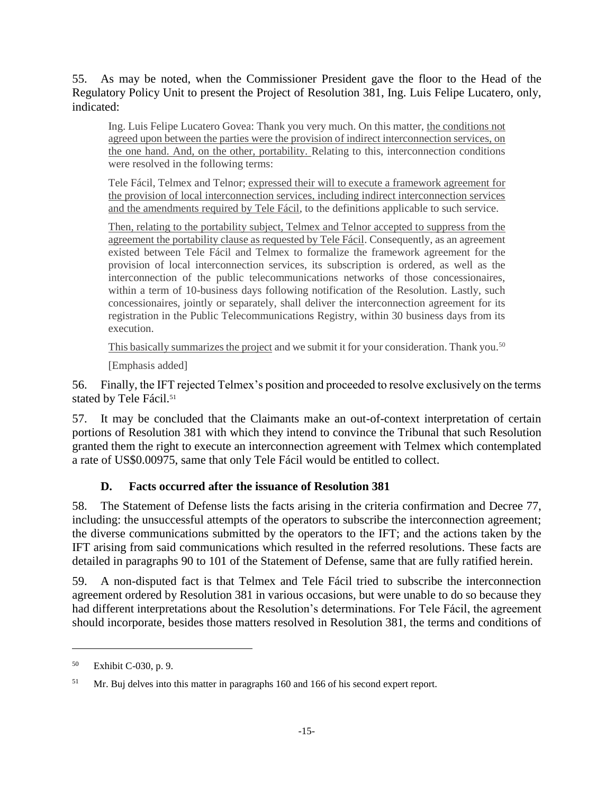55. As may be noted, when the Commissioner President gave the floor to the Head of the Regulatory Policy Unit to present the Project of Resolution 381, Ing. Luis Felipe Lucatero, only, indicated:

Ing. Luis Felipe Lucatero Govea: Thank you very much. On this matter, the conditions not agreed upon between the parties were the provision of indirect interconnection services, on the one hand. And, on the other, portability. Relating to this, interconnection conditions were resolved in the following terms:

Tele Fácil, Telmex and Telnor; expressed their will to execute a framework agreement for the provision of local interconnection services, including indirect interconnection services and the amendments required by Tele Fácil, to the definitions applicable to such service.

Then, relating to the portability subject, Telmex and Telnor accepted to suppress from the agreement the portability clause as requested by Tele Fácil. Consequently, as an agreement existed between Tele Fácil and Telmex to formalize the framework agreement for the provision of local interconnection services, its subscription is ordered, as well as the interconnection of the public telecommunications networks of those concessionaires, within a term of 10-business days following notification of the Resolution. Lastly, such concessionaires, jointly or separately, shall deliver the interconnection agreement for its registration in the Public Telecommunications Registry, within 30 business days from its execution.

This basically summarizes the project and we submit it for your consideration. Thank you.<sup>50</sup>

[Emphasis added]

56. Finally, the IFT rejected Telmex's position and proceeded to resolve exclusively on the terms stated by Tele Fácil.<sup>51</sup>

57. It may be concluded that the Claimants make an out-of-context interpretation of certain portions of Resolution 381 with which they intend to convince the Tribunal that such Resolution granted them the right to execute an interconnection agreement with Telmex which contemplated a rate of US\$0.00975, same that only Tele Fácil would be entitled to collect.

### **D. Facts occurred after the issuance of Resolution 381**

<span id="page-22-0"></span>58. The Statement of Defense lists the facts arising in the criteria confirmation and Decree 77, including: the unsuccessful attempts of the operators to subscribe the interconnection agreement; the diverse communications submitted by the operators to the IFT; and the actions taken by the IFT arising from said communications which resulted in the referred resolutions. These facts are detailed in paragraphs 90 to 101 of the Statement of Defense, same that are fully ratified herein.

59. A non-disputed fact is that Telmex and Tele Fácil tried to subscribe the interconnection agreement ordered by Resolution 381 in various occasions, but were unable to do so because they had different interpretations about the Resolution's determinations. For Tele Fácil, the agreement should incorporate, besides those matters resolved in Resolution 381, the terms and conditions of

<sup>50</sup> Exhibit C-030, p. 9.

<sup>&</sup>lt;sup>51</sup> Mr. Buj delves into this matter in paragraphs 160 and 166 of his second expert report.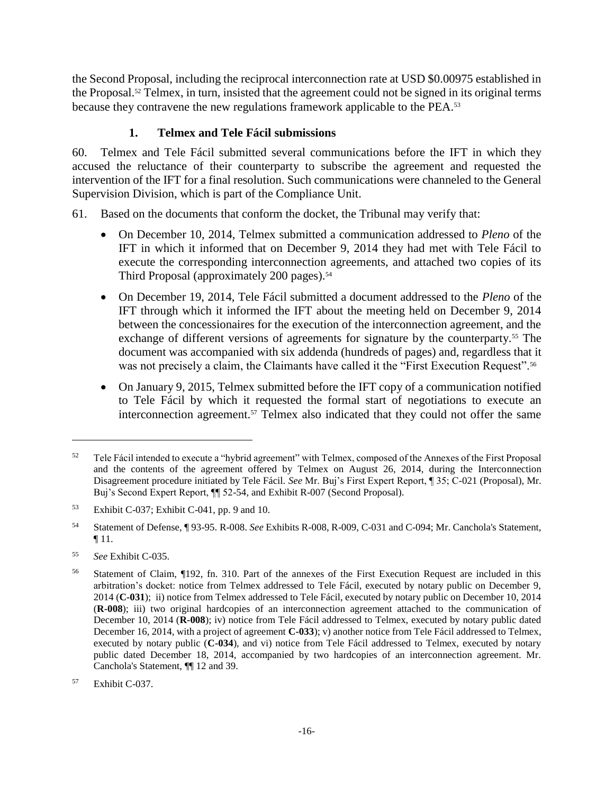the Second Proposal, including the reciprocal interconnection rate at USD \$0.00975 established in the Proposal.<sup>52</sup> Telmex, in turn, insisted that the agreement could not be signed in its original terms because they contravene the new regulations framework applicable to the PEA.<sup>53</sup>

## **1. Telmex and Tele Fácil submissions**

<span id="page-23-0"></span>60. Telmex and Tele Fácil submitted several communications before the IFT in which they accused the reluctance of their counterparty to subscribe the agreement and requested the intervention of the IFT for a final resolution. Such communications were channeled to the General Supervision Division, which is part of the Compliance Unit.

- 61. Based on the documents that conform the docket, the Tribunal may verify that:
	- On December 10, 2014, Telmex submitted a communication addressed to *Pleno* of the IFT in which it informed that on December 9, 2014 they had met with Tele Fácil to execute the corresponding interconnection agreements, and attached two copies of its Third Proposal (approximately 200 pages).<sup>54</sup>
	- On December 19, 2014, Tele Fácil submitted a document addressed to the *Pleno* of the IFT through which it informed the IFT about the meeting held on December 9, 2014 between the concessionaires for the execution of the interconnection agreement, and the exchange of different versions of agreements for signature by the counterparty.<sup>55</sup> The document was accompanied with six addenda (hundreds of pages) and, regardless that it was not precisely a claim, the Claimants have called it the "First Execution Request".<sup>56</sup>
	- On January 9, 2015, Telmex submitted before the IFT copy of a communication notified to Tele Fácil by which it requested the formal start of negotiations to execute an interconnection agreement.<sup>57</sup> Telmex also indicated that they could not offer the same

<sup>&</sup>lt;sup>52</sup> Tele Fácil intended to execute a "hybrid agreement" with Telmex, composed of the Annexes of the First Proposal and the contents of the agreement offered by Telmex on August 26, 2014, during the Interconnection Disagreement procedure initiated by Tele Fácil. *See* Mr. Buj's First Expert Report, ¶ 35; C-021 (Proposal), Mr. Buj's Second Expert Report, ¶¶ 52-54, and Exhibit R-007 (Second Proposal).

<sup>53</sup> Exhibit C-037; Exhibit C-041, pp. 9 and 10.

<sup>54</sup> Statement of Defense, ¶ 93-95. R-008. *See* Exhibits R-008, R-009, C-031 and C-094; Mr. Canchola's Statement, ¶ 11.

<sup>55</sup> *See* Exhibit C-035.

<sup>56</sup> Statement of Claim, ¶192, fn. 310. Part of the annexes of the First Execution Request are included in this arbitration's docket: notice from Telmex addressed to Tele Fácil, executed by notary public on December 9, 2014 (**C-031**); ii) notice from Telmex addressed to Tele Fácil, executed by notary public on December 10, 2014 (**R-008**); iii) two original hardcopies of an interconnection agreement attached to the communication of December 10, 2014 (**R-008**); iv) notice from Tele Fácil addressed to Telmex, executed by notary public dated December 16, 2014, with a project of agreement **C-033**); v) another notice from Tele Fácil addressed to Telmex, executed by notary public (**C-034**), and vi) notice from Tele Fácil addressed to Telmex, executed by notary public dated December 18, 2014, accompanied by two hardcopies of an interconnection agreement. Mr. Canchola's Statement, ¶¶ 12 and 39.

<sup>57</sup> Exhibit C-037.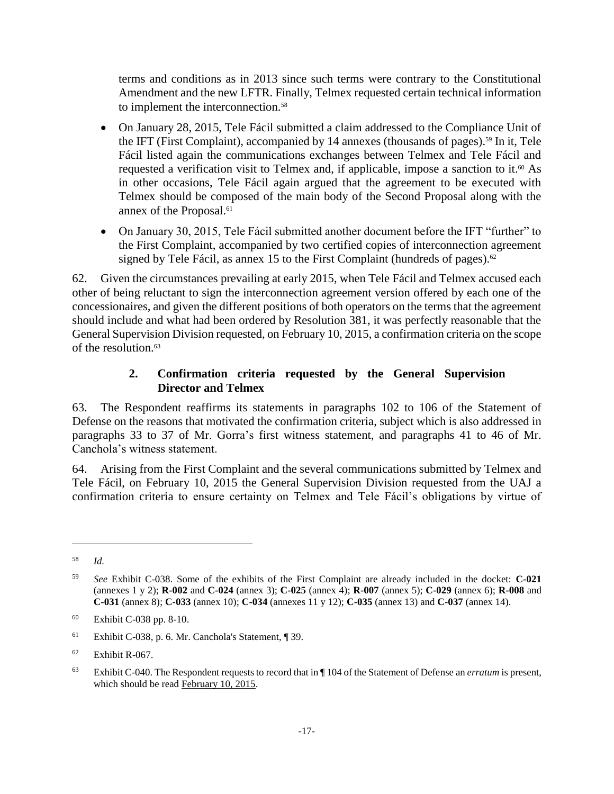terms and conditions as in 2013 since such terms were contrary to the Constitutional Amendment and the new LFTR. Finally, Telmex requested certain technical information to implement the interconnection.<sup>58</sup>

- On January 28, 2015, Tele Fácil submitted a claim addressed to the Compliance Unit of the IFT (First Complaint), accompanied by 14 annexes (thousands of pages).<sup>59</sup> In it, Tele Fácil listed again the communications exchanges between Telmex and Tele Fácil and requested a verification visit to Telmex and, if applicable, impose a sanction to it.<sup>60</sup> As in other occasions, Tele Fácil again argued that the agreement to be executed with Telmex should be composed of the main body of the Second Proposal along with the annex of the Proposal.<sup>61</sup>
- On January 30, 2015, Tele Fácil submitted another document before the IFT "further" to the First Complaint, accompanied by two certified copies of interconnection agreement signed by Tele Fácil, as annex 15 to the First Complaint (hundreds of pages).<sup>62</sup>

62. Given the circumstances prevailing at early 2015, when Tele Fácil and Telmex accused each other of being reluctant to sign the interconnection agreement version offered by each one of the concessionaires, and given the different positions of both operators on the terms that the agreement should include and what had been ordered by Resolution 381, it was perfectly reasonable that the General Supervision Division requested, on February 10, 2015, a confirmation criteria on the scope of the resolution.<sup>63</sup>

### **2. Confirmation criteria requested by the General Supervision Director and Telmex**

<span id="page-24-0"></span>63. The Respondent reaffirms its statements in paragraphs 102 to 106 of the Statement of Defense on the reasons that motivated the confirmation criteria, subject which is also addressed in paragraphs 33 to 37 of Mr. Gorra's first witness statement, and paragraphs 41 to 46 of Mr. Canchola's witness statement.

64. Arising from the First Complaint and the several communications submitted by Telmex and Tele Fácil, on February 10, 2015 the General Supervision Division requested from the UAJ a confirmation criteria to ensure certainty on Telmex and Tele Fácil's obligations by virtue of

<sup>58</sup> *Id.*

<sup>59</sup> *See* Exhibit C-038. Some of the exhibits of the First Complaint are already included in the docket: **C-021** (annexes 1 y 2); **R-002** and **C-024** (annex 3); **C-025** (annex 4); **R-007** (annex 5); **C-029** (annex 6); **R-008** and **C-031** (annex 8); **C-033** (annex 10); **C-034** (annexes 11 y 12); **C-035** (annex 13) and **C-037** (annex 14).

<sup>60</sup> Exhibit C-038 pp. 8-10.

<sup>61</sup> Exhibit C-038, p. 6. Mr. Canchola's Statement, ¶ 39.

 $62$  Exhibit R-067.

<sup>63</sup> Exhibit C-040. The Respondent requests to record that in ¶ 104 of the Statement of Defense an *erratum* is present, which should be read February 10, 2015.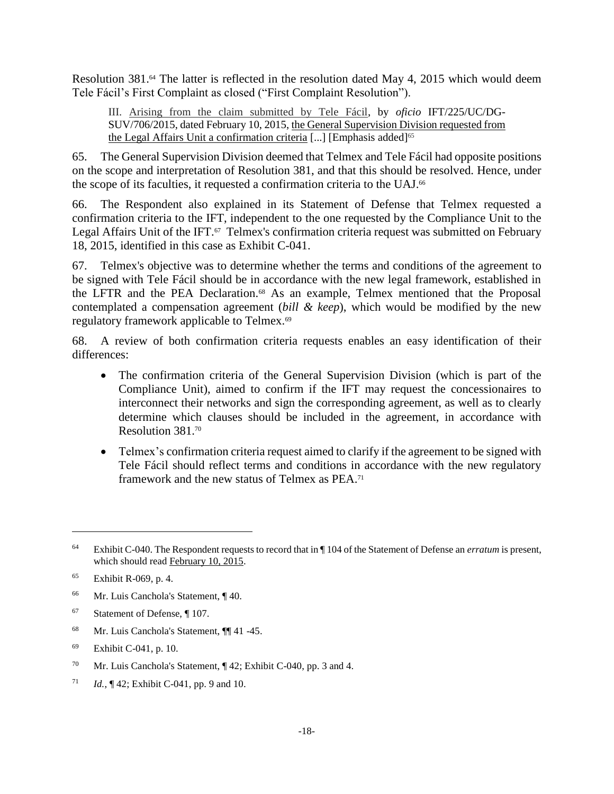Resolution 381.<sup>64</sup> The latter is reflected in the resolution dated May 4, 2015 which would deem Tele Fácil's First Complaint as closed ("First Complaint Resolution").

III. Arising from the claim submitted by Tele Fácil, by *oficio* IFT/225/UC/DG-SUV/706/2015, dated February 10, 2015, the General Supervision Division requested from the Legal Affairs Unit a confirmation criteria [...] [Emphasis added]<sup>65</sup>

65. The General Supervision Division deemed that Telmex and Tele Fácil had opposite positions on the scope and interpretation of Resolution 381, and that this should be resolved. Hence, under the scope of its faculties, it requested a confirmation criteria to the UAJ.<sup>66</sup>

66. The Respondent also explained in its Statement of Defense that Telmex requested a confirmation criteria to the IFT, independent to the one requested by the Compliance Unit to the Legal Affairs Unit of the IFT.<sup>67</sup> Telmex's confirmation criteria request was submitted on February 18, 2015, identified in this case as Exhibit C-041.

67. Telmex's objective was to determine whether the terms and conditions of the agreement to be signed with Tele Fácil should be in accordance with the new legal framework, established in the LFTR and the PEA Declaration.<sup>68</sup> As an example, Telmex mentioned that the Proposal contemplated a compensation agreement (*bill & keep*), which would be modified by the new regulatory framework applicable to Telmex.<sup>69</sup>

68. A review of both confirmation criteria requests enables an easy identification of their differences:

- The confirmation criteria of the General Supervision Division (which is part of the Compliance Unit), aimed to confirm if the IFT may request the concessionaires to interconnect their networks and sign the corresponding agreement, as well as to clearly determine which clauses should be included in the agreement, in accordance with Resolution 381.<sup>70</sup>
- Telmex's confirmation criteria request aimed to clarify if the agreement to be signed with Tele Fácil should reflect terms and conditions in accordance with the new regulatory framework and the new status of Telmex as PEA.<sup>71</sup>

- <sup>66</sup> Mr. Luis Canchola's Statement, ¶ 40.
- <sup>67</sup> Statement of Defense, ¶ 107.
- <sup>68</sup> Mr. Luis Canchola's Statement, ¶¶ 41 -45.
- <sup>69</sup> Exhibit C-041, p. 10.
- <sup>70</sup> Mr. Luis Canchola's Statement, ¶ 42; Exhibit C-040, pp. 3 and 4.
- <sup>71</sup> *Id.*, ¶ 42; Exhibit C-041, pp. 9 and 10.

<sup>64</sup> Exhibit C-040. The Respondent requests to record that in ¶ 104 of the Statement of Defense an *erratum* is present, which should read February 10, 2015.

<sup>65</sup> Exhibit R-069, p. 4.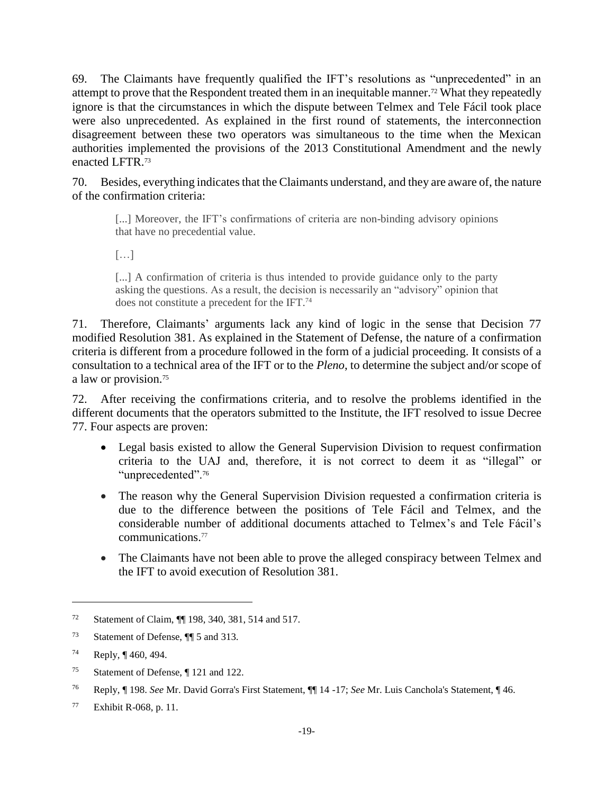69. The Claimants have frequently qualified the IFT's resolutions as "unprecedented" in an attempt to prove that the Respondent treated them in an inequitable manner. <sup>72</sup> What they repeatedly ignore is that the circumstances in which the dispute between Telmex and Tele Fácil took place were also unprecedented. As explained in the first round of statements, the interconnection disagreement between these two operators was simultaneous to the time when the Mexican authorities implemented the provisions of the 2013 Constitutional Amendment and the newly enacted LFTR.<sup>73</sup>

70. Besides, everything indicates that the Claimants understand, and they are aware of, the nature of the confirmation criteria:

[...] Moreover, the IFT's confirmations of criteria are non-binding advisory opinions that have no precedential value.

 $\lceil$ ...]

[...] A confirmation of criteria is thus intended to provide guidance only to the party asking the questions. As a result, the decision is necessarily an "advisory" opinion that does not constitute a precedent for the IFT.<sup>74</sup>

71. Therefore, Claimants' arguments lack any kind of logic in the sense that Decision 77 modified Resolution 381. As explained in the Statement of Defense, the nature of a confirmation criteria is different from a procedure followed in the form of a judicial proceeding. It consists of a consultation to a technical area of the IFT or to the *Pleno*, to determine the subject and/or scope of a law or provision. 75

72. After receiving the confirmations criteria, and to resolve the problems identified in the different documents that the operators submitted to the Institute, the IFT resolved to issue Decree 77. Four aspects are proven:

- Legal basis existed to allow the General Supervision Division to request confirmation criteria to the UAJ and, therefore, it is not correct to deem it as "illegal" or "unprecedented".<sup>76</sup>
- The reason why the General Supervision Division requested a confirmation criteria is due to the difference between the positions of Tele Fácil and Telmex, and the considerable number of additional documents attached to Telmex's and Tele Fácil's communications. 77
- The Claimants have not been able to prove the alleged conspiracy between Telmex and the IFT to avoid execution of Resolution 381.

<sup>72</sup> Statement of Claim, ¶¶ 198, 340, 381, 514 and 517.

<sup>73</sup> Statement of Defense, ¶¶ 5 and 313.

<sup>74</sup> Reply, ¶ 460, 494.

<sup>75</sup> Statement of Defense, ¶ 121 and 122.

<sup>76</sup> Reply, ¶ 198. *See* Mr. David Gorra's First Statement, ¶¶ 14 -17; *See* Mr. Luis Canchola's Statement, ¶ 46.

<sup>77</sup> Exhibit R-068, p. 11.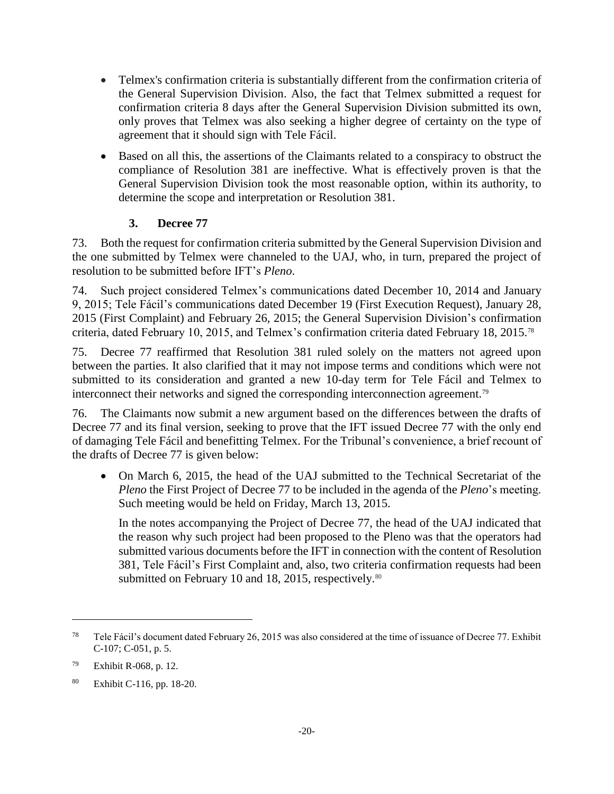- Telmex's confirmation criteria is substantially different from the confirmation criteria of the General Supervision Division. Also, the fact that Telmex submitted a request for confirmation criteria 8 days after the General Supervision Division submitted its own, only proves that Telmex was also seeking a higher degree of certainty on the type of agreement that it should sign with Tele Fácil.
- Based on all this, the assertions of the Claimants related to a conspiracy to obstruct the compliance of Resolution 381 are ineffective. What is effectively proven is that the General Supervision Division took the most reasonable option, within its authority, to determine the scope and interpretation or Resolution 381.

### **3. Decree 77**

<span id="page-27-0"></span>73. Both the request for confirmation criteria submitted by the General Supervision Division and the one submitted by Telmex were channeled to the UAJ, who, in turn, prepared the project of resolution to be submitted before IFT's *Pleno*.

74. Such project considered Telmex's communications dated December 10, 2014 and January 9, 2015; Tele Fácil's communications dated December 19 (First Execution Request), January 28, 2015 (First Complaint) and February 26, 2015; the General Supervision Division's confirmation criteria, dated February 10, 2015, and Telmex's confirmation criteria dated February 18, 2015.<sup>78</sup>

75. Decree 77 reaffirmed that Resolution 381 ruled solely on the matters not agreed upon between the parties. It also clarified that it may not impose terms and conditions which were not submitted to its consideration and granted a new 10-day term for Tele Fácil and Telmex to interconnect their networks and signed the corresponding interconnection agreement.<sup>79</sup>

76. The Claimants now submit a new argument based on the differences between the drafts of Decree 77 and its final version, seeking to prove that the IFT issued Decree 77 with the only end of damaging Tele Fácil and benefitting Telmex. For the Tribunal's convenience, a brief recount of the drafts of Decree 77 is given below:

 On March 6, 2015, the head of the UAJ submitted to the Technical Secretariat of the *Pleno* the First Project of Decree 77 to be included in the agenda of the *Pleno*'s meeting. Such meeting would be held on Friday, March 13, 2015.

In the notes accompanying the Project of Decree 77, the head of the UAJ indicated that the reason why such project had been proposed to the Pleno was that the operators had submitted various documents before the IFT in connection with the content of Resolution 381, Tele Fácil's First Complaint and, also, two criteria confirmation requests had been submitted on February 10 and 18, 2015, respectively.<sup>80</sup>

 $78$  Tele Fácil's document dated February 26, 2015 was also considered at the time of issuance of Decree 77. Exhibit C-107; C-051, p. 5.

<sup>79</sup> Exhibit R-068, p. 12.

<sup>80</sup> Exhibit C-116, pp. 18-20.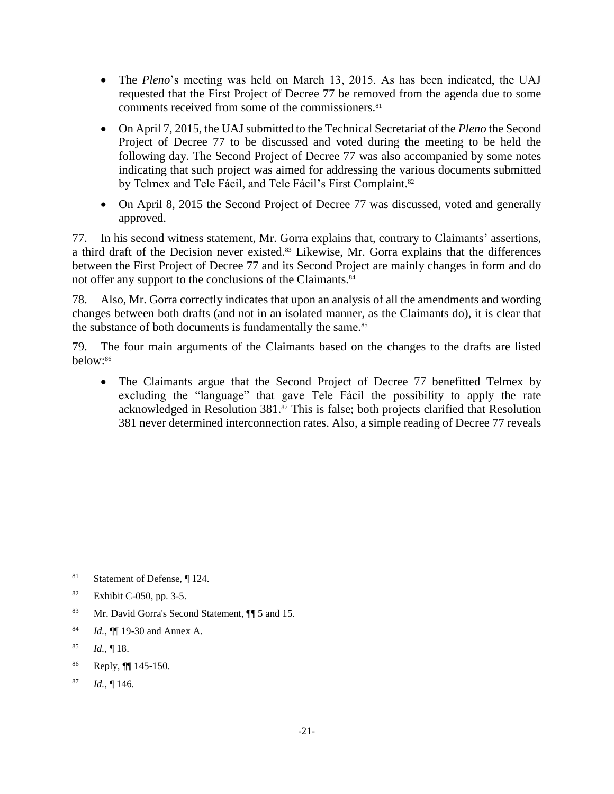- The *Pleno*'s meeting was held on March 13, 2015. As has been indicated, the UAJ requested that the First Project of Decree 77 be removed from the agenda due to some comments received from some of the commissioners.<sup>81</sup>
- On April 7, 2015, the UAJ submitted to the Technical Secretariat of the *Pleno* the Second Project of Decree 77 to be discussed and voted during the meeting to be held the following day. The Second Project of Decree 77 was also accompanied by some notes indicating that such project was aimed for addressing the various documents submitted by Telmex and Tele Fácil, and Tele Fácil's First Complaint.<sup>82</sup>
- On April 8, 2015 the Second Project of Decree 77 was discussed, voted and generally approved.

77. In his second witness statement, Mr. Gorra explains that, contrary to Claimants' assertions, a third draft of the Decision never existed.<sup>83</sup> Likewise, Mr. Gorra explains that the differences between the First Project of Decree 77 and its Second Project are mainly changes in form and do not offer any support to the conclusions of the Claimants.<sup>84</sup>

78. Also, Mr. Gorra correctly indicates that upon an analysis of all the amendments and wording changes between both drafts (and not in an isolated manner, as the Claimants do), it is clear that the substance of both documents is fundamentally the same.<sup>85</sup>

79. The four main arguments of the Claimants based on the changes to the drafts are listed below:<sup>86</sup>

• The Claimants argue that the Second Project of Decree 77 benefitted Telmex by excluding the "language" that gave Tele Fácil the possibility to apply the rate acknowledged in Resolution 381.<sup>87</sup> This is false; both projects clarified that Resolution 381 never determined interconnection rates. Also, a simple reading of Decree 77 reveals

 $\overline{a}$ 

<sup>87</sup> *Id.*, ¶ 146.

<sup>81</sup> Statement of Defense, ¶ 124.

<sup>82</sup> Exhibit C-050, pp. 3-5.

<sup>83</sup> Mr. David Gorra's Second Statement,  $\P$  5 and 15.

<sup>84</sup> *Id.*, ¶¶ 19-30 and Annex A.

<sup>85</sup> *Id.*, ¶ 18.

<sup>86</sup> Reply, ¶¶ 145-150.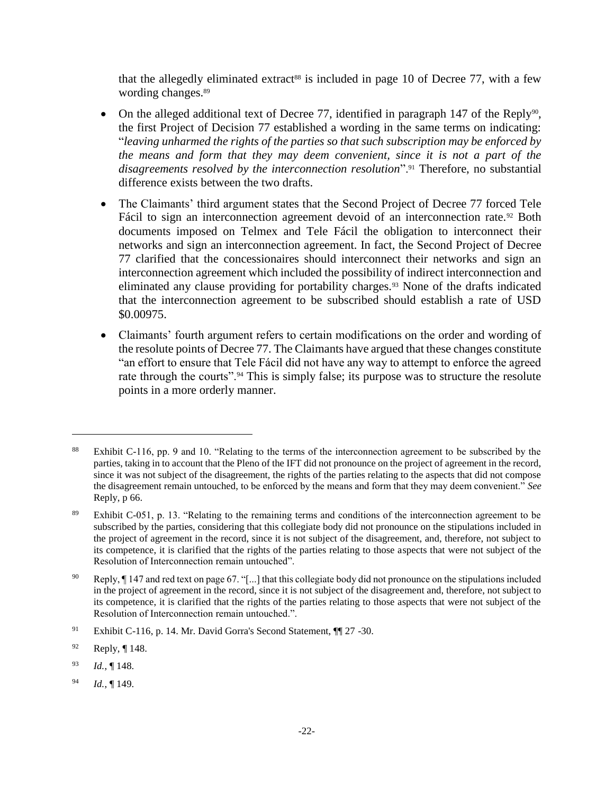that the allegedly eliminated extract<sup>88</sup> is included in page 10 of Decree 77, with a few wording changes.<sup>89</sup>

- On the alleged additional text of Decree 77, identified in paragraph 147 of the Reply<sup>90</sup>, the first Project of Decision 77 established a wording in the same terms on indicating: "*leaving unharmed the rights of the parties so that such subscription may be enforced by the means and form that they may deem convenient, since it is not a part of the disagreements resolved by the interconnection resolution*".<sup>91</sup> Therefore, no substantial difference exists between the two drafts.
- The Claimants' third argument states that the Second Project of Decree 77 forced Tele Fácil to sign an interconnection agreement devoid of an interconnection rate.<sup>92</sup> Both documents imposed on Telmex and Tele Fácil the obligation to interconnect their networks and sign an interconnection agreement. In fact, the Second Project of Decree 77 clarified that the concessionaires should interconnect their networks and sign an interconnection agreement which included the possibility of indirect interconnection and eliminated any clause providing for portability charges.<sup>93</sup> None of the drafts indicated that the interconnection agreement to be subscribed should establish a rate of USD \$0.00975.
- Claimants' fourth argument refers to certain modifications on the order and wording of the resolute points of Decree 77. The Claimants have argued that these changes constitute "an effort to ensure that Tele Fácil did not have any way to attempt to enforce the agreed rate through the courts".<sup>94</sup> This is simply false; its purpose was to structure the resolute points in a more orderly manner.

<sup>88</sup> Exhibit C-116, pp. 9 and 10. "Relating to the terms of the interconnection agreement to be subscribed by the parties, taking in to account that the Pleno of the IFT did not pronounce on the project of agreement in the record, since it was not subject of the disagreement, the rights of the parties relating to the aspects that did not compose the disagreement remain untouched, to be enforced by the means and form that they may deem convenient." *See* Reply, p 66.

<sup>89</sup> Exhibit C-051, p. 13. "Relating to the remaining terms and conditions of the interconnection agreement to be subscribed by the parties, considering that this collegiate body did not pronounce on the stipulations included in the project of agreement in the record, since it is not subject of the disagreement, and, therefore, not subject to its competence, it is clarified that the rights of the parties relating to those aspects that were not subject of the Resolution of Interconnection remain untouched".

<sup>90</sup> Reply, ¶ 147 and red text on page 67. "[...] that this collegiate body did not pronounce on the stipulations included in the project of agreement in the record, since it is not subject of the disagreement and, therefore, not subject to its competence, it is clarified that the rights of the parties relating to those aspects that were not subject of the Resolution of Interconnection remain untouched.".

<sup>91</sup> Exhibit C-116, p. 14. Mr. David Gorra's Second Statement, ¶¶ 27 -30.

 $92$  Reply, ¶ 148.

<sup>93</sup> *Id.*, ¶ 148.

<sup>94</sup> *Id.*, ¶ 149.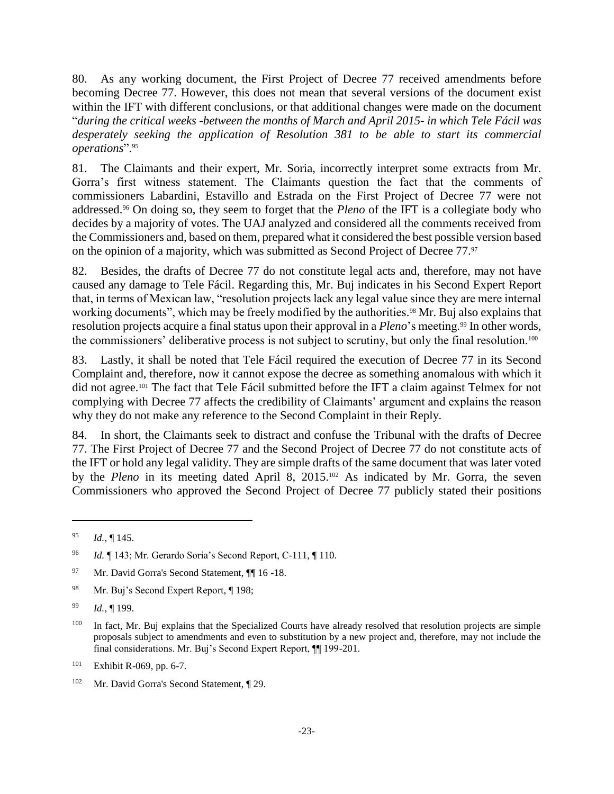80. As any working document, the First Project of Decree 77 received amendments before becoming Decree 77. However, this does not mean that several versions of the document exist within the IFT with different conclusions, or that additional changes were made on the document "*during the critical weeks -between the months of March and April 2015- in which Tele Fácil was desperately seeking the application of Resolution 381 to be able to start its commercial operations*".<sup>95</sup>

81. The Claimants and their expert, Mr. Soria, incorrectly interpret some extracts from Mr. Gorra's first witness statement. The Claimants question the fact that the comments of commissioners Labardini, Estavillo and Estrada on the First Project of Decree 77 were not addressed.<sup>96</sup> On doing so, they seem to forget that the *Pleno* of the IFT is a collegiate body who decides by a majority of votes. The UAJ analyzed and considered all the comments received from the Commissioners and, based on them, prepared what it considered the best possible version based on the opinion of a majority, which was submitted as Second Project of Decree 77.<sup>97</sup>

82. Besides, the drafts of Decree 77 do not constitute legal acts and, therefore, may not have caused any damage to Tele Fácil. Regarding this, Mr. Buj indicates in his Second Expert Report that, in terms of Mexican law, "resolution projects lack any legal value since they are mere internal working documents", which may be freely modified by the authorities. <sup>98</sup> Mr. Buj also explains that resolution projects acquire a final status upon their approval in a *Pleno*'s meeting.<sup>99</sup> In other words, the commissioners' deliberative process is not subject to scrutiny, but only the final resolution.<sup>100</sup>

83. Lastly, it shall be noted that Tele Fácil required the execution of Decree 77 in its Second Complaint and, therefore, now it cannot expose the decree as something anomalous with which it did not agree.<sup>101</sup> The fact that Tele Fácil submitted before the IFT a claim against Telmex for not complying with Decree 77 affects the credibility of Claimants' argument and explains the reason why they do not make any reference to the Second Complaint in their Reply.

84. In short, the Claimants seek to distract and confuse the Tribunal with the drafts of Decree 77. The First Project of Decree 77 and the Second Project of Decree 77 do not constitute acts of the IFT or hold any legal validity. They are simple drafts of the same document that was later voted by the *Pleno* in its meeting dated April 8, 2015.<sup>102</sup> As indicated by Mr. Gorra, the seven Commissioners who approved the Second Project of Decree 77 publicly stated their positions

<sup>95</sup> *Id.*, ¶ 145.

<sup>96</sup> *Id.* ¶ 143; Mr. Gerardo Soria's Second Report, C-111, ¶ 110.

<sup>97</sup> Mr. David Gorra's Second Statement,  $\P$  16 -18.

<sup>98</sup> Mr. Buj's Second Expert Report, ¶ 198;

<sup>99</sup> *Id.*, ¶ 199.

<sup>&</sup>lt;sup>100</sup> In fact, Mr. Buj explains that the Specialized Courts have already resolved that resolution projects are simple proposals subject to amendments and even to substitution by a new project and, therefore, may not include the final considerations. Mr. Buj's Second Expert Report, ¶¶ 199-201.

<sup>101</sup> Exhibit R-069, pp. 6-7.

<sup>102</sup> Mr. David Gorra's Second Statement, ¶ 29.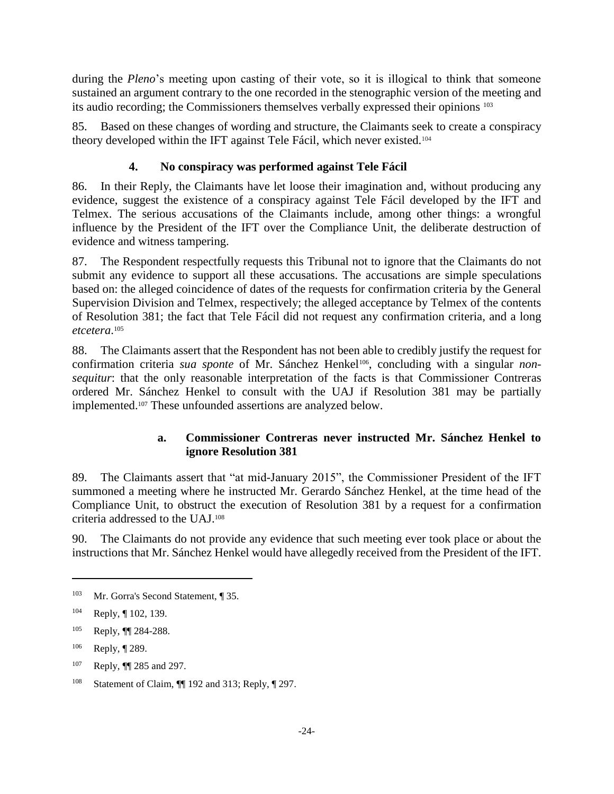during the *Pleno*'s meeting upon casting of their vote, so it is illogical to think that someone sustained an argument contrary to the one recorded in the stenographic version of the meeting and its audio recording; the Commissioners themselves verbally expressed their opinions <sup>103</sup>

85. Based on these changes of wording and structure, the Claimants seek to create a conspiracy theory developed within the IFT against Tele Fácil, which never existed.<sup>104</sup>

### <span id="page-31-0"></span>**4. No conspiracy was performed against Tele Fácil**

86. In their Reply, the Claimants have let loose their imagination and, without producing any evidence, suggest the existence of a conspiracy against Tele Fácil developed by the IFT and Telmex. The serious accusations of the Claimants include, among other things: a wrongful influence by the President of the IFT over the Compliance Unit, the deliberate destruction of evidence and witness tampering.

87. The Respondent respectfully requests this Tribunal not to ignore that the Claimants do not submit any evidence to support all these accusations. The accusations are simple speculations based on: the alleged coincidence of dates of the requests for confirmation criteria by the General Supervision Division and Telmex, respectively; the alleged acceptance by Telmex of the contents of Resolution 381; the fact that Tele Fácil did not request any confirmation criteria, and a long *etcetera*. 105

88. The Claimants assert that the Respondent has not been able to credibly justify the request for confirmation criteria sua sponte of Mr. Sánchez Henkel<sup>106</sup>, concluding with a singular non*sequitur*: that the only reasonable interpretation of the facts is that Commissioner Contreras ordered Mr. Sánchez Henkel to consult with the UAJ if Resolution 381 may be partially implemented.<sup>107</sup> These unfounded assertions are analyzed below.

### **a. Commissioner Contreras never instructed Mr. Sánchez Henkel to ignore Resolution 381**

89. The Claimants assert that "at mid-January 2015", the Commissioner President of the IFT summoned a meeting where he instructed Mr. Gerardo Sánchez Henkel, at the time head of the Compliance Unit, to obstruct the execution of Resolution 381 by a request for a confirmation criteria addressed to the UAJ.<sup>108</sup>

90. The Claimants do not provide any evidence that such meeting ever took place or about the instructions that Mr. Sánchez Henkel would have allegedly received from the President of the IFT.

<sup>103</sup> Mr. Gorra's Second Statement, ¶ 35.

<sup>104</sup> Reply, ¶ 102, 139.

<sup>105</sup> Reply, ¶¶ 284-288.

<sup>106</sup> Reply, ¶ 289.

<sup>107</sup> Reply, ¶¶ 285 and 297.

<sup>108</sup> Statement of Claim, ¶¶ 192 and 313; Reply, ¶ 297.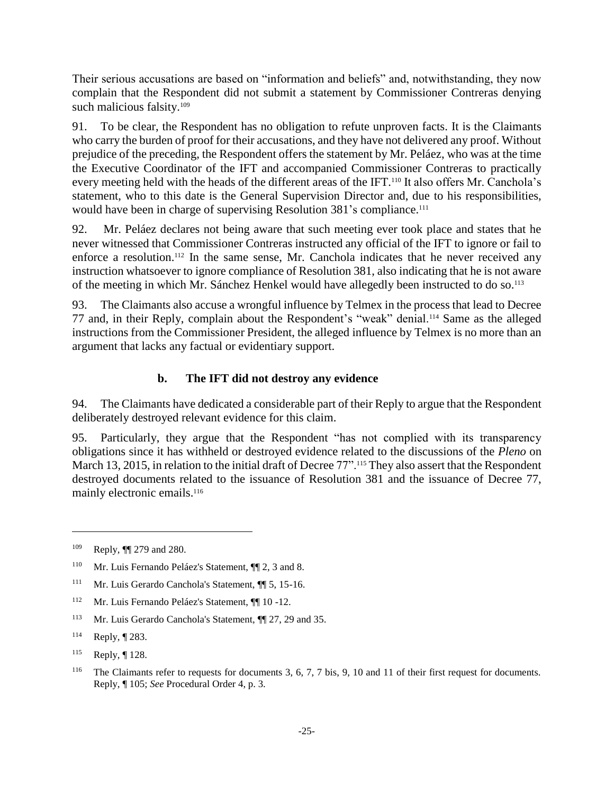Their serious accusations are based on "information and beliefs" and, notwithstanding, they now complain that the Respondent did not submit a statement by Commissioner Contreras denying such malicious falsity.<sup>109</sup>

91. To be clear, the Respondent has no obligation to refute unproven facts. It is the Claimants who carry the burden of proof for their accusations, and they have not delivered any proof. Without prejudice of the preceding, the Respondent offers the statement by Mr. Peláez, who was at the time the Executive Coordinator of the IFT and accompanied Commissioner Contreras to practically every meeting held with the heads of the different areas of the IFT.<sup>110</sup> It also offers Mr. Canchola's statement, who to this date is the General Supervision Director and, due to his responsibilities, would have been in charge of supervising Resolution 381's compliance. 111

92. Mr. Peláez declares not being aware that such meeting ever took place and states that he never witnessed that Commissioner Contreras instructed any official of the IFT to ignore or fail to enforce a resolution.<sup>112</sup> In the same sense, Mr. Canchola indicates that he never received any instruction whatsoever to ignore compliance of Resolution 381, also indicating that he is not aware of the meeting in which Mr. Sánchez Henkel would have allegedly been instructed to do so.<sup>113</sup>

93. The Claimants also accuse a wrongful influence by Telmex in the process that lead to Decree 77 and, in their Reply, complain about the Respondent's "weak" denial.<sup>114</sup> Same as the alleged instructions from the Commissioner President, the alleged influence by Telmex is no more than an argument that lacks any factual or evidentiary support.

### **b. The IFT did not destroy any evidence**

94. The Claimants have dedicated a considerable part of their Reply to argue that the Respondent deliberately destroyed relevant evidence for this claim.

95. Particularly, they argue that the Respondent "has not complied with its transparency obligations since it has withheld or destroyed evidence related to the discussions of the *Pleno* on March 13, 2015, in relation to the initial draft of Decree 77".<sup>115</sup> They also assert that the Respondent destroyed documents related to the issuance of Resolution 381 and the issuance of Decree 77, mainly electronic emails. 116

<sup>109</sup> Reply, ¶¶ 279 and 280.

<sup>110</sup> Mr. Luis Fernando Peláez's Statement, ¶¶ 2, 3 and 8.

<sup>111</sup> Mr. Luis Gerardo Canchola's Statement, ¶¶ 5, 15-16.

<sup>112</sup> Mr. Luis Fernando Peláez's Statement, ¶¶ 10 -12.

<sup>113</sup> Mr. Luis Gerardo Canchola's Statement, ¶¶ 27, 29 and 35.

<sup>114</sup> Reply, ¶ 283.

<sup>115</sup> Reply, ¶ 128.

<sup>116</sup> The Claimants refer to requests for documents 3, 6, 7, 7 bis, 9, 10 and 11 of their first request for documents. Reply, ¶ 105; *See* Procedural Order 4, p. 3.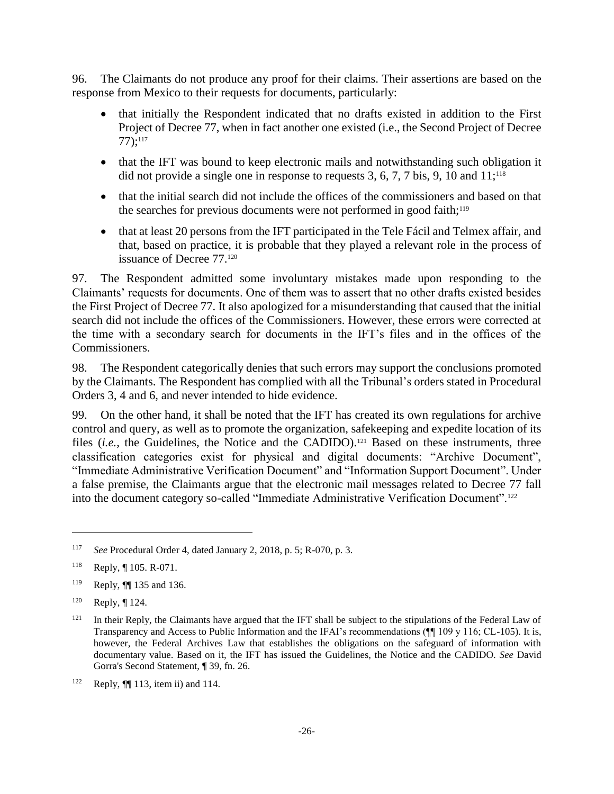96. The Claimants do not produce any proof for their claims. Their assertions are based on the response from Mexico to their requests for documents, particularly:

- that initially the Respondent indicated that no drafts existed in addition to the First Project of Decree 77, when in fact another one existed (i.e., the Second Project of Decree 77);<sup>117</sup>
- that the IFT was bound to keep electronic mails and notwithstanding such obligation it did not provide a single one in response to requests  $3, 6, 7, 7$  bis,  $9, 10$  and  $11$ ;<sup>118</sup>
- that the initial search did not include the offices of the commissioners and based on that the searches for previous documents were not performed in good faith;<sup>119</sup>
- that at least 20 persons from the IFT participated in the Tele Fácil and Telmex affair, and that, based on practice, it is probable that they played a relevant role in the process of issuance of Decree 77.<sup>120</sup>

97. The Respondent admitted some involuntary mistakes made upon responding to the Claimants' requests for documents. One of them was to assert that no other drafts existed besides the First Project of Decree 77. It also apologized for a misunderstanding that caused that the initial search did not include the offices of the Commissioners. However, these errors were corrected at the time with a secondary search for documents in the IFT's files and in the offices of the Commissioners.

98. The Respondent categorically denies that such errors may support the conclusions promoted by the Claimants. The Respondent has complied with all the Tribunal's orders stated in Procedural Orders 3, 4 and 6, and never intended to hide evidence.

99. On the other hand, it shall be noted that the IFT has created its own regulations for archive control and query, as well as to promote the organization, safekeeping and expedite location of its files *(i.e.*, the Guidelines, the Notice and the CADIDO).<sup>121</sup> Based on these instruments, three classification categories exist for physical and digital documents: "Archive Document", "Immediate Administrative Verification Document" and "Information Support Document". Under a false premise, the Claimants argue that the electronic mail messages related to Decree 77 fall into the document category so-called "Immediate Administrative Verification Document".<sup>122</sup>

<sup>117</sup> *See* Procedural Order 4, dated January 2, 2018, p. 5; R-070, p. 3.

<sup>118</sup> Reply, ¶ 105. R-071.

<sup>119</sup> Reply, ¶¶ 135 and 136.

 $120$  Reply,  $\P$  124.

<sup>&</sup>lt;sup>121</sup> In their Reply, the Claimants have argued that the IFT shall be subject to the stipulations of the Federal Law of Transparency and Access to Public Information and the IFAI's recommendations (¶¶ 109 y 116; CL-105). It is, however, the Federal Archives Law that establishes the obligations on the safeguard of information with documentary value. Based on it, the IFT has issued the Guidelines, the Notice and the CADIDO. *See* David Gorra's Second Statement, ¶ 39, fn. 26.

<sup>&</sup>lt;sup>122</sup> Reply,  $\P$  113, item ii) and 114.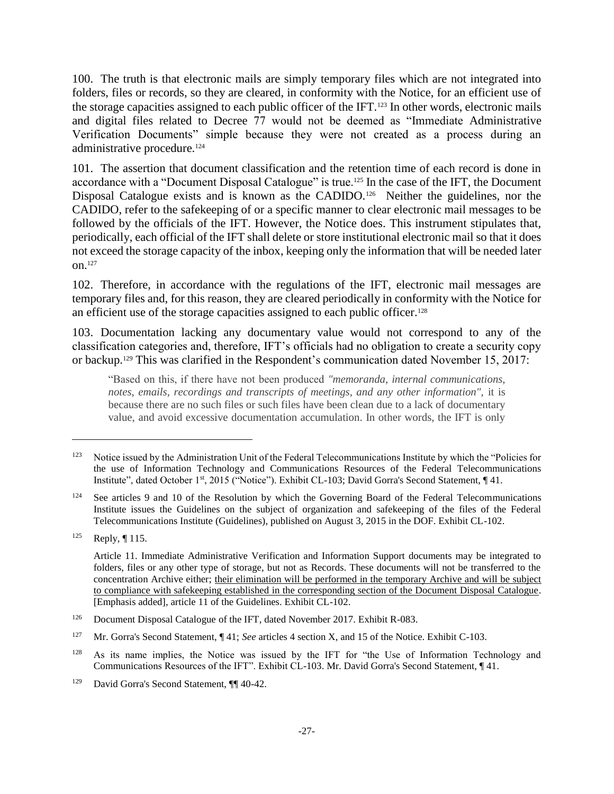100. The truth is that electronic mails are simply temporary files which are not integrated into folders, files or records, so they are cleared, in conformity with the Notice, for an efficient use of the storage capacities assigned to each public officer of the IFT.<sup>123</sup> In other words, electronic mails and digital files related to Decree 77 would not be deemed as "Immediate Administrative Verification Documents" simple because they were not created as a process during an administrative procedure.<sup>124</sup>

101. The assertion that document classification and the retention time of each record is done in accordance with a "Document Disposal Catalogue" is true.<sup>125</sup> In the case of the IFT, the Document Disposal Catalogue exists and is known as the CADIDO.<sup>126</sup> Neither the guidelines, nor the CADIDO, refer to the safekeeping of or a specific manner to clear electronic mail messages to be followed by the officials of the IFT. However, the Notice does. This instrument stipulates that, periodically, each official of the IFT shall delete or store institutional electronic mail so that it does not exceed the storage capacity of the inbox, keeping only the information that will be needed later on.<sup>127</sup>

102. Therefore, in accordance with the regulations of the IFT, electronic mail messages are temporary files and, for this reason, they are cleared periodically in conformity with the Notice for an efficient use of the storage capacities assigned to each public officer.<sup>128</sup>

103. Documentation lacking any documentary value would not correspond to any of the classification categories and, therefore, IFT's officials had no obligation to create a security copy or backup.<sup>129</sup> This was clarified in the Respondent's communication dated November 15, 2017:

"Based on this, if there have not been produced *"memoranda, internal communications, notes, emails, recordings and transcripts of meetings, and any other information",* it is because there are no such files or such files have been clean due to a lack of documentary value, and avoid excessive documentation accumulation. In other words, the IFT is only

<sup>&</sup>lt;sup>123</sup> Notice issued by the Administration Unit of the Federal Telecommunications Institute by which the "Policies for the use of Information Technology and Communications Resources of the Federal Telecommunications Institute", dated October 1st, 2015 ("Notice"). Exhibit CL-103; David Gorra's Second Statement, ¶ 41.

<sup>&</sup>lt;sup>124</sup> See articles 9 and 10 of the Resolution by which the Governing Board of the Federal Telecommunications Institute issues the Guidelines on the subject of organization and safekeeping of the files of the Federal Telecommunications Institute (Guidelines), published on August 3, 2015 in the DOF. Exhibit CL-102.

<sup>125</sup> Reply, ¶ 115.

Article 11. Immediate Administrative Verification and Information Support documents may be integrated to folders, files or any other type of storage, but not as Records. These documents will not be transferred to the concentration Archive either; their elimination will be performed in the temporary Archive and will be subject to compliance with safekeeping established in the corresponding section of the Document Disposal Catalogue. [Emphasis added], article 11 of the Guidelines. Exhibit CL-102.

<sup>&</sup>lt;sup>126</sup> Document Disposal Catalogue of the IFT, dated November 2017. Exhibit R-083.

<sup>127</sup> Mr. Gorra's Second Statement, ¶ 41; *See* articles 4 section X, and 15 of the Notice. Exhibit C-103.

<sup>&</sup>lt;sup>128</sup> As its name implies, the Notice was issued by the IFT for "the Use of Information Technology and Communications Resources of the IFT". Exhibit CL-103. Mr. David Gorra's Second Statement, ¶ 41.

<sup>129</sup> David Gorra's Second Statement, ¶¶ 40-42.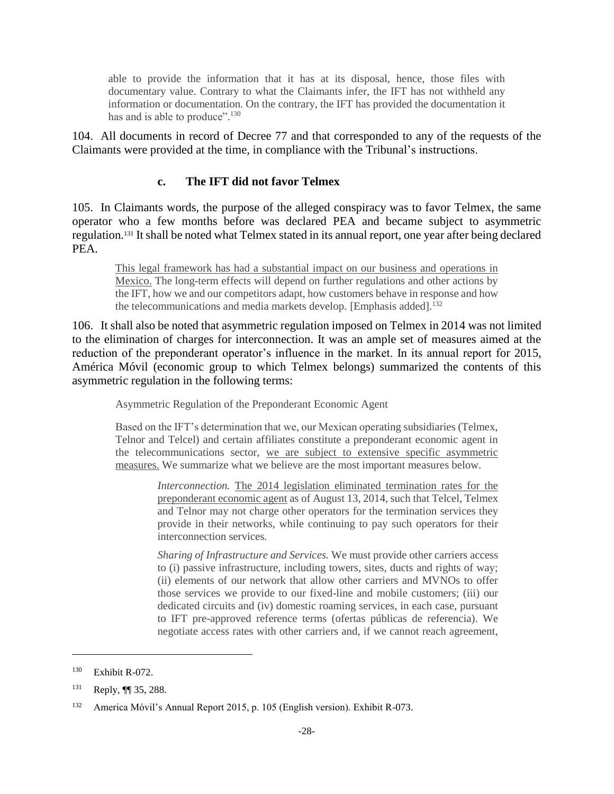able to provide the information that it has at its disposal, hence, those files with documentary value. Contrary to what the Claimants infer, the IFT has not withheld any information or documentation. On the contrary, the IFT has provided the documentation it has and is able to produce".<sup>130</sup>

104. All documents in record of Decree 77 and that corresponded to any of the requests of the Claimants were provided at the time, in compliance with the Tribunal's instructions.

#### **c. The IFT did not favor Telmex**

105. In Claimants words, the purpose of the alleged conspiracy was to favor Telmex, the same operator who a few months before was declared PEA and became subject to asymmetric regulation.<sup>131</sup> It shall be noted what Telmex stated in its annual report, one year after being declared PEA.

This legal framework has had a substantial impact on our business and operations in Mexico. The long-term effects will depend on further regulations and other actions by the IFT, how we and our competitors adapt, how customers behave in response and how the telecommunications and media markets develop. [Emphasis added].<sup>132</sup>

106. It shall also be noted that asymmetric regulation imposed on Telmex in 2014 was not limited to the elimination of charges for interconnection. It was an ample set of measures aimed at the reduction of the preponderant operator's influence in the market. In its annual report for 2015, América Móvil (economic group to which Telmex belongs) summarized the contents of this asymmetric regulation in the following terms:

Asymmetric Regulation of the Preponderant Economic Agent

Based on the IFT's determination that we, our Mexican operating subsidiaries (Telmex, Telnor and Telcel) and certain affiliates constitute a preponderant economic agent in the telecommunications sector, we are subject to extensive specific asymmetric measures. We summarize what we believe are the most important measures below.

> *Interconnection.* The 2014 legislation eliminated termination rates for the preponderant economic agent as of August 13, 2014, such that Telcel, Telmex and Telnor may not charge other operators for the termination services they provide in their networks, while continuing to pay such operators for their interconnection services*.*

> *Sharing of Infrastructure and Services.* We must provide other carriers access to (i) passive infrastructure, including towers, sites, ducts and rights of way; (ii) elements of our network that allow other carriers and MVNOs to offer those services we provide to our fixed-line and mobile customers; (iii) our dedicated circuits and (iv) domestic roaming services, in each case, pursuant to IFT pre-approved reference terms (ofertas públicas de referencia). We negotiate access rates with other carriers and, if we cannot reach agreement,

<sup>130</sup> Exhibit R-072.

<sup>131</sup> Reply,  $\P$  35, 288.

<sup>132</sup> America Móvil's Annual Report 2015, p. 105 (English version). Exhibit R-073.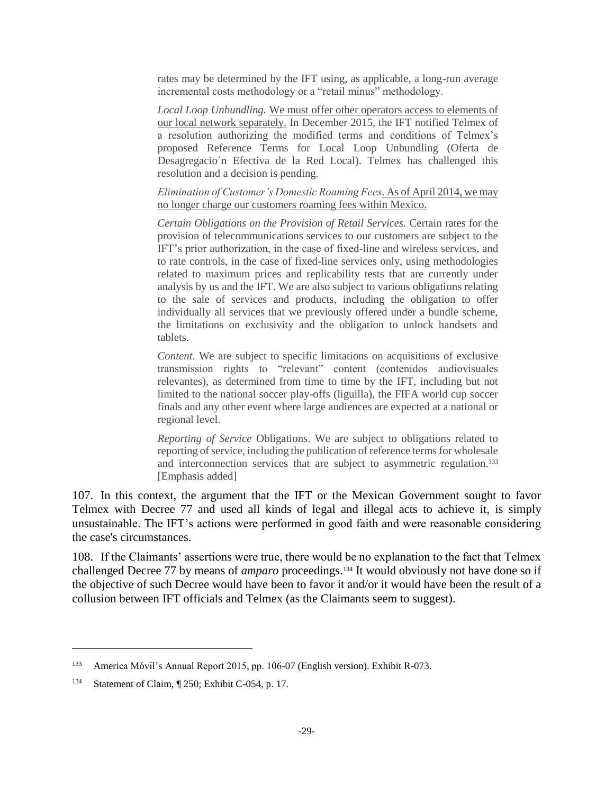rates may be determined by the IFT using, as applicable, a long-run average incremental costs methodology or a "retail minus" methodology.

*Local Loop Unbundling.* We must offer other operators access to elements of our local network separately. In December 2015, the IFT notified Telmex of a resolution authorizing the modified terms and conditions of Telmex's proposed Reference Terms for Local Loop Unbundling (Oferta de Desagregacio´n Efectiva de la Red Local). Telmex has challenged this resolution and a decision is pending.

#### *Elimination of Customer's Domestic Roaming Fees*. As of April 2014, we may no longer charge our customers roaming fees within Mexico.

*Certain Obligations on the Provision of Retail Services.* Certain rates for the provision of telecommunications services to our customers are subject to the IFT's prior authorization, in the case of fixed-line and wireless services, and to rate controls, in the case of fixed-line services only, using methodologies related to maximum prices and replicability tests that are currently under analysis by us and the IFT. We are also subject to various obligations relating to the sale of services and products, including the obligation to offer individually all services that we previously offered under a bundle scheme, the limitations on exclusivity and the obligation to unlock handsets and tablets.

*Content.* We are subject to specific limitations on acquisitions of exclusive transmission rights to "relevant" content (contenidos audiovisuales relevantes), as determined from time to time by the IFT, including but not limited to the national soccer play-offs (liguilla), the FIFA world cup soccer finals and any other event where large audiences are expected at a national or regional level.

*Reporting of Service* Obligations. We are subject to obligations related to reporting of service, including the publication of reference terms for wholesale and interconnection services that are subject to asymmetric regulation. 133 [Emphasis added]

107. In this context, the argument that the IFT or the Mexican Government sought to favor Telmex with Decree 77 and used all kinds of legal and illegal acts to achieve it, is simply unsustainable. The IFT's actions were performed in good faith and were reasonable considering the case's circumstances.

108. If the Claimants' assertions were true, there would be no explanation to the fact that Telmex challenged Decree 77 by means of *amparo* proceedings. <sup>134</sup> It would obviously not have done so if the objective of such Decree would have been to favor it and/or it would have been the result of a collusion between IFT officials and Telmex (as the Claimants seem to suggest).

<sup>133</sup> America Móvil's Annual Report 2015, pp. 106-07 (English version). Exhibit R-073.

<sup>134</sup> Statement of Claim, ¶ 250; Exhibit C-054, p. 17.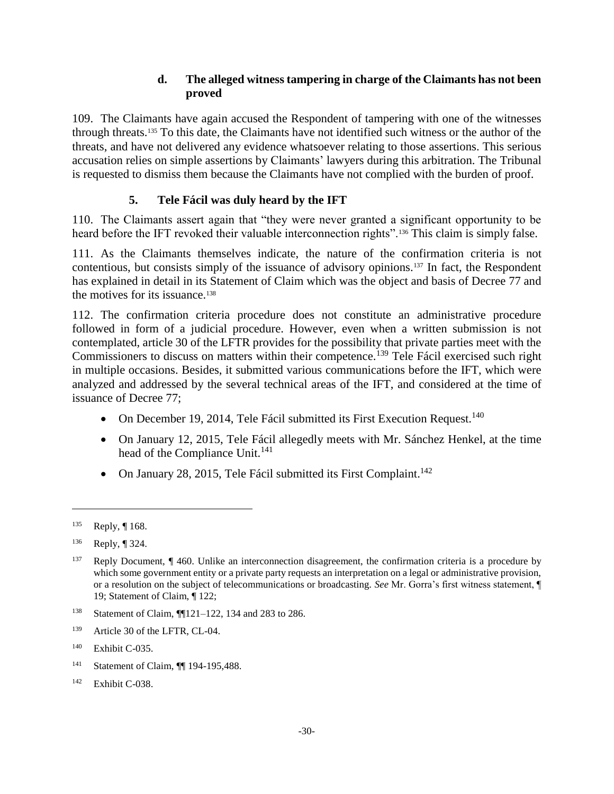## **d. The alleged witness tampering in charge of the Claimants has not been proved**

109. The Claimants have again accused the Respondent of tampering with one of the witnesses through threats.<sup>135</sup> To this date, the Claimants have not identified such witness or the author of the threats, and have not delivered any evidence whatsoever relating to those assertions. This serious accusation relies on simple assertions by Claimants' lawyers during this arbitration. The Tribunal is requested to dismiss them because the Claimants have not complied with the burden of proof.

# **5. Tele Fácil was duly heard by the IFT**

110. The Claimants assert again that "they were never granted a significant opportunity to be heard before the IFT revoked their valuable interconnection rights".<sup>136</sup> This claim is simply false.

111. As the Claimants themselves indicate, the nature of the confirmation criteria is not contentious, but consists simply of the issuance of advisory opinions.<sup>137</sup> In fact, the Respondent has explained in detail in its Statement of Claim which was the object and basis of Decree 77 and the motives for its issuance.<sup>138</sup>

112. The confirmation criteria procedure does not constitute an administrative procedure followed in form of a judicial procedure. However, even when a written submission is not contemplated, article 30 of the LFTR provides for the possibility that private parties meet with the Commissioners to discuss on matters within their competence.<sup>139</sup> Tele Fácil exercised such right in multiple occasions. Besides, it submitted various communications before the IFT, which were analyzed and addressed by the several technical areas of the IFT, and considered at the time of issuance of Decree 77;

- On December 19, 2014, Tele Fácil submitted its First Execution Request.<sup>140</sup>
- On January 12, 2015, Tele Fácil allegedly meets with Mr. Sánchez Henkel, at the time head of the Compliance Unit.<sup>141</sup>
- On January 28, 2015, Tele Fácil submitted its First Complaint.<sup>142</sup>

- <sup>138</sup> Statement of Claim, ¶¶121–122, 134 and 283 to 286.
- <sup>139</sup> Article 30 of the LFTR, CL-04.

- <sup>141</sup> Statement of Claim, ¶¶ 194-195,488.
- <sup>142</sup> Exhibit C-038.

<sup>135</sup> Reply, ¶ 168.

<sup>136</sup> Reply, ¶ 324.

<sup>&</sup>lt;sup>137</sup> Reply Document, ¶ 460. Unlike an interconnection disagreement, the confirmation criteria is a procedure by which some government entity or a private party requests an interpretation on a legal or administrative provision, or a resolution on the subject of telecommunications or broadcasting. *See* Mr. Gorra's first witness statement, ¶ 19; Statement of Claim, ¶ 122;

<sup>140</sup> Exhibit C-035.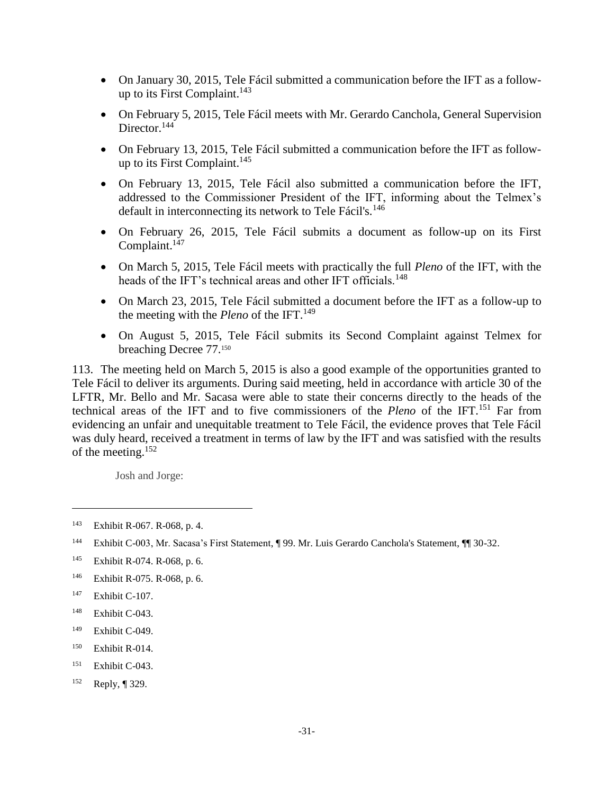- On January 30, 2015, Tele Fácil submitted a communication before the IFT as a followup to its First Complaint.<sup>143</sup>
- On February 5, 2015, Tele Fácil meets with Mr. Gerardo Canchola, General Supervision Director.<sup>144</sup>
- On February 13, 2015, Tele Fácil submitted a communication before the IFT as followup to its First Complaint. 145
- On February 13, 2015, Tele Fácil also submitted a communication before the IFT, addressed to the Commissioner President of the IFT, informing about the Telmex's default in interconnecting its network to Tele Fácil's.<sup>146</sup>
- On February 26, 2015, Tele Fácil submits a document as follow-up on its First Complaint.<sup>147</sup>
- On March 5, 2015, Tele Fácil meets with practically the full *Pleno* of the IFT, with the heads of the IFT's technical areas and other IFT officials.<sup>148</sup>
- On March 23, 2015, Tele Fácil submitted a document before the IFT as a follow-up to the meeting with the *Pleno* of the IFT.<sup>149</sup>
- On August 5, 2015, Tele Fácil submits its Second Complaint against Telmex for breaching Decree 77.<sup>150</sup>

113. The meeting held on March 5, 2015 is also a good example of the opportunities granted to Tele Fácil to deliver its arguments. During said meeting, held in accordance with article 30 of the LFTR, Mr. Bello and Mr. Sacasa were able to state their concerns directly to the heads of the technical areas of the IFT and to five commissioners of the *Pleno* of the IFT.<sup>151</sup> Far from evidencing an unfair and unequitable treatment to Tele Fácil, the evidence proves that Tele Fácil was duly heard, received a treatment in terms of law by the IFT and was satisfied with the results of the meeting.<sup>152</sup>

Josh and Jorge:

- <sup>149</sup> Exhibit C-049.
- <sup>150</sup> Exhibit R-014.
- <sup>151</sup> Exhibit C-043.
- <sup>152</sup> Reply, ¶ 329.

<sup>143</sup> Exhibit R-067. R-068, p. 4.

<sup>144</sup> Exhibit C-003, Mr. Sacasa's First Statement, ¶ 99. Mr. Luis Gerardo Canchola's Statement, ¶¶ 30-32.

<sup>145</sup> Exhibit R-074. R-068, p. 6.

<sup>146</sup> Exhibit R-075. R-068, p. 6.

<sup>147</sup> Exhibit C-107.

<sup>148</sup> Exhibit C-043.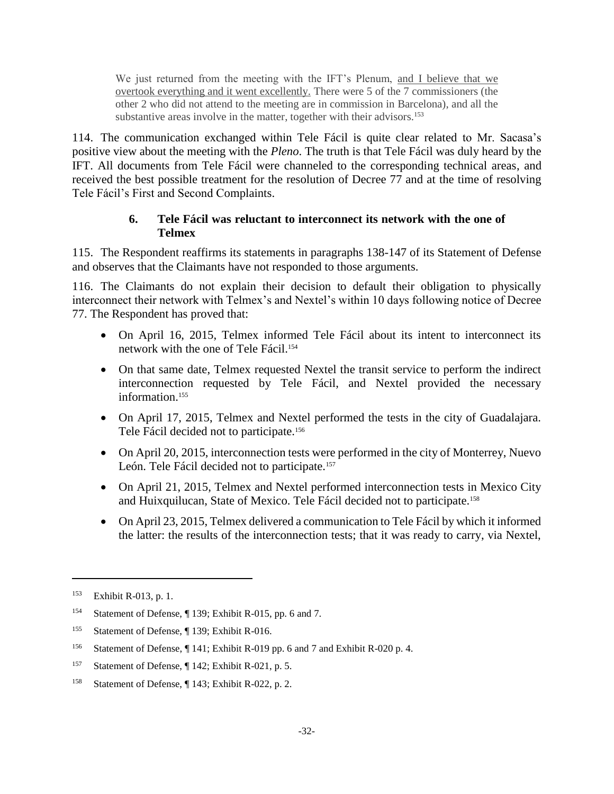We just returned from the meeting with the IFT's Plenum, and I believe that we overtook everything and it went excellently. There were 5 of the 7 commissioners (the other 2 who did not attend to the meeting are in commission in Barcelona), and all the substantive areas involve in the matter, together with their advisors.<sup>153</sup>

114. The communication exchanged within Tele Fácil is quite clear related to Mr. Sacasa's positive view about the meeting with the *Pleno*. The truth is that Tele Fácil was duly heard by the IFT. All documents from Tele Fácil were channeled to the corresponding technical areas, and received the best possible treatment for the resolution of Decree 77 and at the time of resolving Tele Fácil's First and Second Complaints.

### **6. Tele Fácil was reluctant to interconnect its network with the one of Telmex**

115. The Respondent reaffirms its statements in paragraphs 138-147 of its Statement of Defense and observes that the Claimants have not responded to those arguments.

116. The Claimants do not explain their decision to default their obligation to physically interconnect their network with Telmex's and Nextel's within 10 days following notice of Decree 77. The Respondent has proved that:

- On April 16, 2015, Telmex informed Tele Fácil about its intent to interconnect its network with the one of Tele Fácil.<sup>154</sup>
- On that same date, Telmex requested Nextel the transit service to perform the indirect interconnection requested by Tele Fácil, and Nextel provided the necessary information.<sup>155</sup>
- On April 17, 2015, Telmex and Nextel performed the tests in the city of Guadalajara. Tele Fácil decided not to participate.<sup>156</sup>
- On April 20, 2015, interconnection tests were performed in the city of Monterrey, Nuevo León. Tele Fácil decided not to participate.<sup>157</sup>
- On April 21, 2015, Telmex and Nextel performed interconnection tests in Mexico City and Huixquilucan, State of Mexico. Tele Fácil decided not to participate.<sup>158</sup>
- On April 23, 2015, Telmex delivered a communication to Tele Fácil by which it informed the latter: the results of the interconnection tests; that it was ready to carry, via Nextel,

<sup>153</sup> Exhibit R-013, p. 1.

<sup>154</sup> Statement of Defense, ¶ 139; Exhibit R-015, pp. 6 and 7.

<sup>&</sup>lt;sup>155</sup> Statement of Defense, ¶ 139; Exhibit R-016.

<sup>156</sup> Statement of Defense, ¶ 141; Exhibit R-019 pp. 6 and 7 and Exhibit R-020 p. 4.

<sup>157</sup> Statement of Defense, ¶ 142; Exhibit R-021, p. 5.

<sup>158</sup> Statement of Defense, ¶ 143; Exhibit R-022, p. 2.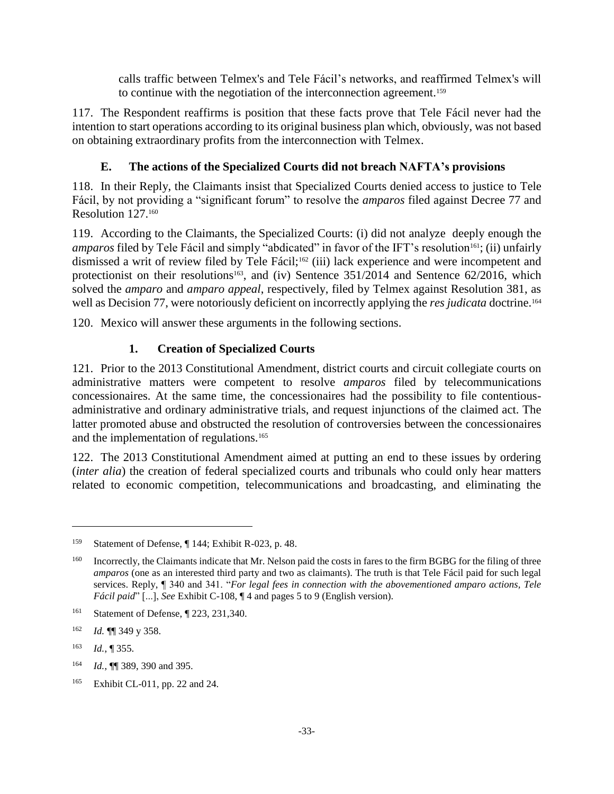calls traffic between Telmex's and Tele Fácil's networks, and reaffirmed Telmex's will to continue with the negotiation of the interconnection agreement.<sup>159</sup>

117. The Respondent reaffirms is position that these facts prove that Tele Fácil never had the intention to start operations according to its original business plan which, obviously, was not based on obtaining extraordinary profits from the interconnection with Telmex.

# **E. The actions of the Specialized Courts did not breach NAFTA's provisions**

118. In their Reply, the Claimants insist that Specialized Courts denied access to justice to Tele Fácil, by not providing a "significant forum" to resolve the *amparos* filed against Decree 77 and Resolution 127.<sup>160</sup>

119. According to the Claimants, the Specialized Courts: (i) did not analyze deeply enough the *amparos* filed by Tele Fácil and simply "abdicated" in favor of the IFT's resolution<sup>161</sup>; (ii) unfairly dismissed a writ of review filed by Tele Fácil;<sup>162</sup> (iii) lack experience and were incompetent and protectionist on their resolutions<sup>163</sup>, and (iv) Sentence  $351/2014$  and Sentence  $62/2016$ , which solved the *amparo* and *amparo appeal*, respectively, filed by Telmex against Resolution 381, as well as Decision 77, were notoriously deficient on incorrectly applying the *res judicata* doctrine.<sup>164</sup>

120. Mexico will answer these arguments in the following sections.

# **1. Creation of Specialized Courts**

121. Prior to the 2013 Constitutional Amendment, district courts and circuit collegiate courts on administrative matters were competent to resolve *amparos* filed by telecommunications concessionaires. At the same time, the concessionaires had the possibility to file contentiousadministrative and ordinary administrative trials, and request injunctions of the claimed act. The latter promoted abuse and obstructed the resolution of controversies between the concessionaires and the implementation of regulations.<sup>165</sup>

122. The 2013 Constitutional Amendment aimed at putting an end to these issues by ordering (*inter alia*) the creation of federal specialized courts and tribunals who could only hear matters related to economic competition, telecommunications and broadcasting, and eliminating the

<sup>159</sup> Statement of Defense, ¶ 144; Exhibit R-023, p. 48.

<sup>&</sup>lt;sup>160</sup> Incorrectly, the Claimants indicate that Mr. Nelson paid the costs in fares to the firm BGBG for the filing of three *amparos* (one as an interested third party and two as claimants). The truth is that Tele Fácil paid for such legal services. Reply, ¶ 340 and 341. "*For legal fees in connection with the abovementioned amparo actions, Tele Fácil paid*" [...], *See* Exhibit C-108, ¶ 4 and pages 5 to 9 (English version).

<sup>&</sup>lt;sup>161</sup> Statement of Defense, ¶ 223, 231,340.

<sup>162</sup> *Id.* ¶¶ 349 y 358.

<sup>163</sup> *Id.*, ¶ 355.

<sup>164</sup> *Id.*, ¶¶ 389, 390 and 395.

<sup>165</sup> Exhibit CL-011, pp. 22 and 24.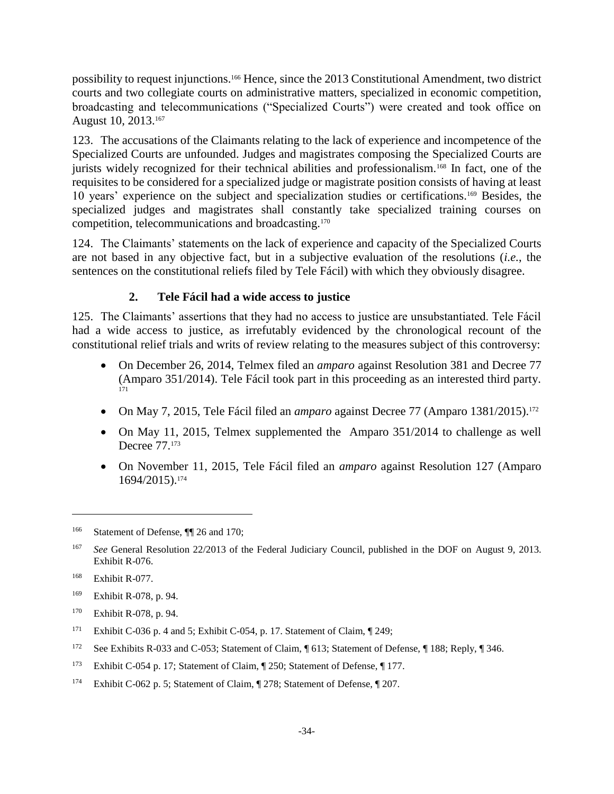possibility to request injunctions. <sup>166</sup> Hence, since the 2013 Constitutional Amendment, two district courts and two collegiate courts on administrative matters, specialized in economic competition, broadcasting and telecommunications ("Specialized Courts") were created and took office on August 10, 2013.<sup>167</sup>

123. The accusations of the Claimants relating to the lack of experience and incompetence of the Specialized Courts are unfounded. Judges and magistrates composing the Specialized Courts are jurists widely recognized for their technical abilities and professionalism.<sup>168</sup> In fact, one of the requisites to be considered for a specialized judge or magistrate position consists of having at least 10 years' experience on the subject and specialization studies or certifications.<sup>169</sup> Besides, the specialized judges and magistrates shall constantly take specialized training courses on competition, telecommunications and broadcasting.<sup>170</sup>

124. The Claimants' statements on the lack of experience and capacity of the Specialized Courts are not based in any objective fact, but in a subjective evaluation of the resolutions (*i.e.*, the sentences on the constitutional reliefs filed by Tele Fácil) with which they obviously disagree.

# **2. Tele Fácil had a wide access to justice**

125. The Claimants' assertions that they had no access to justice are unsubstantiated. Tele Fácil had a wide access to justice, as irrefutably evidenced by the chronological recount of the constitutional relief trials and writs of review relating to the measures subject of this controversy:

- On December 26, 2014, Telmex filed an *amparo* against Resolution 381 and Decree 77 (Amparo 351/2014). Tele Fácil took part in this proceeding as an interested third party. 171
- On May 7, 2015, Tele Fácil filed an *amparo* against Decree 77 (Amparo 1381/2015).<sup>172</sup>
- On May 11, 2015, Telmex supplemented the Amparo 351/2014 to challenge as well Decree 77.<sup>173</sup>
- On November 11, 2015, Tele Fácil filed an *amparo* against Resolution 127 (Amparo 1694/2015).<sup>174</sup>

- <sup>170</sup> Exhibit R-078, p. 94.
- <sup>171</sup> Exhibit C-036 p. 4 and 5; Exhibit C-054, p. 17. Statement of Claim,  $\P$  249;
- <sup>172</sup> See Exhibits R-033 and C-053; Statement of Claim, ¶ 613; Statement of Defense, ¶ 188; Reply, ¶ 346.
- <sup>173</sup> Exhibit C-054 p. 17; Statement of Claim, ¶ 250; Statement of Defense, ¶ 177.
- <sup>174</sup> Exhibit C-062 p. 5; Statement of Claim, ¶ 278; Statement of Defense, ¶ 207.

<sup>&</sup>lt;sup>166</sup> Statement of Defense, ¶¶ 26 and 170;

<sup>167</sup> *See* General Resolution 22/2013 of the Federal Judiciary Council, published in the DOF on August 9, 2013. Exhibit R-076.

 $168$  Exhibit R-077.

<sup>169</sup> Exhibit R-078, p. 94.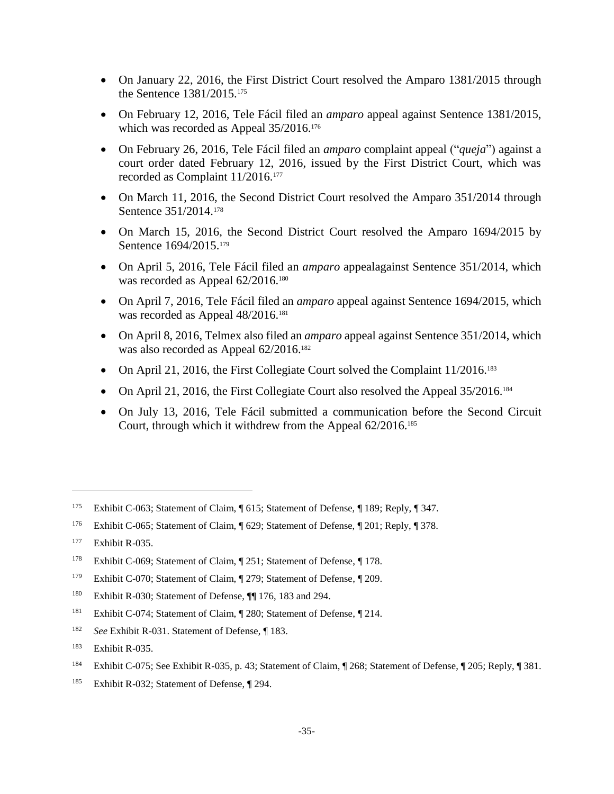- On January 22, 2016, the First District Court resolved the Amparo 1381/2015 through the Sentence 1381/2015.<sup>175</sup>
- On February 12, 2016, Tele Fácil filed an *amparo* appeal against Sentence 1381/2015, which was recorded as Appeal  $35/2016$ <sup>176</sup>
- On February 26, 2016, Tele Fácil filed an *amparo* complaint appeal ("*queja*") against a court order dated February 12, 2016, issued by the First District Court, which was recorded as Complaint 11/2016.<sup>177</sup>
- On March 11, 2016, the Second District Court resolved the Amparo 351/2014 through Sentence 351/2014.<sup>178</sup>
- On March 15, 2016, the Second District Court resolved the Amparo 1694/2015 by Sentence 1694/2015.<sup>179</sup>
- On April 5, 2016, Tele Fácil filed an *amparo* appealagainst Sentence 351/2014, which was recorded as Appeal 62/2016.<sup>180</sup>
- On April 7, 2016, Tele Fácil filed an *amparo* appeal against Sentence 1694/2015, which was recorded as Appeal  $48/2016$ .<sup>181</sup>
- On April 8, 2016, Telmex also filed an *amparo* appeal against Sentence 351/2014, which was also recorded as Appeal  $62/2016$ <sup>182</sup>
- On April 21, 2016, the First Collegiate Court solved the Complaint  $11/2016$ .<sup>183</sup>
- On April 21, 2016, the First Collegiate Court also resolved the Appeal 35/2016.<sup>184</sup>
- On July 13, 2016, Tele Fácil submitted a communication before the Second Circuit Court, through which it withdrew from the Appeal 62/2016.<sup>185</sup>

 $\overline{a}$ 

<sup>184</sup> Exhibit C-075; See Exhibit R-035, p. 43; Statement of Claim, ¶ 268; Statement of Defense, ¶ 205; Reply, ¶ 381.

<sup>175</sup> Exhibit C-063; Statement of Claim, ¶ 615; Statement of Defense, ¶ 189; Reply, ¶ 347.

<sup>176</sup> Exhibit C-065; Statement of Claim, ¶ 629; Statement of Defense, ¶ 201; Reply, ¶ 378.

<sup>177</sup> Exhibit R-035.

<sup>178</sup> Exhibit C-069; Statement of Claim, ¶ 251; Statement of Defense, ¶ 178.

<sup>&</sup>lt;sup>179</sup> Exhibit C-070; Statement of Claim, ¶ 279; Statement of Defense, ¶ 209.

<sup>&</sup>lt;sup>180</sup> Exhibit R-030; Statement of Defense,  $\P$  176, 183 and 294.

<sup>181</sup> Exhibit C-074; Statement of Claim, ¶ 280; Statement of Defense, ¶ 214.

<sup>182</sup> *See* Exhibit R-031. Statement of Defense, ¶ 183.

<sup>183</sup> Exhibit R-035.

<sup>185</sup> Exhibit R-032; Statement of Defense, ¶ 294.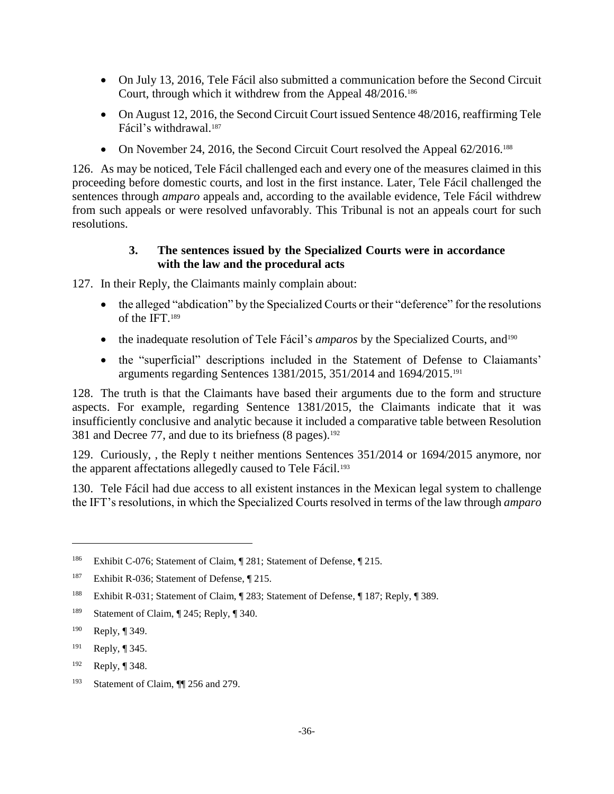- On July 13, 2016, Tele Fácil also submitted a communication before the Second Circuit Court, through which it withdrew from the Appeal 48/2016.<sup>186</sup>
- On August 12, 2016, the Second Circuit Court issued Sentence 48/2016, reaffirming Tele Fácil's withdrawal.<sup>187</sup>
- On November 24, 2016, the Second Circuit Court resolved the Appeal 62/2016.<sup>188</sup>

126. As may be noticed, Tele Fácil challenged each and every one of the measures claimed in this proceeding before domestic courts, and lost in the first instance. Later, Tele Fácil challenged the sentences through *amparo* appeals and, according to the available evidence, Tele Fácil withdrew from such appeals or were resolved unfavorably. This Tribunal is not an appeals court for such resolutions.

# **3. The sentences issued by the Specialized Courts were in accordance with the law and the procedural acts**

127. In their Reply, the Claimants mainly complain about:

- the alleged "abdication" by the Specialized Courts or their "deference" for the resolutions of the IFT. 189
- the inadequate resolution of Tele Fácil's *amparos* by the Specialized Courts, and<sup>190</sup>
- the "superficial" descriptions included in the Statement of Defense to Claiamants' arguments regarding Sentences 1381/2015, 351/2014 and 1694/2015.<sup>191</sup>

128. The truth is that the Claimants have based their arguments due to the form and structure aspects. For example, regarding Sentence 1381/2015, the Claimants indicate that it was insufficiently conclusive and analytic because it included a comparative table between Resolution 381 and Decree 77, and due to its briefness (8 pages).<sup>192</sup>

129. Curiously, , the Reply t neither mentions Sentences 351/2014 or 1694/2015 anymore, nor the apparent affectations allegedly caused to Tele Fácil.<sup>193</sup>

130. Tele Fácil had due access to all existent instances in the Mexican legal system to challenge the IFT's resolutions, in which the Specialized Courts resolved in terms of the law through *amparo*

 $\overline{a}$ 

<sup>192</sup> Reply, ¶ 348.

<sup>186</sup> Exhibit C-076; Statement of Claim, ¶ 281; Statement of Defense, ¶ 215.

<sup>&</sup>lt;sup>187</sup> Exhibit R-036; Statement of Defense, ¶ 215.

<sup>188</sup> Exhibit R-031; Statement of Claim, ¶ 283; Statement of Defense, ¶ 187; Reply, ¶ 389.

<sup>189</sup> Statement of Claim, ¶ 245; Reply, ¶ 340.

<sup>190</sup> Reply, ¶ 349.

<sup>191</sup> Reply, ¶ 345.

<sup>193</sup> Statement of Claim, ¶¶ 256 and 279.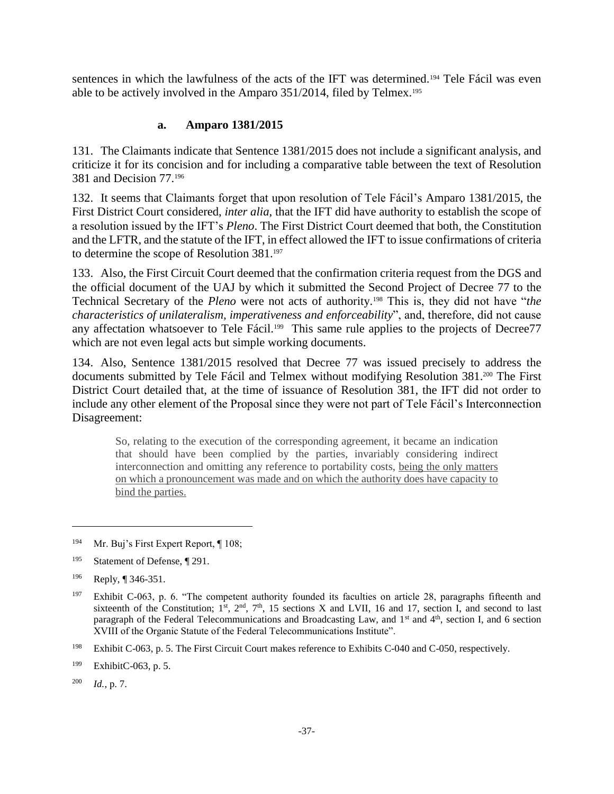sentences in which the lawfulness of the acts of the IFT was determined.<sup>194</sup> Tele Fácil was even able to be actively involved in the Amparo 351/2014, filed by Telmex.<sup>195</sup>

### **a. Amparo 1381/2015**

131. The Claimants indicate that Sentence 1381/2015 does not include a significant analysis, and criticize it for its concision and for including a comparative table between the text of Resolution 381 and Decision 77.<sup>196</sup>

132. It seems that Claimants forget that upon resolution of Tele Fácil's Amparo 1381/2015, the First District Court considered, *inter alia*, that the IFT did have authority to establish the scope of a resolution issued by the IFT's *Pleno*. The First District Court deemed that both, the Constitution and the LFTR, and the statute of the IFT, in effect allowed the IFT to issue confirmations of criteria to determine the scope of Resolution 381.<sup>197</sup>

133. Also, the First Circuit Court deemed that the confirmation criteria request from the DGS and the official document of the UAJ by which it submitted the Second Project of Decree 77 to the Technical Secretary of the *Pleno* were not acts of authority.<sup>198</sup> This is, they did not have "*the characteristics of unilateralism, imperativeness and enforceability*", and, therefore, did not cause any affectation whatsoever to Tele Fácil.<sup>199</sup> This same rule applies to the projects of Decree77 which are not even legal acts but simple working documents.

134. Also, Sentence 1381/2015 resolved that Decree 77 was issued precisely to address the documents submitted by Tele Fácil and Telmex without modifying Resolution 381.<sup>200</sup> The First District Court detailed that, at the time of issuance of Resolution 381, the IFT did not order to include any other element of the Proposal since they were not part of Tele Fácil's Interconnection Disagreement:

So, relating to the execution of the corresponding agreement, it became an indication that should have been complied by the parties, invariably considering indirect interconnection and omitting any reference to portability costs, being the only matters on which a pronouncement was made and on which the authority does have capacity to bind the parties.

<sup>&</sup>lt;sup>194</sup> Mr. Buj's First Expert Report, ¶ 108;

<sup>195</sup> Statement of Defense, ¶ 291.

<sup>196</sup> Reply, ¶ 346-351.

<sup>&</sup>lt;sup>197</sup> Exhibit C-063, p. 6. "The competent authority founded its faculties on article 28, paragraphs fifteenth and sixteenth of the Constitution;  $1<sup>st</sup>$ ,  $2<sup>nd</sup>$ ,  $7<sup>th</sup>$ , 15 sections X and LVII, 16 and 17, section I, and second to last paragraph of the Federal Telecommunications and Broadcasting Law, and 1<sup>st</sup> and 4<sup>th</sup>, section I, and 6 section XVIII of the Organic Statute of the Federal Telecommunications Institute".

<sup>198</sup> Exhibit C-063, p. 5. The First Circuit Court makes reference to Exhibits C-040 and C-050, respectively.

<sup>199</sup> ExhibitC-063, p. 5.

<sup>200</sup> *Id.*, p. 7.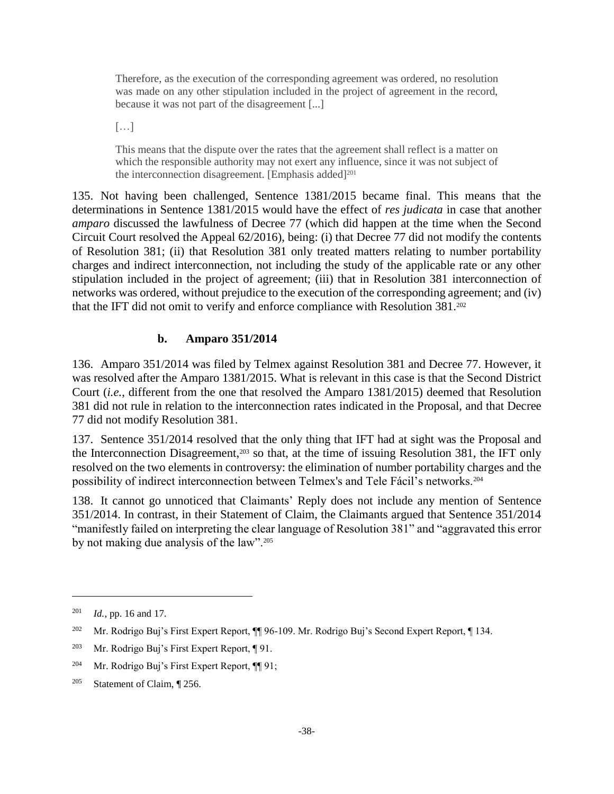Therefore, as the execution of the corresponding agreement was ordered, no resolution was made on any other stipulation included in the project of agreement in the record, because it was not part of the disagreement [...]

[…]

This means that the dispute over the rates that the agreement shall reflect is a matter on which the responsible authority may not exert any influence, since it was not subject of the interconnection disagreement. [Emphasis added]<sup>201</sup>

135. Not having been challenged, Sentence 1381/2015 became final. This means that the determinations in Sentence 1381/2015 would have the effect of *res judicata* in case that another *amparo* discussed the lawfulness of Decree 77 (which did happen at the time when the Second Circuit Court resolved the Appeal 62/2016), being: (i) that Decree 77 did not modify the contents of Resolution 381; (ii) that Resolution 381 only treated matters relating to number portability charges and indirect interconnection, not including the study of the applicable rate or any other stipulation included in the project of agreement; (iii) that in Resolution 381 interconnection of networks was ordered, without prejudice to the execution of the corresponding agreement; and (iv) that the IFT did not omit to verify and enforce compliance with Resolution 381.<sup>202</sup>

# **b. Amparo 351/2014**

136. Amparo 351/2014 was filed by Telmex against Resolution 381 and Decree 77. However, it was resolved after the Amparo 1381/2015. What is relevant in this case is that the Second District Court (*i.e.*, different from the one that resolved the Amparo 1381/2015) deemed that Resolution 381 did not rule in relation to the interconnection rates indicated in the Proposal, and that Decree 77 did not modify Resolution 381.

137. Sentence 351/2014 resolved that the only thing that IFT had at sight was the Proposal and the Interconnection Disagreement,<sup>203</sup> so that, at the time of issuing Resolution 381, the IFT only resolved on the two elements in controversy: the elimination of number portability charges and the possibility of indirect interconnection between Telmex's and Tele Fácil's networks.<sup>204</sup>

138. It cannot go unnoticed that Claimants' Reply does not include any mention of Sentence 351/2014. In contrast, in their Statement of Claim, the Claimants argued that Sentence 351/2014 "manifestly failed on interpreting the clear language of Resolution 381" and "aggravated this error by not making due analysis of the law".<sup>205</sup>

<sup>201</sup> *Id.*, pp. 16 and 17.

<sup>&</sup>lt;sup>202</sup> Mr. Rodrigo Buj's First Expert Report, ¶ 96-109. Mr. Rodrigo Buj's Second Expert Report, ¶ 134.

<sup>&</sup>lt;sup>203</sup> Mr. Rodrigo Buj's First Expert Report,  $\P$  91.

<sup>204</sup> Mr. Rodrigo Buj's First Expert Report, ¶¶ 91;

<sup>205</sup> Statement of Claim, ¶ 256.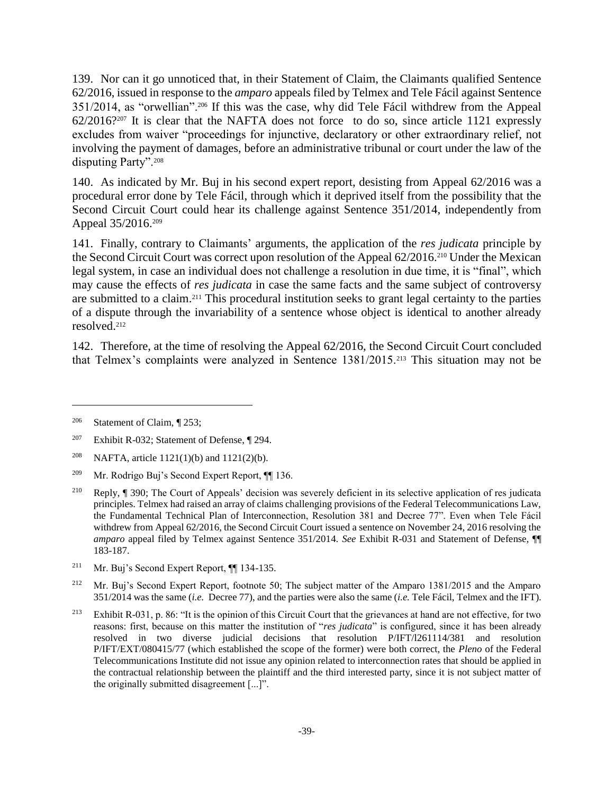139. Nor can it go unnoticed that, in their Statement of Claim, the Claimants qualified Sentence 62/2016, issued in response to the *amparo* appeals filed by Telmex and Tele Fácil against Sentence 351/2014, as "orwellian".<sup>206</sup> If this was the case, why did Tele Fácil withdrew from the Appeal 62/2016?<sup>207</sup> It is clear that the NAFTA does not force to do so, since article 1121 expressly excludes from waiver "proceedings for injunctive, declaratory or other extraordinary relief, not involving the payment of damages, before an administrative tribunal or court under the law of the disputing Party".<sup>208</sup>

140. As indicated by Mr. Buj in his second expert report, desisting from Appeal 62/2016 was a procedural error done by Tele Fácil, through which it deprived itself from the possibility that the Second Circuit Court could hear its challenge against Sentence 351/2014, independently from Appeal 35/2016.<sup>209</sup>

141. Finally, contrary to Claimants' arguments, the application of the *res judicata* principle by the Second Circuit Court was correct upon resolution of the Appeal 62/2016.<sup>210</sup> Under the Mexican legal system, in case an individual does not challenge a resolution in due time, it is "final", which may cause the effects of *res judicata* in case the same facts and the same subject of controversy are submitted to a claim.<sup>211</sup> This procedural institution seeks to grant legal certainty to the parties of a dispute through the invariability of a sentence whose object is identical to another already resolved.<sup>212</sup>

142. Therefore, at the time of resolving the Appeal 62/2016, the Second Circuit Court concluded that Telmex's complaints were analyzed in Sentence 1381/2015.<sup>213</sup> This situation may not be

 $\overline{a}$ 

<sup>211</sup> Mr. Buj's Second Expert Report, ¶¶ 134-135.

<sup>206</sup> Statement of Claim, ¶ 253;

<sup>&</sup>lt;sup>207</sup> Exhibit R-032; Statement of Defense, ¶ 294.

<sup>&</sup>lt;sup>208</sup> NAFTA, article 1121(1)(b) and 1121(2)(b).

<sup>209</sup> Mr. Rodrigo Buj's Second Expert Report, ¶¶ 136.

<sup>210</sup> Reply, ¶ 390; The Court of Appeals' decision was severely deficient in its selective application of res judicata principles. Telmex had raised an array of claims challenging provisions of the Federal Telecommunications Law, the Fundamental Technical Plan of Interconnection, Resolution 381 and Decree 77". Even when Tele Fácil withdrew from Appeal 62/2016, the Second Circuit Court issued a sentence on November 24, 2016 resolving the *amparo* appeal filed by Telmex against Sentence 351/2014. *See* Exhibit R-031 and Statement of Defense, ¶¶ 183-187.

<sup>&</sup>lt;sup>212</sup> Mr. Buj's Second Expert Report, footnote 50; The subject matter of the Amparo 1381/2015 and the Amparo 351/2014 was the same (*i.e.* Decree 77), and the parties were also the same (*i.e.* Tele Fácil, Telmex and the IFT).

<sup>&</sup>lt;sup>213</sup> Exhibit R-031, p. 86: "It is the opinion of this Circuit Court that the grievances at hand are not effective, for two reasons: first, because on this matter the institution of "*res judicata*" is configured, since it has been already resolved in two diverse judicial decisions that resolution P/IFT/l261114/381 and resolution P/IFT/EXT/080415/77 (which established the scope of the former) were both correct, the *Pleno* of the Federal Telecommunications Institute did not issue any opinion related to interconnection rates that should be applied in the contractual relationship between the plaintiff and the third interested party, since it is not subject matter of the originally submitted disagreement [...]".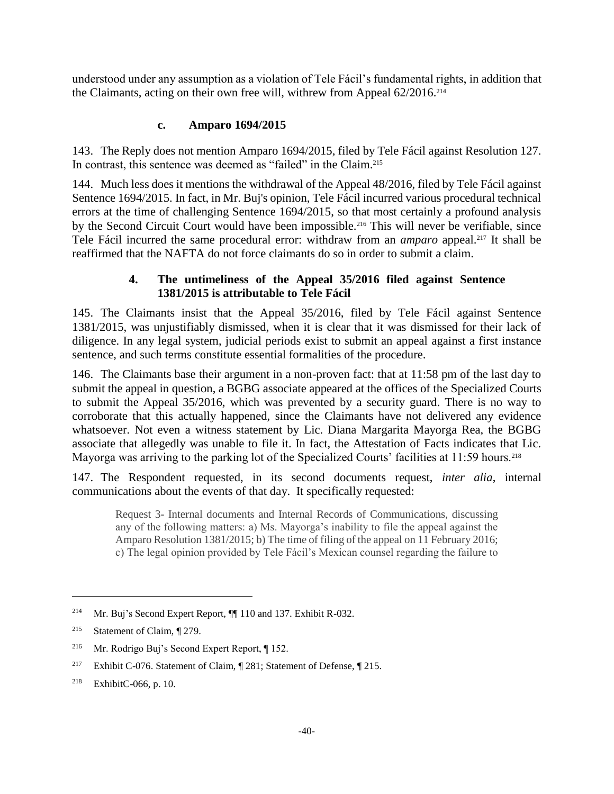understood under any assumption as a violation of Tele Fácil's fundamental rights, in addition that the Claimants, acting on their own free will, withrew from Appeal 62/2016.<sup>214</sup>

# **c. Amparo 1694/2015**

143. The Reply does not mention Amparo 1694/2015, filed by Tele Fácil against Resolution 127. In contrast, this sentence was deemed as "failed" in the Claim.<sup>215</sup>

144. Much less does it mentions the withdrawal of the Appeal 48/2016, filed by Tele Fácil against Sentence 1694/2015. In fact, in Mr. Buj's opinion, Tele Fácil incurred various procedural technical errors at the time of challenging Sentence 1694/2015, so that most certainly a profound analysis by the Second Circuit Court would have been impossible.<sup>216</sup> This will never be verifiable, since Tele Fácil incurred the same procedural error: withdraw from an *amparo* appeal. <sup>217</sup> It shall be reaffirmed that the NAFTA do not force claimants do so in order to submit a claim.

# **4. The untimeliness of the Appeal 35/2016 filed against Sentence 1381/2015 is attributable to Tele Fácil**

145. The Claimants insist that the Appeal 35/2016, filed by Tele Fácil against Sentence 1381/2015, was unjustifiably dismissed, when it is clear that it was dismissed for their lack of diligence. In any legal system, judicial periods exist to submit an appeal against a first instance sentence, and such terms constitute essential formalities of the procedure.

146. The Claimants base their argument in a non-proven fact: that at 11:58 pm of the last day to submit the appeal in question, a BGBG associate appeared at the offices of the Specialized Courts to submit the Appeal 35/2016, which was prevented by a security guard. There is no way to corroborate that this actually happened, since the Claimants have not delivered any evidence whatsoever. Not even a witness statement by Lic. Diana Margarita Mayorga Rea, the BGBG associate that allegedly was unable to file it. In fact, the Attestation of Facts indicates that Lic. Mayorga was arriving to the parking lot of the Specialized Courts' facilities at 11:59 hours.<sup>218</sup>

147. The Respondent requested, in its second documents request, *inter alia*, internal communications about the events of that day. It specifically requested:

Request 3- Internal documents and Internal Records of Communications, discussing any of the following matters: a) Ms. Mayorga's inability to file the appeal against the Amparo Resolution 1381/2015; b) The time of filing of the appeal on 11 February 2016; c) The legal opinion provided by Tele Fácil's Mexican counsel regarding the failure to

<sup>214</sup> Mr. Buj's Second Expert Report, ¶¶ 110 and 137. Exhibit R-032.

<sup>215</sup> Statement of Claim, ¶ 279.

<sup>216</sup> Mr. Rodrigo Buj's Second Expert Report, ¶ 152.

<sup>&</sup>lt;sup>217</sup> Exhibit C-076. Statement of Claim, ¶ 281; Statement of Defense, ¶ 215.

<sup>218</sup> ExhibitC-066, p. 10.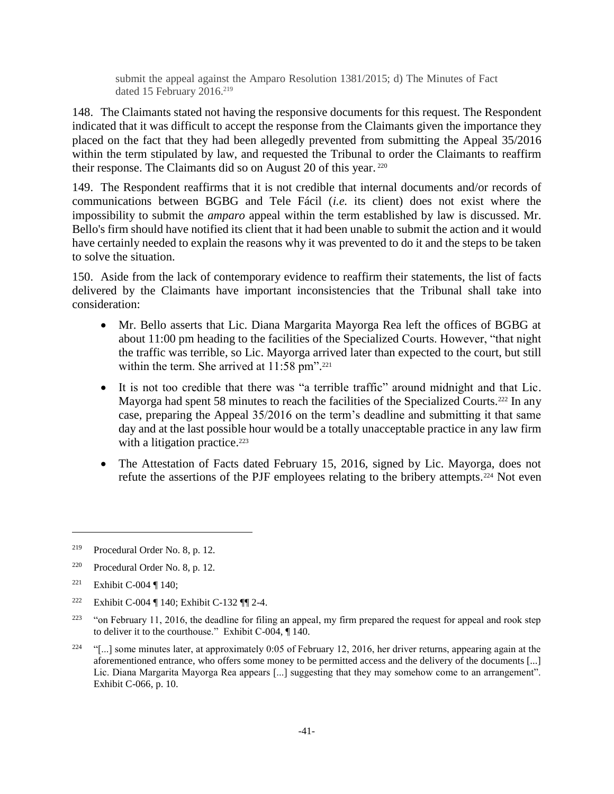submit the appeal against the Amparo Resolution 1381/2015; d) The Minutes of Fact dated 15 February 2016. 219

148. The Claimants stated not having the responsive documents for this request. The Respondent indicated that it was difficult to accept the response from the Claimants given the importance they placed on the fact that they had been allegedly prevented from submitting the Appeal 35/2016 within the term stipulated by law, and requested the Tribunal to order the Claimants to reaffirm their response. The Claimants did so on August 20 of this year. <sup>220</sup>

149. The Respondent reaffirms that it is not credible that internal documents and/or records of communications between BGBG and Tele Fácil (*i.e.* its client) does not exist where the impossibility to submit the *amparo* appeal within the term established by law is discussed. Mr. Bello's firm should have notified its client that it had been unable to submit the action and it would have certainly needed to explain the reasons why it was prevented to do it and the steps to be taken to solve the situation.

150. Aside from the lack of contemporary evidence to reaffirm their statements, the list of facts delivered by the Claimants have important inconsistencies that the Tribunal shall take into consideration:

- Mr. Bello asserts that Lic. Diana Margarita Mayorga Rea left the offices of BGBG at about 11:00 pm heading to the facilities of the Specialized Courts. However, "that night the traffic was terrible, so Lic. Mayorga arrived later than expected to the court, but still within the term. She arrived at 11:58 pm".<sup>221</sup>
- It is not too credible that there was "a terrible traffic" around midnight and that Lic. Mayorga had spent 58 minutes to reach the facilities of the Specialized Courts.<sup>222</sup> In any case, preparing the Appeal 35/2016 on the term's deadline and submitting it that same day and at the last possible hour would be a totally unacceptable practice in any law firm with a litigation practice.<sup>223</sup>
- The Attestation of Facts dated February 15, 2016, signed by Lic. Mayorga, does not refute the assertions of the PJF employees relating to the bribery attempts.<sup>224</sup> Not even

<sup>219</sup> Procedural Order No. 8, p. 12.

<sup>220</sup> Procedural Order No. 8, p. 12.

<sup>&</sup>lt;sup>221</sup> Exhibit C-004 ¶ 140;

<sup>222</sup> Exhibit C-004 ¶ 140; Exhibit C-132 ¶¶ 2-4.

<sup>&</sup>lt;sup>223</sup> "on February 11, 2016, the deadline for filing an appeal, my firm prepared the request for appeal and rook step to deliver it to the courthouse." Exhibit C-004, ¶ 140.

<sup>&</sup>lt;sup>224</sup> "[...] some minutes later, at approximately 0:05 of February 12, 2016, her driver returns, appearing again at the aforementioned entrance, who offers some money to be permitted access and the delivery of the documents [...] Lic. Diana Margarita Mayorga Rea appears [...] suggesting that they may somehow come to an arrangement". Exhibit C-066, p. 10.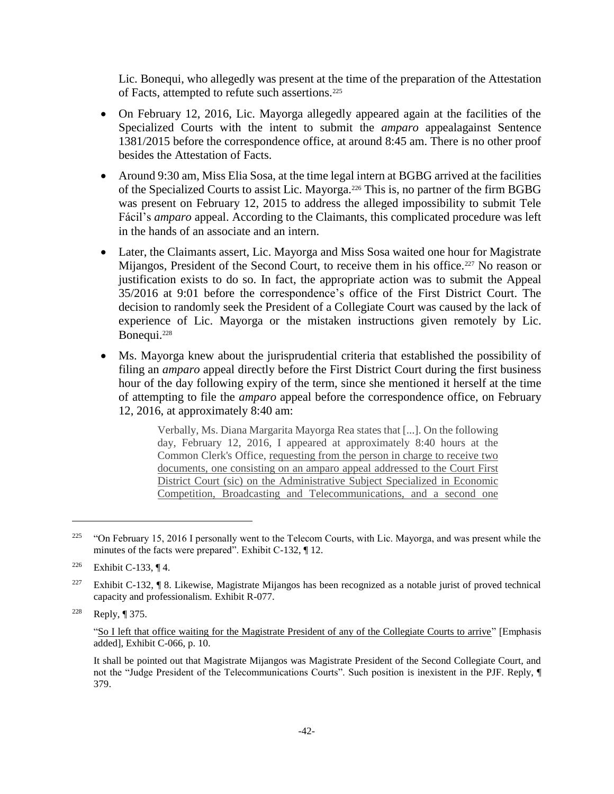Lic. Bonequi, who allegedly was present at the time of the preparation of the Attestation of Facts, attempted to refute such assertions.<sup>225</sup>

- On February 12, 2016, Lic. Mayorga allegedly appeared again at the facilities of the Specialized Courts with the intent to submit the *amparo* appealagainst Sentence 1381/2015 before the correspondence office, at around 8:45 am. There is no other proof besides the Attestation of Facts.
- Around 9:30 am, Miss Elia Sosa, at the time legal intern at BGBG arrived at the facilities of the Specialized Courts to assist Lic. Mayorga.<sup>226</sup> This is, no partner of the firm BGBG was present on February 12, 2015 to address the alleged impossibility to submit Tele Fácil's *amparo* appeal. According to the Claimants, this complicated procedure was left in the hands of an associate and an intern.
- Later, the Claimants assert, Lic. Mayorga and Miss Sosa waited one hour for Magistrate Mijangos, President of the Second Court, to receive them in his office.<sup>227</sup> No reason or justification exists to do so. In fact, the appropriate action was to submit the Appeal 35/2016 at 9:01 before the correspondence's office of the First District Court. The decision to randomly seek the President of a Collegiate Court was caused by the lack of experience of Lic. Mayorga or the mistaken instructions given remotely by Lic. Bonequi.<sup>228</sup>
- Ms. Mayorga knew about the jurisprudential criteria that established the possibility of filing an *amparo* appeal directly before the First District Court during the first business hour of the day following expiry of the term, since she mentioned it herself at the time of attempting to file the *amparo* appeal before the correspondence office, on February 12, 2016, at approximately 8:40 am:

Verbally, Ms. Diana Margarita Mayorga Rea states that [...]. On the following day, February 12, 2016, I appeared at approximately 8:40 hours at the Common Clerk's Office, requesting from the person in charge to receive two documents, one consisting on an amparo appeal addressed to the Court First District Court (sic) on the Administrative Subject Specialized in Economic Competition, Broadcasting and Telecommunications, and a second one

<sup>&</sup>lt;sup>225</sup> "On February 15, 2016 I personally went to the Telecom Courts, with Lic. Mayorga, and was present while the minutes of the facts were prepared". Exhibit C-132, ¶ 12.

<sup>&</sup>lt;sup>226</sup> Exhibit C-133, ¶ 4.

<sup>&</sup>lt;sup>227</sup> Exhibit C-132, ¶ 8. Likewise, Magistrate Mijangos has been recognized as a notable jurist of proved technical capacity and professionalism. Exhibit R-077.

<sup>228</sup> Reply, ¶ 375.

<sup>&</sup>quot;So I left that office waiting for the Magistrate President of any of the Collegiate Courts to arrive" [Emphasis added], Exhibit C-066, p. 10.

It shall be pointed out that Magistrate Mijangos was Magistrate President of the Second Collegiate Court, and not the "Judge President of the Telecommunications Courts". Such position is inexistent in the PJF. Reply, ¶ 379.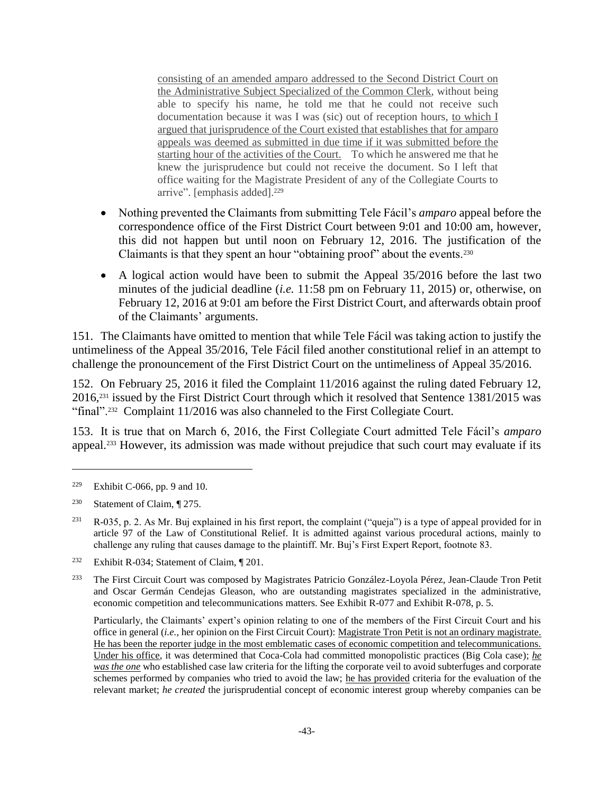consisting of an amended amparo addressed to the Second District Court on the Administrative Subject Specialized of the Common Clerk, without being able to specify his name, he told me that he could not receive such documentation because it was I was (sic) out of reception hours, to which I argued that jurisprudence of the Court existed that establishes that for amparo appeals was deemed as submitted in due time if it was submitted before the starting hour of the activities of the Court. To which he answered me that he knew the jurisprudence but could not receive the document. So I left that office waiting for the Magistrate President of any of the Collegiate Courts to arrive". [emphasis added].<sup>229</sup>

- Nothing prevented the Claimants from submitting Tele Fácil's *amparo* appeal before the correspondence office of the First District Court between 9:01 and 10:00 am, however, this did not happen but until noon on February 12, 2016. The justification of the Claimants is that they spent an hour "obtaining proof" about the events.<sup>230</sup>
- A logical action would have been to submit the Appeal 35/2016 before the last two minutes of the judicial deadline (*i.e.* 11:58 pm on February 11, 2015) or, otherwise, on February 12, 2016 at 9:01 am before the First District Court, and afterwards obtain proof of the Claimants' arguments.

151. The Claimants have omitted to mention that while Tele Fácil was taking action to justify the untimeliness of the Appeal 35/2016, Tele Fácil filed another constitutional relief in an attempt to challenge the pronouncement of the First District Court on the untimeliness of Appeal 35/2016.

152. On February 25, 2016 it filed the Complaint 11/2016 against the ruling dated February 12, 2016,<sup>231</sup> issued by the First District Court through which it resolved that Sentence 1381/2015 was "final".<sup>232</sup> Complaint 11/2016 was also channeled to the First Collegiate Court.

153. It is true that on March 6, 2016, the First Collegiate Court admitted Tele Fácil's *amparo*  appeal. <sup>233</sup> However, its admission was made without prejudice that such court may evaluate if its

<sup>&</sup>lt;sup>229</sup> Exhibit C-066, pp. 9 and 10.

<sup>230</sup> Statement of Claim, ¶ 275.

 $2^{31}$  R-035, p. 2. As Mr. Buj explained in his first report, the complaint ("queja") is a type of appeal provided for in article 97 of the Law of Constitutional Relief. It is admitted against various procedural actions, mainly to challenge any ruling that causes damage to the plaintiff. Mr. Buj's First Expert Report, footnote 83.

<sup>232</sup> Exhibit R-034; Statement of Claim, ¶ 201.

<sup>&</sup>lt;sup>233</sup> The First Circuit Court was composed by Magistrates Patricio González-Loyola Pérez, Jean-Claude Tron Petit and Oscar Germán Cendejas Gleason, who are outstanding magistrates specialized in the administrative, economic competition and telecommunications matters. See Exhibit R-077 and Exhibit R-078, p. 5.

Particularly, the Claimants' expert's opinion relating to one of the members of the First Circuit Court and his office in general (*i.e.,* her opinion on the First Circuit Court): Magistrate Tron Petit is not an ordinary magistrate. He has been the reporter judge in the most emblematic cases of economic competition and telecommunications. Under his office, it was determined that Coca-Cola had committed monopolistic practices (Big Cola case); *he was the one* who established case law criteria for the lifting the corporate veil to avoid subterfuges and corporate schemes performed by companies who tried to avoid the law; he has provided criteria for the evaluation of the relevant market; *he created* the jurisprudential concept of economic interest group whereby companies can be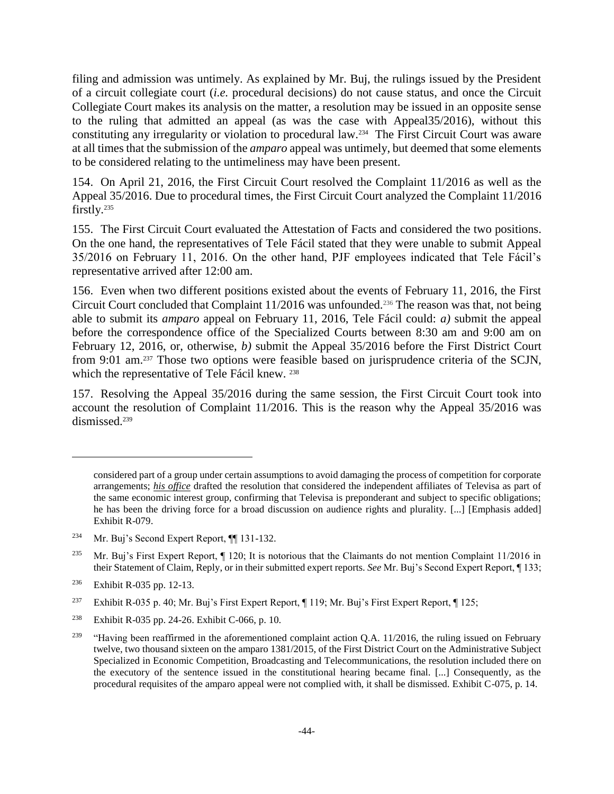filing and admission was untimely. As explained by Mr. Buj, the rulings issued by the President of a circuit collegiate court (*i.e.* procedural decisions) do not cause status, and once the Circuit Collegiate Court makes its analysis on the matter, a resolution may be issued in an opposite sense to the ruling that admitted an appeal (as was the case with Appeal35/2016), without this constituting any irregularity or violation to procedural law.<sup>234</sup> The First Circuit Court was aware at all times that the submission of the *amparo* appeal was untimely, but deemed that some elements to be considered relating to the untimeliness may have been present.

154. On April 21, 2016, the First Circuit Court resolved the Complaint 11/2016 as well as the Appeal 35/2016. Due to procedural times, the First Circuit Court analyzed the Complaint 11/2016 firstly.<sup>235</sup>

155. The First Circuit Court evaluated the Attestation of Facts and considered the two positions. On the one hand, the representatives of Tele Fácil stated that they were unable to submit Appeal 35/2016 on February 11, 2016. On the other hand, PJF employees indicated that Tele Fácil's representative arrived after 12:00 am.

156. Even when two different positions existed about the events of February 11, 2016, the First Circuit Court concluded that Complaint 11/2016 was unfounded.<sup>236</sup> The reason was that, not being able to submit its *amparo* appeal on February 11, 2016, Tele Fácil could: *a)* submit the appeal before the correspondence office of the Specialized Courts between 8:30 am and 9:00 am on February 12, 2016, or, otherwise, *b)* submit the Appeal 35/2016 before the First District Court from 9:01 am.<sup>237</sup> Those two options were feasible based on jurisprudence criteria of the SCJN, which the representative of Tele Fácil knew. <sup>238</sup>

157. Resolving the Appeal 35/2016 during the same session, the First Circuit Court took into account the resolution of Complaint 11/2016. This is the reason why the Appeal 35/2016 was dismissed.<sup>239</sup>

considered part of a group under certain assumptions to avoid damaging the process of competition for corporate arrangements; *his office* drafted the resolution that considered the independent affiliates of Televisa as part of the same economic interest group, confirming that Televisa is preponderant and subject to specific obligations; he has been the driving force for a broad discussion on audience rights and plurality. [...] [Emphasis added] Exhibit R-079.

<sup>234</sup> Mr. Buj's Second Expert Report, ¶¶ 131-132.

<sup>&</sup>lt;sup>235</sup> Mr. Buj's First Expert Report,  $\P$  120; It is notorious that the Claimants do not mention Complaint 11/2016 in their Statement of Claim, Reply, or in their submitted expert reports. *See* Mr. Buj's Second Expert Report, ¶ 133;

<sup>236</sup> Exhibit R-035 pp. 12-13.

<sup>&</sup>lt;sup>237</sup> Exhibit R-035 p. 40; Mr. Buj's First Expert Report, ¶ 119; Mr. Buj's First Expert Report, ¶ 125;

<sup>238</sup> Exhibit R-035 pp. 24-26. Exhibit C-066, p. 10.

<sup>&</sup>lt;sup>239</sup> "Having been reaffirmed in the aforementioned complaint action Q.A. 11/2016, the ruling issued on February twelve, two thousand sixteen on the amparo 1381/2015, of the First District Court on the Administrative Subject Specialized in Economic Competition, Broadcasting and Telecommunications, the resolution included there on the executory of the sentence issued in the constitutional hearing became final. [...] Consequently, as the procedural requisites of the amparo appeal were not complied with, it shall be dismissed. Exhibit C-075, p. 14.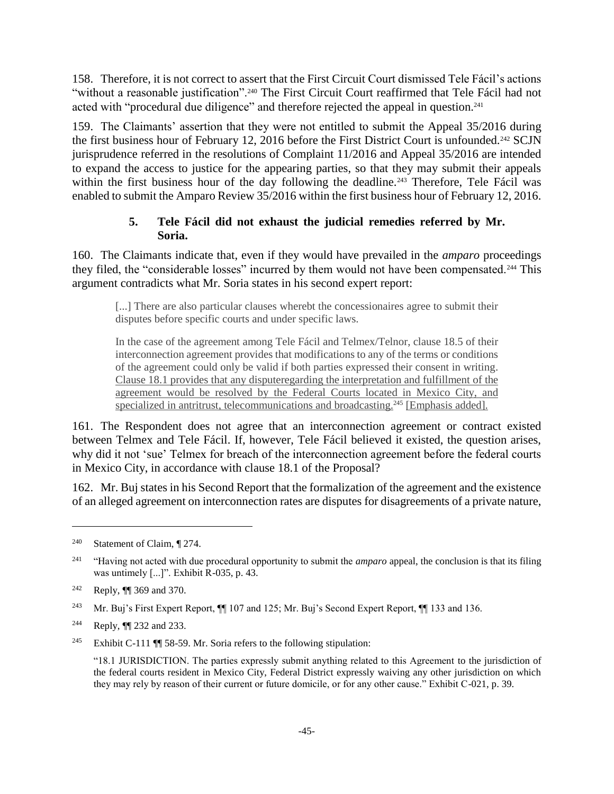158. Therefore, it is not correct to assert that the First Circuit Court dismissed Tele Fácil's actions "without a reasonable justification".<sup>240</sup> The First Circuit Court reaffirmed that Tele Fácil had not acted with "procedural due diligence" and therefore rejected the appeal in question.<sup>241</sup>

159. The Claimants' assertion that they were not entitled to submit the Appeal 35/2016 during the first business hour of February 12, 2016 before the First District Court is unfounded.<sup>242</sup> SCJN jurisprudence referred in the resolutions of Complaint 11/2016 and Appeal 35/2016 are intended to expand the access to justice for the appearing parties, so that they may submit their appeals within the first business hour of the day following the deadline.<sup>243</sup> Therefore, Tele Fácil was enabled to submit the Amparo Review 35/2016 within the first business hour of February 12, 2016.

# **5. Tele Fácil did not exhaust the judicial remedies referred by Mr. Soria.**

160. The Claimants indicate that, even if they would have prevailed in the *amparo* proceedings they filed, the "considerable losses" incurred by them would not have been compensated.<sup>244</sup> This argument contradicts what Mr. Soria states in his second expert report:

[...] There are also particular clauses wherebt the concessionaires agree to submit their disputes before specific courts and under specific laws.

In the case of the agreement among Tele Fácil and Telmex/Telnor, clause 18.5 of their interconnection agreement provides that modifications to any of the terms or conditions of the agreement could only be valid if both parties expressed their consent in writing. Clause 18.1 provides that any disputeregarding the interpretation and fulfillment of the agreement would be resolved by the Federal Courts located in Mexico City, and specialized in antritrust, telecommunications and broadcasting.<sup>245</sup> [Emphasis added].

161. The Respondent does not agree that an interconnection agreement or contract existed between Telmex and Tele Fácil. If, however, Tele Fácil believed it existed, the question arises, why did it not 'sue' Telmex for breach of the interconnection agreement before the federal courts in Mexico City, in accordance with clause 18.1 of the Proposal?

162. Mr. Buj states in his Second Report that the formalization of the agreement and the existence of an alleged agreement on interconnection rates are disputes for disagreements of a private nature,

<sup>&</sup>lt;sup>240</sup> Statement of Claim,  $\P$  274.

<sup>241</sup> "Having not acted with due procedural opportunity to submit the *amparo* appeal, the conclusion is that its filing was untimely [...]". Exhibit R-035, p. 43.

<sup>242</sup> Reply, ¶¶ 369 and 370.

<sup>243</sup> Mr. Buj's First Expert Report, ¶¶ 107 and 125; Mr. Buj's Second Expert Report, ¶¶ 133 and 136.

<sup>244</sup> Reply, ¶¶ 232 and 233.

<sup>&</sup>lt;sup>245</sup> Exhibit C-111  $\P$  58-59. Mr. Soria refers to the following stipulation:

<sup>&</sup>quot;18.1 JURISDICTION. The parties expressly submit anything related to this Agreement to the jurisdiction of the federal courts resident in Mexico City, Federal District expressly waiving any other jurisdiction on which they may rely by reason of their current or future domicile, or for any other cause." Exhibit C-021, p. 39.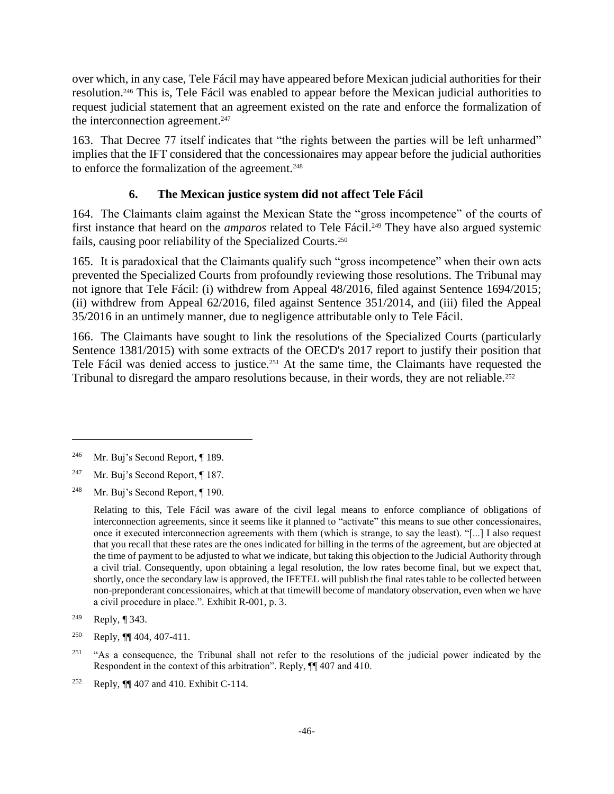over which, in any case, Tele Fácil may have appeared before Mexican judicial authorities for their resolution.<sup>246</sup> This is, Tele Fácil was enabled to appear before the Mexican judicial authorities to request judicial statement that an agreement existed on the rate and enforce the formalization of the interconnection agreement.<sup>247</sup>

163. That Decree 77 itself indicates that "the rights between the parties will be left unharmed" implies that the IFT considered that the concessionaires may appear before the judicial authorities to enforce the formalization of the agreement.<sup>248</sup>

# **6. The Mexican justice system did not affect Tele Fácil**

164. The Claimants claim against the Mexican State the "gross incompetence" of the courts of first instance that heard on the *amparos* related to Tele Fácil.<sup>249</sup> They have also argued systemic fails, causing poor reliability of the Specialized Courts.<sup>250</sup>

165. It is paradoxical that the Claimants qualify such "gross incompetence" when their own acts prevented the Specialized Courts from profoundly reviewing those resolutions. The Tribunal may not ignore that Tele Fácil: (i) withdrew from Appeal 48/2016, filed against Sentence 1694/2015; (ii) withdrew from Appeal 62/2016, filed against Sentence 351/2014, and (iii) filed the Appeal 35/2016 in an untimely manner, due to negligence attributable only to Tele Fácil.

166. The Claimants have sought to link the resolutions of the Specialized Courts (particularly Sentence 1381/2015) with some extracts of the OECD's 2017 report to justify their position that Tele Fácil was denied access to justice.<sup>251</sup> At the same time, the Claimants have requested the Tribunal to disregard the amparo resolutions because, in their words, they are not reliable.<sup>252</sup>

<sup>246</sup> Mr. Buj's Second Report, ¶ 189.

<sup>&</sup>lt;sup>247</sup> Mr. Buj's Second Report,  $\P$  187.

<sup>248</sup> Mr. Buj's Second Report, ¶ 190.

Relating to this, Tele Fácil was aware of the civil legal means to enforce compliance of obligations of interconnection agreements, since it seems like it planned to "activate" this means to sue other concessionaires, once it executed interconnection agreements with them (which is strange, to say the least). "[...] I also request that you recall that these rates are the ones indicated for billing in the terms of the agreement, but are objected at the time of payment to be adjusted to what we indicate, but taking this objection to the Judicial Authority through a civil trial. Consequently, upon obtaining a legal resolution, the low rates become final, but we expect that, shortly, once the secondary law is approved, the IFETEL will publish the final rates table to be collected between non-preponderant concessionaires, which at that timewill become of mandatory observation, even when we have a civil procedure in place.". Exhibit R-001, p. 3.

<sup>249</sup> Reply, ¶ 343.

<sup>&</sup>lt;sup>250</sup> Reply,  $\P\P$  404, 407-411.

<sup>&</sup>lt;sup>251</sup> "As a consequence, the Tribunal shall not refer to the resolutions of the judicial power indicated by the Respondent in the context of this arbitration". Reply, ¶¶ 407 and 410.

<sup>&</sup>lt;sup>252</sup> Reply,  $\P$  407 and 410. Exhibit C-114.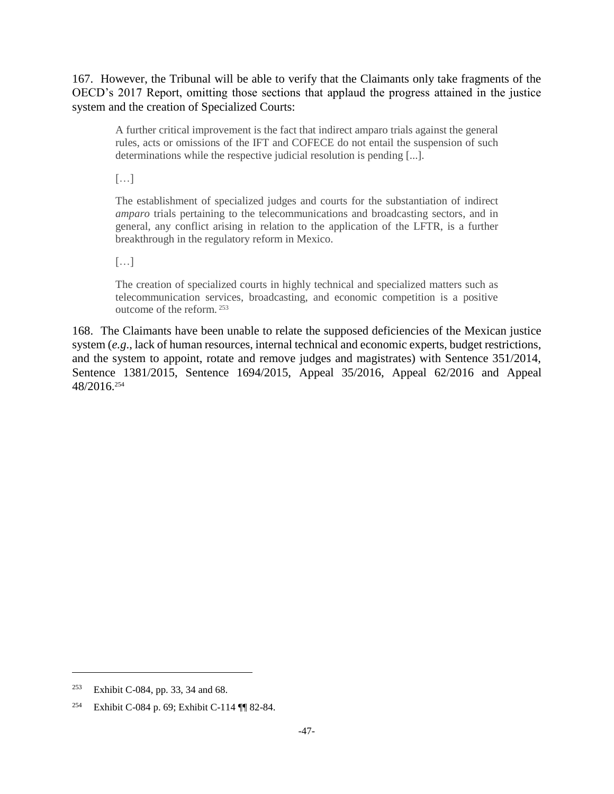167. However, the Tribunal will be able to verify that the Claimants only take fragments of the OECD's 2017 Report, omitting those sections that applaud the progress attained in the justice system and the creation of Specialized Courts:

A further critical improvement is the fact that indirect amparo trials against the general rules, acts or omissions of the IFT and COFECE do not entail the suspension of such determinations while the respective judicial resolution is pending [...].

 $\left[\ldots\right]$ 

The establishment of specialized judges and courts for the substantiation of indirect *amparo* trials pertaining to the telecommunications and broadcasting sectors, and in general, any conflict arising in relation to the application of the LFTR, is a further breakthrough in the regulatory reform in Mexico.

 $\left[\ldots\right]$ 

The creation of specialized courts in highly technical and specialized matters such as telecommunication services, broadcasting, and economic competition is a positive outcome of the reform. <sup>253</sup>

168. The Claimants have been unable to relate the supposed deficiencies of the Mexican justice system (*e.g*., lack of human resources, internal technical and economic experts, budget restrictions, and the system to appoint, rotate and remove judges and magistrates) with Sentence 351/2014, Sentence 1381/2015, Sentence 1694/2015, Appeal 35/2016, Appeal 62/2016 and Appeal 48/2016.<sup>254</sup>

<sup>253</sup> Exhibit C-084, pp. 33, 34 and 68.

<sup>254</sup> Exhibit C-084 p. 69; Exhibit C-114 ¶¶ 82-84.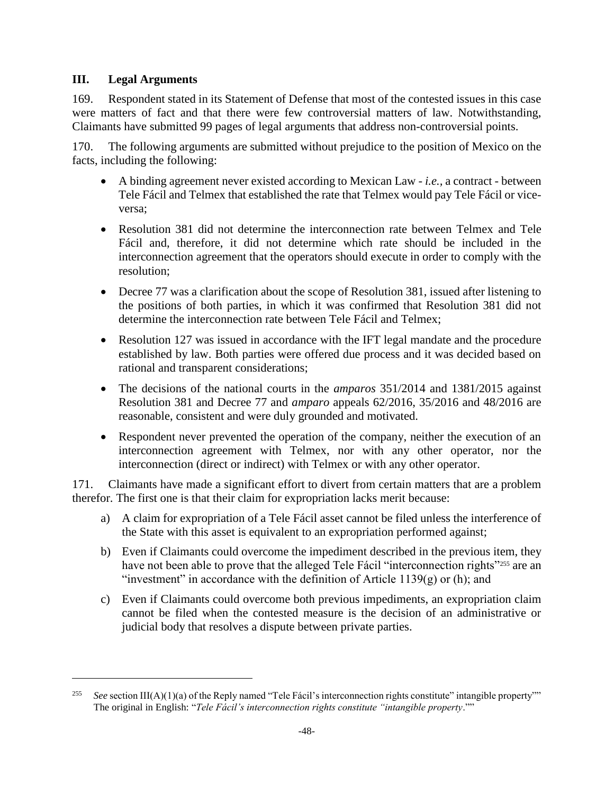# **III. Legal Arguments**

 $\overline{a}$ 

169. Respondent stated in its Statement of Defense that most of the contested issues in this case were matters of fact and that there were few controversial matters of law. Notwithstanding, Claimants have submitted 99 pages of legal arguments that address non-controversial points.

170. The following arguments are submitted without prejudice to the position of Mexico on the facts, including the following:

- A binding agreement never existed according to Mexican Law *i.e.,* a contract between Tele Fácil and Telmex that established the rate that Telmex would pay Tele Fácil or viceversa;
- Resolution 381 did not determine the interconnection rate between Telmex and Tele Fácil and, therefore, it did not determine which rate should be included in the interconnection agreement that the operators should execute in order to comply with the resolution;
- Decree 77 was a clarification about the scope of Resolution 381, issued after listening to the positions of both parties, in which it was confirmed that Resolution 381 did not determine the interconnection rate between Tele Fácil and Telmex;
- Resolution 127 was issued in accordance with the IFT legal mandate and the procedure established by law. Both parties were offered due process and it was decided based on rational and transparent considerations;
- The decisions of the national courts in the *amparos* 351/2014 and 1381/2015 against Resolution 381 and Decree 77 and *amparo* appeals 62/2016, 35/2016 and 48/2016 are reasonable, consistent and were duly grounded and motivated.
- Respondent never prevented the operation of the company, neither the execution of an interconnection agreement with Telmex, nor with any other operator, nor the interconnection (direct or indirect) with Telmex or with any other operator.

171. Claimants have made a significant effort to divert from certain matters that are a problem therefor. The first one is that their claim for expropriation lacks merit because:

- a) A claim for expropriation of a Tele Fácil asset cannot be filed unless the interference of the State with this asset is equivalent to an expropriation performed against;
- b) Even if Claimants could overcome the impediment described in the previous item, they have not been able to prove that the alleged Tele Fácil "interconnection rights"<sup>255</sup> are an "investment" in accordance with the definition of Article 1139 $(g)$  or (h); and
- c) Even if Claimants could overcome both previous impediments, an expropriation claim cannot be filed when the contested measure is the decision of an administrative or judicial body that resolves a dispute between private parties.

See section III(A)(1)(a) of the Reply named "Tele Fácil's interconnection rights constitute" intangible property"" The original in English: "*Tele Fácil's interconnection rights constitute "intangible property*.""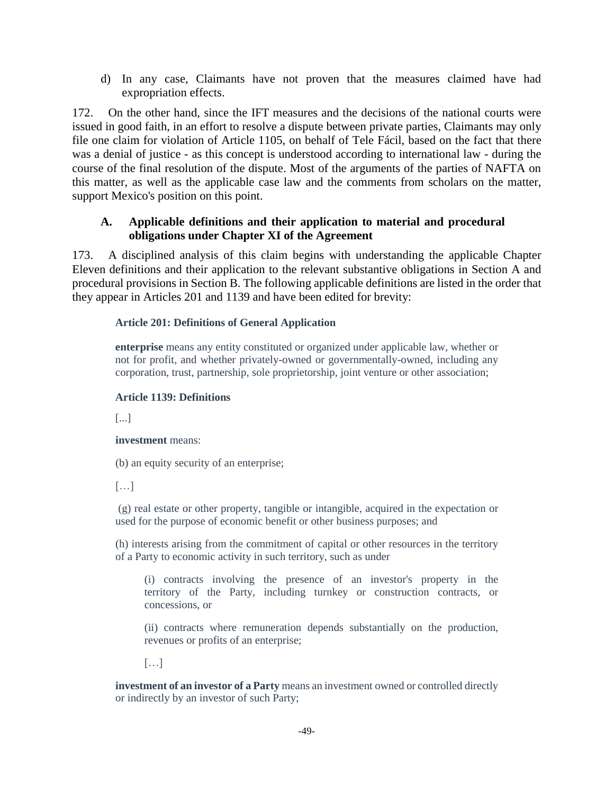d) In any case, Claimants have not proven that the measures claimed have had expropriation effects.

172. On the other hand, since the IFT measures and the decisions of the national courts were issued in good faith, in an effort to resolve a dispute between private parties, Claimants may only file one claim for violation of Article 1105, on behalf of Tele Fácil, based on the fact that there was a denial of justice - as this concept is understood according to international law - during the course of the final resolution of the dispute. Most of the arguments of the parties of NAFTA on this matter, as well as the applicable case law and the comments from scholars on the matter, support Mexico's position on this point.

## **A. Applicable definitions and their application to material and procedural obligations under Chapter XI of the Agreement**

173. A disciplined analysis of this claim begins with understanding the applicable Chapter Eleven definitions and their application to the relevant substantive obligations in Section A and procedural provisions in Section B. The following applicable definitions are listed in the order that they appear in Articles 201 and 1139 and have been edited for brevity:

#### **Article 201: Definitions of General Application**

**enterprise** means any entity constituted or organized under applicable law, whether or not for profit, and whether privately-owned or governmentally-owned, including any corporation, trust, partnership, sole proprietorship, joint venture or other association;

#### **Article 1139: Definitions**

[...]

#### **investment** means:

(b) an equity security of an enterprise;

 $[\ldots]$ 

(g) real estate or other property, tangible or intangible, acquired in the expectation or used for the purpose of economic benefit or other business purposes; and

(h) interests arising from the commitment of capital or other resources in the territory of a Party to economic activity in such territory, such as under

(i) contracts involving the presence of an investor's property in the territory of the Party, including turnkey or construction contracts, or concessions, or

(ii) contracts where remuneration depends substantially on the production, revenues or profits of an enterprise;

[…]

**investment of an investor of a Party** means an investment owned or controlled directly or indirectly by an investor of such Party;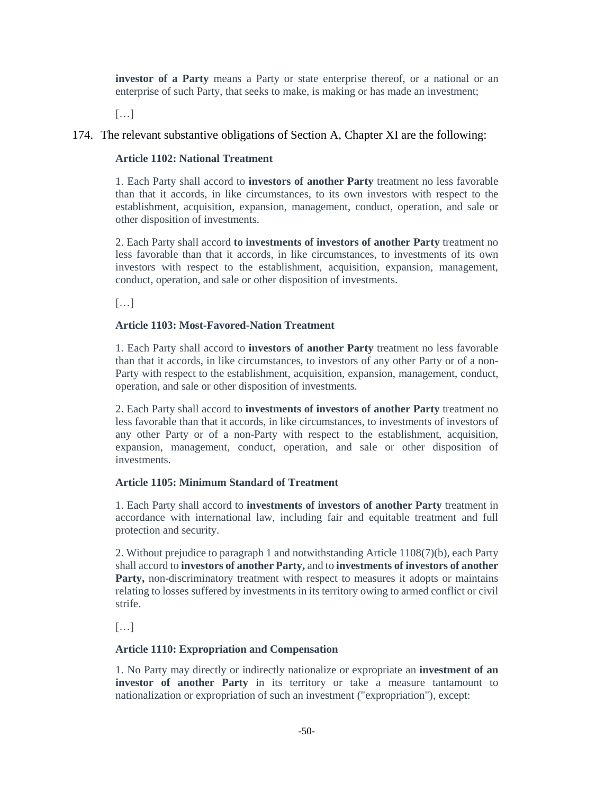**investor of a Party** means a Party or state enterprise thereof, or a national or an enterprise of such Party, that seeks to make, is making or has made an investment;

[…]

### 174. The relevant substantive obligations of Section A, Chapter XI are the following:

#### **Article 1102: National Treatment**

1. Each Party shall accord to **investors of another Party** treatment no less favorable than that it accords, in like circumstances, to its own investors with respect to the establishment, acquisition, expansion, management, conduct, operation, and sale or other disposition of investments.

2. Each Party shall accord **to investments of investors of another Party** treatment no less favorable than that it accords, in like circumstances, to investments of its own investors with respect to the establishment, acquisition, expansion, management, conduct, operation, and sale or other disposition of investments.

 $[\ldots]$ 

#### **Article 1103: Most-Favored-Nation Treatment**

1. Each Party shall accord to **investors of another Party** treatment no less favorable than that it accords, in like circumstances, to investors of any other Party or of a non-Party with respect to the establishment, acquisition, expansion, management, conduct, operation, and sale or other disposition of investments.

2. Each Party shall accord to **investments of investors of another Party** treatment no less favorable than that it accords, in like circumstances, to investments of investors of any other Party or of a non-Party with respect to the establishment, acquisition, expansion, management, conduct, operation, and sale or other disposition of investments.

#### **Article 1105: Minimum Standard of Treatment**

1. Each Party shall accord to **investments of investors of another Party** treatment in accordance with international law, including fair and equitable treatment and full protection and security.

2. Without prejudice to paragraph 1 and notwithstanding Article 1108(7)(b), each Party shall accord to **investors of another Party,** and to **investments of investors of another** Party, non-discriminatory treatment with respect to measures it adopts or maintains relating to losses suffered by investments in its territory owing to armed conflict or civil strife.

[…]

#### **Article 1110: Expropriation and Compensation**

1. No Party may directly or indirectly nationalize or expropriate an **investment of an investor of another Party** in its territory or take a measure tantamount to nationalization or expropriation of such an investment ("expropriation"), except: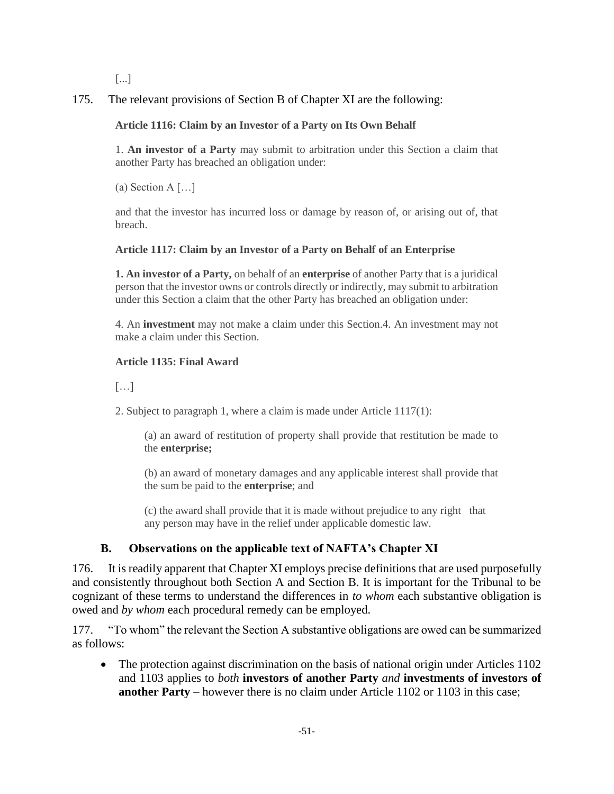[...]

175. The relevant provisions of Section B of Chapter XI are the following:

## **Article 1116: Claim by an Investor of a Party on Its Own Behalf**

1. **An investor of a Party** may submit to arbitration under this Section a claim that another Party has breached an obligation under:

(a) Section A  $\lceil \dots \rceil$ 

and that the investor has incurred loss or damage by reason of, or arising out of, that breach.

### **Article 1117: Claim by an Investor of a Party on Behalf of an Enterprise**

**1. An investor of a Party,** on behalf of an **enterprise** of another Party that is a juridical person that the investor owns or controls directly or indirectly, may submit to arbitration under this Section a claim that the other Party has breached an obligation under:

4. An **investment** may not make a claim under this Section.4. An investment may not make a claim under this Section.

#### **Article 1135: Final Award**

 $[\ldots]$ 

2. Subject to paragraph 1, where a claim is made under Article 1117(1):

(a) an award of restitution of property shall provide that restitution be made to the **enterprise;** 

(b) an award of monetary damages and any applicable interest shall provide that the sum be paid to the **enterprise**; and

(c) the award shall provide that it is made without prejudice to any right that any person may have in the relief under applicable domestic law.

# **B. Observations on the applicable text of NAFTA's Chapter XI**

176. It is readily apparent that Chapter XI employs precise definitions that are used purposefully and consistently throughout both Section A and Section B. It is important for the Tribunal to be cognizant of these terms to understand the differences in *to whom* each substantive obligation is owed and *by whom* each procedural remedy can be employed.

177. "To whom" the relevant the Section A substantive obligations are owed can be summarized as follows:

• The protection against discrimination on the basis of national origin under Articles 1102 and 1103 applies to *both* **investors of another Party** *and* **investments of investors of another Party** – however there is no claim under Article 1102 or 1103 in this case;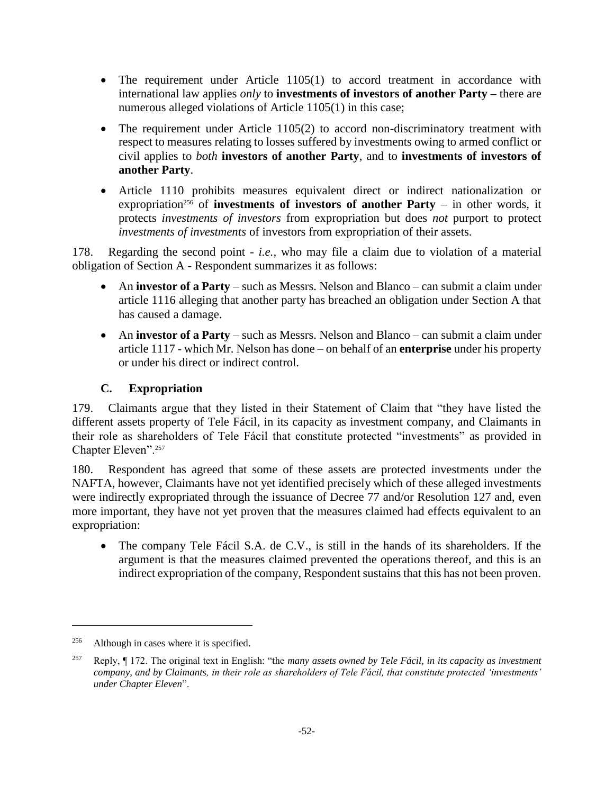- The requirement under Article 1105(1) to accord treatment in accordance with international law applies *only* to **investments of investors of another Party –** there are numerous alleged violations of Article 1105(1) in this case;
- The requirement under Article 1105(2) to accord non-discriminatory treatment with respect to measures relating to losses suffered by investments owing to armed conflict or civil applies to *both* **investors of another Party**, and to **investments of investors of another Party**.
- Article 1110 prohibits measures equivalent direct or indirect nationalization or expropriation<sup>256</sup> of **investments of investors of another Party** – in other words, it protects *investments of investors* from expropriation but does *not* purport to protect *investments of investments* of investors from expropriation of their assets.

178. Regarding the second point - *i.e.,* who may file a claim due to violation of a material obligation of Section A - Respondent summarizes it as follows:

- An **investor of a Party** such as Messrs. Nelson and Blanco can submit a claim under article 1116 alleging that another party has breached an obligation under Section A that has caused a damage.
- An **investor of a Party**  such as Messrs. Nelson and Blanco can submit a claim under article 1117 - which Mr. Nelson has done – on behalf of an **enterprise** under his property or under his direct or indirect control.

# **C. Expropriation**

179. Claimants argue that they listed in their Statement of Claim that "they have listed the different assets property of Tele Fácil, in its capacity as investment company, and Claimants in their role as shareholders of Tele Fácil that constitute protected "investments" as provided in Chapter Eleven".<sup>257</sup>

180. Respondent has agreed that some of these assets are protected investments under the NAFTA, however, Claimants have not yet identified precisely which of these alleged investments were indirectly expropriated through the issuance of Decree 77 and/or Resolution 127 and, even more important, they have not yet proven that the measures claimed had effects equivalent to an expropriation:

• The company Tele Fácil S.A. de C.V., is still in the hands of its shareholders. If the argument is that the measures claimed prevented the operations thereof, and this is an indirect expropriation of the company, Respondent sustains that this has not been proven.

<sup>&</sup>lt;sup>256</sup> Although in cases where it is specified.

<sup>257</sup> Reply, ¶ 172. The original text in English: "the *many assets owned by Tele Fácil, in its capacity as investment company, and by Claimants, in their role as shareholders of Tele Fácil, that constitute protected 'investments' under Chapter Eleven*".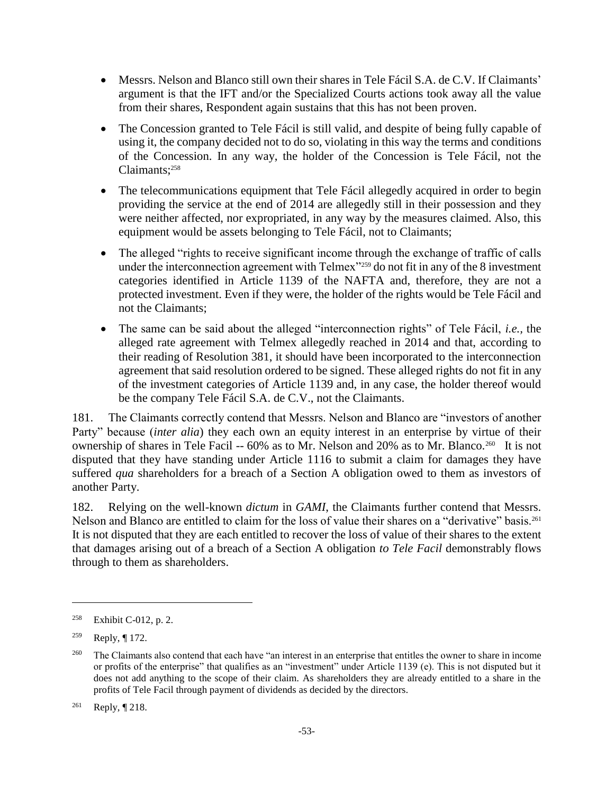- Messrs. Nelson and Blanco still own their shares in Tele Fácil S.A. de C.V. If Claimants' argument is that the IFT and/or the Specialized Courts actions took away all the value from their shares, Respondent again sustains that this has not been proven.
- The Concession granted to Tele Fácil is still valid, and despite of being fully capable of using it, the company decided not to do so, violating in this way the terms and conditions of the Concession. In any way, the holder of the Concession is Tele Fácil, not the Claimants;<sup>258</sup>
- The telecommunications equipment that Tele Fácil allegedly acquired in order to begin providing the service at the end of 2014 are allegedly still in their possession and they were neither affected, nor expropriated, in any way by the measures claimed. Also, this equipment would be assets belonging to Tele Fácil, not to Claimants;
- The alleged "rights to receive significant income through the exchange of traffic of calls under the interconnection agreement with Telmex<sup>"259</sup> do not fit in any of the 8 investment categories identified in Article 1139 of the NAFTA and, therefore, they are not a protected investment. Even if they were, the holder of the rights would be Tele Fácil and not the Claimants;
- The same can be said about the alleged "interconnection rights" of Tele Fácil, *i.e.,* the alleged rate agreement with Telmex allegedly reached in 2014 and that, according to their reading of Resolution 381, it should have been incorporated to the interconnection agreement that said resolution ordered to be signed. These alleged rights do not fit in any of the investment categories of Article 1139 and, in any case, the holder thereof would be the company Tele Fácil S.A. de C.V., not the Claimants.

181. The Claimants correctly contend that Messrs. Nelson and Blanco are "investors of another Party" because (*inter alia*) they each own an equity interest in an enterprise by virtue of their ownership of shares in Tele Facil -- 60% as to Mr. Nelson and 20% as to Mr. Blanco.<sup>260</sup> It is not disputed that they have standing under Article 1116 to submit a claim for damages they have suffered *qua* shareholders for a breach of a Section A obligation owed to them as investors of another Party.

182. Relying on the well-known *dictum* in *GAMI*, the Claimants further contend that Messrs. Nelson and Blanco are entitled to claim for the loss of value their shares on a "derivative" basis.<sup>261</sup> It is not disputed that they are each entitled to recover the loss of value of their shares to the extent that damages arising out of a breach of a Section A obligation *to Tele Facil* demonstrably flows through to them as shareholders.

<sup>258</sup> Exhibit C-012, p. 2.

<sup>259</sup> Reply, ¶ 172.

<sup>260</sup> The Claimants also contend that each have "an interest in an enterprise that entitles the owner to share in income or profits of the enterprise" that qualifies as an "investment" under Article 1139 (e). This is not disputed but it does not add anything to the scope of their claim. As shareholders they are already entitled to a share in the profits of Tele Facil through payment of dividends as decided by the directors.

<sup>261</sup> Reply, ¶ 218.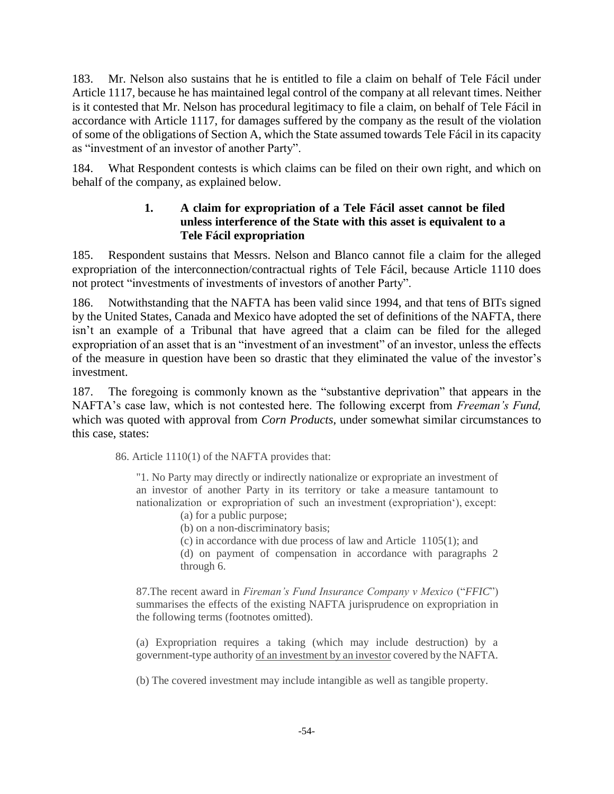183. Mr. Nelson also sustains that he is entitled to file a claim on behalf of Tele Fácil under Article 1117, because he has maintained legal control of the company at all relevant times. Neither is it contested that Mr. Nelson has procedural legitimacy to file a claim, on behalf of Tele Fácil in accordance with Article 1117, for damages suffered by the company as the result of the violation of some of the obligations of Section A, which the State assumed towards Tele Fácil in its capacity as "investment of an investor of another Party".

184. What Respondent contests is which claims can be filed on their own right, and which on behalf of the company, as explained below.

# **1. A claim for expropriation of a Tele Fácil asset cannot be filed unless interference of the State with this asset is equivalent to a Tele Fácil expropriation**

185. Respondent sustains that Messrs. Nelson and Blanco cannot file a claim for the alleged expropriation of the interconnection/contractual rights of Tele Fácil, because Article 1110 does not protect "investments of investments of investors of another Party".

186. Notwithstanding that the NAFTA has been valid since 1994, and that tens of BITs signed by the United States, Canada and Mexico have adopted the set of definitions of the NAFTA, there isn't an example of a Tribunal that have agreed that a claim can be filed for the alleged expropriation of an asset that is an "investment of an investment" of an investor, unless the effects of the measure in question have been so drastic that they eliminated the value of the investor's investment.

187. The foregoing is commonly known as the "substantive deprivation" that appears in the NAFTA's case law, which is not contested here. The following excerpt from *Freeman's Fund,* which was quoted with approval from *Corn Products*, under somewhat similar circumstances to this case, states:

86. Article 1110(1) of the NAFTA provides that:

"1. No Party may directly or indirectly nationalize or expropriate an investment of an investor of another Party in its territory or take a measure tantamount to nationalization or expropriation of such an investment (expropriation'), except:

(a) for a public purpose;

(b) on a non-discriminatory basis;

(c) in accordance with due process of law and Article 1105(1); and

(d) on payment of compensation in accordance with paragraphs 2 through 6.

87.The recent award in *Fireman's Fund Insurance Company v Mexico* ("*FFIC*") summarises the effects of the existing NAFTA jurisprudence on expropriation in the following terms (footnotes omitted).

(a) Expropriation requires a taking (which may include destruction) by a government-type authority of an investment by an investor covered by the NAFTA.

(b) The covered investment may include intangible as well as tangible property.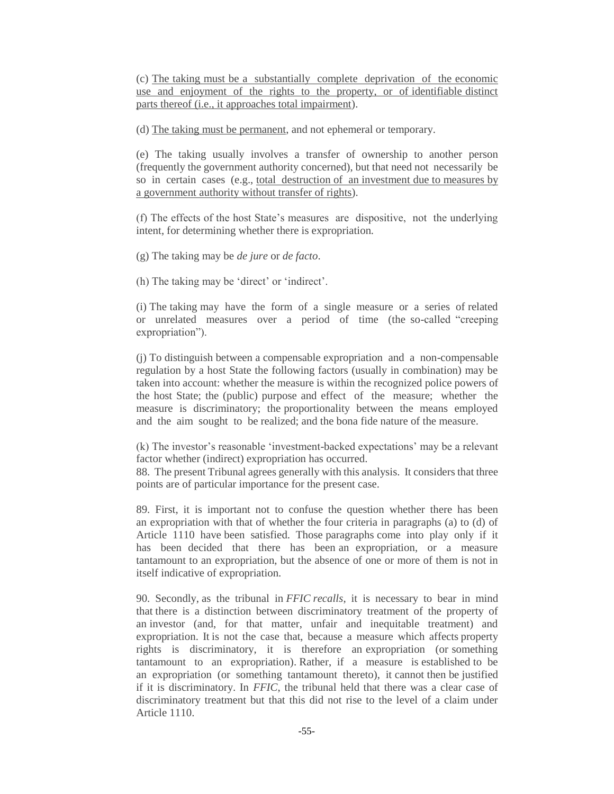(c) The taking must be a substantially complete deprivation of the economic use and enjoyment of the rights to the property, or of identifiable distinct parts thereof (i.e., it approaches total impairment).

(d) The taking must be permanent, and not ephemeral or temporary.

(e) The taking usually involves a transfer of ownership to another person (frequently the government authority concerned), but that need not necessarily be so in certain cases (e.g., total destruction of an investment due to measures by a government authority without transfer of rights).

(f) The effects of the host State's measures are dispositive, not the underlying intent, for determining whether there is expropriation.

(g) The taking may be *de jure* or *de facto*.

(h) The taking may be 'direct' or 'indirect'.

(i) The taking may have the form of a single measure or a series of related or unrelated measures over a period of time (the so-called "creeping expropriation").

(j) To distinguish between a compensable expropriation and a non-compensable regulation by a host State the following factors (usually in combination) may be taken into account: whether the measure is within the recognized police powers of the host State; the (public) purpose and effect of the measure; whether the measure is discriminatory; the proportionality between the means employed and the aim sought to be realized; and the bona fide nature of the measure.

(k) The investor's reasonable 'investment-backed expectations' may be a relevant factor whether (indirect) expropriation has occurred.

88. The present Tribunal agrees generally with this analysis. It considers that three points are of particular importance for the present case.

89. First, it is important not to confuse the question whether there has been an expropriation with that of whether the four criteria in paragraphs (a) to (d) of Article 1110 have been satisfied. Those paragraphs come into play only if it has been decided that there has been an expropriation, or a measure tantamount to an expropriation, but the absence of one or more of them is not in itself indicative of expropriation.

90. Secondly, as the tribunal in *FFIC recalls*, it is necessary to bear in mind that there is a distinction between discriminatory treatment of the property of an investor (and, for that matter, unfair and inequitable treatment) and expropriation. It is not the case that, because a measure which affects property rights is discriminatory, it is therefore an expropriation (or something tantamount to an expropriation). Rather, if a measure is established to be an expropriation (or something tantamount thereto), it cannot then be justified if it is discriminatory. In *FFIC*, the tribunal held that there was a clear case of discriminatory treatment but that this did not rise to the level of a claim under Article 1110.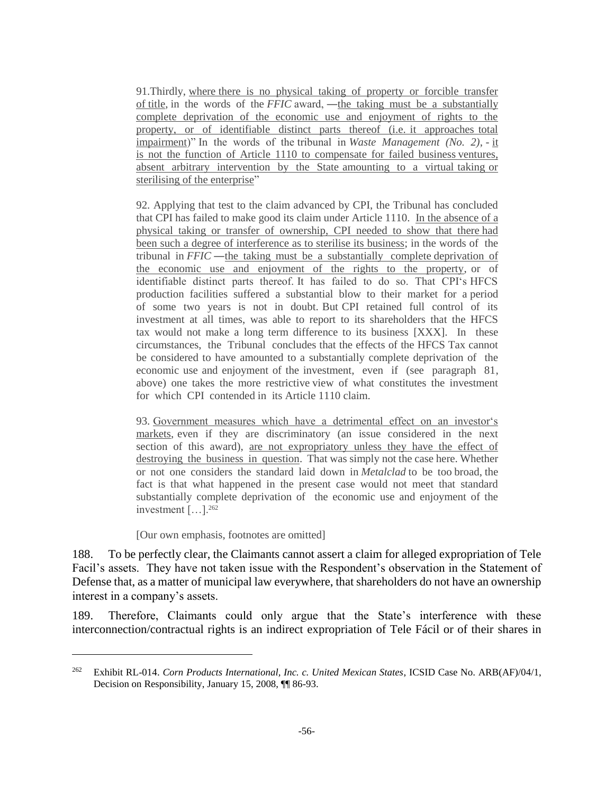91.Thirdly, where there is no physical taking of property or forcible transfer of title, in the words of the *FFIC* award, ―the taking must be a substantially complete deprivation of the economic use and enjoyment of rights to the property, or of identifiable distinct parts thereof (i.e. it approaches total impairment)" In the words of the tribunal in *Waste Management (No. 2)*, - it is not the function of Article 1110 to compensate for failed business ventures, absent arbitrary intervention by the State amounting to a virtual taking or sterilising of the enterprise"

92. Applying that test to the claim advanced by CPI, the Tribunal has concluded that CPI has failed to make good its claim under Article 1110. In the absence of a physical taking or transfer of ownership, CPI needed to show that there had been such a degree of interference as to sterilise its business; in the words of the tribunal in *FFIC* ―the taking must be a substantially complete deprivation of the economic use and enjoyment of the rights to the property, or of identifiable distinct parts thereof. It has failed to do so. That CPI's HFCS production facilities suffered a substantial blow to their market for a period of some two years is not in doubt. But CPI retained full control of its investment at all times, was able to report to its shareholders that the HFCS tax would not make a long term difference to its business [XXX]. In these circumstances, the Tribunal concludes that the effects of the HFCS Tax cannot be considered to have amounted to a substantially complete deprivation of the economic use and enjoyment of the investment, even if (see paragraph 81, above) one takes the more restrictive view of what constitutes the investment for which CPI contended in its Article 1110 claim.

93. Government measures which have a detrimental effect on an investor's markets, even if they are discriminatory (an issue considered in the next section of this award), are not expropriatory unless they have the effect of destroying the business in question. That was simply not the case here. Whether or not one considers the standard laid down in *Metalclad* to be too broad, the fact is that what happened in the present case would not meet that standard substantially complete deprivation of the economic use and enjoyment of the investment […].<sup>262</sup>

#### [Our own emphasis, footnotes are omitted]

 $\overline{a}$ 

188. To be perfectly clear, the Claimants cannot assert a claim for alleged expropriation of Tele Facil's assets. They have not taken issue with the Respondent's observation in the Statement of Defense that, as a matter of municipal law everywhere, that shareholders do not have an ownership interest in a company's assets.

189. Therefore, Claimants could only argue that the State's interference with these interconnection/contractual rights is an indirect expropriation of Tele Fácil or of their shares in

<sup>262</sup> Exhibit RL-014. *Corn Products International, Inc. c. United Mexican States*, ICSID Case No. ARB(AF)/04/1, Decision on Responsibility, January 15, 2008, ¶¶ 86-93.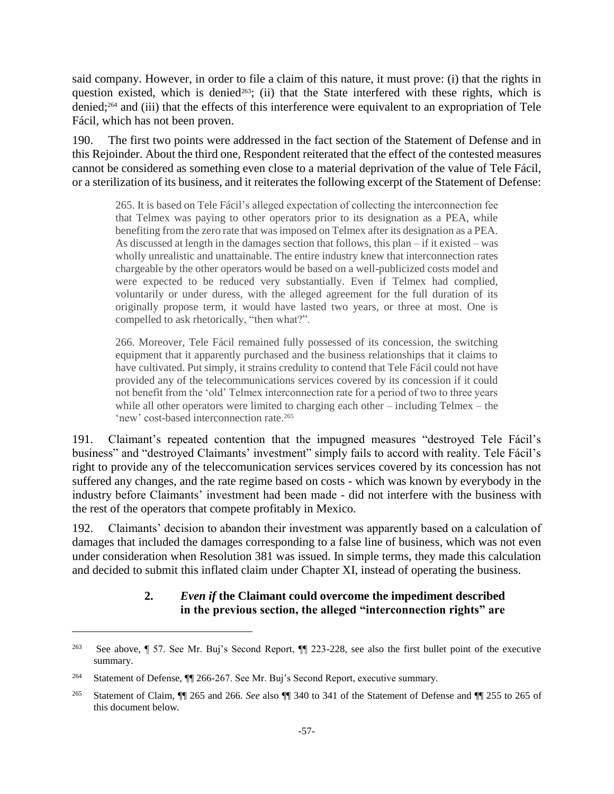said company. However, in order to file a claim of this nature, it must prove: (i) that the rights in question existed, which is denied<sup>263</sup>; (ii) that the State interfered with these rights, which is denied;<sup>264</sup> and (iii) that the effects of this interference were equivalent to an expropriation of Tele Fácil, which has not been proven.

190. The first two points were addressed in the fact section of the Statement of Defense and in this Rejoinder. About the third one, Respondent reiterated that the effect of the contested measures cannot be considered as something even close to a material deprivation of the value of Tele Fácil, or a sterilization of its business, and it reiterates the following excerpt of the Statement of Defense:

265. It is based on Tele Fácil's alleged expectation of collecting the interconnection fee that Telmex was paying to other operators prior to its designation as a PEA, while benefiting from the zero rate that was imposed on Telmex after its designation as a PEA. As discussed at length in the damages section that follows, this plan – if it existed – was wholly unrealistic and unattainable. The entire industry knew that interconnection rates chargeable by the other operators would be based on a well-publicized costs model and were expected to be reduced very substantially. Even if Telmex had complied, voluntarily or under duress, with the alleged agreement for the full duration of its originally propose term, it would have lasted two years, or three at most. One is compelled to ask rhetorically, "then what?".

266. Moreover, Tele Fácil remained fully possessed of its concession, the switching equipment that it apparently purchased and the business relationships that it claims to have cultivated. Put simply, it strains credulity to contend that Tele Fácil could not have provided any of the telecommunications services covered by its concession if it could not benefit from the 'old' Telmex interconnection rate for a period of two to three years while all other operators were limited to charging each other – including Telmex – the 'new' cost-based interconnection rate.<sup>265</sup>

191. Claimant's repeated contention that the impugned measures "destroyed Tele Fácil's business" and "destroyed Claimants' investment" simply fails to accord with reality. Tele Fácil's right to provide any of the teleccomunication services services covered by its concession has not suffered any changes, and the rate regime based on costs - which was known by everybody in the industry before Claimants' investment had been made - did not interfere with the business with the rest of the operators that compete profitably in Mexico.

192. Claimants' decision to abandon their investment was apparently based on a calculation of damages that included the damages corresponding to a false line of business, which was not even under consideration when Resolution 381 was issued. In simple terms, they made this calculation and decided to submit this inflated claim under Chapter XI, instead of operating the business.

# **2.** *Even if* **the Claimant could overcome the impediment described in the previous section, the alleged "interconnection rights" are**

<sup>&</sup>lt;sup>263</sup> See above, ¶ 57. See Mr. Buj's Second Report, ¶ 223-228, see also the first bullet point of the executive summary.

<sup>&</sup>lt;sup>264</sup> Statement of Defense, ¶ 266-267. See Mr. Buj's Second Report, executive summary.

<sup>265</sup> Statement of Claim, ¶¶ 265 and 266. *See* also ¶¶ 340 to 341 of the Statement of Defense and ¶¶ 255 to 265 of this document below.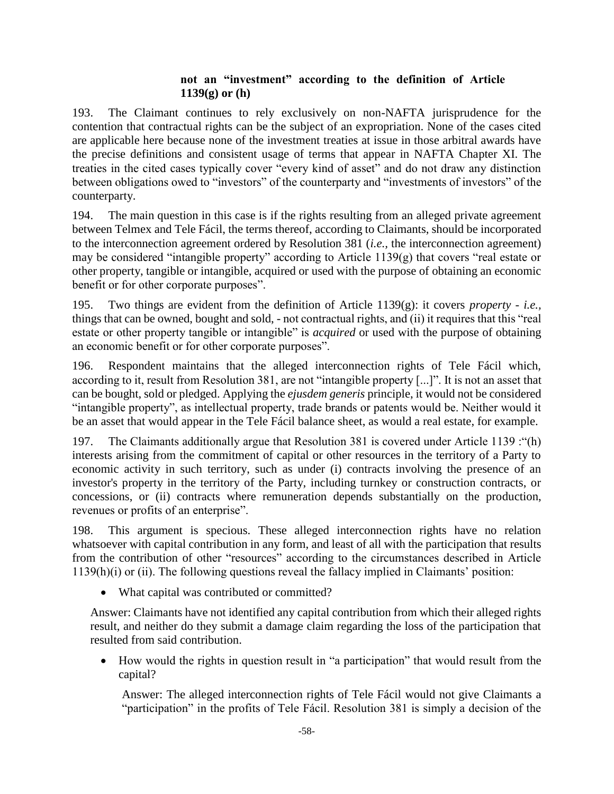### **not an "investment" according to the definition of Article 1139(g) or (h)**

193. The Claimant continues to rely exclusively on non-NAFTA jurisprudence for the contention that contractual rights can be the subject of an expropriation. None of the cases cited are applicable here because none of the investment treaties at issue in those arbitral awards have the precise definitions and consistent usage of terms that appear in NAFTA Chapter XI. The treaties in the cited cases typically cover "every kind of asset" and do not draw any distinction between obligations owed to "investors" of the counterparty and "investments of investors" of the counterparty.

194. The main question in this case is if the rights resulting from an alleged private agreement between Telmex and Tele Fácil, the terms thereof, according to Claimants, should be incorporated to the interconnection agreement ordered by Resolution 381 (*i.e.,* the interconnection agreement) may be considered "intangible property" according to Article 1139(g) that covers "real estate or other property, tangible or intangible, acquired or used with the purpose of obtaining an economic benefit or for other corporate purposes".

195. Two things are evident from the definition of Article 1139(g): it covers *property* - *i.e.,* things that can be owned, bought and sold, - not contractual rights, and (ii) it requires that this "real estate or other property tangible or intangible" is *acquired* or used with the purpose of obtaining an economic benefit or for other corporate purposes".

196. Respondent maintains that the alleged interconnection rights of Tele Fácil which, according to it, result from Resolution 381, are not "intangible property [...]". It is not an asset that can be bought, sold or pledged. Applying the *ejusdem generis* principle, it would not be considered "intangible property", as intellectual property, trade brands or patents would be. Neither would it be an asset that would appear in the Tele Fácil balance sheet, as would a real estate, for example.

197. The Claimants additionally argue that Resolution 381 is covered under Article 1139 :"(h) interests arising from the commitment of capital or other resources in the territory of a Party to economic activity in such territory, such as under (i) contracts involving the presence of an investor's property in the territory of the Party, including turnkey or construction contracts, or concessions, or (ii) contracts where remuneration depends substantially on the production, revenues or profits of an enterprise".

198. This argument is specious. These alleged interconnection rights have no relation whatsoever with capital contribution in any form, and least of all with the participation that results from the contribution of other "resources" according to the circumstances described in Article 1139(h)(i) or (ii). The following questions reveal the fallacy implied in Claimants' position:

• What capital was contributed or committed?

Answer: Claimants have not identified any capital contribution from which their alleged rights result, and neither do they submit a damage claim regarding the loss of the participation that resulted from said contribution.

• How would the rights in question result in "a participation" that would result from the capital?

Answer: The alleged interconnection rights of Tele Fácil would not give Claimants a "participation" in the profits of Tele Fácil. Resolution 381 is simply a decision of the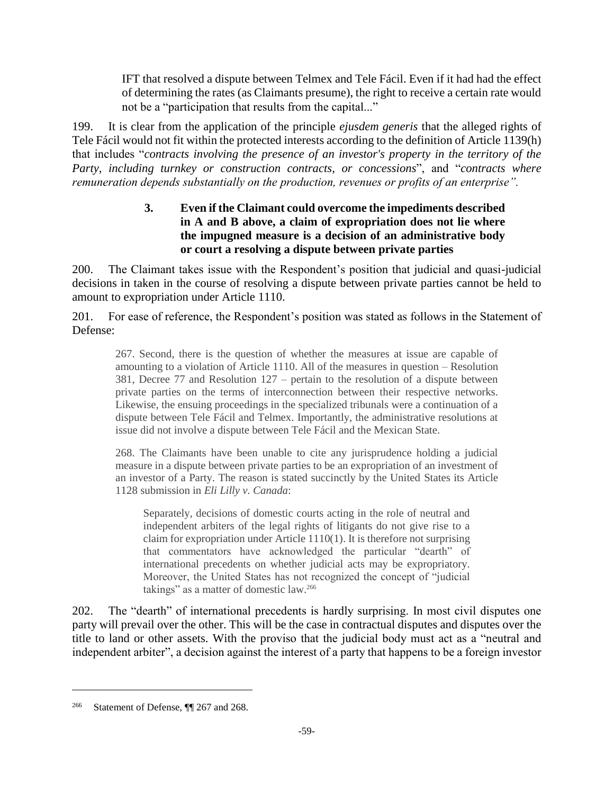IFT that resolved a dispute between Telmex and Tele Fácil. Even if it had had the effect of determining the rates (as Claimants presume), the right to receive a certain rate would not be a "participation that results from the capital..."

199. It is clear from the application of the principle *ejusdem generis* that the alleged rights of Tele Fácil would not fit within the protected interests according to the definition of Article 1139(h) that includes "*contracts involving the presence of an investor's property in the territory of the Party, including turnkey or construction contracts, or concessions*", and "*contracts where remuneration depends substantially on the production, revenues or profits of an enterprise".* 

# **3. Even if the Claimant could overcome the impediments described in A and B above, a claim of expropriation does not lie where the impugned measure is a decision of an administrative body or court a resolving a dispute between private parties**

200. The Claimant takes issue with the Respondent's position that judicial and quasi-judicial decisions in taken in the course of resolving a dispute between private parties cannot be held to amount to expropriation under Article 1110.

201. For ease of reference, the Respondent's position was stated as follows in the Statement of Defense:

267. Second, there is the question of whether the measures at issue are capable of amounting to a violation of Article 1110. All of the measures in question – Resolution 381, Decree 77 and Resolution 127 – pertain to the resolution of a dispute between private parties on the terms of interconnection between their respective networks. Likewise, the ensuing proceedings in the specialized tribunals were a continuation of a dispute between Tele Fácil and Telmex. Importantly, the administrative resolutions at issue did not involve a dispute between Tele Fácil and the Mexican State.

268. The Claimants have been unable to cite any jurisprudence holding a judicial measure in a dispute between private parties to be an expropriation of an investment of an investor of a Party. The reason is stated succinctly by the United States its Article 1128 submission in *Eli Lilly v. Canada*:

Separately, decisions of domestic courts acting in the role of neutral and independent arbiters of the legal rights of litigants do not give rise to a claim for expropriation under Article 1110(1). It is therefore not surprising that commentators have acknowledged the particular "dearth" of international precedents on whether judicial acts may be expropriatory. Moreover, the United States has not recognized the concept of "judicial takings" as a matter of domestic law.<sup>266</sup>

202. The "dearth" of international precedents is hardly surprising. In most civil disputes one party will prevail over the other. This will be the case in contractual disputes and disputes over the title to land or other assets. With the proviso that the judicial body must act as a "neutral and independent arbiter", a decision against the interest of a party that happens to be a foreign investor

<sup>266</sup> Statement of Defense, ¶¶ 267 and 268.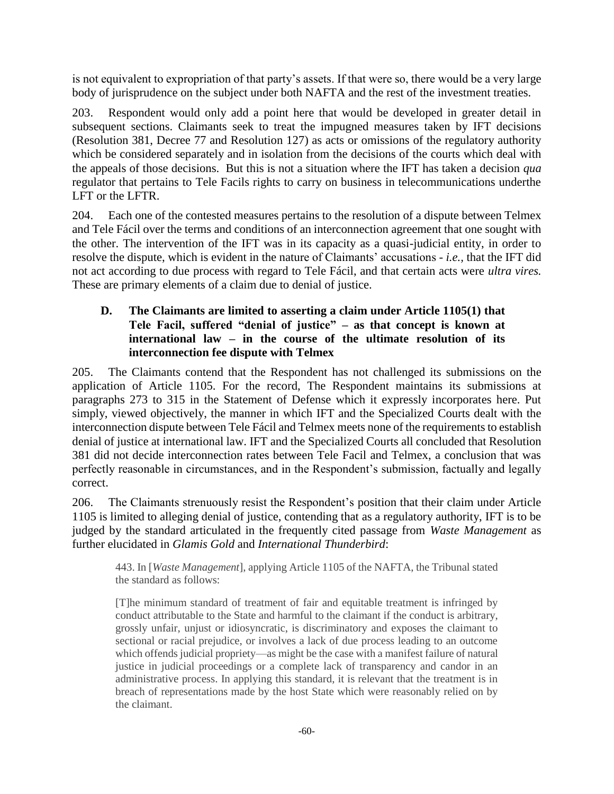is not equivalent to expropriation of that party's assets. If that were so, there would be a very large body of jurisprudence on the subject under both NAFTA and the rest of the investment treaties.

203. Respondent would only add a point here that would be developed in greater detail in subsequent sections. Claimants seek to treat the impugned measures taken by IFT decisions (Resolution 381, Decree 77 and Resolution 127) as acts or omissions of the regulatory authority which be considered separately and in isolation from the decisions of the courts which deal with the appeals of those decisions. But this is not a situation where the IFT has taken a decision *qua* regulator that pertains to Tele Facils rights to carry on business in telecommunications underthe LFT or the LFTR.

204. Each one of the contested measures pertains to the resolution of a dispute between Telmex and Tele Fácil over the terms and conditions of an interconnection agreement that one sought with the other. The intervention of the IFT was in its capacity as a quasi-judicial entity, in order to resolve the dispute, which is evident in the nature of Claimants' accusations - *i.e.,* that the IFT did not act according to due process with regard to Tele Fácil, and that certain acts were *ultra vires.* These are primary elements of a claim due to denial of justice.

# **D. The Claimants are limited to asserting a claim under Article 1105(1) that Tele Facil, suffered "denial of justice" – as that concept is known at international law – in the course of the ultimate resolution of its interconnection fee dispute with Telmex**

205. The Claimants contend that the Respondent has not challenged its submissions on the application of Article 1105. For the record, The Respondent maintains its submissions at paragraphs 273 to 315 in the Statement of Defense which it expressly incorporates here. Put simply, viewed objectively, the manner in which IFT and the Specialized Courts dealt with the interconnection dispute between Tele Fácil and Telmex meets none of the requirements to establish denial of justice at international law. IFT and the Specialized Courts all concluded that Resolution 381 did not decide interconnection rates between Tele Facil and Telmex, a conclusion that was perfectly reasonable in circumstances, and in the Respondent's submission, factually and legally correct.

206. The Claimants strenuously resist the Respondent's position that their claim under Article 1105 is limited to alleging denial of justice, contending that as a regulatory authority, IFT is to be judged by the standard articulated in the frequently cited passage from *Waste Management* as further elucidated in *Glamis Gold* and *International Thunderbird*:

443. In [*Waste Management*], applying Article 1105 of the NAFTA, the Tribunal stated the standard as follows:

[T]he minimum standard of treatment of fair and equitable treatment is infringed by conduct attributable to the State and harmful to the claimant if the conduct is arbitrary, grossly unfair, unjust or idiosyncratic, is discriminatory and exposes the claimant to sectional or racial prejudice, or involves a lack of due process leading to an outcome which offends judicial propriety—as might be the case with a manifest failure of natural justice in judicial proceedings or a complete lack of transparency and candor in an administrative process. In applying this standard, it is relevant that the treatment is in breach of representations made by the host State which were reasonably relied on by the claimant.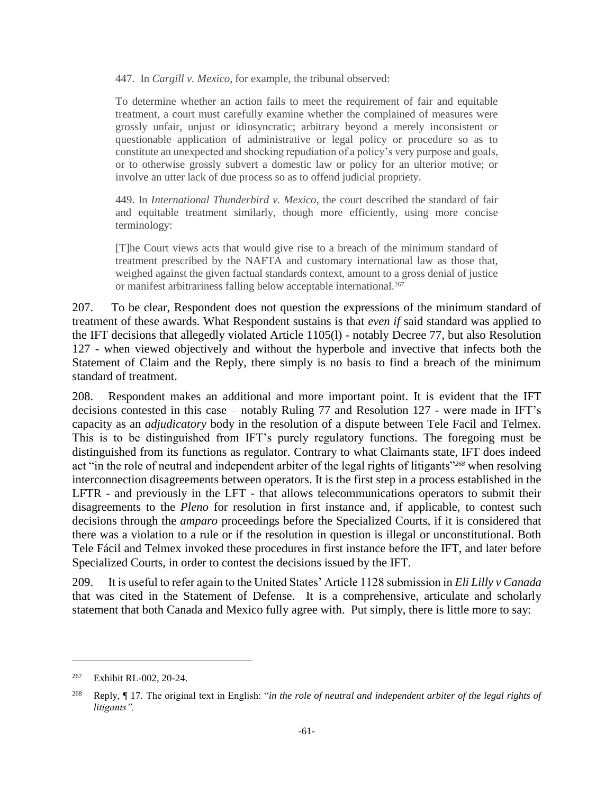447. In *Cargill v. Mexico*, for example, the tribunal observed:

To determine whether an action fails to meet the requirement of fair and equitable treatment, a court must carefully examine whether the complained of measures were grossly unfair, unjust or idiosyncratic; arbitrary beyond a merely inconsistent or questionable application of administrative or legal policy or procedure so as to constitute an unexpected and shocking repudiation of a policy's very purpose and goals, or to otherwise grossly subvert a domestic law or policy for an ulterior motive; or involve an utter lack of due process so as to offend judicial propriety.

449. In *International Thunderbird v. Mexico*, the court described the standard of fair and equitable treatment similarly, though more efficiently, using more concise terminology:

[T]he Court views acts that would give rise to a breach of the minimum standard of treatment prescribed by the NAFTA and customary international law as those that, weighed against the given factual standards context, amount to a gross denial of justice or manifest arbitrariness falling below acceptable international.<sup>267</sup>

207. To be clear, Respondent does not question the expressions of the minimum standard of treatment of these awards. What Respondent sustains is that *even if* said standard was applied to the IFT decisions that allegedly violated Article 1105(l) - notably Decree 77, but also Resolution 127 - when viewed objectively and without the hyperbole and invective that infects both the Statement of Claim and the Reply, there simply is no basis to find a breach of the minimum standard of treatment.

208. Respondent makes an additional and more important point. It is evident that the IFT decisions contested in this case – notably Ruling 77 and Resolution 127 - were made in IFT's capacity as an *adjudicatory* body in the resolution of a dispute between Tele Facil and Telmex. This is to be distinguished from IFT's purely regulatory functions. The foregoing must be distinguished from its functions as regulator. Contrary to what Claimants state, IFT does indeed act "in the role of neutral and independent arbiter of the legal rights of litigants"*<sup>268</sup>* when resolving interconnection disagreements between operators. It is the first step in a process established in the LFTR - and previously in the LFT - that allows telecommunications operators to submit their disagreements to the *Pleno* for resolution in first instance and, if applicable, to contest such decisions through the *amparo* proceedings before the Specialized Courts, if it is considered that there was a violation to a rule or if the resolution in question is illegal or unconstitutional. Both Tele Fácil and Telmex invoked these procedures in first instance before the IFT, and later before Specialized Courts, in order to contest the decisions issued by the IFT.

209. It is useful to refer again to the United States' Article 1128 submission in *Eli Lilly v Canada* that was cited in the Statement of Defense. It is a comprehensive, articulate and scholarly statement that both Canada and Mexico fully agree with. Put simply, there is little more to say:

<sup>267</sup> Exhibit RL-002, 20-24.

<sup>268</sup> Reply, ¶ 17. The original text in English: "*in the role of neutral and independent arbiter of the legal rights of litigants".*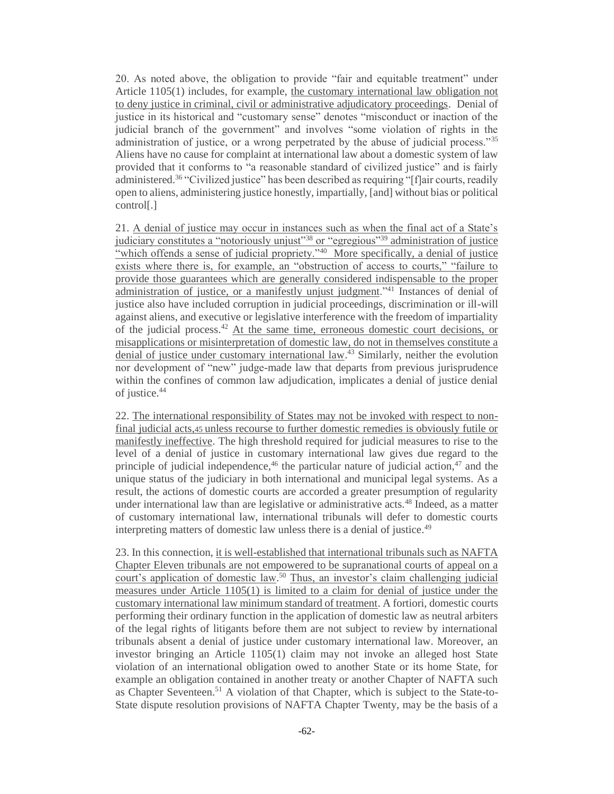20. As noted above, the obligation to provide "fair and equitable treatment" under Article 1105(1) includes, for example, the customary international law obligation not to deny justice in criminal, civil or administrative adjudicatory proceedings. Denial of justice in its historical and "customary sense" denotes "misconduct or inaction of the judicial branch of the government" and involves "some violation of rights in the administration of justice, or a wrong perpetrated by the abuse of judicial process."<sup>35</sup> Aliens have no cause for complaint at international law about a domestic system of law provided that it conforms to "a reasonable standard of civilized justice" and is fairly administered.<sup>36</sup> "Civilized justice" has been described as requiring "[f]air courts, readily open to aliens, administering justice honestly, impartially, [and] without bias or political control[.]

21. A denial of justice may occur in instances such as when the final act of a State's judiciary constitutes a "notoriously unjust"<sup>38</sup> or "egregious"<sup>39</sup> administration of justice "which offends a sense of judicial propriety."<sup>40</sup> More specifically, a denial of justice exists where there is, for example, an "obstruction of access to courts," "failure to provide those guarantees which are generally considered indispensable to the proper administration of justice, or a manifestly unjust judgment."<sup>41</sup> Instances of denial of justice also have included corruption in judicial proceedings, discrimination or ill-will against aliens, and executive or legislative interference with the freedom of impartiality of the judicial process.<sup>42</sup> At the same time, erroneous domestic court decisions, or misapplications or misinterpretation of domestic law, do not in themselves constitute a denial of justice under customary international law.<sup>43</sup> Similarly, neither the evolution nor development of "new" judge-made law that departs from previous jurisprudence within the confines of common law adjudication, implicates a denial of justice denial of justice.<sup>44</sup>

22. The international responsibility of States may not be invoked with respect to nonfinal judicial acts,45 unless recourse to further domestic remedies is obviously futile or manifestly ineffective. The high threshold required for judicial measures to rise to the level of a denial of justice in customary international law gives due regard to the principle of judicial independence, $46$  the particular nature of judicial action, $47$  and the unique status of the judiciary in both international and municipal legal systems. As a result, the actions of domestic courts are accorded a greater presumption of regularity under international law than are legislative or administrative acts.<sup>48</sup> Indeed, as a matter of customary international law, international tribunals will defer to domestic courts interpreting matters of domestic law unless there is a denial of justice.<sup>49</sup>

23. In this connection, it is well-established that international tribunals such as NAFTA Chapter Eleven tribunals are not empowered to be supranational courts of appeal on a court's application of domestic law.<sup>50</sup> Thus, an investor's claim challenging judicial measures under Article 1105(1) is limited to a claim for denial of justice under the customary international law minimum standard of treatment. A fortiori, domestic courts performing their ordinary function in the application of domestic law as neutral arbiters of the legal rights of litigants before them are not subject to review by international tribunals absent a denial of justice under customary international law. Moreover, an investor bringing an Article 1105(1) claim may not invoke an alleged host State violation of an international obligation owed to another State or its home State, for example an obligation contained in another treaty or another Chapter of NAFTA such as Chapter Seventeen.<sup>51</sup> A violation of that Chapter, which is subject to the State-to-State dispute resolution provisions of NAFTA Chapter Twenty, may be the basis of a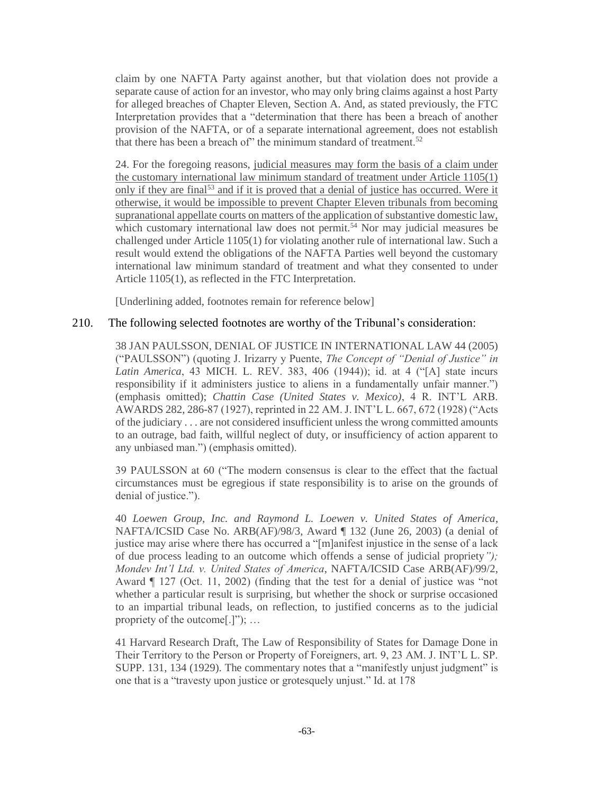claim by one NAFTA Party against another, but that violation does not provide a separate cause of action for an investor, who may only bring claims against a host Party for alleged breaches of Chapter Eleven, Section A. And, as stated previously, the FTC Interpretation provides that a "determination that there has been a breach of another provision of the NAFTA, or of a separate international agreement, does not establish that there has been a breach of" the minimum standard of treatment.<sup>52</sup>

24. For the foregoing reasons, judicial measures may form the basis of a claim under the customary international law minimum standard of treatment under Article 1105(1) only if they are final<sup>53</sup> and if it is proved that a denial of justice has occurred. Were it otherwise, it would be impossible to prevent Chapter Eleven tribunals from becoming supranational appellate courts on matters of the application of substantive domestic law, which customary international law does not permit.<sup>54</sup> Nor may judicial measures be challenged under Article 1105(1) for violating another rule of international law. Such a result would extend the obligations of the NAFTA Parties well beyond the customary international law minimum standard of treatment and what they consented to under Article 1105(1), as reflected in the FTC Interpretation.

[Underlining added, footnotes remain for reference below]

#### 210. The following selected footnotes are worthy of the Tribunal's consideration:

38 JAN PAULSSON, DENIAL OF JUSTICE IN INTERNATIONAL LAW 44 (2005) ("PAULSSON") (quoting J. Irizarry y Puente, *The Concept of "Denial of Justice" in Latin America*, 43 MICH. L. REV. 383, 406 (1944)); id. at 4 ("[A] state incurs responsibility if it administers justice to aliens in a fundamentally unfair manner.") (emphasis omitted); *Chattin Case (United States v. Mexico)*, 4 R. INT'L ARB. AWARDS 282, 286-87 (1927), reprinted in 22 AM. J. INT'L L. 667, 672 (1928) ("Acts of the judiciary . . . are not considered insufficient unless the wrong committed amounts to an outrage, bad faith, willful neglect of duty, or insufficiency of action apparent to any unbiased man.") (emphasis omitted).

39 PAULSSON at 60 ("The modern consensus is clear to the effect that the factual circumstances must be egregious if state responsibility is to arise on the grounds of denial of justice.").

40 *Loewen Group, Inc. and Raymond L. Loewen v. United States of America*, NAFTA/ICSID Case No. ARB(AF)/98/3, Award ¶ 132 (June 26, 2003) (a denial of justice may arise where there has occurred a "[m]anifest injustice in the sense of a lack of due process leading to an outcome which offends a sense of judicial propriety*"); Mondev Int'l Ltd. v. United States of America*, NAFTA/ICSID Case ARB(AF)/99/2, Award ¶ 127 (Oct. 11, 2002) (finding that the test for a denial of justice was "not whether a particular result is surprising, but whether the shock or surprise occasioned to an impartial tribunal leads, on reflection, to justified concerns as to the judicial propriety of the outcome[.]"); …

41 Harvard Research Draft, The Law of Responsibility of States for Damage Done in Their Territory to the Person or Property of Foreigners, art. 9, 23 AM. J. INT'L L. SP. SUPP. 131, 134 (1929). The commentary notes that a "manifestly unjust judgment" is one that is a "travesty upon justice or grotesquely unjust." Id. at 178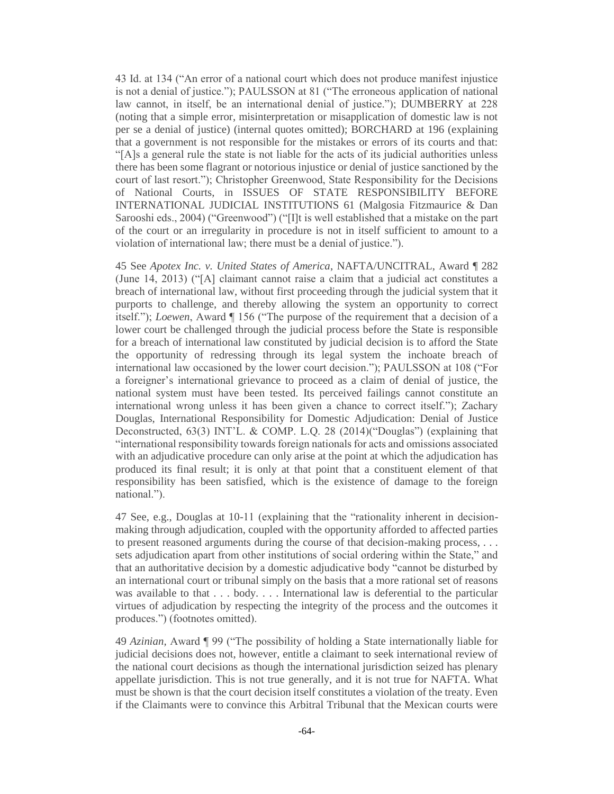43 Id. at 134 ("An error of a national court which does not produce manifest injustice is not a denial of justice."); PAULSSON at 81 ("The erroneous application of national law cannot, in itself, be an international denial of justice."); DUMBERRY at 228 (noting that a simple error, misinterpretation or misapplication of domestic law is not per se a denial of justice) (internal quotes omitted); BORCHARD at 196 (explaining that a government is not responsible for the mistakes or errors of its courts and that: "[A]s a general rule the state is not liable for the acts of its judicial authorities unless there has been some flagrant or notorious injustice or denial of justice sanctioned by the court of last resort."); Christopher Greenwood, State Responsibility for the Decisions of National Courts, in ISSUES OF STATE RESPONSIBILITY BEFORE INTERNATIONAL JUDICIAL INSTITUTIONS 61 (Malgosia Fitzmaurice & Dan Sarooshi eds., 2004) ("Greenwood") ("[I]t is well established that a mistake on the part of the court or an irregularity in procedure is not in itself sufficient to amount to a violation of international law; there must be a denial of justice.").

45 See *Apotex Inc. v. United States of America*, NAFTA/UNCITRAL, Award ¶ 282 (June 14, 2013) ("[A] claimant cannot raise a claim that a judicial act constitutes a breach of international law, without first proceeding through the judicial system that it purports to challenge, and thereby allowing the system an opportunity to correct itself."); *Loewen*, Award ¶ 156 ("The purpose of the requirement that a decision of a lower court be challenged through the judicial process before the State is responsible for a breach of international law constituted by judicial decision is to afford the State the opportunity of redressing through its legal system the inchoate breach of international law occasioned by the lower court decision."); PAULSSON at 108 ("For a foreigner's international grievance to proceed as a claim of denial of justice, the national system must have been tested. Its perceived failings cannot constitute an international wrong unless it has been given a chance to correct itself."); Zachary Douglas, International Responsibility for Domestic Adjudication: Denial of Justice Deconstructed, 63(3) INT'L. & COMP. L.Q. 28 (2014)("Douglas") (explaining that "international responsibility towards foreign nationals for acts and omissions associated with an adjudicative procedure can only arise at the point at which the adjudication has produced its final result; it is only at that point that a constituent element of that responsibility has been satisfied, which is the existence of damage to the foreign national.").

47 See, e.g., Douglas at 10-11 (explaining that the "rationality inherent in decisionmaking through adjudication, coupled with the opportunity afforded to affected parties to present reasoned arguments during the course of that decision-making process, . . . sets adjudication apart from other institutions of social ordering within the State," and that an authoritative decision by a domestic adjudicative body "cannot be disturbed by an international court or tribunal simply on the basis that a more rational set of reasons was available to that . . . body. . . . International law is deferential to the particular virtues of adjudication by respecting the integrity of the process and the outcomes it produces.") (footnotes omitted).

49 *Azinian,* Award ¶ 99 ("The possibility of holding a State internationally liable for judicial decisions does not, however, entitle a claimant to seek international review of the national court decisions as though the international jurisdiction seized has plenary appellate jurisdiction. This is not true generally, and it is not true for NAFTA. What must be shown is that the court decision itself constitutes a violation of the treaty. Even if the Claimants were to convince this Arbitral Tribunal that the Mexican courts were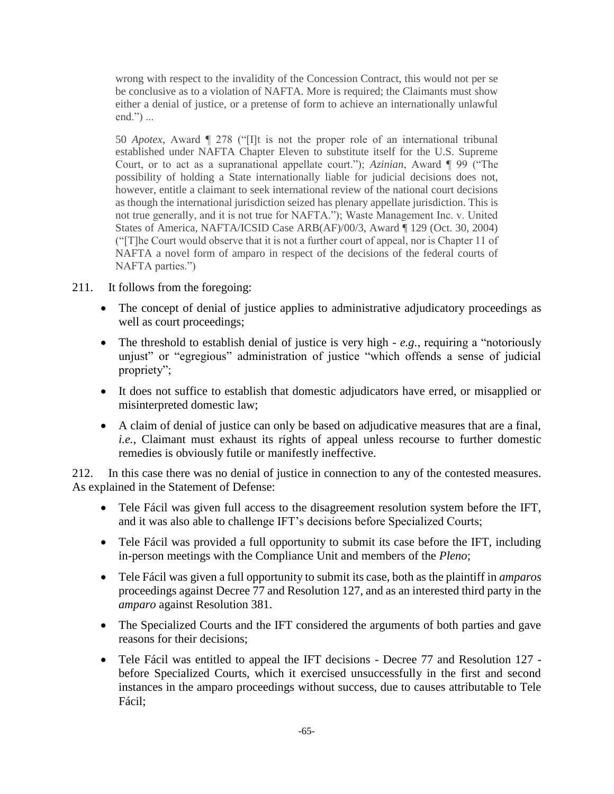wrong with respect to the invalidity of the Concession Contract, this would not per se be conclusive as to a violation of NAFTA. More is required; the Claimants must show either a denial of justice, or a pretense of form to achieve an internationally unlawful end.") ...

50 *Apotex*, Award ¶ 278 ("[I]t is not the proper role of an international tribunal established under NAFTA Chapter Eleven to substitute itself for the U.S. Supreme Court, or to act as a supranational appellate court."); *Azinian*, Award ¶ 99 ("The possibility of holding a State internationally liable for judicial decisions does not, however, entitle a claimant to seek international review of the national court decisions as though the international jurisdiction seized has plenary appellate jurisdiction. This is not true generally, and it is not true for NAFTA."); Waste Management Inc. v. United States of America, NAFTA/ICSID Case ARB(AF)/00/3, Award ¶ 129 (Oct. 30, 2004) ("[T]he Court would observe that it is not a further court of appeal, nor is Chapter 11 of NAFTA a novel form of amparo in respect of the decisions of the federal courts of NAFTA parties.")

- 211. It follows from the foregoing:
	- The concept of denial of justice applies to administrative adjudicatory proceedings as well as court proceedings;
	- The threshold to establish denial of justice is very high *e.g.*, requiring a "notoriously unjust" or "egregious" administration of justice "which offends a sense of judicial propriety";
	- It does not suffice to establish that domestic adjudicators have erred, or misapplied or misinterpreted domestic law;
	- A claim of denial of justice can only be based on adjudicative measures that are a final, *i.e.*, Claimant must exhaust its rights of appeal unless recourse to further domestic remedies is obviously futile or manifestly ineffective.

212. In this case there was no denial of justice in connection to any of the contested measures. As explained in the Statement of Defense:

- Tele Fácil was given full access to the disagreement resolution system before the IFT, and it was also able to challenge IFT's decisions before Specialized Courts;
- Tele Fácil was provided a full opportunity to submit its case before the IFT, including in-person meetings with the Compliance Unit and members of the *Pleno*;
- Tele Fácil was given a full opportunity to submit its case, both as the plaintiff in *amparos* proceedings against Decree 77 and Resolution 127, and as an interested third party in the *amparo* against Resolution 381.
- The Specialized Courts and the IFT considered the arguments of both parties and gave reasons for their decisions;
- Tele Fácil was entitled to appeal the IFT decisions Decree 77 and Resolution 127 before Specialized Courts, which it exercised unsuccessfully in the first and second instances in the amparo proceedings without success, due to causes attributable to Tele Fácil;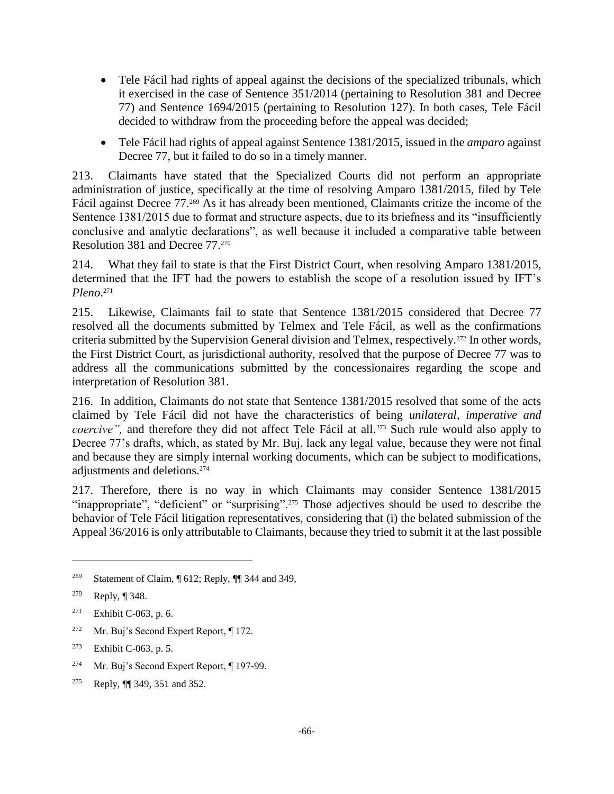- Tele Fácil had rights of appeal against the decisions of the specialized tribunals, which it exercised in the case of Sentence 351/2014 (pertaining to Resolution 381 and Decree 77) and Sentence 1694/2015 (pertaining to Resolution 127). In both cases, Tele Fácil decided to withdraw from the proceeding before the appeal was decided;
- Tele Fácil had rights of appeal against Sentence 1381/2015, issued in the *amparo* against Decree 77, but it failed to do so in a timely manner.

213. Claimants have stated that the Specialized Courts did not perform an appropriate administration of justice, specifically at the time of resolving Amparo 1381/2015, filed by Tele Fácil against Decree 77.<sup>269</sup> As it has already been mentioned, Claimants critize the income of the Sentence 1381/2015 due to format and structure aspects, due to its briefness and its "insufficiently conclusive and analytic declarations", as well because it included a comparative table between Resolution 381 and Decree 77.<sup>270</sup>

214. What they fail to state is that the First District Court, when resolving Amparo 1381/2015, determined that the IFT had the powers to establish the scope of a resolution issued by IFT's *Pleno*. 271

215. Likewise, Claimants fail to state that Sentence 1381/2015 considered that Decree 77 resolved all the documents submitted by Telmex and Tele Fácil, as well as the confirmations criteria submitted by the Supervision General division and Telmex, respectively.<sup>272</sup> In other words, the First District Court, as jurisdictional authority, resolved that the purpose of Decree 77 was to address all the communications submitted by the concessionaires regarding the scope and interpretation of Resolution 381.

216. In addition, Claimants do not state that Sentence 1381/2015 resolved that some of the acts claimed by Tele Fácil did not have the characteristics of being *unilateral, imperative and coercive"*, and therefore they did not affect Tele Fácil at all.<sup>273</sup> Such rule would also apply to Decree 77's drafts, which, as stated by Mr. Buj, lack any legal value, because they were not final and because they are simply internal working documents, which can be subject to modifications, adjustments and deletions.<sup>274</sup>

217. Therefore, there is no way in which Claimants may consider Sentence 1381/2015 "inappropriate", "deficient" or "surprising".<sup>275</sup> Those adjectives should be used to describe the behavior of Tele Fácil litigation representatives, considering that (i) the belated submission of the Appeal 36/2016 is only attributable to Claimants, because they tried to submit it at the last possible

 $\overline{a}$ 

<sup>272</sup> Mr. Buj's Second Expert Report,  $\P$  172.

- <sup>274</sup> Mr. Buj's Second Expert Report, ¶ 197-99.
- <sup>275</sup> Reply, ¶¶ 349, 351 and 352.

<sup>&</sup>lt;sup>269</sup> Statement of Claim,  $\sqrt{\phantom{a}612}$ ; Reply,  $\sqrt{\phantom{a}344}$  and 349,

<sup>270</sup> Reply, ¶ 348.

<sup>271</sup> Exhibit C-063, p. 6.

<sup>273</sup> Exhibit C-063, p. 5.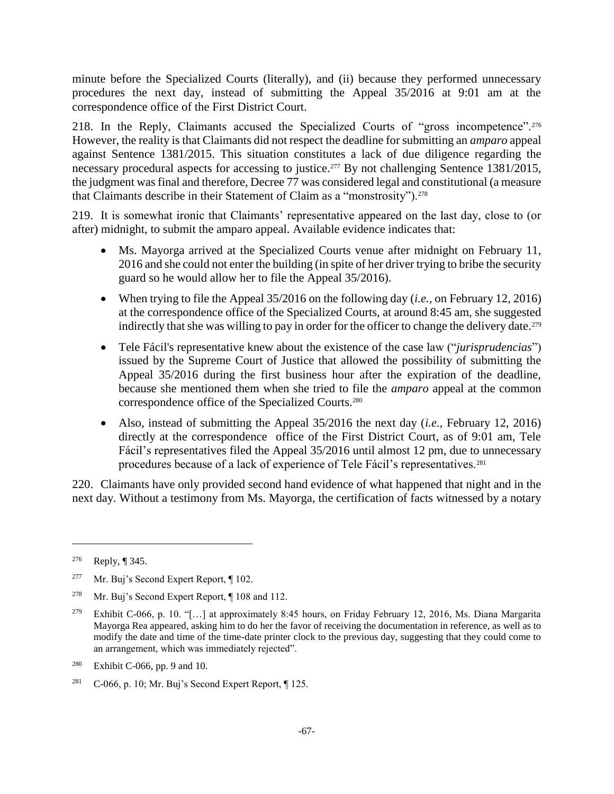minute before the Specialized Courts (literally), and (ii) because they performed unnecessary procedures the next day, instead of submitting the Appeal 35/2016 at 9:01 am at the correspondence office of the First District Court.

218. In the Reply, Claimants accused the Specialized Courts of "gross incompetence".<sup>276</sup> However, the reality is that Claimants did not respect the deadline for submitting an *amparo* appeal against Sentence 1381/2015. This situation constitutes a lack of due diligence regarding the necessary procedural aspects for accessing to justice.<sup>277</sup> By not challenging Sentence 1381/2015, the judgment was final and therefore, Decree 77 was considered legal and constitutional (a measure that Claimants describe in their Statement of Claim as a "monstrosity").<sup>278</sup>

219. It is somewhat ironic that Claimants' representative appeared on the last day, close to (or after) midnight, to submit the amparo appeal. Available evidence indicates that:

- Ms. Mayorga arrived at the Specialized Courts venue after midnight on February 11, 2016 and she could not enter the building (in spite of her driver trying to bribe the security guard so he would allow her to file the Appeal 35/2016).
- When trying to file the Appeal 35/2016 on the following day (*i.e.,* on February 12, 2016) at the correspondence office of the Specialized Courts, at around 8:45 am, she suggested indirectly that she was willing to pay in order for the officer to change the delivery date.<sup>279</sup>
- Tele Fácil's representative knew about the existence of the case law ("*jurisprudencias*") issued by the Supreme Court of Justice that allowed the possibility of submitting the Appeal 35/2016 during the first business hour after the expiration of the deadline, because she mentioned them when she tried to file the *amparo* appeal at the common correspondence office of the Specialized Courts.<sup>280</sup>
- Also, instead of submitting the Appeal 35/2016 the next day (*i.e.,* February 12, 2016) directly at the correspondence office of the First District Court, as of 9:01 am, Tele Fácil's representatives filed the Appeal 35/2016 until almost 12 pm, due to unnecessary procedures because of a lack of experience of Tele Fácil's representatives.<sup>281</sup>

220. Claimants have only provided second hand evidence of what happened that night and in the next day. Without a testimony from Ms. Mayorga, the certification of facts witnessed by a notary

<sup>276</sup> Reply, ¶ 345.

<sup>&</sup>lt;sup>277</sup> Mr. Buj's Second Expert Report,  $\P$  102.

<sup>278</sup> Mr. Buj's Second Expert Report, ¶ 108 and 112.

<sup>&</sup>lt;sup>279</sup> Exhibit C-066, p. 10. "[...] at approximately 8:45 hours, on Friday February 12, 2016, Ms. Diana Margarita Mayorga Rea appeared, asking him to do her the favor of receiving the documentation in reference, as well as to modify the date and time of the time-date printer clock to the previous day, suggesting that they could come to an arrangement, which was immediately rejected".

<sup>280</sup> Exhibit C-066, pp. 9 and 10.

<sup>&</sup>lt;sup>281</sup> C-066, p. 10; Mr. Buj's Second Expert Report,  $\P$  125.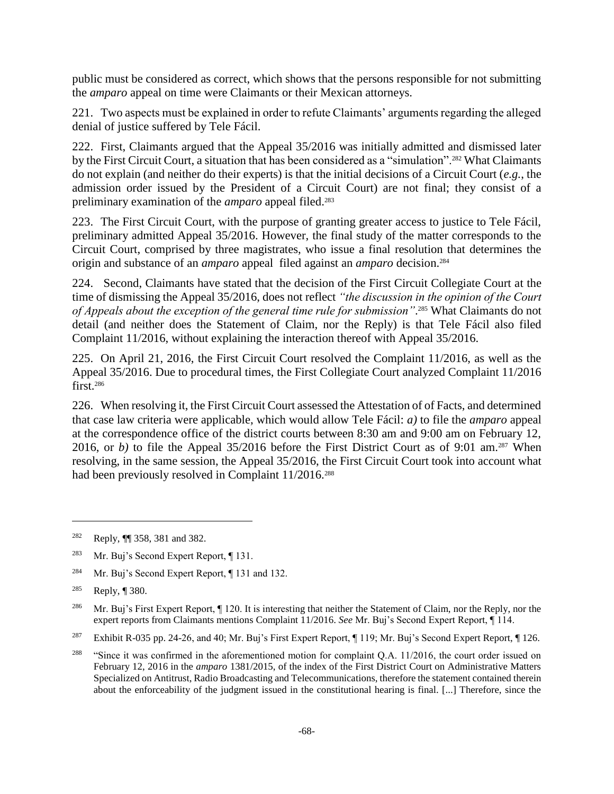public must be considered as correct, which shows that the persons responsible for not submitting the *amparo* appeal on time were Claimants or their Mexican attorneys.

221. Two aspects must be explained in order to refute Claimants' arguments regarding the alleged denial of justice suffered by Tele Fácil.

222. First, Claimants argued that the Appeal 35/2016 was initially admitted and dismissed later by the First Circuit Court, a situation that has been considered as a "simulation".<sup>282</sup> What Claimants do not explain (and neither do their experts) is that the initial decisions of a Circuit Court (*e.g.*, the admission order issued by the President of a Circuit Court) are not final; they consist of a preliminary examination of the *amparo* appeal filed.<sup>283</sup>

223. The First Circuit Court, with the purpose of granting greater access to justice to Tele Fácil, preliminary admitted Appeal 35/2016. However, the final study of the matter corresponds to the Circuit Court, comprised by three magistrates, who issue a final resolution that determines the origin and substance of an *amparo* appeal filed against an *amparo* decision.<sup>284</sup>

224. Second, Claimants have stated that the decision of the First Circuit Collegiate Court at the time of dismissing the Appeal 35/2016, does not reflect *"the discussion in the opinion of the Court of Appeals about the exception of the general time rule for submission"*. <sup>285</sup> What Claimants do not detail (and neither does the Statement of Claim, nor the Reply) is that Tele Fácil also filed Complaint 11/2016, without explaining the interaction thereof with Appeal 35/2016.

225. On April 21, 2016, the First Circuit Court resolved the Complaint 11/2016, as well as the Appeal 35/2016. Due to procedural times, the First Collegiate Court analyzed Complaint 11/2016 first.<sup>286</sup>

226. When resolving it, the First Circuit Court assessed the Attestation of of Facts, and determined that case law criteria were applicable, which would allow Tele Fácil: *a)* to file the *amparo* appeal at the correspondence office of the district courts between 8:30 am and 9:00 am on February 12, 2016, or *b*) to file the Appeal 35/2016 before the First District Court as of 9:01 am.<sup>287</sup> When resolving, in the same session, the Appeal 35/2016, the First Circuit Court took into account what had been previously resolved in Complaint 11/2016.<sup>288</sup>

<sup>284</sup> Mr. Buj's Second Expert Report, ¶ 131 and 132.

<sup>282</sup> Reply, ¶¶ 358, 381 and 382.

<sup>283</sup> Mr. Buj's Second Expert Report, ¶ 131.

<sup>285</sup> Reply, ¶ 380.

<sup>&</sup>lt;sup>286</sup> Mr. Buj's First Expert Report, ¶ 120. It is interesting that neither the Statement of Claim, nor the Reply, nor the expert reports from Claimants mentions Complaint 11/2016. *See* Mr. Buj's Second Expert Report, ¶ 114.

<sup>&</sup>lt;sup>287</sup> Exhibit R-035 pp. 24-26, and 40; Mr. Buj's First Expert Report, ¶ 119; Mr. Buj's Second Expert Report, ¶ 126.

<sup>&</sup>lt;sup>288</sup> "Since it was confirmed in the aforementioned motion for complaint Q.A. 11/2016, the court order issued on February 12, 2016 in the *amparo* 1381/2015, of the index of the First District Court on Administrative Matters Specialized on Antitrust, Radio Broadcasting and Telecommunications, therefore the statement contained therein about the enforceability of the judgment issued in the constitutional hearing is final. [...] Therefore, since the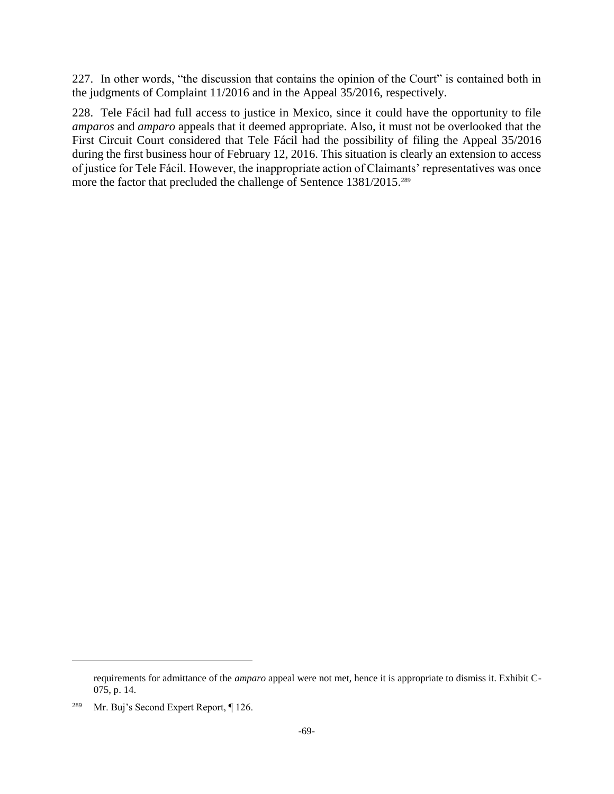227. In other words, "the discussion that contains the opinion of the Court" is contained both in the judgments of Complaint 11/2016 and in the Appeal 35/2016, respectively.

228. Tele Fácil had full access to justice in Mexico, since it could have the opportunity to file *amparos* and *amparo* appeals that it deemed appropriate. Also, it must not be overlooked that the First Circuit Court considered that Tele Fácil had the possibility of filing the Appeal 35/2016 during the first business hour of February 12, 2016. This situation is clearly an extension to access of justice for Tele Fácil. However, the inappropriate action of Claimants' representatives was once more the factor that precluded the challenge of Sentence 1381/2015.<sup>289</sup>

requirements for admittance of the *amparo* appeal were not met, hence it is appropriate to dismiss it. Exhibit C-075, p. 14.

<sup>&</sup>lt;sup>289</sup> Mr. Buj's Second Expert Report, ¶ 126.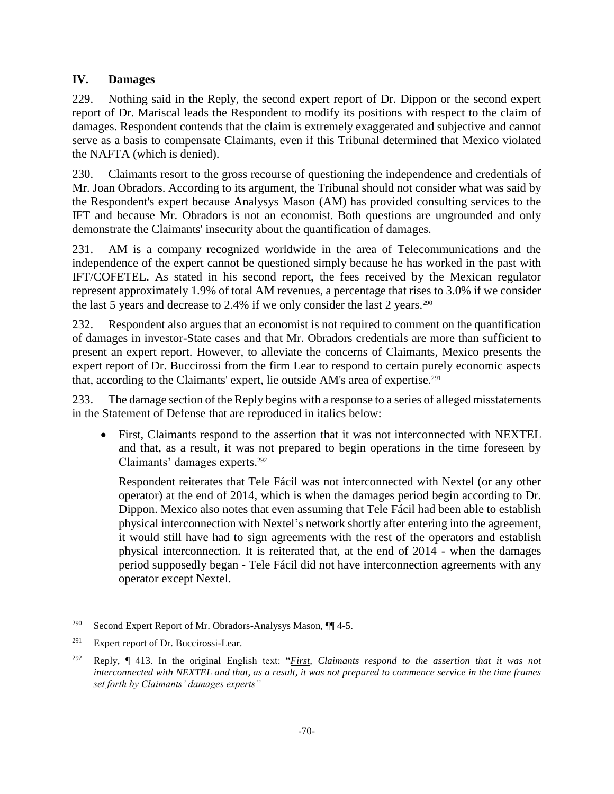### **IV. Damages**

229. Nothing said in the Reply, the second expert report of Dr. Dippon or the second expert report of Dr. Mariscal leads the Respondent to modify its positions with respect to the claim of damages. Respondent contends that the claim is extremely exaggerated and subjective and cannot serve as a basis to compensate Claimants, even if this Tribunal determined that Mexico violated the NAFTA (which is denied).

230. Claimants resort to the gross recourse of questioning the independence and credentials of Mr. Joan Obradors. According to its argument, the Tribunal should not consider what was said by the Respondent's expert because Analysys Mason (AM) has provided consulting services to the IFT and because Mr. Obradors is not an economist. Both questions are ungrounded and only demonstrate the Claimants' insecurity about the quantification of damages.

231. AM is a company recognized worldwide in the area of Telecommunications and the independence of the expert cannot be questioned simply because he has worked in the past with IFT/COFETEL. As stated in his second report, the fees received by the Mexican regulator represent approximately 1.9% of total AM revenues, a percentage that rises to 3.0% if we consider the last 5 years and decrease to 2.4% if we only consider the last 2 years.<sup>290</sup>

232. Respondent also argues that an economist is not required to comment on the quantification of damages in investor-State cases and that Mr. Obradors credentials are more than sufficient to present an expert report. However, to alleviate the concerns of Claimants, Mexico presents the expert report of Dr. Buccirossi from the firm Lear to respond to certain purely economic aspects that, according to the Claimants' expert, lie outside AM's area of expertise.<sup>291</sup>

233. The damage section of the Reply begins with a response to a series of alleged misstatements in the Statement of Defense that are reproduced in italics below:

 First, Claimants respond to the assertion that it was not interconnected with NEXTEL and that, as a result, it was not prepared to begin operations in the time foreseen by Claimants' damages experts. 292

Respondent reiterates that Tele Fácil was not interconnected with Nextel (or any other operator) at the end of 2014, which is when the damages period begin according to Dr. Dippon. Mexico also notes that even assuming that Tele Fácil had been able to establish physical interconnection with Nextel's network shortly after entering into the agreement, it would still have had to sign agreements with the rest of the operators and establish physical interconnection. It is reiterated that, at the end of 2014 - when the damages period supposedly began - Tele Fácil did not have interconnection agreements with any operator except Nextel.

<sup>&</sup>lt;sup>290</sup> Second Expert Report of Mr. Obradors-Analysys Mason,  $\P\P$  4-5.

 $291$  Expert report of Dr. Buccirossi-Lear.

<sup>292</sup> Reply, ¶ 413. In the original English text: "*First, Claimants respond to the assertion that it was not interconnected with NEXTEL and that, as a result, it was not prepared to commence service in the time frames set forth by Claimants' damages experts"*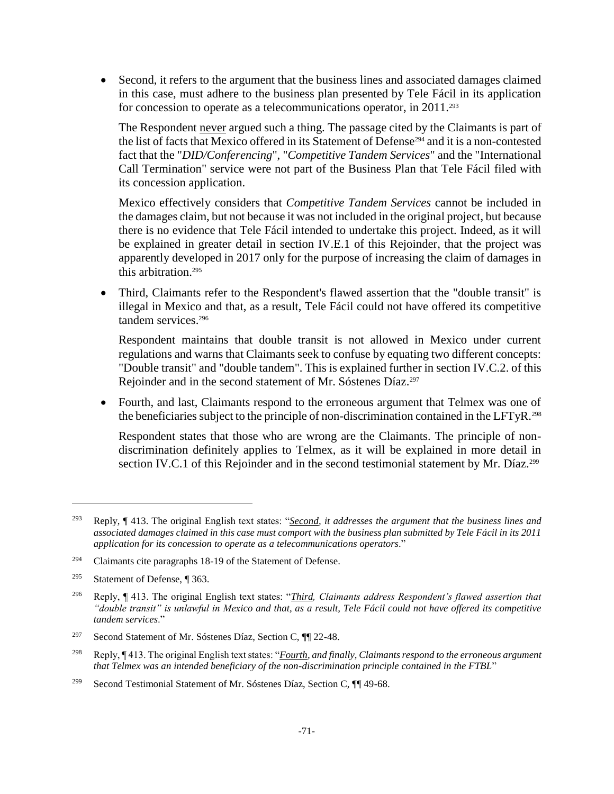Second, it refers to the argument that the business lines and associated damages claimed in this case, must adhere to the business plan presented by Tele Fácil in its application for concession to operate as a telecommunications operator, in 2011.<sup>293</sup>

The Respondent never argued such a thing. The passage cited by the Claimants is part of the list of facts that Mexico offered in its Statement of Defense<sup>294</sup> and it is a non-contested fact that the "*DID/Conferencing*", "*Competitive Tandem Services*" and the "International Call Termination" service were not part of the Business Plan that Tele Fácil filed with its concession application.

Mexico effectively considers that *Competitive Tandem Services* cannot be included in the damages claim, but not because it was not included in the original project, but because there is no evidence that Tele Fácil intended to undertake this project. Indeed, as it will be explained in greater detail in section IV.E.1 of this Rejoinder, that the project was apparently developed in 2017 only for the purpose of increasing the claim of damages in this arbitration.<sup>295</sup>

• Third, Claimants refer to the Respondent's flawed assertion that the "double transit" is illegal in Mexico and that, as a result, Tele Fácil could not have offered its competitive tandem services.<sup>296</sup>

Respondent maintains that double transit is not allowed in Mexico under current regulations and warns that Claimants seek to confuse by equating two different concepts: "Double transit" and "double tandem". This is explained further in section IV.C.2. of this Rejoinder and in the second statement of Mr. Sóstenes Díaz.<sup>297</sup>

 Fourth, and last, Claimants respond to the erroneous argument that Telmex was one of the beneficiaries subject to the principle of non-discrimination contained in the LFTyR.<sup>298</sup>

Respondent states that those who are wrong are the Claimants. The principle of nondiscrimination definitely applies to Telmex, as it will be explained in more detail in section IV.C.1 of this Rejoinder and in the second testimonial statement by Mr. Díaz.<sup>299</sup>

<sup>293</sup> Reply, ¶ 413. The original English text states: "*Second, it addresses the argument that the business lines and associated damages claimed in this case must comport with the business plan submitted by Tele Fácil in its 2011 application for its concession to operate as a telecommunications operators*."

<sup>294</sup> Claimants cite paragraphs 18-19 of the Statement of Defense.

<sup>295</sup> Statement of Defense, ¶ 363.

<sup>296</sup> Reply, ¶ 413. The original English text states: "*Third, Claimants address Respondent's flawed assertion that "double transit" is unlawful in Mexico and that, as a result, Tele Fácil could not have offered its competitive tandem services*."

<sup>&</sup>lt;sup>297</sup> Second Statement of Mr. Sóstenes Díaz, Section C, ¶¶ 22-48.

<sup>298</sup> Reply, ¶ 413. The original English text states: "*Fourth, and finally, Claimants respond to the erroneous argument that Telmex was an intended beneficiary of the non-discrimination principle contained in the FTBL*"

<sup>&</sup>lt;sup>299</sup> Second Testimonial Statement of Mr. Sóstenes Díaz, Section C, ¶¶ 49-68.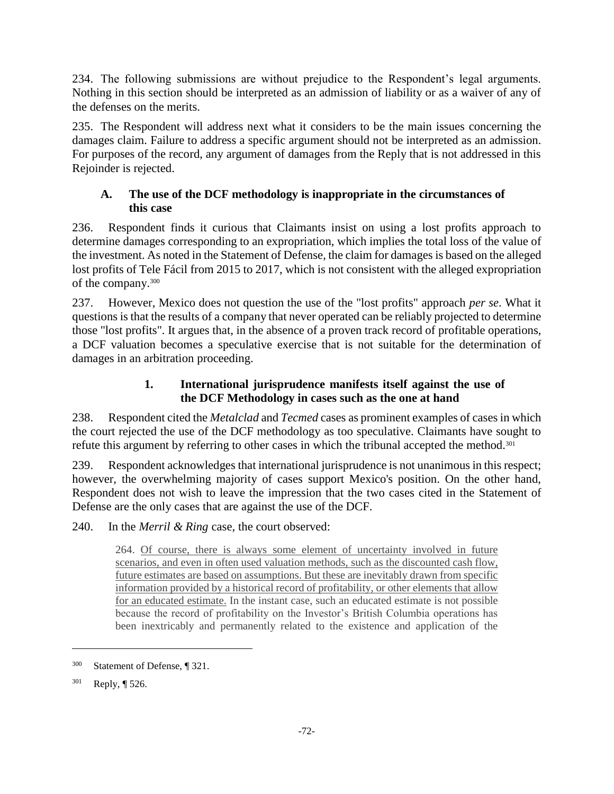234. The following submissions are without prejudice to the Respondent's legal arguments. Nothing in this section should be interpreted as an admission of liability or as a waiver of any of the defenses on the merits.

235. The Respondent will address next what it considers to be the main issues concerning the damages claim. Failure to address a specific argument should not be interpreted as an admission. For purposes of the record, any argument of damages from the Reply that is not addressed in this Rejoinder is rejected.

## **A. The use of the DCF methodology is inappropriate in the circumstances of this case**

236. Respondent finds it curious that Claimants insist on using a lost profits approach to determine damages corresponding to an expropriation, which implies the total loss of the value of the investment. As noted in the Statement of Defense, the claim for damages is based on the alleged lost profits of Tele Fácil from 2015 to 2017, which is not consistent with the alleged expropriation of the company.<sup>300</sup>

237. However, Mexico does not question the use of the "lost profits" approach *per se*. What it questions is that the results of a company that never operated can be reliably projected to determine those "lost profits". It argues that, in the absence of a proven track record of profitable operations, a DCF valuation becomes a speculative exercise that is not suitable for the determination of damages in an arbitration proceeding.

# **1. International jurisprudence manifests itself against the use of the DCF Methodology in cases such as the one at hand**

238. Respondent cited the *Metalclad* and *Tecmed* cases as prominent examples of cases in which the court rejected the use of the DCF methodology as too speculative. Claimants have sought to refute this argument by referring to other cases in which the tribunal accepted the method.<sup>301</sup>

239. Respondent acknowledges that international jurisprudence is not unanimous in this respect; however, the overwhelming majority of cases support Mexico's position. On the other hand, Respondent does not wish to leave the impression that the two cases cited in the Statement of Defense are the only cases that are against the use of the DCF.

240. In the *Merril & Ring* case, the court observed:

264. Of course, there is always some element of uncertainty involved in future scenarios, and even in often used valuation methods, such as the discounted cash flow, future estimates are based on assumptions. But these are inevitably drawn from specific information provided by a historical record of profitability, or other elements that allow for an educated estimate. In the instant case, such an educated estimate is not possible because the record of profitability on the Investor's British Columbia operations has been inextricably and permanently related to the existence and application of the

<sup>300</sup> Statement of Defense, ¶ 321.

<sup>301</sup> Reply, ¶ 526.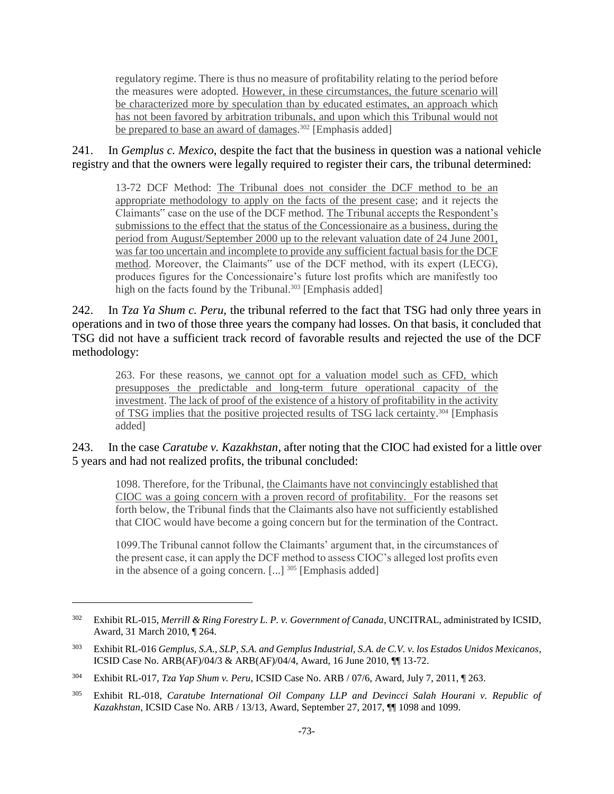regulatory regime. There is thus no measure of profitability relating to the period before the measures were adopted. However, in these circumstances, the future scenario will be characterized more by speculation than by educated estimates, an approach which has not been favored by arbitration tribunals, and upon which this Tribunal would not be prepared to base an award of damages.<sup>302</sup> [Emphasis added]

241. In *Gemplus c. Mexico*, despite the fact that the business in question was a national vehicle registry and that the owners were legally required to register their cars, the tribunal determined:

13-72 DCF Method: The Tribunal does not consider the DCF method to be an appropriate methodology to apply on the facts of the present case; and it rejects the Claimants" case on the use of the DCF method. The Tribunal accepts the Respondent's submissions to the effect that the status of the Concessionaire as a business, during the period from August/September 2000 up to the relevant valuation date of 24 June 2001, was far too uncertain and incomplete to provide any sufficient factual basis for the DCF method. Moreover, the Claimants" use of the DCF method, with its expert (LECG), produces figures for the Concessionaire's future lost profits which are manifestly too high on the facts found by the Tribunal.<sup>303</sup> [Emphasis added]

242. In *Tza Ya Shum c. Peru,* the tribunal referred to the fact that TSG had only three years in operations and in two of those three years the company had losses. On that basis, it concluded that TSG did not have a sufficient track record of favorable results and rejected the use of the DCF methodology:

263. For these reasons, we cannot opt for a valuation model such as CFD, which presupposes the predictable and long-term future operational capacity of the investment. The lack of proof of the existence of a history of profitability in the activity of TSG implies that the positive projected results of TSG lack certainty.<sup>304</sup> [Emphasis added]

243. In the case *Caratube v. Kazakhstan*, after noting that the CIOC had existed for a little over 5 years and had not realized profits, the tribunal concluded:

1098. Therefore, for the Tribunal, the Claimants have not convincingly established that CIOC was a going concern with a proven record of profitability. For the reasons set forth below, the Tribunal finds that the Claimants also have not sufficiently established that CIOC would have become a going concern but for the termination of the Contract.

1099.The Tribunal cannot follow the Claimants' argument that, in the circumstances of the present case, it can apply the DCF method to assess CIOC's alleged lost profits even in the absence of a going concern.  $[...]$ <sup>305</sup> [Emphasis added]

<sup>302</sup> Exhibit RL-015, *Merrill & Ring Forestry L. P. v. Government of Canada*, UNCITRAL, administrated by ICSID, Award, 31 March 2010, ¶ 264.

<sup>303</sup> Exhibit RL-016 *Gemplus, S.A., SLP, S.A. and Gemplus Industrial, S.A. de C.V. v. los Estados Unidos Mexicanos*, ICSID Case No. ARB(AF)/04/3 & ARB(AF)/04/4, Award, 16 June 2010, ¶¶ 13-72.

<sup>304</sup> Exhibit RL-017, *Tza Yap Shum v. Peru*, ICSID Case No. ARB / 07/6, Award, July 7, 2011, ¶ 263.

<sup>305</sup> Exhibit RL-018, *Caratube International Oil Company LLP and Devincci Salah Hourani v. Republic of Kazakhstan*, ICSID Case No. ARB / 13/13, Award, September 27, 2017, ¶¶ 1098 and 1099.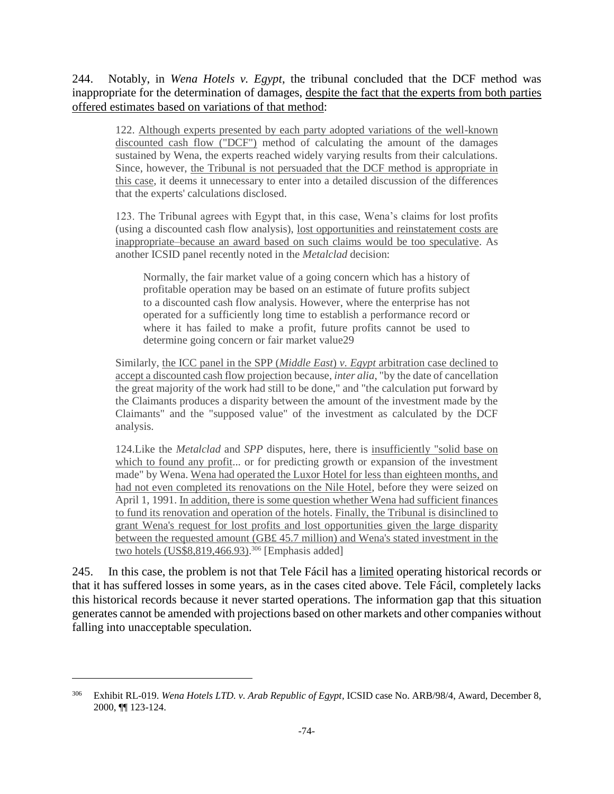244. Notably, in *Wena Hotels v. Egypt*, the tribunal concluded that the DCF method was inappropriate for the determination of damages, despite the fact that the experts from both parties offered estimates based on variations of that method:

122. Although experts presented by each party adopted variations of the well-known discounted cash flow ("DCF") method of calculating the amount of the damages sustained by Wena, the experts reached widely varying results from their calculations. Since, however, the Tribunal is not persuaded that the DCF method is appropriate in this case, it deems it unnecessary to enter into a detailed discussion of the differences that the experts' calculations disclosed.

123. The Tribunal agrees with Egypt that, in this case, Wena's claims for lost profits (using a discounted cash flow analysis), lost opportunities and reinstatement costs are inappropriate–because an award based on such claims would be too speculative. As another ICSID panel recently noted in the *Metalclad* decision:

Normally, the fair market value of a going concern which has a history of profitable operation may be based on an estimate of future profits subject to a discounted cash flow analysis. However, where the enterprise has not operated for a sufficiently long time to establish a performance record or where it has failed to make a profit, future profits cannot be used to determine going concern or fair market value29

Similarly, the ICC panel in the SPP (*Middle East*) *v. Egypt* arbitration case declined to accept a discounted cash flow projection because, *inter alia*, "by the date of cancellation the great majority of the work had still to be done," and "the calculation put forward by the Claimants produces a disparity between the amount of the investment made by the Claimants" and the "supposed value" of the investment as calculated by the DCF analysis.

124.Like the *Metalclad* and *SPP* disputes, here, there is insufficiently "solid base on which to found any profit... or for predicting growth or expansion of the investment made" by Wena. Wena had operated the Luxor Hotel for less than eighteen months, and had not even completed its renovations on the Nile Hotel, before they were seized on April 1, 1991. In addition, there is some question whether Wena had sufficient finances to fund its renovation and operation of the hotels. Finally, the Tribunal is disinclined to grant Wena's request for lost profits and lost opportunities given the large disparity between the requested amount (GB£ 45.7 million) and Wena's stated investment in the two hotels (US\$8,819,466.93). <sup>306</sup> [Emphasis added]

245. In this case, the problem is not that Tele Fácil has a limited operating historical records or that it has suffered losses in some years, as in the cases cited above. Tele Fácil, completely lacks this historical records because it never started operations. The information gap that this situation generates cannot be amended with projections based on other markets and other companies without falling into unacceptable speculation.

<sup>306</sup> Exhibit RL-019. *Wena Hotels LTD. v. Arab Republic of Egypt*, ICSID case No. ARB/98/4, Award, December 8, 2000, ¶¶ 123-124.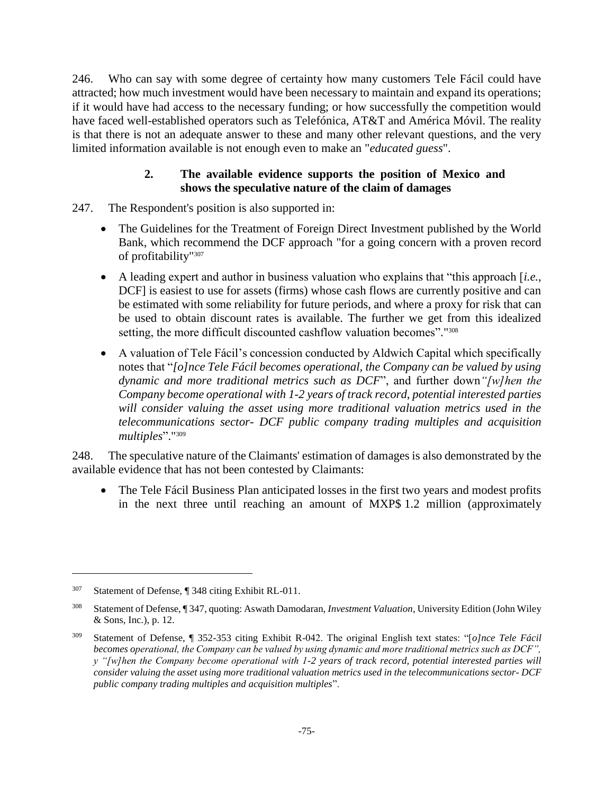246. Who can say with some degree of certainty how many customers Tele Fácil could have attracted; how much investment would have been necessary to maintain and expand its operations; if it would have had access to the necessary funding; or how successfully the competition would have faced well-established operators such as Telefónica, AT&T and América Móvil. The reality is that there is not an adequate answer to these and many other relevant questions, and the very limited information available is not enough even to make an "*educated guess*".

## **2. The available evidence supports the position of Mexico and shows the speculative nature of the claim of damages**

- 247. The Respondent's position is also supported in:
	- The Guidelines for the Treatment of Foreign Direct Investment published by the World Bank, which recommend the DCF approach "for a going concern with a proven record of profitability"<sup>307</sup>
	- A leading expert and author in business valuation who explains that "this approach [*i.e.*, DCF] is easiest to use for assets (firms) whose cash flows are currently positive and can be estimated with some reliability for future periods, and where a proxy for risk that can be used to obtain discount rates is available. The further we get from this idealized setting, the more difficult discounted cashflow valuation becomes"."<sup>308</sup>
	- A valuation of Tele Fácil's concession conducted by Aldwich Capital which specifically notes that "*[o]nce Tele Fácil becomes operational, the Company can be valued by using dynamic and more traditional metrics such as DCF*", and further down*"[w]hen the Company become operational with 1-2 years of track record*, *potential interested parties will consider valuing the asset using more traditional valuation metrics used in the telecommunications sector- DCF public company trading multiples and acquisition multiples*"."<sup>309</sup>

248. The speculative nature of the Claimants' estimation of damages is also demonstrated by the available evidence that has not been contested by Claimants:

• The Tele Fácil Business Plan anticipated losses in the first two years and modest profits in the next three until reaching an amount of MXP\$ 1.2 million (approximately

<sup>307</sup> Statement of Defense, ¶ 348 citing Exhibit RL-011.

<sup>308</sup> Statement of Defense, ¶ 347, quoting: Aswath Damodaran, *Investment Valuation*, University Edition (John Wiley & Sons, Inc.), p. 12.

<sup>309</sup> Statement of Defense, ¶ 352-353 citing Exhibit R-042. The original English text states: "[*o]nce Tele Fácil becomes operational, the Company can be valued by using dynamic and more traditional metrics such as DCF", y "[w]hen the Company become operational with 1-2 years of track record, potential interested parties will consider valuing the asset using more traditional valuation metrics used in the telecommunications sector- DCF public company trading multiples and acquisition multiples*".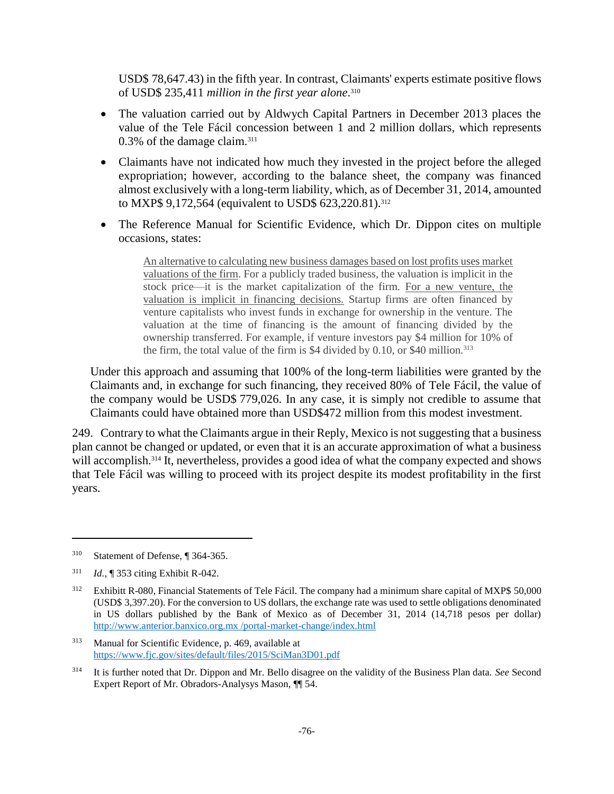USD\$ 78,647.43) in the fifth year. In contrast, Claimants' experts estimate positive flows of USD\$ 235,411 *million in the first year alone*. 310

- The valuation carried out by Aldwych Capital Partners in December 2013 places the value of the Tele Fácil concession between 1 and 2 million dollars, which represents 0.3% of the damage claim.<sup>311</sup>
- Claimants have not indicated how much they invested in the project before the alleged expropriation; however, according to the balance sheet, the company was financed almost exclusively with a long-term liability, which, as of December 31, 2014, amounted to MXP\$ 9,172,564 (equivalent to USD\$ 623,220.81).<sup>312</sup>
- The Reference Manual for Scientific Evidence, which Dr. Dippon cites on multiple occasions, states:

An alternative to calculating new business damages based on lost profits uses market valuations of the firm. For a publicly traded business, the valuation is implicit in the stock price—it is the market capitalization of the firm. For a new venture, the valuation is implicit in financing decisions. Startup firms are often financed by venture capitalists who invest funds in exchange for ownership in the venture. The valuation at the time of financing is the amount of financing divided by the ownership transferred. For example, if venture investors pay \$4 million for 10% of the firm, the total value of the firm is  $$4$  divided by 0.10, or  $$40$  million.<sup>313</sup>

Under this approach and assuming that 100% of the long-term liabilities were granted by the Claimants and, in exchange for such financing, they received 80% of Tele Fácil, the value of the company would be USD\$ 779,026. In any case, it is simply not credible to assume that Claimants could have obtained more than USD\$472 million from this modest investment.

249. Contrary to what the Claimants argue in their Reply, Mexico is not suggesting that a business plan cannot be changed or updated, or even that it is an accurate approximation of what a business will accomplish.<sup>314</sup> It, nevertheless, provides a good idea of what the company expected and shows that Tele Fácil was willing to proceed with its project despite its modest profitability in the first years.

<sup>310</sup> Statement of Defense, ¶ 364-365.

<sup>311</sup> *Id.*, ¶ 353 citing Exhibit R-042.

<sup>&</sup>lt;sup>312</sup> Exhibitt R-080, Financial Statements of Tele Fácil. The company had a minimum share capital of MXP\$ 50,000 (USD\$ 3,397.20). For the conversion to US dollars, the exchange rate was used to settle obligations denominated in US dollars published by the Bank of Mexico as of December 31, 2014 (14,718 pesos per dollar) [http://www.anterior.banxico.org.mx /portal-market-change/index.html](http://www.anterior.banxico.org.mx/portal-mercado-cambiario/index.html)

<sup>313</sup> Manual for Scientific Evidence, p. 469, available at <https://www.fjc.gov/sites/default/files/2015/SciMan3D01.pdf>

<sup>314</sup> It is further noted that Dr. Dippon and Mr. Bello disagree on the validity of the Business Plan data. *See* Second Expert Report of Mr. Obradors-Analysys Mason, ¶¶ 54.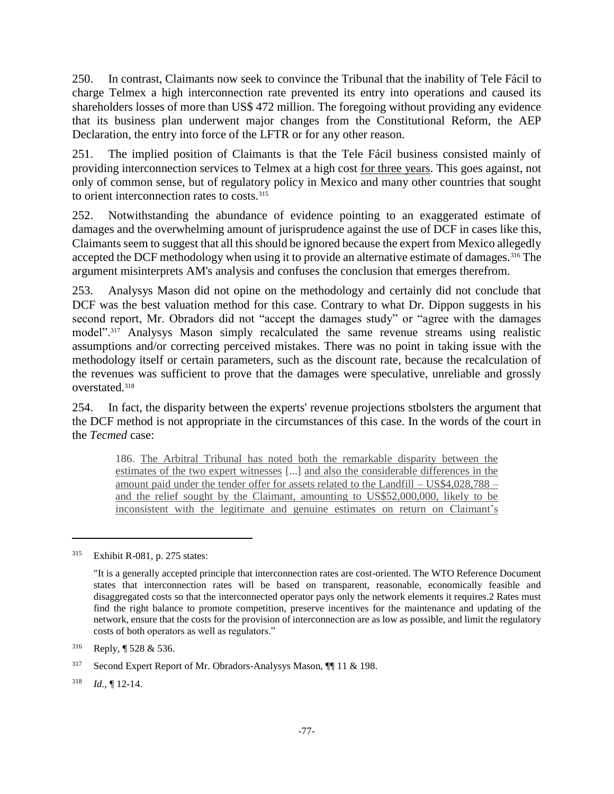250. In contrast, Claimants now seek to convince the Tribunal that the inability of Tele Fácil to charge Telmex a high interconnection rate prevented its entry into operations and caused its shareholders losses of more than US\$ 472 million. The foregoing without providing any evidence that its business plan underwent major changes from the Constitutional Reform, the AEP Declaration, the entry into force of the LFTR or for any other reason.

251. The implied position of Claimants is that the Tele Fácil business consisted mainly of providing interconnection services to Telmex at a high cost for three years. This goes against, not only of common sense, but of regulatory policy in Mexico and many other countries that sought to orient interconnection rates to costs.<sup>315</sup>

252. Notwithstanding the abundance of evidence pointing to an exaggerated estimate of damages and the overwhelming amount of jurisprudence against the use of DCF in cases like this, Claimants seem to suggest that all this should be ignored because the expert from Mexico allegedly accepted the DCF methodology when using it to provide an alternative estimate of damages.<sup>316</sup> The argument misinterprets AM's analysis and confuses the conclusion that emerges therefrom.

253. Analysys Mason did not opine on the methodology and certainly did not conclude that DCF was the best valuation method for this case. Contrary to what Dr. Dippon suggests in his second report, Mr. Obradors did not "accept the damages study" or "agree with the damages model".<sup>317</sup> Analysys Mason simply recalculated the same revenue streams using realistic assumptions and/or correcting perceived mistakes. There was no point in taking issue with the methodology itself or certain parameters, such as the discount rate, because the recalculation of the revenues was sufficient to prove that the damages were speculative, unreliable and grossly overstated. 318

254. In fact, the disparity between the experts' revenue projections stbolsters the argument that the DCF method is not appropriate in the circumstances of this case. In the words of the court in the *Tecmed* case:

186. The Arbitral Tribunal has noted both the remarkable disparity between the estimates of the two expert witnesses [...] and also the considerable differences in the amount paid under the tender offer for assets related to the Landfill – US\$4,028,788 – and the relief sought by the Claimant, amounting to US\$52,000,000, likely to be inconsistent with the legitimate and genuine estimates on return on Claimant's

<sup>315</sup> Exhibit R-081, p. 275 states:

<sup>&</sup>quot;It is a generally accepted principle that interconnection rates are cost-oriented. The WTO Reference Document states that interconnection rates will be based on transparent, reasonable, economically feasible and disaggregated costs so that the interconnected operator pays only the network elements it requires.2 Rates must find the right balance to promote competition, preserve incentives for the maintenance and updating of the network, ensure that the costs for the provision of interconnection are as low as possible, and limit the regulatory costs of both operators as well as regulators."

<sup>316</sup> Reply, ¶ 528 & 536.

<sup>317</sup> Second Expert Report of Mr. Obradors-Analysys Mason, ¶¶ 11 & 198.

<sup>318</sup> *Id.,* ¶ 12-14.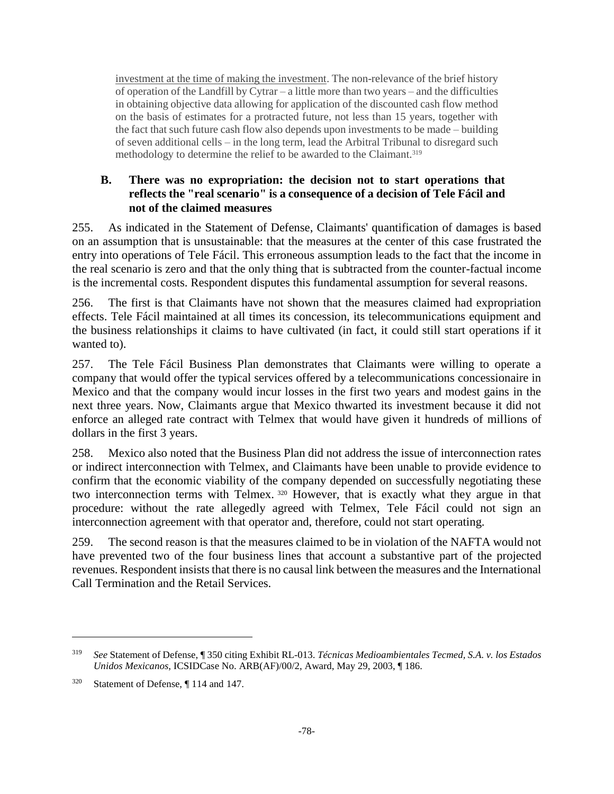investment at the time of making the investment. The non-relevance of the brief history of operation of the Landfill by Cytrar – a little more than two years – and the difficulties in obtaining objective data allowing for application of the discounted cash flow method on the basis of estimates for a protracted future, not less than 15 years, together with the fact that such future cash flow also depends upon investments to be made – building of seven additional cells – in the long term, lead the Arbitral Tribunal to disregard such methodology to determine the relief to be awarded to the Claimant.<sup>319</sup>

## **B. There was no expropriation: the decision not to start operations that reflects the "real scenario" is a consequence of a decision of Tele Fácil and not of the claimed measures**

255. As indicated in the Statement of Defense, Claimants' quantification of damages is based on an assumption that is unsustainable: that the measures at the center of this case frustrated the entry into operations of Tele Fácil. This erroneous assumption leads to the fact that the income in the real scenario is zero and that the only thing that is subtracted from the counter-factual income is the incremental costs. Respondent disputes this fundamental assumption for several reasons.

256. The first is that Claimants have not shown that the measures claimed had expropriation effects. Tele Fácil maintained at all times its concession, its telecommunications equipment and the business relationships it claims to have cultivated (in fact, it could still start operations if it wanted to).

257. The Tele Fácil Business Plan demonstrates that Claimants were willing to operate a company that would offer the typical services offered by a telecommunications concessionaire in Mexico and that the company would incur losses in the first two years and modest gains in the next three years. Now, Claimants argue that Mexico thwarted its investment because it did not enforce an alleged rate contract with Telmex that would have given it hundreds of millions of dollars in the first 3 years.

258. Mexico also noted that the Business Plan did not address the issue of interconnection rates or indirect interconnection with Telmex, and Claimants have been unable to provide evidence to confirm that the economic viability of the company depended on successfully negotiating these two interconnection terms with Telmex. <sup>320</sup> However, that is exactly what they argue in that procedure: without the rate allegedly agreed with Telmex, Tele Fácil could not sign an interconnection agreement with that operator and, therefore, could not start operating.

259. The second reason is that the measures claimed to be in violation of the NAFTA would not have prevented two of the four business lines that account a substantive part of the projected revenues. Respondent insists that there is no causal link between the measures and the International Call Termination and the Retail Services.

<sup>319</sup> *See* Statement of Defense, ¶ 350 citing Exhibit RL-013. *Técnicas Medioambientales Tecmed, S.A. v. los Estados Unidos Mexicanos*, ICSIDCase No. ARB(AF)/00/2, Award, May 29, 2003, ¶ 186.

<sup>320</sup> Statement of Defense, ¶ 114 and 147.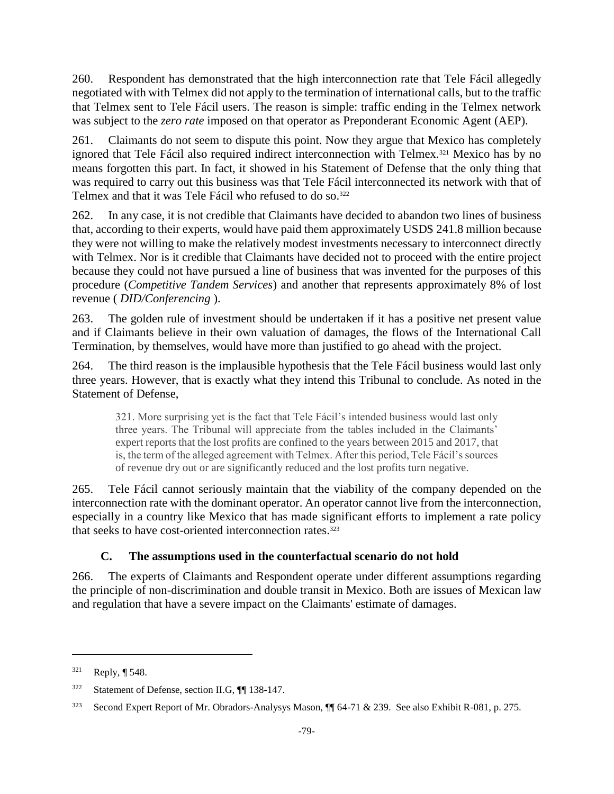260. Respondent has demonstrated that the high interconnection rate that Tele Fácil allegedly negotiated with with Telmex did not apply to the termination of international calls, but to the traffic that Telmex sent to Tele Fácil users. The reason is simple: traffic ending in the Telmex network was subject to the *zero rate* imposed on that operator as Preponderant Economic Agent (AEP).

261. Claimants do not seem to dispute this point. Now they argue that Mexico has completely ignored that Tele Fácil also required indirect interconnection with Telmex.<sup>321</sup> Mexico has by no means forgotten this part. In fact, it showed in his Statement of Defense that the only thing that was required to carry out this business was that Tele Fácil interconnected its network with that of Telmex and that it was Tele Fácil who refused to do so.<sup>322</sup>

262. In any case, it is not credible that Claimants have decided to abandon two lines of business that, according to their experts, would have paid them approximately USD\$ 241.8 million because they were not willing to make the relatively modest investments necessary to interconnect directly with Telmex. Nor is it credible that Claimants have decided not to proceed with the entire project because they could not have pursued a line of business that was invented for the purposes of this procedure (*Competitive Tandem Services*) and another that represents approximately 8% of lost revenue ( *DID/Conferencing* ).

263. The golden rule of investment should be undertaken if it has a positive net present value and if Claimants believe in their own valuation of damages, the flows of the International Call Termination, by themselves, would have more than justified to go ahead with the project.

264. The third reason is the implausible hypothesis that the Tele Fácil business would last only three years. However, that is exactly what they intend this Tribunal to conclude. As noted in the Statement of Defense,

321. More surprising yet is the fact that Tele Fácil's intended business would last only three years. The Tribunal will appreciate from the tables included in the Claimants' expert reports that the lost profits are confined to the years between 2015 and 2017, that is, the term of the alleged agreement with Telmex. After this period, Tele Fácil's sources of revenue dry out or are significantly reduced and the lost profits turn negative.

265. Tele Fácil cannot seriously maintain that the viability of the company depended on the interconnection rate with the dominant operator. An operator cannot live from the interconnection, especially in a country like Mexico that has made significant efforts to implement a rate policy that seeks to have cost-oriented interconnection rates.<sup>323</sup>

# **C. The assumptions used in the counterfactual scenario do not hold**

266. The experts of Claimants and Respondent operate under different assumptions regarding the principle of non-discrimination and double transit in Mexico. Both are issues of Mexican law and regulation that have a severe impact on the Claimants' estimate of damages.

<sup>321</sup> Reply, ¶ 548.

<sup>322</sup> Statement of Defense, section II.G, ¶¶ 138-147.

<sup>323</sup> Second Expert Report of Mr. Obradors-Analysys Mason, ¶¶ 64-71 & 239. See also Exhibit R-081, p. 275.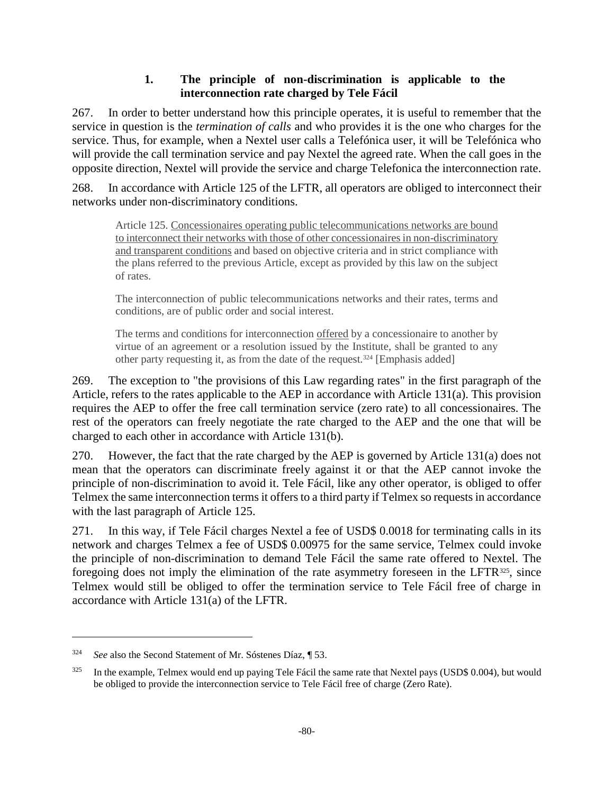## **1. The principle of non-discrimination is applicable to the interconnection rate charged by Tele Fácil**

267. In order to better understand how this principle operates, it is useful to remember that the service in question is the *termination of calls* and who provides it is the one who charges for the service. Thus, for example, when a Nextel user calls a Telefónica user, it will be Telefónica who will provide the call termination service and pay Nextel the agreed rate. When the call goes in the opposite direction, Nextel will provide the service and charge Telefonica the interconnection rate.

268. In accordance with Article 125 of the LFTR, all operators are obliged to interconnect their networks under non-discriminatory conditions.

Article 125. Concessionaires operating public telecommunications networks are bound to interconnect their networks with those of other concessionaires in non-discriminatory and transparent conditions and based on objective criteria and in strict compliance with the plans referred to the previous Article, except as provided by this law on the subject of rates.

The interconnection of public telecommunications networks and their rates, terms and conditions, are of public order and social interest.

The terms and conditions for interconnection offered by a concessionaire to another by virtue of an agreement or a resolution issued by the Institute, shall be granted to any other party requesting it, as from the date of the request.<sup>324</sup> [Emphasis added]

269. The exception to "the provisions of this Law regarding rates" in the first paragraph of the Article, refers to the rates applicable to the AEP in accordance with Article 131(a). This provision requires the AEP to offer the free call termination service (zero rate) to all concessionaires. The rest of the operators can freely negotiate the rate charged to the AEP and the one that will be charged to each other in accordance with Article 131(b).

270. However, the fact that the rate charged by the AEP is governed by Article 131(a) does not mean that the operators can discriminate freely against it or that the AEP cannot invoke the principle of non-discrimination to avoid it. Tele Fácil, like any other operator, is obliged to offer Telmex the same interconnection terms it offers to a third party if Telmex so requests in accordance with the last paragraph of Article 125.

271. In this way, if Tele Fácil charges Nextel a fee of USD\$ 0.0018 for terminating calls in its network and charges Telmex a fee of USD\$ 0.00975 for the same service, Telmex could invoke the principle of non-discrimination to demand Tele Fácil the same rate offered to Nextel. The foregoing does not imply the elimination of the rate asymmetry foreseen in the LFTR<sup>325</sup>, since Telmex would still be obliged to offer the termination service to Tele Fácil free of charge in accordance with Article 131(a) of the LFTR.

<sup>324</sup> *See* also the Second Statement of Mr. Sóstenes Díaz, ¶ 53.

<sup>&</sup>lt;sup>325</sup> In the example, Telmex would end up paying Tele Fácil the same rate that Nextel pays (USD\$ 0.004), but would be obliged to provide the interconnection service to Tele Fácil free of charge (Zero Rate).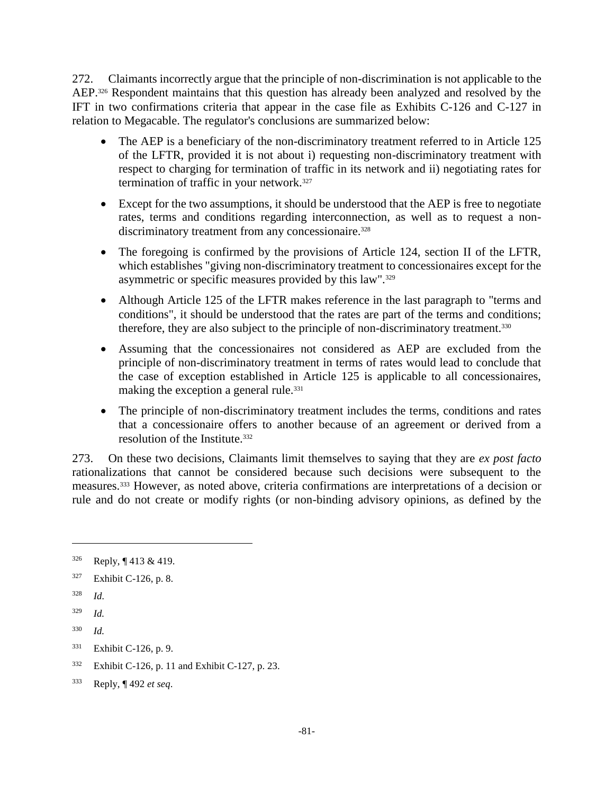272. Claimants incorrectly argue that the principle of non-discrimination is not applicable to the AEP.<sup>326</sup> Respondent maintains that this question has already been analyzed and resolved by the IFT in two confirmations criteria that appear in the case file as Exhibits C-126 and C-127 in relation to Megacable. The regulator's conclusions are summarized below:

- The AEP is a beneficiary of the non-discriminatory treatment referred to in Article 125 of the LFTR, provided it is not about i) requesting non-discriminatory treatment with respect to charging for termination of traffic in its network and ii) negotiating rates for termination of traffic in your network.<sup>327</sup>
- Except for the two assumptions, it should be understood that the AEP is free to negotiate rates, terms and conditions regarding interconnection, as well as to request a nondiscriminatory treatment from any concessionaire.<sup>328</sup>
- The foregoing is confirmed by the provisions of Article 124, section II of the LFTR, which establishes "giving non-discriminatory treatment to concessionaires except for the asymmetric or specific measures provided by this law".<sup>329</sup>
- Although Article 125 of the LFTR makes reference in the last paragraph to "terms and conditions", it should be understood that the rates are part of the terms and conditions; therefore, they are also subject to the principle of non-discriminatory treatment.<sup>330</sup>
- Assuming that the concessionaires not considered as AEP are excluded from the principle of non-discriminatory treatment in terms of rates would lead to conclude that the case of exception established in Article 125 is applicable to all concessionaires, making the exception a general rule.<sup>331</sup>
- The principle of non-discriminatory treatment includes the terms, conditions and rates that a concessionaire offers to another because of an agreement or derived from a resolution of the Institute.<sup>332</sup>

273. On these two decisions, Claimants limit themselves to saying that they are *ex post facto* rationalizations that cannot be considered because such decisions were subsequent to the measures.<sup>333</sup> However, as noted above, criteria confirmations are interpretations of a decision or rule and do not create or modify rights (or non-binding advisory opinions, as defined by the

 $\overline{a}$ 

<sup>332</sup> Exhibit C-126, p. 11 and Exhibit C-127, p. 23.

<sup>326</sup> Reply, ¶ 413 & 419.

<sup>327</sup> Exhibit C-126, p. 8.

<sup>328</sup> *Id.*

<sup>329</sup> *Id.*

<sup>330</sup> *Id.*

<sup>331</sup> Exhibit C-126, p. 9.

<sup>333</sup> Reply, ¶ 492 *et seq*.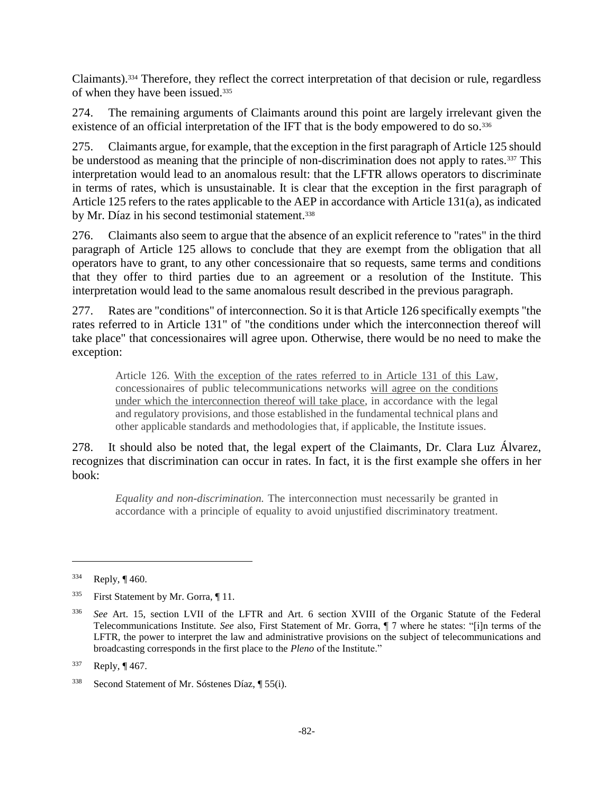Claimants).<sup>334</sup> Therefore, they reflect the correct interpretation of that decision or rule, regardless of when they have been issued.<sup>335</sup>

274. The remaining arguments of Claimants around this point are largely irrelevant given the existence of an official interpretation of the IFT that is the body empowered to do so.<sup>336</sup>

275. Claimants argue, for example, that the exception in the first paragraph of Article 125 should be understood as meaning that the principle of non-discrimination does not apply to rates.<sup>337</sup> This interpretation would lead to an anomalous result: that the LFTR allows operators to discriminate in terms of rates, which is unsustainable. It is clear that the exception in the first paragraph of Article 125 refers to the rates applicable to the AEP in accordance with Article 131(a), as indicated by Mr. Díaz in his second testimonial statement.<sup>338</sup>

276. Claimants also seem to argue that the absence of an explicit reference to "rates" in the third paragraph of Article 125 allows to conclude that they are exempt from the obligation that all operators have to grant, to any other concessionaire that so requests, same terms and conditions that they offer to third parties due to an agreement or a resolution of the Institute. This interpretation would lead to the same anomalous result described in the previous paragraph.

277. Rates are "conditions" of interconnection. So it is that Article 126 specifically exempts "the rates referred to in Article 131" of "the conditions under which the interconnection thereof will take place" that concessionaires will agree upon. Otherwise, there would be no need to make the exception:

Article 126. With the exception of the rates referred to in Article 131 of this Law, concessionaires of public telecommunications networks will agree on the conditions under which the interconnection thereof will take place, in accordance with the legal and regulatory provisions, and those established in the fundamental technical plans and other applicable standards and methodologies that, if applicable, the Institute issues.

278. It should also be noted that, the legal expert of the Claimants, Dr. Clara Luz Álvarez, recognizes that discrimination can occur in rates. In fact, it is the first example she offers in her book:

*Equality and non-discrimination.* The interconnection must necessarily be granted in accordance with a principle of equality to avoid unjustified discriminatory treatment*.* 

 $334$  Reply, ¶ 460.

<sup>&</sup>lt;sup>335</sup> First Statement by Mr. Gorra, ¶ 11.

<sup>336</sup> *See* Art. 15, section LVII of the LFTR and Art. 6 section XVIII of the Organic Statute of the Federal Telecommunications Institute. *See* also, First Statement of Mr. Gorra, ¶ 7 where he states: "[i]n terms of the LFTR, the power to interpret the law and administrative provisions on the subject of telecommunications and broadcasting corresponds in the first place to the *Pleno* of the Institute."

<sup>337</sup> Reply, ¶ 467.

<sup>338</sup> Second Statement of Mr. Sóstenes Díaz, ¶ 55(i).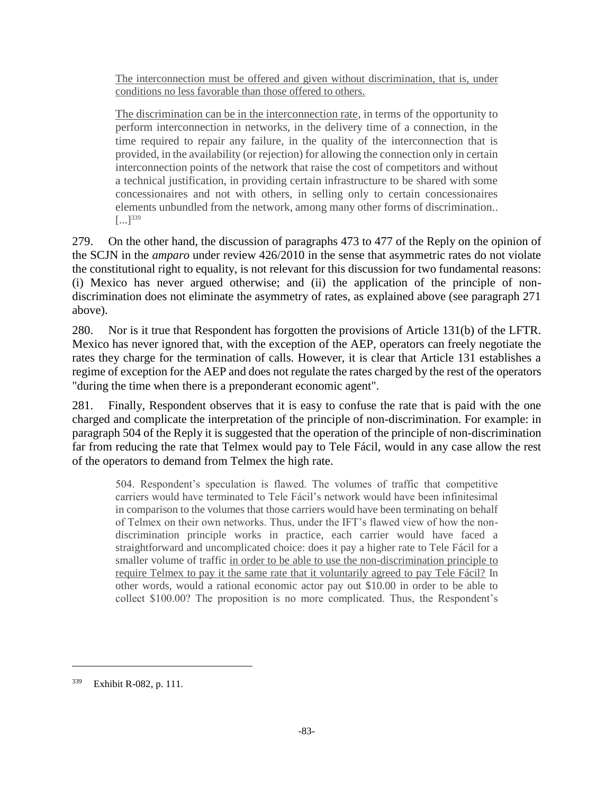The interconnection must be offered and given without discrimination, that is, under conditions no less favorable than those offered to others.

The discrimination can be in the interconnection rate, in terms of the opportunity to perform interconnection in networks, in the delivery time of a connection, in the time required to repair any failure, in the quality of the interconnection that is provided, in the availability (or rejection) for allowing the connection only in certain interconnection points of the network that raise the cost of competitors and without a technical justification, in providing certain infrastructure to be shared with some concessionaires and not with others, in selling only to certain concessionaires elements unbundled from the network, among many other forms of discrimination..  $[...]^{339}$ 

279. On the other hand, the discussion of paragraphs 473 to 477 of the Reply on the opinion of the SCJN in the *amparo* under review 426/2010 in the sense that asymmetric rates do not violate the constitutional right to equality, is not relevant for this discussion for two fundamental reasons: (i) Mexico has never argued otherwise; and (ii) the application of the principle of nondiscrimination does not eliminate the asymmetry of rates, as explained above (see paragraph 271 above).

280. Nor is it true that Respondent has forgotten the provisions of Article 131(b) of the LFTR. Mexico has never ignored that, with the exception of the AEP, operators can freely negotiate the rates they charge for the termination of calls. However, it is clear that Article 131 establishes a regime of exception for the AEP and does not regulate the rates charged by the rest of the operators "during the time when there is a preponderant economic agent".

281. Finally, Respondent observes that it is easy to confuse the rate that is paid with the one charged and complicate the interpretation of the principle of non-discrimination. For example: in paragraph 504 of the Reply it is suggested that the operation of the principle of non-discrimination far from reducing the rate that Telmex would pay to Tele Fácil, would in any case allow the rest of the operators to demand from Telmex the high rate.

504. Respondent's speculation is flawed. The volumes of traffic that competitive carriers would have terminated to Tele Fácil's network would have been infinitesimal in comparison to the volumes that those carriers would have been terminating on behalf of Telmex on their own networks. Thus, under the IFT's flawed view of how the nondiscrimination principle works in practice, each carrier would have faced a straightforward and uncomplicated choice: does it pay a higher rate to Tele Fácil for a smaller volume of traffic in order to be able to use the non-discrimination principle to require Telmex to pay it the same rate that it voluntarily agreed to pay Tele Fácil? In other words, would a rational economic actor pay out \$10.00 in order to be able to collect \$100.00? The proposition is no more complicated. Thus, the Respondent's

<sup>339</sup> Exhibit R-082, p. 111.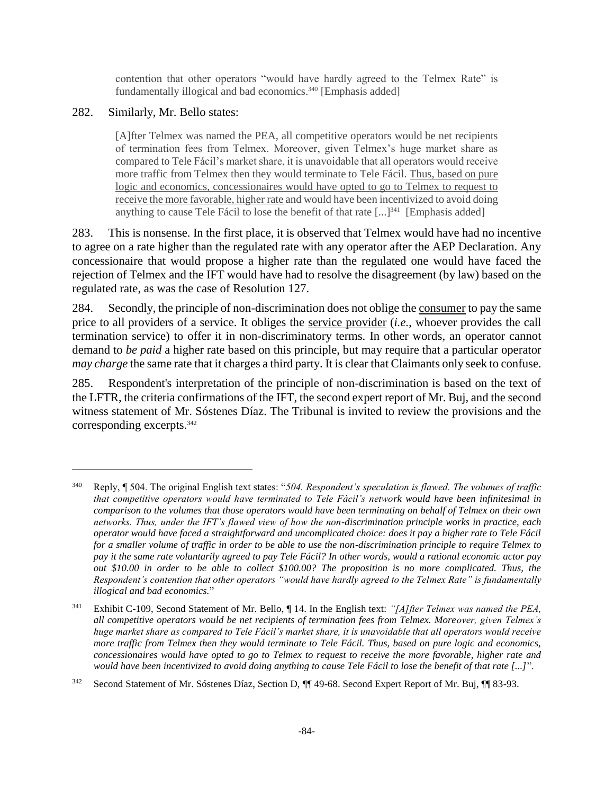contention that other operators "would have hardly agreed to the Telmex Rate" is fundamentally illogical and bad economics. <sup>340</sup> [Emphasis added]

### 282. Similarly, Mr. Bello states:

 $\overline{a}$ 

[A]fter Telmex was named the PEA, all competitive operators would be net recipients of termination fees from Telmex. Moreover, given Telmex's huge market share as compared to Tele Fácil's market share, it is unavoidable that all operators would receive more traffic from Telmex then they would terminate to Tele Fácil. Thus, based on pure logic and economics, concessionaires would have opted to go to Telmex to request to receive the more favorable, higher rate and would have been incentivized to avoid doing anything to cause Tele Fácil to lose the benefit of that rate [...]<sup>341</sup> [Emphasis added]

283. This is nonsense. In the first place, it is observed that Telmex would have had no incentive to agree on a rate higher than the regulated rate with any operator after the AEP Declaration. Any concessionaire that would propose a higher rate than the regulated one would have faced the rejection of Telmex and the IFT would have had to resolve the disagreement (by law) based on the regulated rate, as was the case of Resolution 127.

284. Secondly, the principle of non-discrimination does not oblige the consumer to pay the same price to all providers of a service. It obliges the service provider (*i.e.*, whoever provides the call termination service) to offer it in non-discriminatory terms. In other words, an operator cannot demand to *be paid* a higher rate based on this principle, but may require that a particular operator *may charge* the same rate that it charges a third party. It is clear that Claimants only seek to confuse.

285. Respondent's interpretation of the principle of non-discrimination is based on the text of the LFTR, the criteria confirmations of the IFT, the second expert report of Mr. Buj, and the second witness statement of Mr. Sóstenes Díaz. The Tribunal is invited to review the provisions and the corresponding excerpts.<sup>342</sup>

<sup>340</sup> Reply, ¶ 504. The original English text states: "*504. Respondent's speculation is flawed. The volumes of traffic that competitive operators would have terminated to Tele Fácil's network would have been infinitesimal in comparison to the volumes that those operators would have been terminating on behalf of Telmex on their own networks. Thus, under the IFT's flawed view of how the non-discrimination principle works in practice, each operator would have faced a straightforward and uncomplicated choice: does it pay a higher rate to Tele Fácil for a smaller volume of traffic in order to be able to use the non-discrimination principle to require Telmex to pay it the same rate voluntarily agreed to pay Tele Fácil? In other words, would a rational economic actor pay out \$10.00 in order to be able to collect \$100.00? The proposition is no more complicated. Thus, the Respondent's contention that other operators "would have hardly agreed to the Telmex Rate" is fundamentally illogical and bad economics.*"

<sup>341</sup> Exhibit C-109, Second Statement of Mr. Bello, ¶ 14. In the English text: *"[A]fter Telmex was named the PEA, all competitive operators would be net recipients of termination fees from Telmex. Moreover, given Telmex's huge market share as compared to Tele Fácil's market share, it is unavoidable that all operators would receive more traffic from Telmex then they would terminate to Tele Fácil. Thus, based on pure logic and economics, concessionaires would have opted to go to Telmex to request to receive the more favorable, higher rate and would have been incentivized to avoid doing anything to cause Tele Fácil to lose the benefit of that rate [...]*".

<sup>&</sup>lt;sup>342</sup> Second Statement of Mr. Sóstenes Díaz, Section D, ¶¶ 49-68. Second Expert Report of Mr. Buj, ¶¶ 83-93.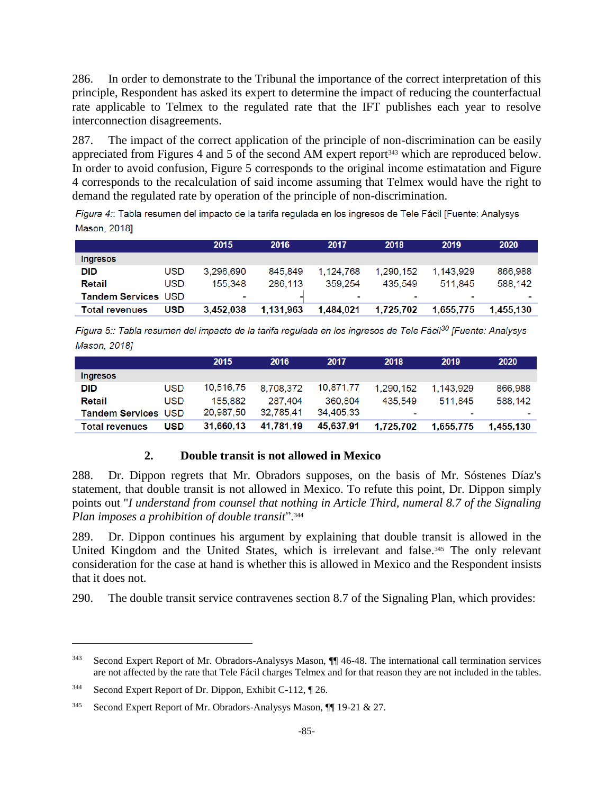286. In order to demonstrate to the Tribunal the importance of the correct interpretation of this principle, Respondent has asked its expert to determine the impact of reducing the counterfactual rate applicable to Telmex to the regulated rate that the IFT publishes each year to resolve interconnection disagreements.

287. The impact of the correct application of the principle of non-discrimination can be easily appreciated from Figures 4 and 5 of the second AM expert report<sup>343</sup> which are reproduced below. In order to avoid confusion, Figure 5 corresponds to the original income estimatation and Figure 4 corresponds to the recalculation of said income assuming that Telmex would have the right to demand the regulated rate by operation of the principle of non-discrimination.

Figura 4:: Tabla resumen del impacto de la tarifa regulada en los ingresos de Tele Fácil [Fuente: Analysys **Mason, 20181** 

|                       |            | 2015      | 2016      | 2017      | 2018                     | 2019                     | 2020      |
|-----------------------|------------|-----------|-----------|-----------|--------------------------|--------------------------|-----------|
| Ingresos              |            |           |           |           |                          |                          |           |
| <b>DID</b>            | <b>USD</b> | 3.296.690 | 845.849   | 1.124.768 | 1,290,152                | 1.143.929                | 866,988   |
| Retail                | <b>USD</b> | 155.348   | 286,113   | 359.254   | 435.549                  | 511.845                  | 588.142   |
| Tandem Services USD   |            | ٠         |           |           | $\overline{\phantom{a}}$ | $\overline{\phantom{a}}$ |           |
| <b>Total revenues</b> | <b>USD</b> | 3.452.038 | 1.131.963 | 1.484.021 | 1.725.702                | 1.655.775                | 1.455.130 |

Figura 5:: Tabla resumen del impacto de la tarifa regulada en los ingresos de Tele Fácil<sup>30</sup> [Fuente: Analysys Mason, 2018]

|                            |            | 2015      | 2016      | 2017      | 2018           | 2019      | 2020      |
|----------------------------|------------|-----------|-----------|-----------|----------------|-----------|-----------|
| <b>Ingresos</b>            |            |           |           |           |                |           |           |
| <b>DID</b>                 | <b>USD</b> | 10,516,75 | 8.708.372 | 10,871,77 | 1.290.152      | 1.143.929 | 866,988   |
| Retail                     | <b>USD</b> | 155.882   | 287.404   | 360,804   | 435.549        | 511.845   | 588.142   |
| <b>Tandem Services USD</b> |            | 20,987.50 | 32.785.41 | 34.405.33 | $\blacksquare$ |           |           |
| <b>Total revenues</b>      | <b>USD</b> | 31.660.13 | 41.781.19 | 45,637,91 | 1.725.702      | 1.655.775 | 1.455.130 |

## **2. Double transit is not allowed in Mexico**

288. Dr. Dippon regrets that Mr. Obradors supposes, on the basis of Mr. Sóstenes Díaz's statement, that double transit is not allowed in Mexico. To refute this point, Dr. Dippon simply points out "*I understand from counsel that nothing in Article Third, numeral 8.7 of the Signaling Plan imposes a prohibition of double transit*".<sup>344</sup>

289. Dr. Dippon continues his argument by explaining that double transit is allowed in the United Kingdom and the United States, which is irrelevant and false.<sup>345</sup> The only relevant consideration for the case at hand is whether this is allowed in Mexico and the Respondent insists that it does not.

290. The double transit service contravenes section 8.7 of the Signaling Plan, which provides:

<sup>343</sup> Second Expert Report of Mr. Obradors-Analysys Mason, ¶¶ 46-48. The international call termination services are not affected by the rate that Tele Fácil charges Telmex and for that reason they are not included in the tables.

<sup>344</sup> Second Expert Report of Dr. Dippon, Exhibit C-112, ¶ 26.

<sup>345</sup> Second Expert Report of Mr. Obradors-Analysys Mason, ¶¶ 19-21 & 27.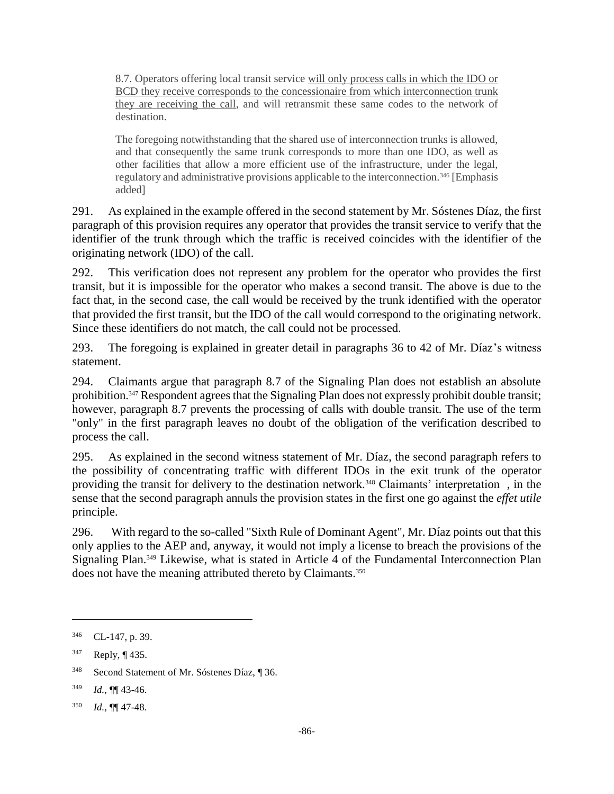8.7. Operators offering local transit service will only process calls in which the IDO or BCD they receive corresponds to the concessionaire from which interconnection trunk they are receiving the call, and will retransmit these same codes to the network of destination.

The foregoing notwithstanding that the shared use of interconnection trunks is allowed, and that consequently the same trunk corresponds to more than one IDO, as well as other facilities that allow a more efficient use of the infrastructure, under the legal, regulatory and administrative provisions applicable to the interconnection.<sup>346</sup> [Emphasis added]

291. As explained in the example offered in the second statement by Mr. Sóstenes Díaz, the first paragraph of this provision requires any operator that provides the transit service to verify that the identifier of the trunk through which the traffic is received coincides with the identifier of the originating network (IDO) of the call.

292. This verification does not represent any problem for the operator who provides the first transit, but it is impossible for the operator who makes a second transit. The above is due to the fact that, in the second case, the call would be received by the trunk identified with the operator that provided the first transit, but the IDO of the call would correspond to the originating network. Since these identifiers do not match, the call could not be processed.

293. The foregoing is explained in greater detail in paragraphs 36 to 42 of Mr. Díaz's witness statement.

294. Claimants argue that paragraph 8.7 of the Signaling Plan does not establish an absolute prohibition.<sup>347</sup> Respondent agrees that the Signaling Plan does not expressly prohibit double transit; however, paragraph 8.7 prevents the processing of calls with double transit. The use of the term "only" in the first paragraph leaves no doubt of the obligation of the verification described to process the call.

295. As explained in the second witness statement of Mr. Díaz, the second paragraph refers to the possibility of concentrating traffic with different IDOs in the exit trunk of the operator providing the transit for delivery to the destination network.<sup>348</sup> Claimants' interpretation, in the sense that the second paragraph annuls the provision states in the first one go against the *effet utile* principle.

296. With regard to the so-called "Sixth Rule of Dominant Agent", Mr. Díaz points out that this only applies to the AEP and, anyway, it would not imply a license to breach the provisions of the Signaling Plan.<sup>349</sup> Likewise, what is stated in Article 4 of the Fundamental Interconnection Plan does not have the meaning attributed thereto by Claimants.<sup>350</sup>

<sup>346</sup> CL-147, p. 39.

<sup>347</sup> Reply, ¶ 435.

<sup>348</sup> Second Statement of Mr. Sóstenes Díaz, ¶ 36.

<sup>349</sup> *Id.,* ¶¶ 43-46.

<sup>350</sup> *Id.,* ¶¶ 47-48.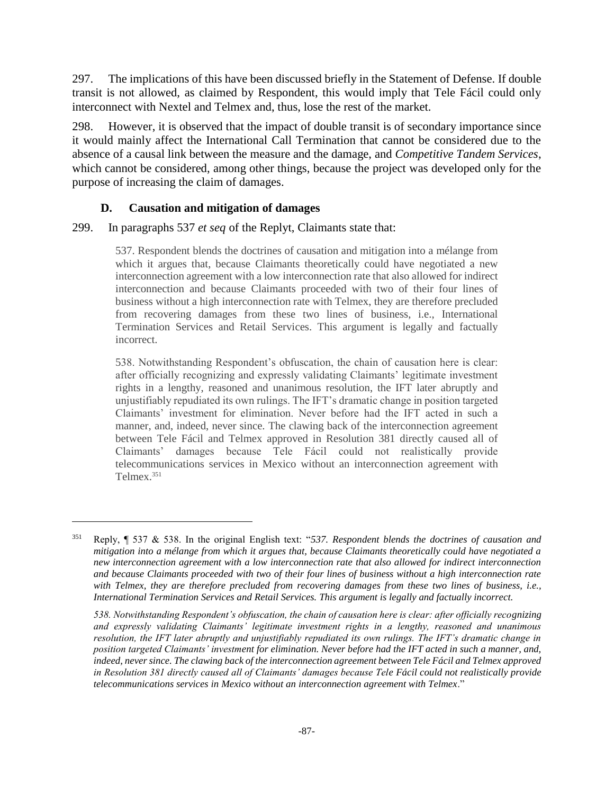297. The implications of this have been discussed briefly in the Statement of Defense. If double transit is not allowed, as claimed by Respondent, this would imply that Tele Fácil could only interconnect with Nextel and Telmex and, thus, lose the rest of the market.

298. However, it is observed that the impact of double transit is of secondary importance since it would mainly affect the International Call Termination that cannot be considered due to the absence of a causal link between the measure and the damage, and *Competitive Tandem Services*, which cannot be considered, among other things, because the project was developed only for the purpose of increasing the claim of damages.

### **D. Causation and mitigation of damages**

 $\overline{a}$ 

#### 299. In paragraphs 537 *et seq* of the Replyt, Claimants state that:

537. Respondent blends the doctrines of causation and mitigation into a mélange from which it argues that, because Claimants theoretically could have negotiated a new interconnection agreement with a low interconnection rate that also allowed for indirect interconnection and because Claimants proceeded with two of their four lines of business without a high interconnection rate with Telmex, they are therefore precluded from recovering damages from these two lines of business, i.e., International Termination Services and Retail Services. This argument is legally and factually incorrect.

538. Notwithstanding Respondent's obfuscation, the chain of causation here is clear: after officially recognizing and expressly validating Claimants' legitimate investment rights in a lengthy, reasoned and unanimous resolution, the IFT later abruptly and unjustifiably repudiated its own rulings. The IFT's dramatic change in position targeted Claimants' investment for elimination. Never before had the IFT acted in such a manner, and, indeed, never since. The clawing back of the interconnection agreement between Tele Fácil and Telmex approved in Resolution 381 directly caused all of Claimants' damages because Tele Fácil could not realistically provide telecommunications services in Mexico without an interconnection agreement with Telmex.<sup>351</sup>

<sup>351</sup> Reply, ¶ 537 & 538. In the original English text: "*537. Respondent blends the doctrines of causation and mitigation into a mélange from which it argues that, because Claimants theoretically could have negotiated a new interconnection agreement with a low interconnection rate that also allowed for indirect interconnection and because Claimants proceeded with two of their four lines of business without a high interconnection rate*  with Telmex, they are therefore precluded from recovering damages from these two lines of business, i.e., *International Termination Services and Retail Services. This argument is legally and factually incorrect.*

*<sup>538.</sup> Notwithstanding Respondent's obfuscation, the chain of causation here is clear: after officially recognizing and expressly validating Claimants' legitimate investment rights in a lengthy, reasoned and unanimous resolution, the IFT later abruptly and unjustifiably repudiated its own rulings. The IFT's dramatic change in position targeted Claimants' investment for elimination. Never before had the IFT acted in such a manner, and, indeed, never since. The clawing back of the interconnection agreement between Tele Fácil and Telmex approved in Resolution 381 directly caused all of Claimants' damages because Tele Fácil could not realistically provide telecommunications services in Mexico without an interconnection agreement with Telmex*."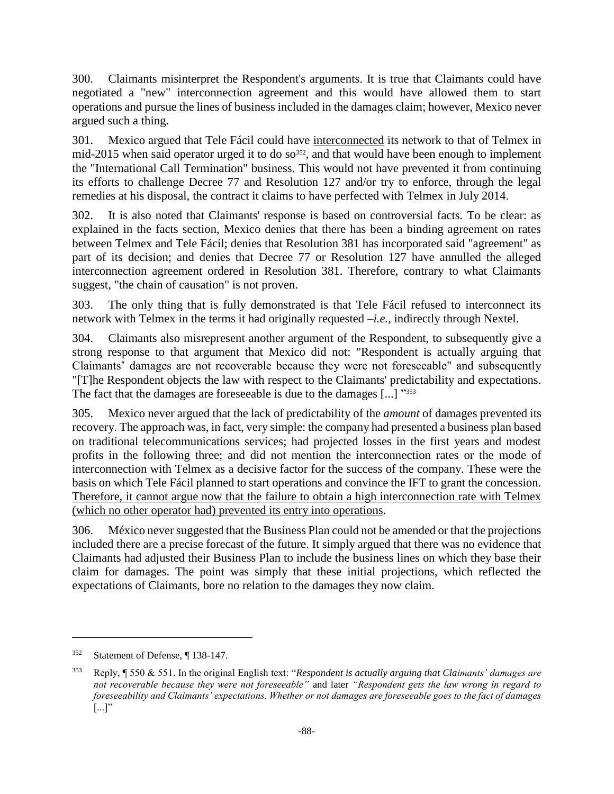300. Claimants misinterpret the Respondent's arguments. It is true that Claimants could have negotiated a "new" interconnection agreement and this would have allowed them to start operations and pursue the lines of business included in the damages claim; however, Mexico never argued such a thing.

301. Mexico argued that Tele Fácil could have interconnected its network to that of Telmex in mid-2015 when said operator urged it to do so<sup>352</sup>, and that would have been enough to implement the "International Call Termination" business. This would not have prevented it from continuing its efforts to challenge Decree 77 and Resolution 127 and/or try to enforce, through the legal remedies at his disposal, the contract it claims to have perfected with Telmex in July 2014.

302. It is also noted that Claimants' response is based on controversial facts. To be clear: as explained in the facts section, Mexico denies that there has been a binding agreement on rates between Telmex and Tele Fácil; denies that Resolution 381 has incorporated said "agreement" as part of its decision; and denies that Decree 77 or Resolution 127 have annulled the alleged interconnection agreement ordered in Resolution 381. Therefore, contrary to what Claimants suggest, "the chain of causation" is not proven.

303. The only thing that is fully demonstrated is that Tele Fácil refused to interconnect its network with Telmex in the terms it had originally requested –*i.e.*, indirectly through Nextel.

304. Claimants also misrepresent another argument of the Respondent, to subsequently give a strong response to that argument that Mexico did not: "Respondent is actually arguing that Claimants' damages are not recoverable because they were not foreseeable" and subsequently "[T]he Respondent objects the law with respect to the Claimants' predictability and expectations. The fact that the damages are foreseeable is due to the damages [...] "353

305. Mexico never argued that the lack of predictability of the *amount* of damages prevented its recovery. The approach was, in fact, very simple: the company had presented a business plan based on traditional telecommunications services; had projected losses in the first years and modest profits in the following three; and did not mention the interconnection rates or the mode of interconnection with Telmex as a decisive factor for the success of the company. These were the basis on which Tele Fácil planned to start operations and convince the IFT to grant the concession. Therefore, it cannot argue now that the failure to obtain a high interconnection rate with Telmex (which no other operator had) prevented its entry into operations.

306. México never suggested that the Business Plan could not be amended or that the projections included there are a precise forecast of the future. It simply argued that there was no evidence that Claimants had adjusted their Business Plan to include the business lines on which they base their claim for damages. The point was simply that these initial projections, which reflected the expectations of Claimants, bore no relation to the damages they now claim.

<sup>352</sup> Statement of Defense, ¶ 138-147.

<sup>353</sup> Reply, ¶ 550 & 551. In the original English text: "*Respondent is actually arguing that Claimants' damages are not recoverable because they were not foreseeable"* and later *"Respondent gets the law wrong in regard to foreseeability and Claimants' expectations. Whether or not damages are foreseeable goes to the fact of damages*  $\left[\ldots\right]$ "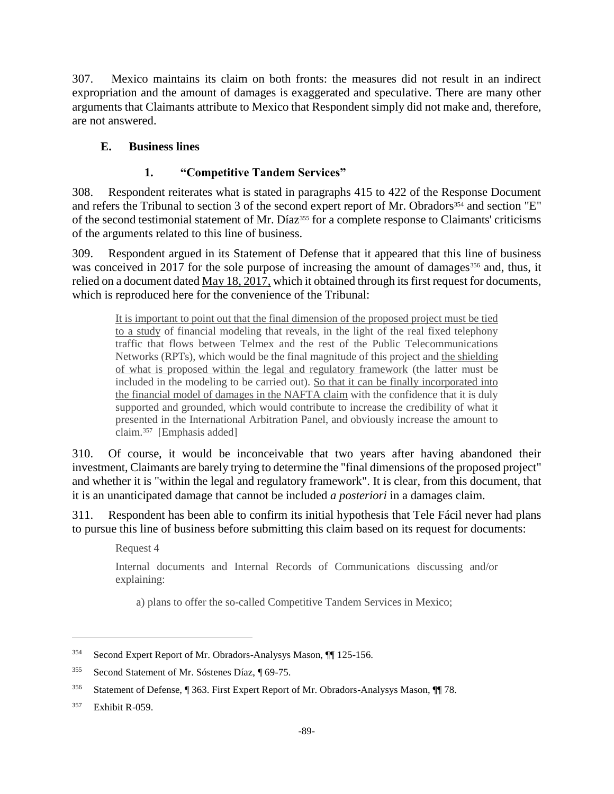307. Mexico maintains its claim on both fronts: the measures did not result in an indirect expropriation and the amount of damages is exaggerated and speculative. There are many other arguments that Claimants attribute to Mexico that Respondent simply did not make and, therefore, are not answered.

## **E. Business lines**

## **1. "Competitive Tandem Services"**

308. Respondent reiterates what is stated in paragraphs 415 to 422 of the Response Document and refers the Tribunal to section 3 of the second expert report of Mr. Obradors<sup>354</sup> and section "E" of the second testimonial statement of Mr. Díaz<sup>355</sup> for a complete response to Claimants' criticisms of the arguments related to this line of business.

309. Respondent argued in its Statement of Defense that it appeared that this line of business was conceived in 2017 for the sole purpose of increasing the amount of damages<sup>356</sup> and, thus, it relied on a document dated May 18, 2017, which it obtained through its first request for documents, which is reproduced here for the convenience of the Tribunal:

It is important to point out that the final dimension of the proposed project must be tied to a study of financial modeling that reveals, in the light of the real fixed telephony traffic that flows between Telmex and the rest of the Public Telecommunications Networks (RPTs), which would be the final magnitude of this project and the shielding of what is proposed within the legal and regulatory framework (the latter must be included in the modeling to be carried out). So that it can be finally incorporated into the financial model of damages in the NAFTA claim with the confidence that it is duly supported and grounded, which would contribute to increase the credibility of what it presented in the International Arbitration Panel, and obviously increase the amount to claim.<sup>357</sup> [Emphasis added]

310. Of course, it would be inconceivable that two years after having abandoned their investment, Claimants are barely trying to determine the "final dimensions of the proposed project" and whether it is "within the legal and regulatory framework". It is clear, from this document, that it is an unanticipated damage that cannot be included *a posteriori* in a damages claim.

311. Respondent has been able to confirm its initial hypothesis that Tele Fácil never had plans to pursue this line of business before submitting this claim based on its request for documents:

Request 4

Internal documents and Internal Records of Communications discussing and/or explaining:

a) plans to offer the so-called Competitive Tandem Services in Mexico;

<sup>354</sup> Second Expert Report of Mr. Obradors-Analysys Mason, ¶¶ 125-156.

<sup>355</sup> Second Statement of Mr. Sóstenes Díaz, ¶ 69-75.

<sup>356</sup> Statement of Defense, ¶ 363. First Expert Report of Mr. Obradors-Analysys Mason, ¶¶ 78.

<sup>357</sup> Exhibit R-059.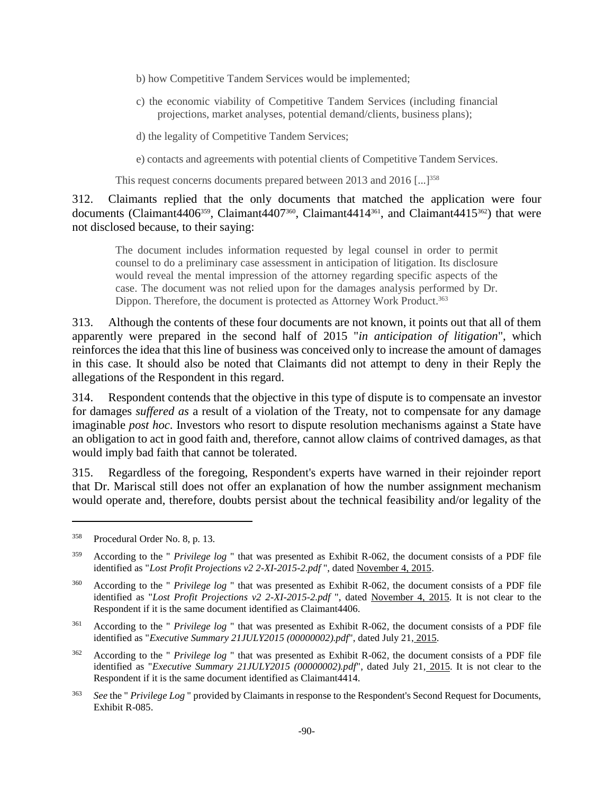- b) how Competitive Tandem Services would be implemented;
- c) the economic viability of Competitive Tandem Services (including financial projections, market analyses, potential demand/clients, business plans);
- d) the legality of Competitive Tandem Services;

e) contacts and agreements with potential clients of Competitive Tandem Services.

This request concerns documents prepared between 2013 and 2016 [...]<sup>358</sup>

312. Claimants replied that the only documents that matched the application were four documents (Claimant4406<sup>359</sup>, Claimant4407<sup>360</sup>, Claimant4414<sup>361</sup>, and Claimant4415<sup>362</sup>) that were not disclosed because, to their saying:

The document includes information requested by legal counsel in order to permit counsel to do a preliminary case assessment in anticipation of litigation. Its disclosure would reveal the mental impression of the attorney regarding specific aspects of the case. The document was not relied upon for the damages analysis performed by Dr. Dippon. Therefore, the document is protected as Attorney Work Product.<sup>363</sup>

313. Although the contents of these four documents are not known, it points out that all of them apparently were prepared in the second half of 2015 "*in anticipation of litigation*", which reinforces the idea that this line of business was conceived only to increase the amount of damages in this case. It should also be noted that Claimants did not attempt to deny in their Reply the allegations of the Respondent in this regard.

314. Respondent contends that the objective in this type of dispute is to compensate an investor for damages *suffered as* a result of a violation of the Treaty, not to compensate for any damage imaginable *post hoc*. Investors who resort to dispute resolution mechanisms against a State have an obligation to act in good faith and, therefore, cannot allow claims of contrived damages, as that would imply bad faith that cannot be tolerated.

315. Regardless of the foregoing, Respondent's experts have warned in their rejoinder report that Dr. Mariscal still does not offer an explanation of how the number assignment mechanism would operate and, therefore, doubts persist about the technical feasibility and/or legality of the

<sup>358</sup> Procedural Order No. 8, p. 13.

<sup>359</sup> According to the " *Privilege log* " that was presented as Exhibit R-062, the document consists of a PDF file identified as "*Lost Profit Projections v2 2-XI-2015-2.pdf* ", dated November 4, 2015.

<sup>360</sup> According to the " *Privilege log* " that was presented as Exhibit R-062, the document consists of a PDF file identified as "*Lost Profit Projections v2 2-XI-2015-2.pdf* ", dated November 4, 2015. It is not clear to the Respondent if it is the same document identified as Claimant4406.

<sup>361</sup> According to the " *Privilege log* " that was presented as Exhibit R-062, the document consists of a PDF file identified as "*Executive Summary 21JULY2015 (00000002).pdf*", dated July 21, 2015.

<sup>362</sup> According to the " *Privilege log* " that was presented as Exhibit R-062, the document consists of a PDF file identified as "*Executive Summary 21JULY2015 (00000002).pdf*", dated July 21, 2015. It is not clear to the Respondent if it is the same document identified as Claimant4414.

<sup>363</sup> *See* the " *Privilege Log* " provided by Claimants in response to the Respondent's Second Request for Documents, Exhibit R-085.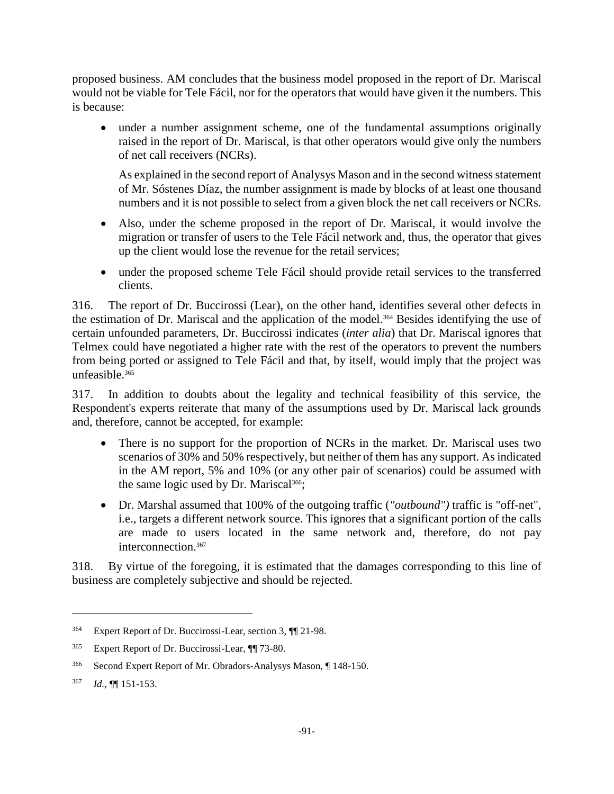proposed business. AM concludes that the business model proposed in the report of Dr. Mariscal would not be viable for Tele Fácil, nor for the operators that would have given it the numbers. This is because:

• under a number assignment scheme, one of the fundamental assumptions originally raised in the report of Dr. Mariscal, is that other operators would give only the numbers of net call receivers (NCRs).

As explained in the second report of Analysys Mason and in the second witness statement of Mr. Sóstenes Díaz, the number assignment is made by blocks of at least one thousand numbers and it is not possible to select from a given block the net call receivers or NCRs.

- Also, under the scheme proposed in the report of Dr. Mariscal, it would involve the migration or transfer of users to the Tele Fácil network and, thus, the operator that gives up the client would lose the revenue for the retail services;
- under the proposed scheme Tele Fácil should provide retail services to the transferred clients.

316. The report of Dr. Buccirossi (Lear), on the other hand, identifies several other defects in the estimation of Dr. Mariscal and the application of the model.<sup>364</sup> Besides identifying the use of certain unfounded parameters, Dr. Buccirossi indicates (*inter alia*) that Dr. Mariscal ignores that Telmex could have negotiated a higher rate with the rest of the operators to prevent the numbers from being ported or assigned to Tele Fácil and that, by itself, would imply that the project was unfeasible.<sup>365</sup>

317. In addition to doubts about the legality and technical feasibility of this service, the Respondent's experts reiterate that many of the assumptions used by Dr. Mariscal lack grounds and, therefore, cannot be accepted, for example:

- There is no support for the proportion of NCRs in the market. Dr. Mariscal uses two scenarios of 30% and 50% respectively, but neither of them has any support. As indicated in the AM report, 5% and 10% (or any other pair of scenarios) could be assumed with the same logic used by Dr. Mariscal<sup>366</sup>;
- Dr. Marshal assumed that 100% of the outgoing traffic (*"outbound")* traffic is "off-net", i.e., targets a different network source. This ignores that a significant portion of the calls are made to users located in the same network and, therefore, do not pay interconnection.<sup>367</sup>

318. By virtue of the foregoing, it is estimated that the damages corresponding to this line of business are completely subjective and should be rejected.

<sup>364</sup> Expert Report of Dr. Buccirossi-Lear, section 3, ¶¶ 21-98.

<sup>365</sup> Expert Report of Dr. Buccirossi-Lear, ¶¶ 73-80.

<sup>366</sup> Second Expert Report of Mr. Obradors-Analysys Mason, ¶ 148-150.

<sup>367</sup> *Id.,* ¶¶ 151-153.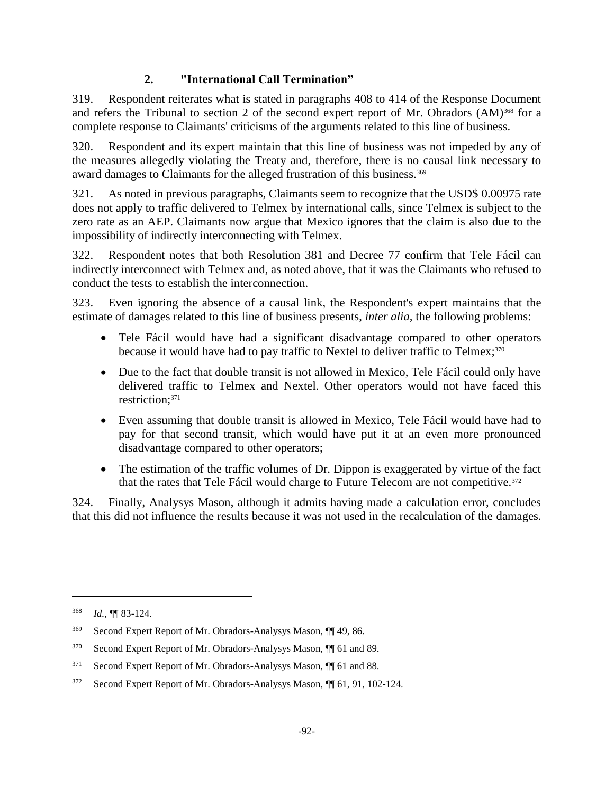## **2. "International Call Termination"**

319. Respondent reiterates what is stated in paragraphs 408 to 414 of the Response Document and refers the Tribunal to section 2 of the second expert report of Mr. Obradors (AM)<sup>368</sup> for a complete response to Claimants' criticisms of the arguments related to this line of business.

320. Respondent and its expert maintain that this line of business was not impeded by any of the measures allegedly violating the Treaty and, therefore, there is no causal link necessary to award damages to Claimants for the alleged frustration of this business.<sup>369</sup>

321. As noted in previous paragraphs, Claimants seem to recognize that the USD\$ 0.00975 rate does not apply to traffic delivered to Telmex by international calls, since Telmex is subject to the zero rate as an AEP. Claimants now argue that Mexico ignores that the claim is also due to the impossibility of indirectly interconnecting with Telmex.

322. Respondent notes that both Resolution 381 and Decree 77 confirm that Tele Fácil can indirectly interconnect with Telmex and, as noted above, that it was the Claimants who refused to conduct the tests to establish the interconnection.

323. Even ignoring the absence of a causal link, the Respondent's expert maintains that the estimate of damages related to this line of business presents, *inter alia,* the following problems:

- Tele Fácil would have had a significant disadvantage compared to other operators because it would have had to pay traffic to Nextel to deliver traffic to Telmex;<sup>370</sup>
- Due to the fact that double transit is not allowed in Mexico, Tele Fácil could only have delivered traffic to Telmex and Nextel. Other operators would not have faced this restriction;<sup>371</sup>
- Even assuming that double transit is allowed in Mexico, Tele Fácil would have had to pay for that second transit, which would have put it at an even more pronounced disadvantage compared to other operators;
- The estimation of the traffic volumes of Dr. Dippon is exaggerated by virtue of the fact that the rates that Tele Fácil would charge to Future Telecom are not competitive.<sup>372</sup>

324. Finally, Analysys Mason, although it admits having made a calculation error, concludes that this did not influence the results because it was not used in the recalculation of the damages.

<sup>368</sup> *Id.,* ¶¶ 83-124.

<sup>369</sup> Second Expert Report of Mr. Obradors-Analysys Mason, ¶¶ 49, 86.

<sup>370</sup> Second Expert Report of Mr. Obradors-Analysys Mason, ¶¶ 61 and 89.

<sup>371</sup> Second Expert Report of Mr. Obradors-Analysys Mason, ¶¶ 61 and 88.

<sup>372</sup> Second Expert Report of Mr. Obradors-Analysys Mason, ¶¶ 61, 91, 102-124.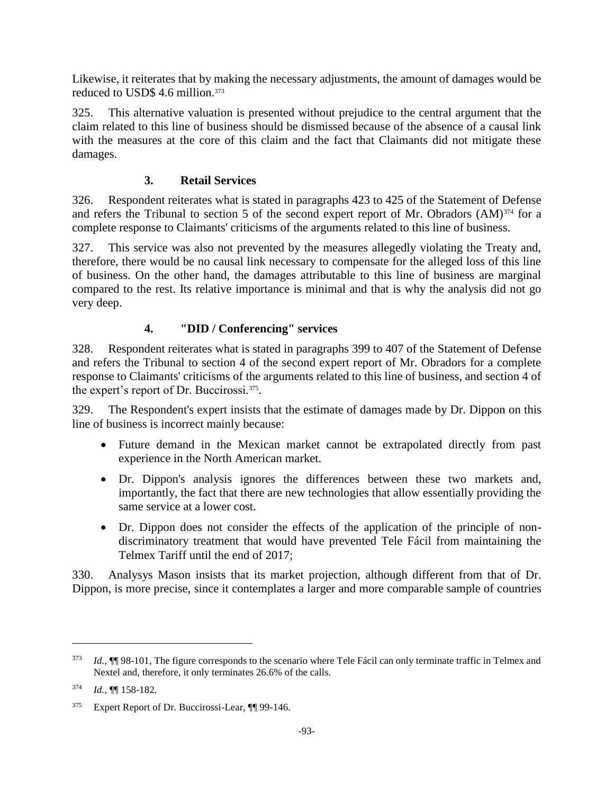Likewise, it reiterates that by making the necessary adjustments, the amount of damages would be reduced to USD\$ 4.6 million.<sup>373</sup>

325. This alternative valuation is presented without prejudice to the central argument that the claim related to this line of business should be dismissed because of the absence of a causal link with the measures at the core of this claim and the fact that Claimants did not mitigate these damages.

## **3. Retail Services**

326. Respondent reiterates what is stated in paragraphs 423 to 425 of the Statement of Defense and refers the Tribunal to section 5 of the second expert report of Mr. Obradors (AM)<sup>374</sup> for a complete response to Claimants' criticisms of the arguments related to this line of business.

327. This service was also not prevented by the measures allegedly violating the Treaty and, therefore, there would be no causal link necessary to compensate for the alleged loss of this line of business. On the other hand, the damages attributable to this line of business are marginal compared to the rest. Its relative importance is minimal and that is why the analysis did not go very deep.

# **4. "DID / Conferencing" services**

328. Respondent reiterates what is stated in paragraphs 399 to 407 of the Statement of Defense and refers the Tribunal to section 4 of the second expert report of Mr. Obradors for a complete response to Claimants' criticisms of the arguments related to this line of business, and section 4 of the expert's report of Dr. Buccirossi.<sup>375</sup>.

329. The Respondent's expert insists that the estimate of damages made by Dr. Dippon on this line of business is incorrect mainly because:

- Future demand in the Mexican market cannot be extrapolated directly from past experience in the North American market.
- Dr. Dippon's analysis ignores the differences between these two markets and, importantly, the fact that there are new technologies that allow essentially providing the same service at a lower cost.
- Dr. Dippon does not consider the effects of the application of the principle of nondiscriminatory treatment that would have prevented Tele Fácil from maintaining the Telmex Tariff until the end of 2017;

330. Analysys Mason insists that its market projection, although different from that of Dr. Dippon, is more precise, since it contemplates a larger and more comparable sample of countries

<sup>373</sup> *Id.,* ¶¶ 98-101, The figure corresponds to the scenario where Tele Fácil can only terminate traffic in Telmex and Nextel and, therefore, it only terminates 26.6% of the calls.

<sup>374</sup> *Id.,* ¶¶ 158-182.

<sup>375</sup> Expert Report of Dr. Buccirossi-Lear, ¶¶ 99-146.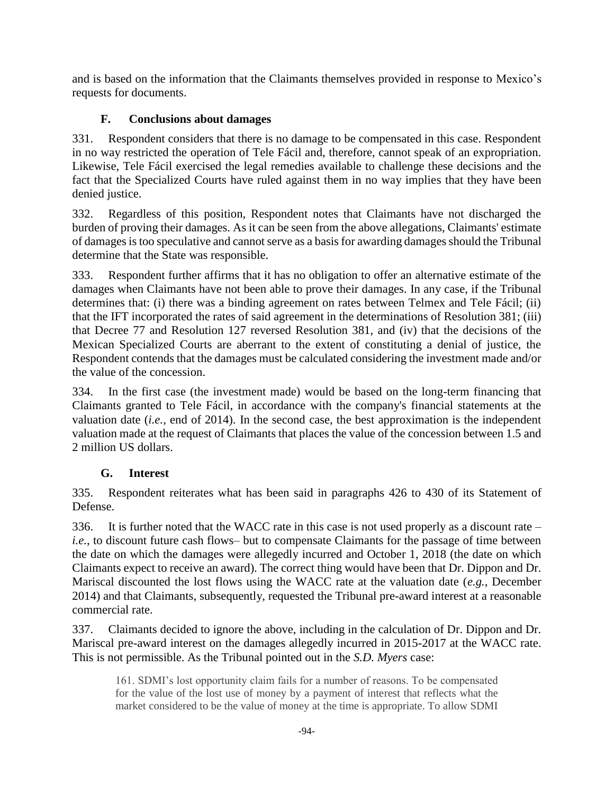and is based on the information that the Claimants themselves provided in response to Mexico's requests for documents.

# **F. Conclusions about damages**

331. Respondent considers that there is no damage to be compensated in this case. Respondent in no way restricted the operation of Tele Fácil and, therefore, cannot speak of an expropriation. Likewise, Tele Fácil exercised the legal remedies available to challenge these decisions and the fact that the Specialized Courts have ruled against them in no way implies that they have been denied justice.

332. Regardless of this position, Respondent notes that Claimants have not discharged the burden of proving their damages. As it can be seen from the above allegations, Claimants' estimate of damages is too speculative and cannot serve as a basis for awarding damages should the Tribunal determine that the State was responsible.

333. Respondent further affirms that it has no obligation to offer an alternative estimate of the damages when Claimants have not been able to prove their damages. In any case, if the Tribunal determines that: (i) there was a binding agreement on rates between Telmex and Tele Fácil; (ii) that the IFT incorporated the rates of said agreement in the determinations of Resolution 381; (iii) that Decree 77 and Resolution 127 reversed Resolution 381, and (iv) that the decisions of the Mexican Specialized Courts are aberrant to the extent of constituting a denial of justice, the Respondent contends that the damages must be calculated considering the investment made and/or the value of the concession.

334. In the first case (the investment made) would be based on the long-term financing that Claimants granted to Tele Fácil, in accordance with the company's financial statements at the valuation date (*i.e.,* end of 2014). In the second case, the best approximation is the independent valuation made at the request of Claimants that places the value of the concession between 1.5 and 2 million US dollars.

# **G. Interest**

335. Respondent reiterates what has been said in paragraphs 426 to 430 of its Statement of Defense.

336. It is further noted that the WACC rate in this case is not used properly as a discount rate – *i.e.*, to discount future cash flows– but to compensate Claimants for the passage of time between the date on which the damages were allegedly incurred and October 1, 2018 (the date on which Claimants expect to receive an award). The correct thing would have been that Dr. Dippon and Dr. Mariscal discounted the lost flows using the WACC rate at the valuation date (*e.g.*, December 2014) and that Claimants, subsequently, requested the Tribunal pre-award interest at a reasonable commercial rate.

337. Claimants decided to ignore the above, including in the calculation of Dr. Dippon and Dr. Mariscal pre-award interest on the damages allegedly incurred in 2015-2017 at the WACC rate. This is not permissible. As the Tribunal pointed out in the *S.D. Myers* case:

161. SDMI's lost opportunity claim fails for a number of reasons. To be compensated for the value of the lost use of money by a payment of interest that reflects what the market considered to be the value of money at the time is appropriate. To allow SDMI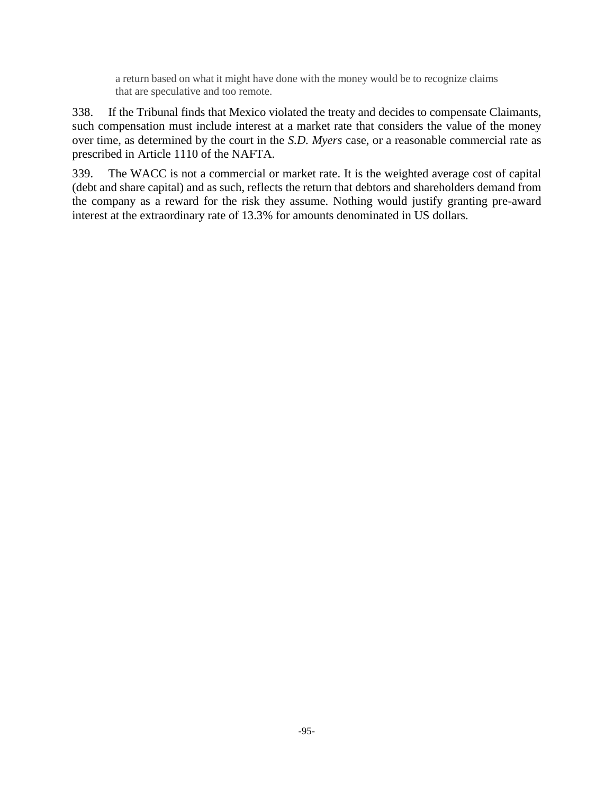a return based on what it might have done with the money would be to recognize claims that are speculative and too remote.

338. If the Tribunal finds that Mexico violated the treaty and decides to compensate Claimants, such compensation must include interest at a market rate that considers the value of the money over time, as determined by the court in the *S.D. Myers* case, or a reasonable commercial rate as prescribed in Article 1110 of the NAFTA.

339. The WACC is not a commercial or market rate. It is the weighted average cost of capital (debt and share capital) and as such, reflects the return that debtors and shareholders demand from the company as a reward for the risk they assume. Nothing would justify granting pre-award interest at the extraordinary rate of 13.3% for amounts denominated in US dollars.